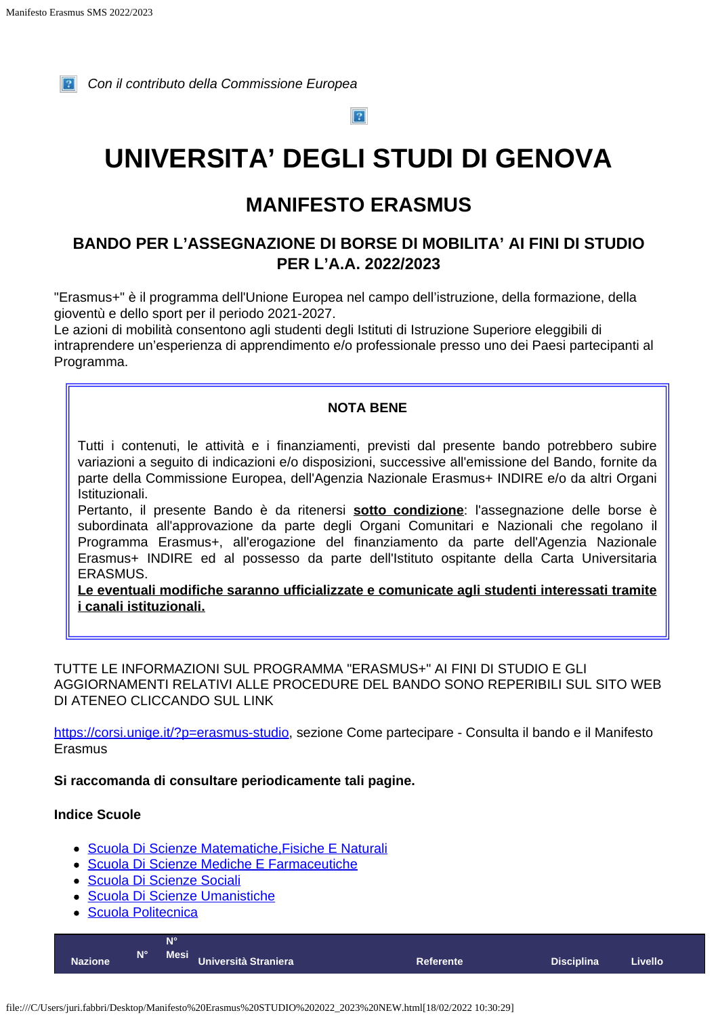<span id="page-0-0"></span>

*Con il contributo della Commissione Europea*

 $\boxed{?}$ 

# **UNIVERSITA' DEGLI STUDI DI GENOVA**

# **MANIFESTO ERASMUS**

# **BANDO PER L'ASSEGNAZIONE DI BORSE DI MOBILITA' AI FINI DI STUDIO PER L'A.A. 2022/2023**

"Erasmus+" è il programma dell'Unione Europea nel campo dell'istruzione, della formazione, della gioventù e dello sport per il periodo 2021-2027.

Le azioni di mobilità consentono agli studenti degli Istituti di Istruzione Superiore eleggibili di intraprendere un'esperienza di apprendimento e/o professionale presso uno dei Paesi partecipanti al Programma.

### **NOTA BENE**

Tutti i contenuti, le attività e i finanziamenti, previsti dal presente bando potrebbero subire variazioni a seguito di indicazioni e/o disposizioni, successive all'emissione del Bando, fornite da parte della Commissione Europea, dell'Agenzia Nazionale Erasmus+ INDIRE e/o da altri Organi Istituzionali.

Pertanto, il presente Bando è da ritenersi **sotto condizione**: l'assegnazione delle borse è subordinata all'approvazione da parte degli Organi Comunitari e Nazionali che regolano il Programma Erasmus+, all'erogazione del finanziamento da parte dell'Agenzia Nazionale Erasmus+ INDIRE ed al possesso da parte dell'Istituto ospitante della Carta Universitaria ERASMUS.

**Le eventuali modifiche saranno ufficializzate e comunicate agli studenti interessati tramite i canali istituzionali.**

TUTTE LE INFORMAZIONI SUL PROGRAMMA "ERASMUS+" AI FINI DI STUDIO E GLI AGGIORNAMENTI RELATIVI ALLE PROCEDURE DEL BANDO SONO REPERIBILI SUL SITO WEB DI ATENEO CLICCANDO SUL LINK

<https://corsi.unige.it/?p=erasmus-studio>, sezione Come partecipare - Consulta il bando e il Manifesto Erasmus

### **Si raccomanda di consultare periodicamente tali pagine.**

### **Indice Scuole**

- [Scuola Di Scienze Matematiche,Fisiche E Naturali](#page-0-0)
- [Scuola Di Scienze Mediche E Farmaceutiche](#page-0-0)
- [Scuola Di Scienze Sociali](#page-0-0)
- [Scuola Di Scienze Umanistiche](#page-0-0)
- [Scuola Politecnica](#page-0-0)

| N۱°<br>N°<br>Mesi Università Straniera<br><b>Nazione</b><br><b>Disciplina</b><br><b>Referente</b> | <b>Livello</b> |
|---------------------------------------------------------------------------------------------------|----------------|
|---------------------------------------------------------------------------------------------------|----------------|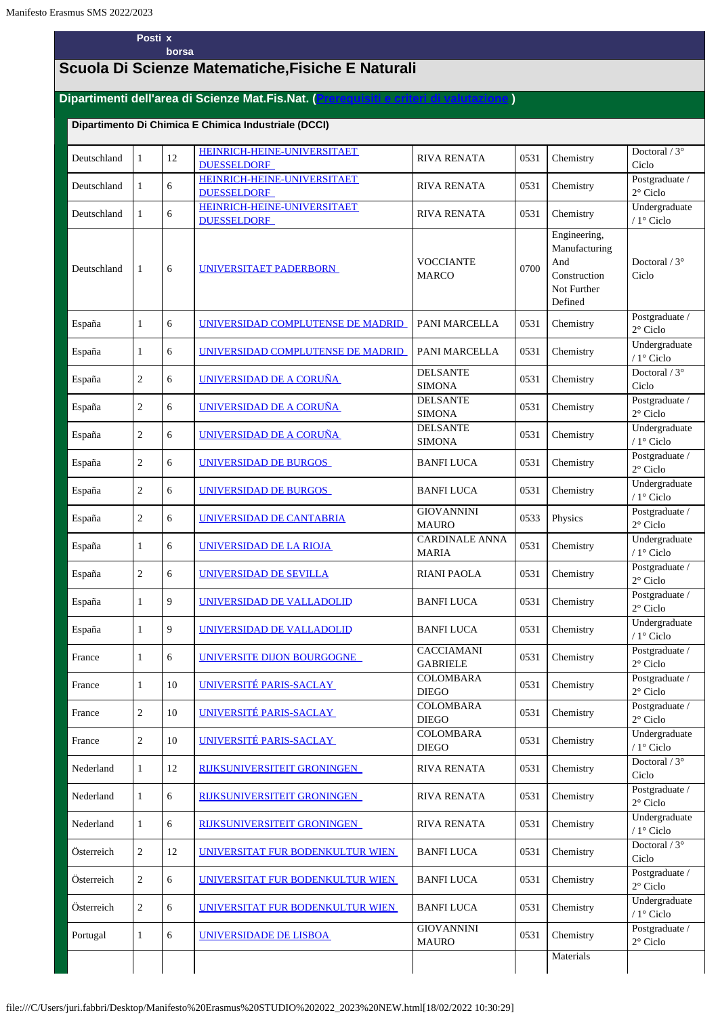#### **Posti x borsa**

# **Scuola Di Scienze Matematiche,Fisiche E Naturali**

### **Dipartimenti dell'area di Scienze Mat.Fis.Nat. [\(Prerequisiti e criteri di valutazione](https://servizionline.unige.it/unige/common/erasmus/prerequisiti-area/SMS/2022/prerequisitiecriteri-smfn.pdf) )**

#### **Dipartimento Di Chimica E Chimica Industriale (DCCI)**

| Deutschland | 1              | 12 | HEINRICH-HEINE-UNIVERSITAET<br><b>DUESSELDORF</b>        | <b>RIVA RENATA</b>                    | 0531 | Chemistry                                                                      | Doctoral $/3^{\circ}$<br>Ciclo       |
|-------------|----------------|----|----------------------------------------------------------|---------------------------------------|------|--------------------------------------------------------------------------------|--------------------------------------|
| Deutschland | $\mathbf{1}$   | 6  | <b>HEINRICH-HEINE-UNIVERSITAET</b><br><b>DUESSELDORF</b> | <b>RIVA RENATA</b>                    | 0531 | Chemistry                                                                      | Postgraduate /<br>$2^{\circ}$ Ciclo  |
| Deutschland | $\mathbf{1}$   | 6  | <b>HEINRICH-HEINE-UNIVERSITAET</b><br><b>DUESSELDORF</b> | <b>RIVA RENATA</b>                    | 0531 | Chemistry                                                                      | Undergraduate<br>/ 1° Ciclo          |
| Deutschland | 1              | 6  | UNIVERSITAET PADERBORN                                   | <b>VOCCIANTE</b><br><b>MARCO</b>      | 0700 | Engineering,<br>Manufacturing<br>And<br>Construction<br>Not Further<br>Defined | Doctoral $/3^{\circ}$<br>Ciclo       |
| España      | 1              | 6  | UNIVERSIDAD COMPLUTENSE DE MADRID                        | PANI MARCELLA                         | 0531 | Chemistry                                                                      | Postgraduate /<br>$2^{\circ}$ Ciclo  |
| España      | $\mathbf{1}$   | 6  | UNIVERSIDAD COMPLUTENSE DE MADRID                        | PANI MARCELLA                         | 0531 | Chemistry                                                                      | Undergraduate<br>/ 1° Ciclo          |
| España      | $\sqrt{2}$     | 6  | UNIVERSIDAD DE A CORUÑA                                  | <b>DELSANTE</b><br><b>SIMONA</b>      | 0531 | Chemistry                                                                      | Doctoral $\sqrt{3^\circ}$<br>Ciclo   |
| España      | $\overline{c}$ | 6  | <b>UNIVERSIDAD DE A CORUÑA</b>                           | <b>DELSANTE</b><br><b>SIMONA</b>      | 0531 | Chemistry                                                                      | Postgraduate /<br>$2^{\circ}$ Ciclo  |
| España      | $\sqrt{2}$     | 6  | UNIVERSIDAD DE A CORUÑA                                  | <b>DELSANTE</b><br><b>SIMONA</b>      | 0531 | Chemistry                                                                      | Undergraduate<br>/ $1^{\circ}$ Ciclo |
| España      | $\sqrt{2}$     | 6  | UNIVERSIDAD DE BURGOS                                    | <b>BANFI LUCA</b>                     | 0531 | Chemistry                                                                      | Postgraduate /<br>$2^{\circ}$ Ciclo  |
| España      | $\overline{c}$ | 6  | UNIVERSIDAD DE BURGOS                                    | <b>BANFI LUCA</b>                     | 0531 | Chemistry                                                                      | Undergraduate<br>/ 1° Ciclo          |
| España      | $\overline{c}$ | 6  | UNIVERSIDAD DE CANTABRIA                                 | <b>GIOVANNINI</b><br><b>MAURO</b>     | 0533 | Physics                                                                        | Postgraduate /<br>$2^{\circ}$ Ciclo  |
| España      | 1              | 6  | UNIVERSIDAD DE LA RIOJA                                  | <b>CARDINALE ANNA</b><br><b>MARIA</b> | 0531 | Chemistry                                                                      | Undergraduate<br>/ 1° Ciclo          |
| España      | $\overline{c}$ | 6  | UNIVERSIDAD DE SEVILLA                                   | <b>RIANI PAOLA</b>                    | 0531 | Chemistry                                                                      | Postgraduate /<br>$2^{\circ}$ Ciclo  |
| España      | $\mathbf{1}$   | 9  | UNIVERSIDAD DE VALLADOLID                                | <b>BANFI LUCA</b>                     | 0531 | Chemistry                                                                      | Postgraduate /<br>$2^{\circ}$ Ciclo  |
| España      | $\mathbf{1}$   | 9  | UNIVERSIDAD DE VALLADOLID                                | <b>BANFILUCA</b>                      | 0531 | Chemistry                                                                      | Undergraduate<br>/ $1^\circ$ Ciclo   |
| France      | $\mathbf{1}$   | 6  | UNIVERSITE DIJON BOURGOGNE                               | CACCIAMANI<br><b>GABRIELE</b>         | 0531 | Chemistry                                                                      | Postgraduate /<br>$2^{\circ}$ Ciclo  |
| France      | $\mathbf{1}$   | 10 | UNIVERSITÉ PARIS-SACLAY                                  | <b>COLOMBARA</b><br><b>DIEGO</b>      | 0531 | Chemistry                                                                      | Postgraduate /<br>$2^{\circ}$ Ciclo  |
| France      | $\overline{c}$ | 10 | UNIVERSITÉ PARIS-SACLAY                                  | COLOMBARA<br><b>DIEGO</b>             | 0531 | Chemistry                                                                      | Postgraduate /<br>$2^{\circ}$ Ciclo  |
| France      | $\overline{c}$ | 10 | UNIVERSITÉ PARIS-SACLAY                                  | <b>COLOMBARA</b><br><b>DIEGO</b>      | 0531 | Chemistry                                                                      | Undergraduate<br>/ 1° Ciclo          |
| Nederland   | $\mathbf{1}$   | 12 | <b>RIJKSUNIVERSITEIT GRONINGEN</b>                       | <b>RIVA RENATA</b>                    | 0531 | Chemistry                                                                      | Doctoral / 3°<br>Ciclo               |
| Nederland   | $\mathbf{1}$   | 6  | RIJKSUNIVERSITEIT GRONINGEN                              | <b>RIVA RENATA</b>                    | 0531 | Chemistry                                                                      | Postgraduate /<br>$2^{\circ}$ Ciclo  |
| Nederland   | $\mathbf{1}$   | 6  | RIJKSUNIVERSITEIT GRONINGEN                              | <b>RIVA RENATA</b>                    | 0531 | Chemistry                                                                      | Undergraduate<br>/ $1^{\circ}$ Ciclo |
| Österreich  | $\overline{c}$ | 12 | UNIVERSITAT FUR BODENKULTUR WIEN                         | <b>BANFI LUCA</b>                     | 0531 | Chemistry                                                                      | Doctoral / 3°<br>Ciclo               |
| Österreich  | $\overline{c}$ | 6  | UNIVERSITAT FUR BODENKULTUR WIEN                         | <b>BANFI LUCA</b>                     | 0531 | Chemistry                                                                      | Postgraduate /<br>$2^{\circ}$ Ciclo  |
| Österreich  | $\overline{c}$ | 6  | <u>UNIVERSITAT FUR BODENKULTUR WIEN</u>                  | <b>BANFI LUCA</b>                     | 0531 | Chemistry                                                                      | Undergraduate<br>/ $1^\circ$ Ciclo   |
| Portugal    | $\mathbf{1}$   | 6  | UNIVERSIDADE DE LISBOA                                   | <b>GIOVANNINI</b><br><b>MAURO</b>     | 0531 | Chemistry                                                                      | Postgraduate /<br>$2^{\circ}$ Ciclo  |
|             |                |    |                                                          |                                       |      | Materials                                                                      |                                      |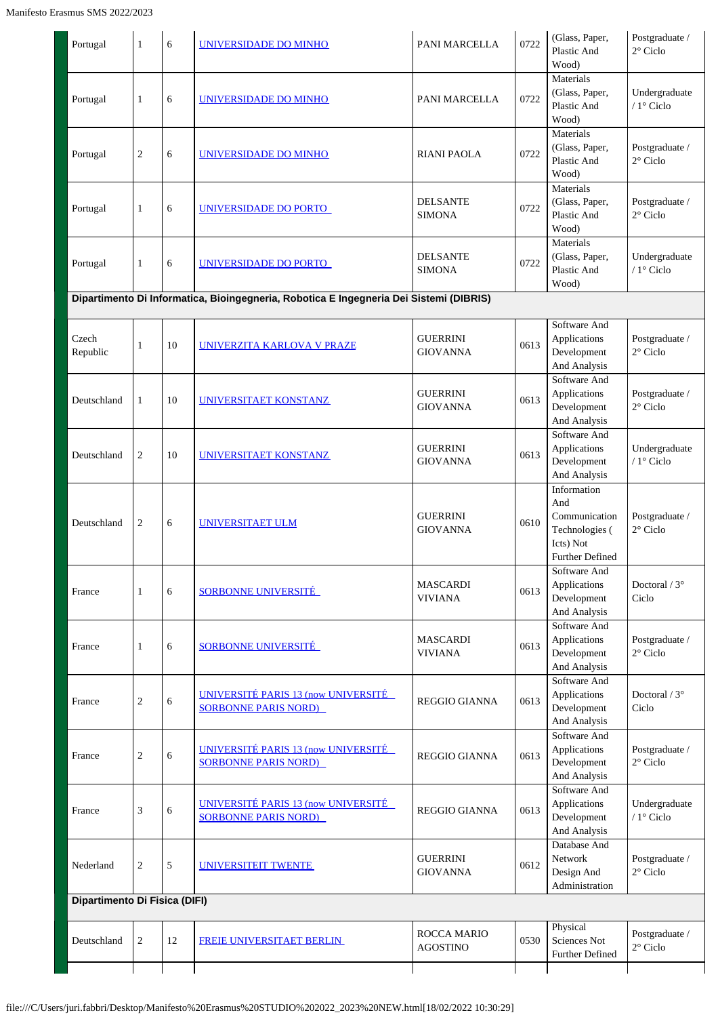| Portugal                      | $\mathbf{1}$   | 6  | UNIVERSIDADE DO MINHO                                                                  | PANI MARCELLA                         | 0722 | (Glass, Paper,<br>Plastic And                                                                | Postgraduate /<br>$2^{\circ}$ Ciclo  |
|-------------------------------|----------------|----|----------------------------------------------------------------------------------------|---------------------------------------|------|----------------------------------------------------------------------------------------------|--------------------------------------|
|                               |                |    |                                                                                        |                                       |      | Wood)                                                                                        |                                      |
| Portugal                      | 1              | 6  | UNIVERSIDADE DO MINHO                                                                  | PANI MARCELLA                         | 0722 | Materials<br>(Glass, Paper,<br>Plastic And<br>Wood)                                          | Undergraduate<br>$/1^\circ$ Ciclo    |
| Portugal                      | $\overline{c}$ | 6  | UNIVERSIDADE DO MINHO                                                                  | <b>RIANI PAOLA</b>                    | 0722 | Materials<br>(Glass, Paper,<br>Plastic And<br>Wood)                                          | Postgraduate /<br>$2^{\circ}$ Ciclo  |
| Portugal                      | 1              | 6  | UNIVERSIDADE DO PORTO                                                                  | <b>DELSANTE</b><br><b>SIMONA</b>      | 0722 | Materials<br>(Glass, Paper,<br>Plastic And<br>Wood)                                          | Postgraduate /<br>$2^{\circ}$ Ciclo  |
| Portugal                      | 1              | 6  | UNIVERSIDADE DO PORTO                                                                  | <b>DELSANTE</b><br><b>SIMONA</b>      | 0722 | Materials<br>(Glass, Paper,<br>Plastic And<br>Wood)                                          | Undergraduate<br>/ $1^{\circ}$ Ciclo |
|                               |                |    | Dipartimento Di Informatica, Bioingegneria, Robotica E Ingegneria Dei Sistemi (DIBRIS) |                                       |      |                                                                                              |                                      |
| Czech<br>Republic             | 1              | 10 | <b>UNIVERZITA KARLOVA V PRAZE</b>                                                      | <b>GUERRINI</b><br><b>GIOVANNA</b>    | 0613 | Software And<br>Applications<br>Development<br>And Analysis                                  | Postgraduate /<br>$2^{\circ}$ Ciclo  |
| Deutschland                   | 1              | 10 | UNIVERSITAET KONSTANZ                                                                  | <b>GUERRINI</b><br><b>GIOVANNA</b>    | 0613 | Software And<br>Applications<br>Development<br>And Analysis                                  | Postgraduate /<br>$2^{\circ}$ Ciclo  |
| Deutschland                   | 2              | 10 | UNIVERSITAET KONSTANZ                                                                  | <b>GUERRINI</b><br><b>GIOVANNA</b>    | 0613 | Software And<br>Applications<br>Development<br>And Analysis                                  | Undergraduate<br>/ 1° Ciclo          |
| Deutschland                   | 2              | 6  | <b>UNIVERSITAET ULM</b>                                                                | <b>GUERRINI</b><br><b>GIOVANNA</b>    | 0610 | Information<br>And<br>Communication<br>Technologies (<br>Icts) Not<br><b>Further Defined</b> | Postgraduate /<br>$2^{\circ}$ Ciclo  |
| France                        | 1              | 6  | <b>SORBONNE UNIVERSITÉ</b>                                                             | <b>MASCARDI</b><br><b>VIVIANA</b>     | 0613 | Software And<br>Applications<br>Development<br>And Analysis                                  | Doctoral / $3^\circ$<br>Ciclo        |
| France                        | 1              | 6  | SORBONNE UNIVERSITÉ                                                                    | MASCARDI<br><b>VIVIANA</b>            | 0613 | Software And<br>Applications<br>Development<br>And Analysis                                  | Postgraduate /<br>$2^{\circ}$ Ciclo  |
| France                        | $\overline{c}$ | 6  | <b>UNIVERSITÉ PARIS 13 (now UNIVERSITÉ</b><br><b>SORBONNE PARIS NORD</b>               | <b>REGGIO GIANNA</b>                  | 0613 | Software And<br>Applications<br>Development<br>And Analysis                                  | Doctoral / $3^\circ$<br>Ciclo        |
| France                        | $\overline{2}$ | 6  | <b>UNIVERSITÉ PARIS 13 (now UNIVERSITÉ</b><br><b>SORBONNE PARIS NORD)</b>              | <b>REGGIO GIANNA</b>                  | 0613 | Software And<br>Applications<br>Development<br>And Analysis                                  | Postgraduate /<br>$2^{\circ}$ Ciclo  |
| France                        | 3              | 6  | <b>UNIVERSITÉ PARIS 13 (now UNIVERSITÉ</b><br><b>SORBONNE PARIS NORD)</b>              | <b>REGGIO GIANNA</b>                  | 0613 | Software And<br>Applications<br>Development<br>And Analysis                                  | Undergraduate<br>/ 1° Ciclo          |
| Nederland                     | 2              | 5  | UNIVERSITEIT TWENTE                                                                    | <b>GUERRINI</b><br><b>GIOVANNA</b>    | 0612 | Database And<br>Network<br>Design And<br>Administration                                      | Postgraduate /<br>$2^{\circ}$ Ciclo  |
| Dipartimento Di Fisica (DIFI) |                |    |                                                                                        |                                       |      |                                                                                              |                                      |
| Deutschland                   | $\overline{2}$ | 12 | FREIE UNIVERSITAET BERLIN                                                              | <b>ROCCA MARIO</b><br><b>AGOSTINO</b> | 0530 | Physical<br>Sciences Not<br><b>Further Defined</b>                                           | Postgraduate /<br>$2^{\circ}$ Ciclo  |
|                               |                |    |                                                                                        |                                       |      |                                                                                              |                                      |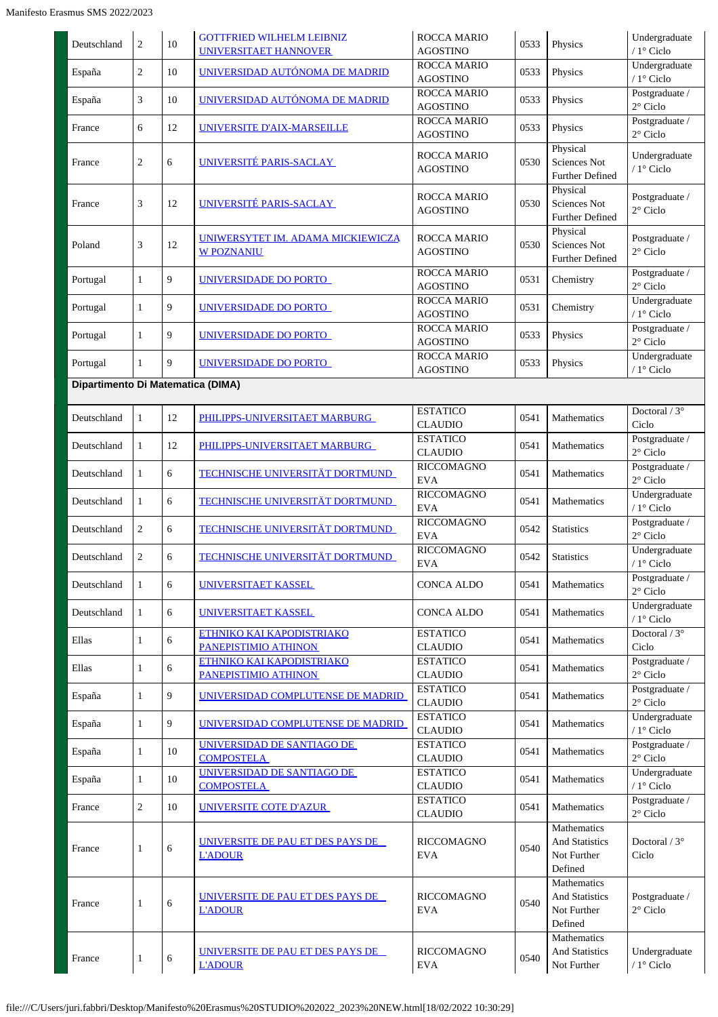| Deutschland                       | 2              | 10 | <b>GOTTFRIED WILHELM LEIBNIZ</b><br><b>UNIVERSITAET HANNOVER</b> | <b>ROCCA MARIO</b><br><b>AGOSTINO</b> | 0533 | Physics                                                        | Undergraduate<br>/ 1º Ciclo         |
|-----------------------------------|----------------|----|------------------------------------------------------------------|---------------------------------------|------|----------------------------------------------------------------|-------------------------------------|
| España                            | $\overline{c}$ | 10 | <u>UNIVERSIDAD AUTÓNOMA DE MADRID</u>                            | <b>ROCCA MARIO</b><br><b>AGOSTINO</b> | 0533 | Physics                                                        | Undergraduate<br>/ 1° Ciclo         |
| España                            | 3              | 10 | UNIVERSIDAD AUTÓNOMA DE MADRID                                   | ROCCA MARIO<br><b>AGOSTINO</b>        | 0533 | Physics                                                        | Postgraduate /<br>$2^{\circ}$ Ciclo |
| France                            | 6              | 12 | <u>UNIVERSITE D'AIX-MARSEILLE</u>                                | ROCCA MARIO<br><b>AGOSTINO</b>        | 0533 | Physics                                                        | Postgraduate /<br>$2^{\circ}$ Ciclo |
| France                            | 2              | 6  | UNIVERSITÉ PARIS-SACLAY                                          | ROCCA MARIO<br><b>AGOSTINO</b>        | 0530 | Physical<br>Sciences Not<br><b>Further Defined</b>             | Undergraduate<br>/ 1° Ciclo         |
| France                            | 3              | 12 | UNIVERSITÉ PARIS-SACLAY                                          | ROCCA MARIO<br><b>AGOSTINO</b>        | 0530 | Physical<br>Sciences Not<br><b>Further Defined</b>             | Postgraduate /<br>$2^{\circ}$ Ciclo |
| Poland                            | 3              | 12 | UNIWERSYTET IM. ADAMA MICKIEWICZA<br><b>W POZNANIU</b>           | ROCCA MARIO<br><b>AGOSTINO</b>        | 0530 | Physical<br>Sciences Not<br>Further Defined                    | Postgraduate /<br>$2^{\circ}$ Ciclo |
| Portugal                          | $\mathbf{1}$   | 9  | UNIVERSIDADE DO PORTO                                            | <b>ROCCA MARIO</b><br><b>AGOSTINO</b> | 0531 | Chemistry                                                      | Postgraduate /<br>$2^{\circ}$ Ciclo |
| Portugal                          | $\mathbf{1}$   | 9  | UNIVERSIDADE DO PORTO                                            | ROCCA MARIO<br><b>AGOSTINO</b>        | 0531 | Chemistry                                                      | Undergraduate<br>$/1$ ° Ciclo       |
| Portugal                          | $\mathbf{1}$   | 9  | UNIVERSIDADE DO PORTO                                            | <b>ROCCA MARIO</b><br><b>AGOSTINO</b> | 0533 | Physics                                                        | Postgraduate /<br>$2^{\circ}$ Ciclo |
| Portugal                          | $\mathbf{1}$   | 9  | UNIVERSIDADE DO PORTO                                            | ROCCA MARIO<br><b>AGOSTINO</b>        | 0533 | Physics                                                        | Undergraduate<br>/ 1° Ciclo         |
| Dipartimento Di Matematica (DIMA) |                |    |                                                                  |                                       |      |                                                                |                                     |
| Deutschland                       | $\mathbf{1}$   | 12 | PHILIPPS-UNIVERSITAET MARBURG                                    | <b>ESTATICO</b><br><b>CLAUDIO</b>     | 0541 | Mathematics                                                    | Doctoral / 3°<br>Ciclo              |
| Deutschland                       | 1              | 12 | PHILIPPS-UNIVERSITAET MARBURG                                    | <b>ESTATICO</b><br><b>CLAUDIO</b>     | 0541 | Mathematics                                                    | Postgraduate /<br>2° Ciclo          |
| Deutschland                       | 1              | 6  | <b>TECHNISCHE UNIVERSITÄT DORTMUND</b>                           | <b>RICCOMAGNO</b><br><b>EVA</b>       | 0541 | Mathematics                                                    | Postgraduate /<br>$2^{\circ}$ Ciclo |
| Deutschland                       | $\mathbf{1}$   | 6  | <b>TECHNISCHE UNIVERSITÄT DORTMUND</b>                           | <b>RICCOMAGNO</b><br><b>EVA</b>       | 0541 | Mathematics                                                    | Undergraduate<br>/ $1^\circ$ Ciclo  |
| Deutschland                       | 2              | 6  | TECHNISCHE UNIVERSITÄT DORTMUND                                  | <b>RICCOMAGNO</b><br><b>EVA</b>       | 0542 | <b>Statistics</b>                                              | Postgraduate /<br>$2^{\circ}$ Ciclo |
| Deutschland                       | 2              | 6  | <b>TECHNISCHE UNIVERSITÄT DORTMUND</b>                           | <b>RICCOMAGNO</b><br><b>EVA</b>       | 0542 | <b>Statistics</b>                                              | Undergraduate<br>/ 1° Ciclo         |
| Deutschland                       | $\mathbf{1}$   | 6  | UNIVERSITAET KASSEL                                              | <b>CONCA ALDO</b>                     | 0541 | Mathematics                                                    | Postgraduate /<br>$2^{\circ}$ Ciclo |
| Deutschland                       | 1              | 6  | UNIVERSITAET KASSEL                                              | CONCA ALDO                            | 0541 | Mathematics                                                    | Undergraduate<br>/ 1° Ciclo         |
| Ellas                             | 1              | 6  | <b>ETHNIKO KAI KAPODISTRIAKO</b><br>PANEPISTIMIO ATHINON         | <b>ESTATICO</b><br><b>CLAUDIO</b>     | 0541 | Mathematics                                                    | Doctoral / $3^\circ$<br>Ciclo       |
| Ellas                             | $\mathbf{1}$   | 6  | ETHNIKO KAI KAPODISTRIAKO<br>PANEPISTIMIO ATHINON                | <b>ESTATICO</b><br><b>CLAUDIO</b>     | 0541 | Mathematics                                                    | Postgraduate /<br>$2^{\circ}$ Ciclo |
| España                            | $\mathbf{1}$   | 9  | UNIVERSIDAD COMPLUTENSE DE MADRID                                | <b>ESTATICO</b><br><b>CLAUDIO</b>     | 0541 | Mathematics                                                    | Postgraduate /<br>$2^{\circ}$ Ciclo |
| España                            | $\mathbf{1}$   | 9  | UNIVERSIDAD COMPLUTENSE DE MADRID                                | <b>ESTATICO</b><br><b>CLAUDIO</b>     | 0541 | Mathematics                                                    | Undergraduate<br>$/1^\circ$ Ciclo   |
| España                            | $\mathbf{1}$   | 10 | UNIVERSIDAD DE SANTIAGO DE<br><b>COMPOSTELA</b>                  | <b>ESTATICO</b><br><b>CLAUDIO</b>     | 0541 | Mathematics                                                    | Postgraduate /<br>$2^{\circ}$ Ciclo |
| España                            | $\mathbf{1}$   | 10 | UNIVERSIDAD DE SANTIAGO DE<br><b>COMPOSTELA</b>                  | <b>ESTATICO</b><br><b>CLAUDIO</b>     | 0541 | Mathematics                                                    | Undergraduate<br>/ 1° Ciclo         |
| France                            | $\overline{c}$ | 10 | UNIVERSITE COTE D'AZUR                                           | <b>ESTATICO</b><br><b>CLAUDIO</b>     | 0541 | Mathematics                                                    | Postgraduate /<br>$2^{\circ}$ Ciclo |
| France                            | $\mathbf{1}$   | 6  | UNIVERSITE DE PAU ET DES PAYS DE<br><b>L'ADOUR</b>               | <b>RICCOMAGNO</b><br><b>EVA</b>       | 0540 | Mathematics<br><b>And Statistics</b><br>Not Further<br>Defined | Doctoral $/3^{\circ}$<br>Ciclo      |
| France                            | 1              | 6  | <u>UNIVERSITE DE PAU ET DES PAYS DE _</u><br><b>L'ADOUR</b>      | <b>RICCOMAGNO</b><br><b>EVA</b>       | 0540 | Mathematics<br><b>And Statistics</b><br>Not Further<br>Defined | Postgraduate /<br>2° Ciclo          |
| France                            | 1              | 6  | UNIVERSITE DE PAU ET DES PAYS DE<br><b>L'ADOUR</b>               | <b>RICCOMAGNO</b><br><b>EVA</b>       | 0540 | Mathematics<br><b>And Statistics</b><br>Not Further            | Undergraduate<br>/ $1^\circ$ Ciclo  |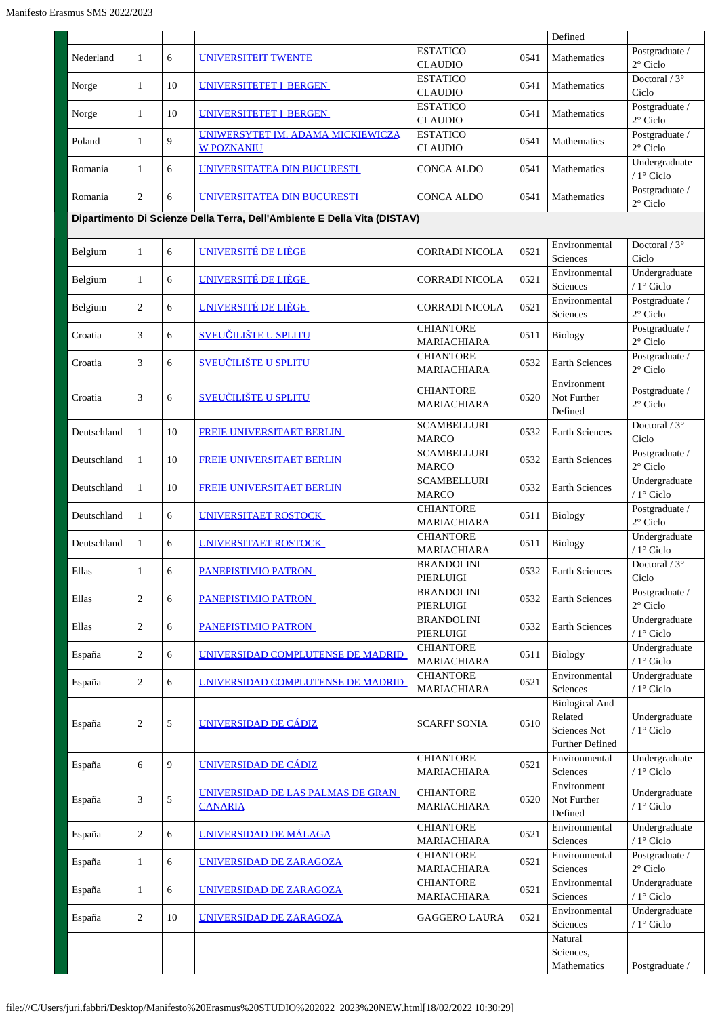|             |                |    |                                                                          |                                        |      | Defined                                                                    |                                      |
|-------------|----------------|----|--------------------------------------------------------------------------|----------------------------------------|------|----------------------------------------------------------------------------|--------------------------------------|
| Nederland   | $\mathbf{1}$   | 6  | UNIVERSITEIT TWENTE                                                      | <b>ESTATICO</b><br><b>CLAUDIO</b>      | 0541 | Mathematics                                                                | Postgraduate /<br>$2^{\circ}$ Ciclo  |
| Norge       | 1              | 10 | UNIVERSITETET I BERGEN                                                   | <b>ESTATICO</b><br><b>CLAUDIO</b>      | 0541 | Mathematics                                                                | Doctoral / $3^\circ$<br>Ciclo        |
| Norge       | 1              | 10 | <b>UNIVERSITETET I BERGEN</b>                                            | <b>ESTATICO</b><br><b>CLAUDIO</b>      | 0541 | Mathematics                                                                | Postgraduate /<br>$2^{\circ}$ Ciclo  |
| Poland      | 1              | 9  | UNIWERSYTET IM. ADAMA MICKIEWICZĄ<br><b>W POZNANIU</b>                   | <b>ESTATICO</b><br><b>CLAUDIO</b>      | 0541 | Mathematics                                                                | Postgraduate /<br>$2^{\circ}$ Ciclo  |
| Romania     | 1              | 6  | UNIVERSITATEA DIN BUCURESTI                                              | <b>CONCA ALDO</b>                      | 0541 | Mathematics                                                                | Undergraduate<br>/ $1^{\circ}$ Ciclo |
| Romania     | $\overline{c}$ | 6  | UNIVERSITATEA DIN BUCURESTI                                              | <b>CONCA ALDO</b>                      | 0541 | Mathematics                                                                | Postgraduate /<br>$2^{\circ}$ Ciclo  |
|             |                |    | Dipartimento Di Scienze Della Terra, Dell'Ambiente E Della Vita (DISTAV) |                                        |      |                                                                            |                                      |
| Belgium     | $\mathbf{1}$   | 6  | UNIVERSITÉ DE LIÈGE                                                      | <b>CORRADI NICOLA</b>                  | 0521 | Environmental<br>Sciences                                                  | Doctoral / $3^\circ$<br>Ciclo        |
| Belgium     | 1              | 6  | UNIVERSITÉ DE LIÈGE                                                      | <b>CORRADI NICOLA</b>                  | 0521 | Environmental<br>Sciences                                                  | Undergraduate<br>/ 1° Ciclo          |
| Belgium     | 2              | 6  | UNIVERSITÉ DE LIÈGE                                                      | CORRADI NICOLA                         | 0521 | Environmental<br>Sciences                                                  | Postgraduate /<br>$2^{\circ}$ Ciclo  |
| Croatia     | 3              | 6  | <b>SVEUČILIŠTE U SPLITU</b>                                              | <b>CHIANTORE</b><br>MARIACHIARA        | 0511 | <b>Biology</b>                                                             | Postgraduate /<br>$2^{\circ}$ Ciclo  |
| Croatia     | 3              | 6  | <b>SVEUČILIŠTE U SPLITU</b>                                              | <b>CHIANTORE</b><br>MARIACHIARA        | 0532 | <b>Earth Sciences</b>                                                      | Postgraduate /<br>$2^{\circ}$ Ciclo  |
| Croatia     | 3              | 6  | <u>SVEUČILIŠTE U SPLITU</u>                                              | <b>CHIANTORE</b><br>MARIACHIARA        | 0520 | Environment<br>Not Further<br>Defined                                      | Postgraduate /<br>$2^{\circ}$ Ciclo  |
| Deutschland | $\mathbf{1}$   | 10 | FREIE UNIVERSITAET BERLIN                                                | <b>SCAMBELLURI</b><br><b>MARCO</b>     | 0532 | <b>Earth Sciences</b>                                                      | Doctoral / 3°<br>Ciclo               |
| Deutschland | 1              | 10 | FREIE UNIVERSITAET BERLIN                                                | <b>SCAMBELLURI</b><br><b>MARCO</b>     | 0532 | Earth Sciences                                                             | Postgraduate /<br>$2^{\circ}$ Ciclo  |
| Deutschland | $\mathbf{1}$   | 10 | FREIE UNIVERSITAET BERLIN                                                | <b>SCAMBELLURI</b><br><b>MARCO</b>     | 0532 | Earth Sciences                                                             | Undergraduate<br>/ 1° Ciclo          |
| Deutschland | $\mathbf{1}$   | 6  | <b>UNIVERSITAET ROSTOCK</b>                                              | <b>CHIANTORE</b><br>MARIACHIARA        | 0511 | <b>Biology</b>                                                             | Postgraduate /<br>$2^{\circ}$ Ciclo  |
| Deutschland | 1              | 6  | UNIVERSITAET ROSTOCK                                                     | <b>CHIANTORE</b><br><b>MARIACHIARA</b> | 0511 | <b>Biology</b>                                                             | Undergraduate<br>/ 1° Ciclo          |
| Ellas       | $\mathbf{1}$   | 6  | PANEPISTIMIO PATRON                                                      | <b>BRANDOLINI</b><br>PIERLUIGI         | 0532 | Earth Sciences                                                             | Doctoral / $3^\circ$<br>Ciclo        |
| Ellas       | $\overline{c}$ | 6  | PANEPISTIMIO PATRON                                                      | <b>BRANDOLINI</b><br>PIERLUIGI         | 0532 | <b>Earth Sciences</b>                                                      | Postgraduate /<br>$2^{\circ}$ Ciclo  |
| Ellas       | $\overline{2}$ | 6  | PANEPISTIMIO PATRON                                                      | <b>BRANDOLINI</b><br>PIERLUIGI         | 0532 | <b>Earth Sciences</b>                                                      | Undergraduate<br>$/1$ ° Ciclo        |
| España      | $\overline{c}$ | 6  | UNIVERSIDAD COMPLUTENSE DE MADRID                                        | <b>CHIANTORE</b><br>MARIACHIARA        | 0511 | Biology                                                                    | Undergraduate<br>/ $1^{\circ}$ Ciclo |
| España      | $\sqrt{2}$     | 6  | UNIVERSIDAD COMPLUTENSE DE MADRID                                        | <b>CHIANTORE</b><br>MARIACHIARA        | 0521 | Environmental<br>Sciences                                                  | Undergraduate<br>/ $1^{\circ}$ Ciclo |
| España      | 2              | 5  | UNIVERSIDAD DE CÁDIZ                                                     | <b>SCARFI' SONIA</b>                   | 0510 | <b>Biological And</b><br>Related<br><b>Sciences Not</b><br>Further Defined | Undergraduate<br>/ 1° Ciclo          |
| España      | 6              | 9  | UNIVERSIDAD DE CÁDIZ                                                     | <b>CHIANTORE</b><br><b>MARIACHIARA</b> | 0521 | Environmental<br>Sciences                                                  | Undergraduate<br>/ 1° Ciclo          |
| España      | 3              | 5  | <u>UNIVERSIDAD DE LAS PALMAS DE GRAN</u><br><b>CANARIA</b>               | CHIANTORE<br><b>MARIACHIARA</b>        | 0520 | Environment<br>Not Further<br>Defined                                      | Undergraduate<br>/ $1^{\circ}$ Ciclo |
| España      | $\sqrt{2}$     | 6  | UNIVERSIDAD DE MÁLAGA                                                    | <b>CHIANTORE</b><br>MARIACHIARA        | 0521 | Environmental<br>Sciences                                                  | Undergraduate<br>/ $1^{\circ}$ Ciclo |
| España      | $\mathbf{1}$   | 6  | UNIVERSIDAD DE ZARAGOZA                                                  | <b>CHIANTORE</b><br>MARIACHIARA        | 0521 | Environmental<br>Sciences                                                  | Postgraduate /<br>$2^{\circ}$ Ciclo  |
| España      | $\mathbf{1}$   | 6  | UNIVERSIDAD DE ZARAGOZA                                                  | <b>CHIANTORE</b><br>MARIACHIARA        | 0521 | Environmental<br>Sciences                                                  | Undergraduate<br>/ 1° Ciclo          |
| España      | $\overline{c}$ | 10 | UNIVERSIDAD DE ZARAGOZA                                                  | <b>GAGGERO LAURA</b>                   | 0521 | Environmental<br>Sciences                                                  | Undergraduate<br>/ 1° Ciclo          |
|             |                |    |                                                                          |                                        |      | Natural<br>Sciences.<br>Mathematics                                        | Postgraduate /                       |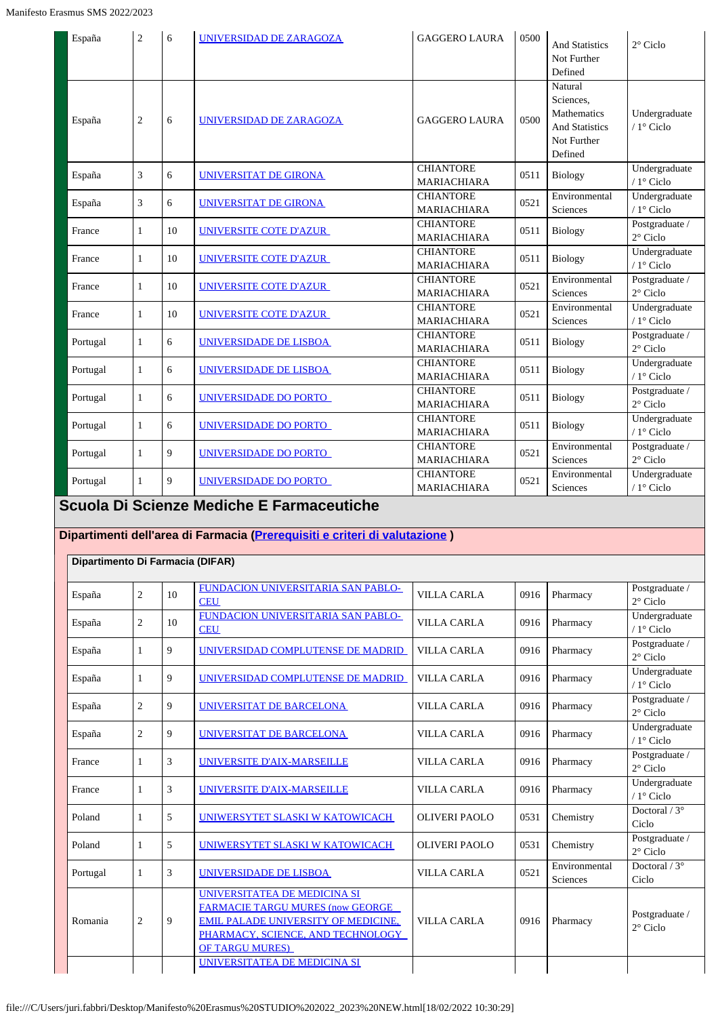| España   | 2              | 6  | UNIVERSIDAD DE ZARAGOZA | <b>GAGGERO LAURA</b>                   | 0500 | <b>And Statistics</b><br>Not Further<br>Defined                                        | $2^{\circ}$ Ciclo                    |
|----------|----------------|----|-------------------------|----------------------------------------|------|----------------------------------------------------------------------------------------|--------------------------------------|
| España   | $\overline{c}$ | 6  | UNIVERSIDAD DE ZARAGOZA | <b>GAGGERO LAURA</b>                   | 0500 | Natural<br>Sciences.<br>Mathematics<br><b>And Statistics</b><br>Not Further<br>Defined | Undergraduate<br>$/1^\circ$ Ciclo    |
| España   | 3              | 6  | UNIVERSITAT DE GIRONA   | <b>CHIANTORE</b><br><b>MARIACHIARA</b> | 0511 | Biology                                                                                | Undergraduate<br>/ 1° Ciclo          |
| España   | 3              | 6  | UNIVERSITAT DE GIRONA   | <b>CHIANTORE</b><br><b>MARIACHIARA</b> | 0521 | Environmental<br>Sciences                                                              | Undergraduate<br>/ $1^{\circ}$ Ciclo |
| France   | $\mathbf{1}$   | 10 | UNIVERSITE COTE D'AZUR  | <b>CHIANTORE</b><br><b>MARIACHIARA</b> | 0511 | Biology                                                                                | Postgraduate /<br>$2^{\circ}$ Ciclo  |
| France   | $\mathbf{1}$   | 10 | UNIVERSITE COTE D'AZUR  | <b>CHIANTORE</b><br><b>MARIACHIARA</b> | 0511 | Biology                                                                                | Undergraduate<br>/ 1° Ciclo          |
| France   | $\mathbf{1}$   | 10 | UNIVERSITE COTE D'AZUR  | <b>CHIANTORE</b><br><b>MARIACHIARA</b> | 0521 | Environmental<br>Sciences                                                              | Postgraduate /<br>$2^{\circ}$ Ciclo  |
| France   | 1              | 10 | UNIVERSITE COTE D'AZUR  | <b>CHIANTORE</b><br><b>MARIACHIARA</b> | 0521 | Environmental<br>Sciences                                                              | Undergraduate<br>$/1$ ° Ciclo        |
| Portugal | $\mathbf{1}$   | 6  | UNIVERSIDADE DE LISBOA  | <b>CHIANTORE</b><br><b>MARIACHIARA</b> | 0511 | <b>Biology</b>                                                                         | Postgraduate /<br>$2^{\circ}$ Ciclo  |
| Portugal | $\mathbf{1}$   | 6  | UNIVERSIDADE DE LISBOA  | <b>CHIANTORE</b><br><b>MARIACHIARA</b> | 0511 | <b>Biology</b>                                                                         | Undergraduate<br>/ 1° Ciclo          |
| Portugal | $\mathbf{1}$   | 6  | UNIVERSIDADE DO PORTO   | <b>CHIANTORE</b><br><b>MARIACHIARA</b> | 0511 | Biology                                                                                | Postgraduate /<br>$2^{\circ}$ Ciclo  |
| Portugal | $\mathbf{1}$   | 6  | UNIVERSIDADE DO PORTO   | <b>CHIANTORE</b><br>MARIACHIARA        | 0511 | <b>Biology</b>                                                                         | Undergraduate<br>/ 1° Ciclo          |
| Portugal | $\mathbf{1}$   | 9  | UNIVERSIDADE DO PORTO   | <b>CHIANTORE</b><br>MARIACHIARA        | 0521 | Environmental<br>Sciences                                                              | Postgraduate /<br>$2^{\circ}$ Ciclo  |
| Portugal | $\mathbf{1}$   | 9  | UNIVERSIDADE DO PORTO   | <b>CHIANTORE</b><br>MARIACHIARA        | 0521 | Environmental<br>Sciences                                                              | Undergraduate<br>/ 1° Ciclo          |

### **Scuola Di Scienze Mediche E Farmaceutiche**

### **Dipartimenti dell'area di Farmacia [\(Prerequisiti e criteri di valutazione](https://servizionline.unige.it/unige/common/erasmus/prerequisiti-area/SMS/2022/prerequisitiecriteri-farmacia.pdf) )**

| Dipartimento Di Farmacia (DIFAR) |                |    |                                                                                                                                                                                       |                      |      |                           |                                      |
|----------------------------------|----------------|----|---------------------------------------------------------------------------------------------------------------------------------------------------------------------------------------|----------------------|------|---------------------------|--------------------------------------|
| España                           | $\overline{2}$ | 10 | FUNDACION UNIVERSITARIA SAN PABLO-<br><b>CEU</b>                                                                                                                                      | <b>VILLA CARLA</b>   | 0916 | Pharmacy                  | Postgraduate /<br>$2^{\circ}$ Ciclo  |
| España                           | $\overline{2}$ | 10 | FUNDACION UNIVERSITARIA SAN PABLO-<br><b>CEU</b>                                                                                                                                      | <b>VILLA CARLA</b>   | 0916 | Pharmacy                  | Undergraduate<br>/ $1^{\circ}$ Ciclo |
| España                           | 1              | 9  | UNIVERSIDAD COMPLUTENSE DE MADRID                                                                                                                                                     | <b>VILLA CARLA</b>   | 0916 | Pharmacy                  | Postgraduate /<br>$2^{\circ}$ Ciclo  |
| España                           | 1              | 9  | UNIVERSIDAD COMPLUTENSE DE MADRID                                                                                                                                                     | <b>VILLA CARLA</b>   | 0916 | Pharmacy                  | Undergraduate<br>$/1$ ° Ciclo        |
| España                           | 2              | 9  | UNIVERSITAT DE BARCELONA                                                                                                                                                              | <b>VILLA CARLA</b>   | 0916 | Pharmacy                  | Postgraduate /<br>$2^{\circ}$ Ciclo  |
| España                           | $\overline{c}$ | 9  | UNIVERSITAT DE BARCELONA                                                                                                                                                              | VILLA CARLA          | 0916 | Pharmacy                  | Undergraduate<br>$/1^\circ$ Ciclo    |
| France                           |                | 3  | UNIVERSITE D'AIX-MARSEILLE                                                                                                                                                            | <b>VILLA CARLA</b>   | 0916 | Pharmacy                  | Postgraduate /<br>$2^{\circ}$ Ciclo  |
| France                           |                | 3  | UNIVERSITE D'AIX-MARSEILLE                                                                                                                                                            | <b>VILLA CARLA</b>   | 0916 | Pharmacy                  | Undergraduate<br>$/1^\circ$ Ciclo    |
| Poland                           |                | 5  | UNIWERSYTET SLASKI W KATOWICACH                                                                                                                                                       | <b>OLIVERI PAOLO</b> | 0531 | Chemistry                 | Doctoral $/3^{\circ}$<br>Ciclo       |
| Poland                           |                | 5  | UNIWERSYTET SLASKI W KATOWICACH                                                                                                                                                       | <b>OLIVERI PAOLO</b> | 0531 | Chemistry                 | Postgraduate /<br>$2^{\circ}$ Ciclo  |
| Portugal                         | 1              | 3  | UNIVERSIDADE DE LISBOA                                                                                                                                                                | <b>VILLA CARLA</b>   | 0521 | Environmental<br>Sciences | Doctoral $/3^{\circ}$<br>Ciclo       |
| Romania                          | $\overline{c}$ | 9  | UNIVERSITATEA DE MEDICINA SI<br><b>FARMACIE TARGU MURES (now GEORGE</b><br><b>EMIL PALADE UNIVERSITY OF MEDICINE,</b><br>PHARMACY, SCIENCE, AND TECHNOLOGY<br><b>OF TARGU MURES</b> ) | VILLA CARLA          | 0916 | Pharmacy                  | Postgraduate /<br>$2^{\circ}$ Ciclo  |
|                                  |                |    | UNIVERSITATEA DE MEDICINA SI                                                                                                                                                          |                      |      |                           |                                      |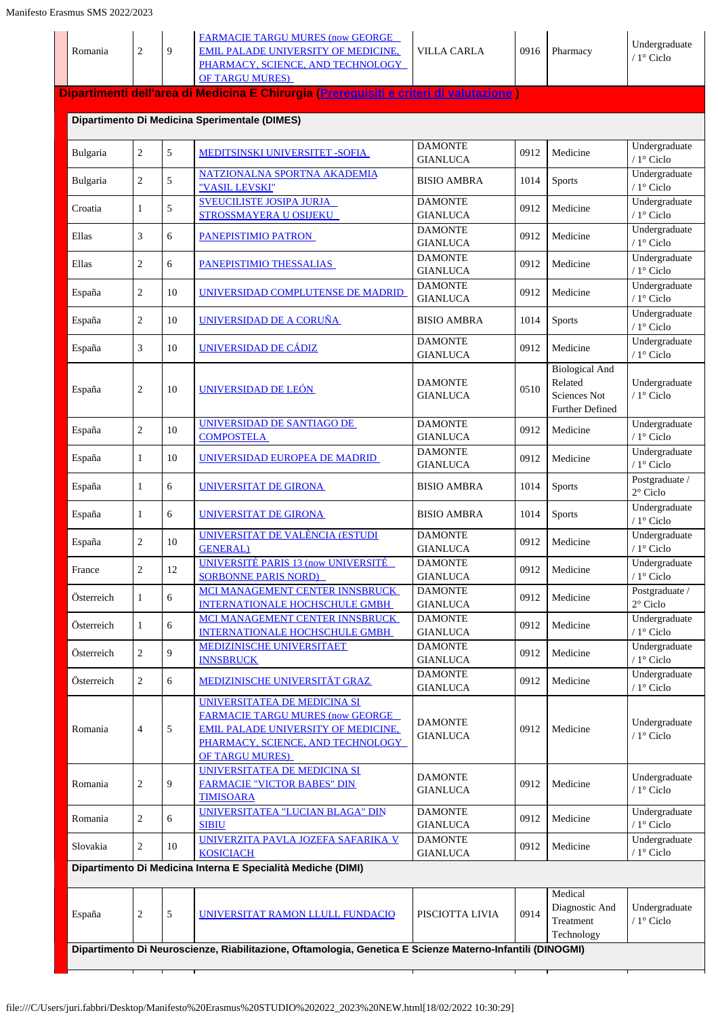| Romania    | $\mathbf{2}$   | 9      | <b>FARMACIE TARGU MURES (now GEORGE</b><br><b>EMIL PALADE UNIVERSITY OF MEDICINE,</b><br>PHARMACY, SCIENCE, AND TECHNOLOGY<br><b>OF TARGU MURES)</b>                                 | <b>VILLA CARLA</b>                | 0916 | Pharmacy                                                            | Undergraduate<br>/ 1° Ciclo          |
|------------|----------------|--------|--------------------------------------------------------------------------------------------------------------------------------------------------------------------------------------|-----------------------------------|------|---------------------------------------------------------------------|--------------------------------------|
|            |                |        | Dipartimenti dell'area di Medicina E Chirurgia (Prereguisiti e criteri di valutazione)                                                                                               |                                   |      |                                                                     |                                      |
|            |                |        | Dipartimento Di Medicina Sperimentale (DIMES)                                                                                                                                        |                                   |      |                                                                     |                                      |
| Bulgaria   | $\overline{c}$ | 5      | <b>MEDITSINSKI UNIVERSITET - SOFIA</b>                                                                                                                                               | <b>DAMONTE</b><br><b>GIANLUCA</b> | 0912 | Medicine                                                            | Undergraduate<br>/ $1^{\circ}$ Ciclo |
| Bulgaria   | $\overline{c}$ | 5      | NATZIONALNA SPORTNA AKADEMIA<br>"VASIL LEVSKI"                                                                                                                                       | <b>BISIO AMBRA</b>                | 1014 | Sports                                                              | Undergraduate<br>/ $1^{\circ}$ Ciclo |
| Croatia    | 1              | 5      | <b>SVEUCILISTE JOSIPA JURJA</b><br>STROSSMAYERA U OSIJEKU                                                                                                                            | <b>DAMONTE</b><br><b>GIANLUCA</b> | 0912 | Medicine                                                            | Undergraduate<br>/ $1^{\circ}$ Ciclo |
| Ellas      | 3              | 6      | PANEPISTIMIO PATRON                                                                                                                                                                  | <b>DAMONTE</b><br><b>GIANLUCA</b> | 0912 | Medicine                                                            | Undergraduate<br>/ $1^{\circ}$ Ciclo |
| Ellas      | $\overline{2}$ | 6      | PANEPISTIMIO THESSALIAS                                                                                                                                                              | <b>DAMONTE</b><br><b>GIANLUCA</b> | 0912 | Medicine                                                            | Undergraduate<br>/ $1^{\circ}$ Ciclo |
| España     | $\mathbf{2}$   | 10     | UNIVERSIDAD COMPLUTENSE DE MADRID                                                                                                                                                    | <b>DAMONTE</b><br><b>GIANLUCA</b> | 0912 | Medicine                                                            | Undergraduate<br>/ $1^{\circ}$ Ciclo |
| España     | $\mathbf{2}$   | 10     | UNIVERSIDAD DE A CORUÑA                                                                                                                                                              | <b>BISIO AMBRA</b>                | 1014 | <b>Sports</b>                                                       | Undergraduate<br>$/1^\circ$ Ciclo    |
| España     | 3              | 10     | UNIVERSIDAD DE CÁDIZ                                                                                                                                                                 | <b>DAMONTE</b><br><b>GIANLUCA</b> | 0912 | Medicine                                                            | Undergraduate<br>$/1$ ° Ciclo        |
| España     | $\overline{2}$ | 10     | UNIVERSIDAD DE LEÓN                                                                                                                                                                  | <b>DAMONTE</b><br><b>GIANLUCA</b> | 0510 | <b>Biological And</b><br>Related<br>Sciences Not<br>Further Defined | Undergraduate<br>/ 1° Ciclo          |
| España     | $\sqrt{2}$     | 10     | UNIVERSIDAD DE SANTIAGO DE<br><b>COMPOSTELA</b>                                                                                                                                      | <b>DAMONTE</b><br><b>GIANLUCA</b> | 0912 | Medicine                                                            | Undergraduate<br>/ 1° Ciclo          |
| España     | $\mathbf{1}$   | 10     | UNIVERSIDAD EUROPEA DE MADRID                                                                                                                                                        | <b>DAMONTE</b><br><b>GIANLUCA</b> | 0912 | Medicine                                                            | Undergraduate<br>/ $1^{\circ}$ Ciclo |
| España     | $\mathbf{1}$   | 6      | UNIVERSITAT DE GIRONA                                                                                                                                                                | <b>BISIO AMBRA</b>                | 1014 | Sports                                                              | Postgraduate /<br>$2^{\circ}$ Ciclo  |
| España     | $\mathbf{1}$   | 6      | UNIVERSITAT DE GIRONA                                                                                                                                                                | <b>BISIO AMBRA</b>                | 1014 | <b>Sports</b>                                                       | Undergraduate<br>/ $1^{\circ}$ Ciclo |
| España     | $\overline{c}$ | 10     | UNIVERSITAT DE VALÈNCIA (ESTUDI<br><b>GENERAL</b> )                                                                                                                                  | <b>DAMONTE</b><br><b>GIANLUCA</b> | 0912 | Medicine                                                            | Undergraduate<br>/ 1° Ciclo          |
| France     | $\overline{c}$ | $12\,$ | <b>UNIVERSITÉ PARIS 13 (now UNIVERSITÉ</b><br><b>SORBONNE PARIS NORD)</b>                                                                                                            | <b>DAMONTE</b><br><b>GIANLUCA</b> | 0912 | Medicine                                                            | Undergraduate<br>/ $1^\circ$ Ciclo   |
| Österreich | $\mathbf{1}$   | 6      | MCI MANAGEMENT CENTER INNSBRUCK<br><b>INTERNATIONALE HOCHSCHULE GMBH</b>                                                                                                             | <b>DAMONTE</b><br><b>GIANLUCA</b> | 0912 | Medicine                                                            | Postgraduate /<br>$2^\circ$ Ciclo    |
| Österreich | $\mathbf{1}$   | 6      | MCI MANAGEMENT CENTER INNSBRUCK<br><b>INTERNATIONALE HOCHSCHULE GMBH</b>                                                                                                             | <b>DAMONTE</b><br><b>GIANLUCA</b> | 0912 | Medicine                                                            | Undergraduate<br>/ $1^\circ$ Ciclo   |
| Österreich | $\overline{c}$ | 9      | <b>MEDIZINISCHE UNIVERSITAET</b><br><b>INNSBRUCK</b>                                                                                                                                 | <b>DAMONTE</b><br><b>GIANLUCA</b> | 0912 | Medicine                                                            | Undergraduate<br>/ $1^{\circ}$ Ciclo |
| Österreich | $\overline{c}$ | 6      | <b>MEDIZINISCHE UNIVERSITÄT GRAZ</b>                                                                                                                                                 | <b>DAMONTE</b><br><b>GIANLUCA</b> | 0912 | Medicine                                                            | Undergraduate<br>/ 1° Ciclo          |
| Romania    | $\overline{4}$ | 5      | UNIVERSITATEA DE MEDICINA SI<br><b>FARMACIE TARGU MURES (now GEORGE</b><br><b>EMIL PALADE UNIVERSITY OF MEDICINE.</b><br>PHARMACY, SCIENCE, AND TECHNOLOGY<br><b>OF TARGU MURES)</b> | <b>DAMONTE</b><br><b>GIANLUCA</b> | 0912 | Medicine                                                            | Undergraduate<br>/ $1^{\circ}$ Ciclo |
| Romania    | $\overline{2}$ | 9      | UNIVERSITATEA DE MEDICINA SI<br><b>FARMACIE "VICTOR BABES" DIN</b><br><b>TIMISOARA</b>                                                                                               | <b>DAMONTE</b><br><b>GIANLUCA</b> | 0912 | Medicine                                                            | Undergraduate<br>/ $1^{\circ}$ Ciclo |
| Romania    | $\overline{2}$ | 6      | UNIVERSITATEA "LUCIAN BLAGA" DIN<br><b>SIBIU</b>                                                                                                                                     | <b>DAMONTE</b><br><b>GIANLUCA</b> | 0912 | Medicine                                                            | Undergraduate<br>/ $1^{\circ}$ Ciclo |
| Slovakia   | $\overline{c}$ | 10     | UNIVERZITA PAVLA JOZEFA SAFARIKA V<br><b>KOSICIACH</b>                                                                                                                               | <b>DAMONTE</b><br><b>GIANLUCA</b> | 0912 | Medicine                                                            | Undergraduate<br>$/1$ ° Ciclo        |
|            |                |        | Dipartimento Di Medicina Interna E Specialità Mediche (DIMI)                                                                                                                         |                                   |      |                                                                     |                                      |
| España     | 2              | 5      | UNIVERSITAT RAMON LLULL FUNDACIO                                                                                                                                                     | PISCIOTTA LIVIA                   | 0914 | Medical<br>Diagnostic And<br>Treatment<br>Technology                | Undergraduate<br>/ 1° Ciclo          |
|            |                |        | Dipartimento Di Neuroscienze, Riabilitazione, Oftamologia, Genetica E Scienze Materno-Infantili (DINOGMI)                                                                            |                                   |      |                                                                     |                                      |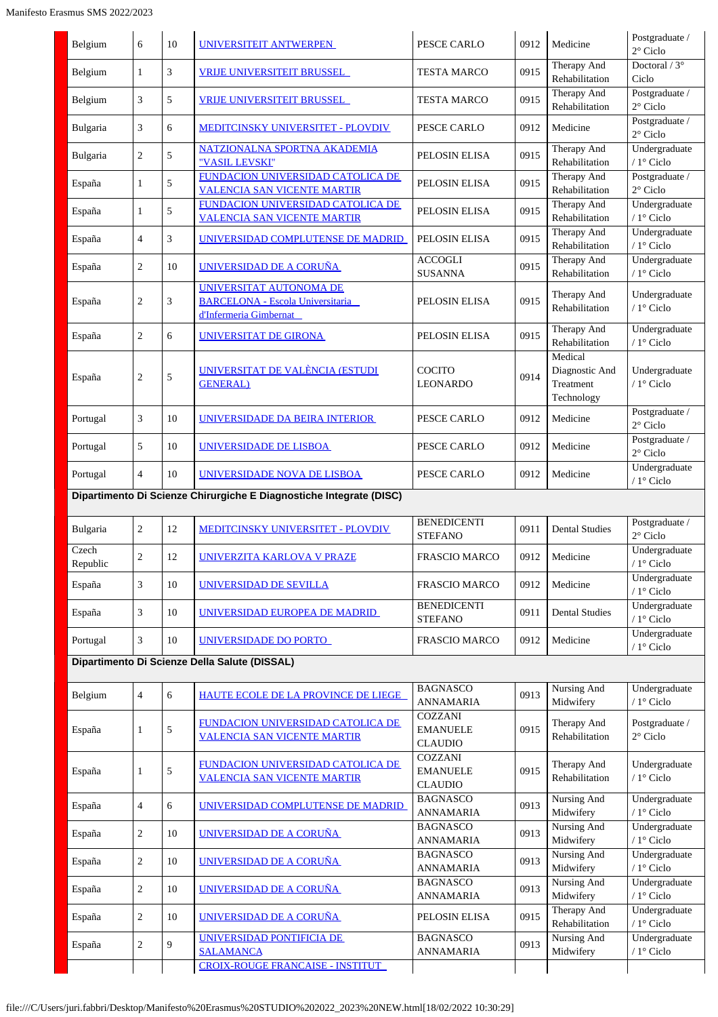| Belgium           | 6                | 10 | UNIVERSITEIT ANTWERPEN                                                                       | PESCE CARLO                                         | 0912 | Medicine                                             | Postgraduate /                            |
|-------------------|------------------|----|----------------------------------------------------------------------------------------------|-----------------------------------------------------|------|------------------------------------------------------|-------------------------------------------|
|                   |                  |    |                                                                                              |                                                     |      | Therapy And                                          | $2^{\circ}$ Ciclo<br>Doctoral / $3^\circ$ |
| Belgium           | $\mathbf{1}$     | 3  | <b>VRIJE UNIVERSITEIT BRUSSEL</b>                                                            | <b>TESTA MARCO</b>                                  | 0915 | Rehabilitation<br>Therapy And                        | Ciclo<br>Postgraduate /                   |
| Belgium           | 3                | 5  | <b>VRIJE UNIVERSITEIT BRUSSEL</b>                                                            | <b>TESTA MARCO</b>                                  | 0915 | Rehabilitation                                       | $2^{\circ}$ Ciclo                         |
| Bulgaria          | 3                | 6  | <b>MEDITCINSKY UNIVERSITET - PLOVDIV</b>                                                     | PESCE CARLO                                         | 0912 | Medicine                                             | Postgraduate /<br>$2^{\circ}$ Ciclo       |
| Bulgaria          | $\overline{c}$   | 5  | NATZIONALNA SPORTNA AKADEMIA<br>"VASIL LEVSKI"                                               | PELOSIN ELISA                                       | 0915 | Therapy And<br>Rehabilitation                        | Undergraduate<br>/ 1° Ciclo               |
| España            | $\mathbf{1}$     | 5  | <b>FUNDACION UNIVERSIDAD CATOLICA DE</b><br><b>VALENCIA SAN VICENTE MARTIR</b>               | PELOSIN ELISA                                       | 0915 | Therapy And<br>Rehabilitation                        | Postgraduate /<br>$2^{\circ}$ Ciclo       |
| España            | $\mathbf{1}$     | 5  | FUNDACION UNIVERSIDAD CATOLICA DE<br><b>VALENCIA SAN VICENTE MARTIR</b>                      | PELOSIN ELISA                                       | 0915 | Therapy And<br>Rehabilitation                        | Undergraduate<br>/ 1° Ciclo               |
| España            | $\overline{4}$   | 3  | UNIVERSIDAD COMPLUTENSE DE MADRID                                                            | PELOSIN ELISA                                       | 0915 | Therapy And<br>Rehabilitation                        | Undergraduate<br>/ $1^\circ$ Ciclo        |
| España            | $\overline{c}$   | 10 | UNIVERSIDAD DE A CORUÑA                                                                      | <b>ACCOGLI</b><br><b>SUSANNA</b>                    | 0915 | Therapy And<br>Rehabilitation                        | Undergraduate<br>/ 1° Ciclo               |
| España            | $\overline{2}$   | 3  | UNIVERSITAT AUTONOMA DE<br><b>BARCELONA - Escola Universitaria</b><br>d'Infermeria Gimbernat | PELOSIN ELISA                                       | 0915 | Therapy And<br>Rehabilitation                        | Undergraduate<br>/ 1° Ciclo               |
| España            | $\overline{2}$   | 6  | <b>UNIVERSITAT DE GIRONA</b>                                                                 | PELOSIN ELISA                                       | 0915 | Therapy And<br>Rehabilitation                        | Undergraduate<br>/ 1° Ciclo               |
| España            | $\overline{2}$   | 5  | UNIVERSITAT DE VALÈNCIA (ESTUDI<br><b>GENERAL</b> )                                          | COCITO<br><b>LEONARDO</b>                           | 0914 | Medical<br>Diagnostic And<br>Treatment<br>Technology | Undergraduate<br>$/1^\circ$ Ciclo         |
| Portugal          | 3                | 10 | UNIVERSIDADE DA BEIRA INTERIOR                                                               | PESCE CARLO                                         | 0912 | Medicine                                             | Postgraduate /<br>$2^{\circ}$ Ciclo       |
| Portugal          | 5                | 10 | UNIVERSIDADE DE LISBOA                                                                       | PESCE CARLO                                         | 0912 | Medicine                                             | Postgraduate /<br>$2^{\circ}$ Ciclo       |
| Portugal          | $\overline{4}$   | 10 | UNIVERSIDADE NOVA DE LISBOA                                                                  | PESCE CARLO                                         | 0912 | Medicine                                             | Undergraduate<br>/ 1° Ciclo               |
|                   |                  |    | Dipartimento Di Scienze Chirurgiche E Diagnostiche Integrate (DISC)                          |                                                     |      |                                                      |                                           |
| Bulgaria          | $\sqrt{2}$       | 12 | <b>MEDITCINSKY UNIVERSITET - PLOVDIV</b>                                                     | <b>BENEDICENTI</b><br><b>STEFANO</b>                | 0911 | <b>Dental Studies</b>                                | Postgraduate /<br>$2^{\circ}$ Ciclo       |
| Czech<br>Republic | $\overline{c}$   | 12 | <b>UNIVERZITA KARLOVA V PRAZE</b>                                                            | <b>FRASCIO MARCO</b>                                | 0912 | Medicine                                             | Undergraduate<br>/ $1^\circ$ Ciclo        |
| España            | 3                | 10 | UNIVERSIDAD DE SEVILLA                                                                       | <b>FRASCIO MARCO</b>                                | 0912 | Medicine                                             | Undergraduate<br>/ 1° Ciclo               |
| España            | 3                | 10 | UNIVERSIDAD EUROPEA DE MADRID                                                                | <b>BENEDICENTI</b><br><b>STEFANO</b>                | 0911 | <b>Dental Studies</b>                                | Undergraduate<br>/ 1° Ciclo               |
| Portugal          | 3                | 10 | UNIVERSIDADE DO PORTO                                                                        | <b>FRASCIO MARCO</b>                                | 0912 | Medicine                                             | Undergraduate<br>/ 1° Ciclo               |
|                   |                  |    | Dipartimento Di Scienze Della Salute (DISSAL)                                                |                                                     |      |                                                      |                                           |
| Belgium           | $\overline{4}$   | 6  | HAUTE ECOLE DE LA PROVINCE DE LIEGE                                                          | <b>BAGNASCO</b><br><b>ANNAMARIA</b>                 | 0913 | Nursing And<br>Midwifery                             | Undergraduate<br>/ 1° Ciclo               |
| España            | $\mathbf{1}$     | 5  | FUNDACION UNIVERSIDAD CATOLICA DE<br><b>VALENCIA SAN VICENTE MARTIR</b>                      | <b>COZZANI</b><br><b>EMANUELE</b><br><b>CLAUDIO</b> | 0915 | Therapy And<br>Rehabilitation                        | Postgraduate /<br>$2^{\circ}$ Ciclo       |
| España            | $\mathbf{1}$     | 5  | FUNDACION UNIVERSIDAD CATOLICA DE<br><b>VALENCIA SAN VICENTE MARTIR</b>                      | <b>COZZANI</b><br><b>EMANUELE</b><br><b>CLAUDIO</b> | 0915 | Therapy And<br>Rehabilitation                        | Undergraduate<br>/ 1° Ciclo               |
| España            | $\overline{4}$   | 6  | UNIVERSIDAD COMPLUTENSE DE MADRID                                                            | <b>BAGNASCO</b><br><b>ANNAMARIA</b>                 | 0913 | Nursing And<br>Midwifery                             | Undergraduate<br>/ 1° Ciclo               |
| España            | $\boldsymbol{2}$ | 10 | UNIVERSIDAD DE A CORUÑA                                                                      | <b>BAGNASCO</b><br><b>ANNAMARIA</b>                 | 0913 | <b>Nursing And</b><br>Midwifery                      | Undergraduate<br>/ 1° Ciclo               |
| España            | $\boldsymbol{2}$ | 10 | UNIVERSIDAD DE A CORUÑA                                                                      | <b>BAGNASCO</b><br><b>ANNAMARIA</b>                 | 0913 | Nursing And<br>Midwifery                             | Undergraduate<br>/ 1° Ciclo               |
| España            | $\boldsymbol{2}$ | 10 | UNIVERSIDAD DE A CORUÑA                                                                      | <b>BAGNASCO</b><br><b>ANNAMARIA</b>                 | 0913 | <b>Nursing And</b><br>Midwifery                      | Undergraduate<br>/ 1° Ciclo               |
| España            | $\overline{c}$   | 10 | UNIVERSIDAD DE A CORUÑA                                                                      | PELOSIN ELISA                                       | 0915 | Therapy And<br>Rehabilitation                        | Undergraduate<br>/ 1° Ciclo               |
| España            | $\overline{c}$   | 9  | UNIVERSIDAD PONTIFICIA DE<br><b>SALAMANCA</b>                                                | <b>BAGNASCO</b><br><b>ANNAMARIA</b>                 | 0913 | Nursing And<br>Midwifery                             | Undergraduate<br>/ 1° Ciclo               |
|                   |                  |    | CROIX-ROUGE FRANCAISE - INSTITUT                                                             |                                                     |      |                                                      |                                           |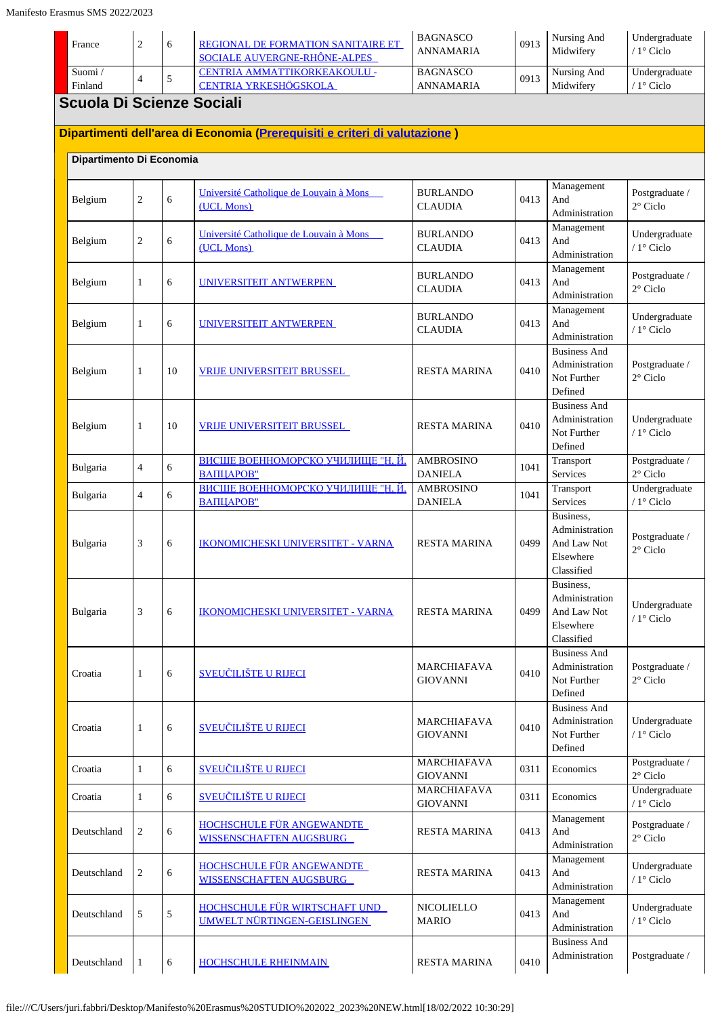| France                           | $\overline{2}$ | 6  | REGIONAL DE FORMATION SANITAIRE ET<br>SOCIALE AUVERGNE-RHÔNE-ALPES         | <b>BAGNASCO</b><br><b>ANNAMARIA</b>   | 0913 | Nursing And<br>Midwifery                                              | Undergraduate<br>/ $1^\circ$ Ciclo   |
|----------------------------------|----------------|----|----------------------------------------------------------------------------|---------------------------------------|------|-----------------------------------------------------------------------|--------------------------------------|
| Suomi/<br>Finland                | $\overline{4}$ | 5  | CENTRIA AMMATTIKORKEAKOULU -<br><b>CENTRIA YRKESHÖGSKOLA</b>               | <b>BAGNASCO</b><br><b>ANNAMARIA</b>   | 0913 | Nursing And<br>Midwifery                                              | Undergraduate<br>/ 1° Ciclo          |
| <b>Scuola Di Scienze Sociali</b> |                |    |                                                                            |                                       |      |                                                                       |                                      |
|                                  |                |    | Dipartimenti dell'area di Economia (Prerequisiti e criteri di valutazione) |                                       |      |                                                                       |                                      |
| Dipartimento Di Economia         |                |    |                                                                            |                                       |      |                                                                       |                                      |
| Belgium                          | $\overline{2}$ | 6  | Université Catholique de Louvain à Mons<br>(UCL Mons)                      | <b>BURLANDO</b><br><b>CLAUDIA</b>     | 0413 | Management<br>And<br>Administration                                   | Postgraduate /<br>$2^{\circ}$ Ciclo  |
| Belgium                          | $\overline{2}$ | 6  | Université Catholique de Louvain à Mons<br>(UCL Mons)                      | <b>BURLANDO</b><br><b>CLAUDIA</b>     | 0413 | Management<br>And<br>Administration                                   | Undergraduate<br>/ 1° Ciclo          |
| Belgium                          | 1              | 6  | UNIVERSITEIT ANTWERPEN                                                     | <b>BURLANDO</b><br><b>CLAUDIA</b>     | 0413 | Management<br>And<br>Administration                                   | Postgraduate /<br>$2^{\circ}$ Ciclo  |
| Belgium                          | 1              | 6  | UNIVERSITEIT ANTWERPEN                                                     | <b>BURLANDO</b><br><b>CLAUDIA</b>     | 0413 | Management<br>And<br>Administration                                   | Undergraduate<br>/ 1° Ciclo          |
| Belgium                          | 1              | 10 | <u>VRIJE UNIVERSITEIT BRUSSEL</u>                                          | <b>RESTA MARINA</b>                   | 0410 | <b>Business And</b><br>Administration<br>Not Further<br>Defined       | Postgraduate /<br>$2^{\circ}$ Ciclo  |
| Belgium                          | 1              | 10 | <b>VRIJE UNIVERSITEIT BRUSSEL</b>                                          | <b>RESTA MARINA</b>                   | 0410 | <b>Business And</b><br>Administration<br>Not Further<br>Defined       | Undergraduate<br>/ 1° Ciclo          |
| Bulgaria                         | $\overline{4}$ | 6  | ВИСШЕ ВОЕННОМОРСКО УЧИЛИЩЕ "Н. Й.<br>ВАПЦАРОВ"                             | <b>AMBROSINO</b><br><b>DANIELA</b>    | 1041 | Transport<br>Services                                                 | Postgraduate /<br>$2^{\circ}$ Ciclo  |
| Bulgaria                         | $\overline{4}$ | 6  | ВИСШЕ ВОЕННОМОРСКО УЧИЛИЩЕ "Н. Й.<br>ВАПЦАРОВ"                             | <b>AMBROSINO</b><br><b>DANIELA</b>    | 1041 | Transport<br>Services                                                 | Undergraduate<br>/ 1° Ciclo          |
| Bulgaria                         | 3              | 6  | <b>IKONOMICHESKI UNIVERSITET - VARNA</b>                                   | <b>RESTA MARINA</b>                   | 0499 | Business,<br>Administration<br>And Law Not<br>Elsewhere<br>Classified | Postgraduate /<br>$2^{\circ}$ Ciclo  |
| Bulgaria                         | 3              | 6  | <b>IKONOMICHESKI UNIVERSITET - VARNA</b>                                   | <b>RESTA MARINA</b>                   | 0499 | Business,<br>Administration<br>And Law Not<br>Elsewhere<br>Classified | Undergraduate<br>/ 1° Ciclo          |
| Croatia                          | 1              | 6  | <b>SVEUČILIŠTE U RIJECI</b>                                                | <b>MARCHIAFAVA</b><br><b>GIOVANNI</b> | 0410 | <b>Business And</b><br>Administration<br>Not Further<br>Defined       | Postgraduate /<br>$2^{\circ}$ Ciclo  |
| Croatia                          | 1              | 6  | <b>SVEUČILIŠTE U RIJECI</b>                                                | <b>MARCHIAFAVA</b><br><b>GIOVANNI</b> | 0410 | <b>Business And</b><br>Administration<br>Not Further<br>Defined       | Undergraduate<br>/ 1° Ciclo          |
| Croatia                          | 1              | 6  | <b>SVEUČILIŠTE U RIJECI</b>                                                | MARCHIAFAVA<br><b>GIOVANNI</b>        | 0311 | Economics                                                             | Postgraduate /<br>$2^{\circ}$ Ciclo  |
| Croatia                          | 1              | 6  | <b>SVEUČILIŠTE U RIJECI</b>                                                | MARCHIAFAVA<br><b>GIOVANNI</b>        | 0311 | Economics                                                             | Undergraduate<br>/ $1^{\circ}$ Ciclo |
| Deutschland                      | $\overline{2}$ | 6  | <b>HOCHSCHULE FÜR ANGEWANDTE</b><br>WISSENSCHAFTEN AUGSBURG                | <b>RESTA MARINA</b>                   | 0413 | Management<br>And<br>Administration                                   | Postgraduate /<br>$2^{\circ}$ Ciclo  |
| Deutschland                      | $\overline{2}$ | 6  | <b>HOCHSCHULE FÜR ANGEWANDTE</b><br>WISSENSCHAFTEN AUGSBURG                | <b>RESTA MARINA</b>                   | 0413 | Management<br>And<br>Administration                                   | Undergraduate<br>/ 1° Ciclo          |
| Deutschland                      | 5              | 5  | <b>HOCHSCHULE FÜR WIRTSCHAFT UND</b><br>UMWELT NÜRTINGEN-GEISLINGEN        | <b>NICOLIELLO</b><br><b>MARIO</b>     | 0413 | Management<br>And<br>Administration                                   | Undergraduate<br>/ 1° Ciclo          |
| Deutschland                      | $\mathbf{1}$   | 6  | <b>HOCHSCHULE RHEINMAIN</b>                                                | <b>RESTA MARINA</b>                   | 0410 | <b>Business And</b><br>Administration                                 | Postgraduate /                       |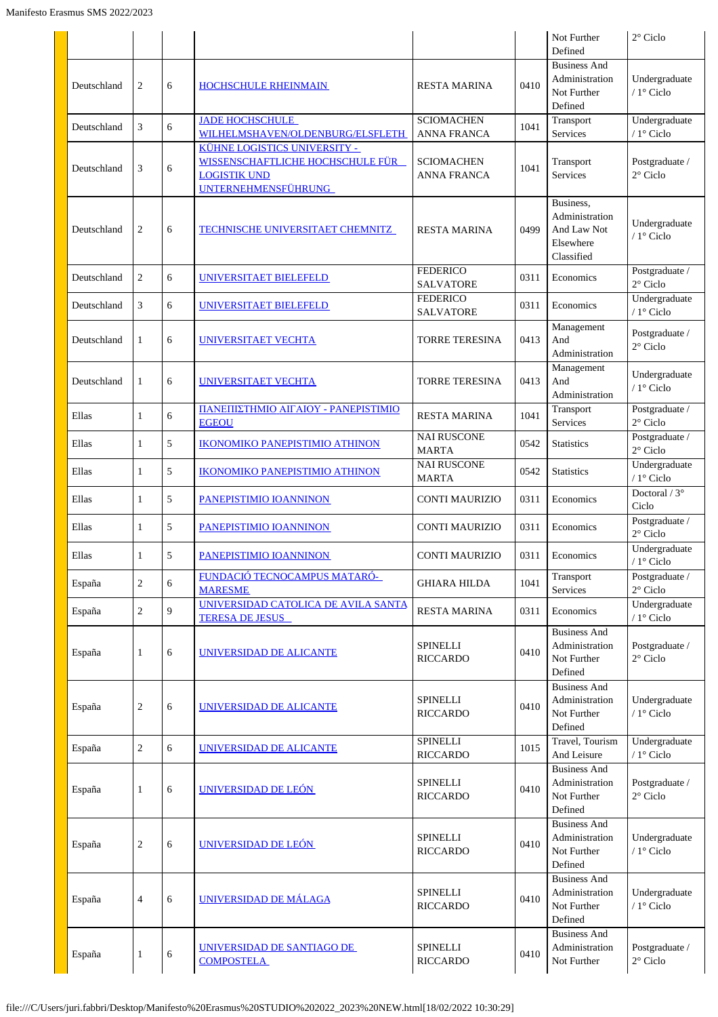|             |                         |   |                                                                                                                       |                                         |      | Not Further<br>Defined                                                | $2^{\circ}$ Ciclo                    |
|-------------|-------------------------|---|-----------------------------------------------------------------------------------------------------------------------|-----------------------------------------|------|-----------------------------------------------------------------------|--------------------------------------|
|             |                         |   |                                                                                                                       |                                         |      | <b>Business And</b>                                                   |                                      |
| Deutschland | 2                       | 6 | <b>HOCHSCHULE RHEINMAIN</b>                                                                                           | <b>RESTA MARINA</b>                     | 0410 | Administration<br>Not Further<br>Defined                              | Undergraduate<br>/ 1° Ciclo          |
| Deutschland | 3                       | 6 | <b>JADE HOCHSCHULE</b><br>WILHELMSHAVEN/OLDENBURG/ELSFLETH                                                            | <b>SCIOMACHEN</b><br><b>ANNA FRANCA</b> | 1041 | Transport<br>Services                                                 | Undergraduate<br>$/1^\circ$ Ciclo    |
| Deutschland | 3                       | 6 | KÜHNE LOGISTICS UNIVERSITY -<br>WISSENSCHAFTLICHE HOCHSCHULE FÜR<br><b>LOGISTIK UND</b><br><b>UNTERNEHMENSFÜHRUNG</b> | <b>SCIOMACHEN</b><br>ANNA FRANCA        | 1041 | Transport<br>Services                                                 | Postgraduate /<br>$2^{\circ}$ Ciclo  |
| Deutschland | 2                       | 6 | <b>TECHNISCHE UNIVERSITAET CHEMNITZ</b>                                                                               | <b>RESTA MARINA</b>                     | 0499 | Business,<br>Administration<br>And Law Not<br>Elsewhere<br>Classified | Undergraduate<br>$/1^\circ$ Ciclo    |
| Deutschland | $\overline{2}$          | 6 | <b>UNIVERSITAET BIELEFELD</b>                                                                                         | <b>FEDERICO</b><br><b>SALVATORE</b>     | 0311 | Economics                                                             | Postgraduate /<br>$2^{\circ}$ Ciclo  |
| Deutschland | 3                       | 6 | UNIVERSITAET BIELEFELD                                                                                                | <b>FEDERICO</b><br><b>SALVATORE</b>     | 0311 | Economics                                                             | Undergraduate<br>/ 1° Ciclo          |
| Deutschland | 1                       | 6 | UNIVERSITAET VECHTA                                                                                                   | <b>TORRE TERESINA</b>                   | 0413 | Management<br>And<br>Administration                                   | Postgraduate /<br>$2^{\circ}$ Ciclo  |
| Deutschland | 1                       | 6 | <b>UNIVERSITAET VECHTA</b>                                                                                            | <b>TORRE TERESINA</b>                   | 0413 | Management<br>And<br>Administration                                   | Undergraduate<br>/ 1° Ciclo          |
| Ellas       | 1                       | 6 | ΠΑΝΕΠΙΣΤΗΜΙΟ ΑΙΓΑΙΟΥ - ΡΑΝΕΡΙSΤΙΜΙΟ<br><b>EGEOU</b>                                                                   | <b>RESTA MARINA</b>                     | 1041 | Transport<br>Services                                                 | Postgraduate /<br>$2^{\circ}$ Ciclo  |
| Ellas       | 1                       | 5 | <b>IKONOMIKO PANEPISTIMIO ATHINON</b>                                                                                 | <b>NAI RUSCONE</b><br><b>MARTA</b>      | 0542 | <b>Statistics</b>                                                     | Postgraduate /<br>$2^{\circ}$ Ciclo  |
| Ellas       | 1                       | 5 | <b>IKONOMIKO PANEPISTIMIO ATHINON</b>                                                                                 | <b>NAI RUSCONE</b><br><b>MARTA</b>      | 0542 | <b>Statistics</b>                                                     | Undergraduate<br>/ $1^{\circ}$ Ciclo |
| Ellas       | 1                       | 5 | PANEPISTIMIO IOANNINON                                                                                                | CONTI MAURIZIO                          | 0311 | Economics                                                             | Doctoral / $3^\circ$<br>Ciclo        |
| Ellas       | 1                       | 5 | PANEPISTIMIO IOANNINON                                                                                                | <b>CONTI MAURIZIO</b>                   | 0311 | Economics                                                             | Postgraduate /<br>$2^{\circ}$ Ciclo  |
| Ellas       | 1                       | 5 | PANEPISTIMIO IOANNINON                                                                                                | <b>CONTI MAURIZIO</b>                   | 0311 | Economics                                                             | Undergraduate<br>/ 1° Ciclo          |
| España      | $\overline{c}$          | 6 | FUNDACIÓ TECNOCAMPUS MATARÓ-<br><b>MARESME</b>                                                                        | <b>GHIARA HILDA</b>                     | 1041 | Transport<br>Services                                                 | Postgraduate /<br>$2^{\circ}$ Ciclo  |
| España      | $\overline{c}$          | 9 | UNIVERSIDAD CATOLICA DE AVILA SANTA<br><b>TERESA DE JESUS</b>                                                         | <b>RESTA MARINA</b>                     | 0311 | Economics                                                             | Undergraduate<br>/ $1^{\circ}$ Ciclo |
| España      | 1                       | 6 | UNIVERSIDAD DE ALICANTE                                                                                               | SPINELLI<br><b>RICCARDO</b>             | 0410 | <b>Business And</b><br>Administration<br>Not Further<br>Defined       | Postgraduate /<br>$2^{\circ}$ Ciclo  |
| España      | $\overline{c}$          | 6 | UNIVERSIDAD DE ALICANTE                                                                                               | <b>SPINELLI</b><br><b>RICCARDO</b>      | 0410 | <b>Business And</b><br>Administration<br>Not Further<br>Defined       | Undergraduate<br>/ 1° Ciclo          |
| España      | $\overline{c}$          | 6 | UNIVERSIDAD DE ALICANTE                                                                                               | <b>SPINELLI</b><br><b>RICCARDO</b>      | 1015 | Travel, Tourism<br>And Leisure                                        | Undergraduate<br>/ $1^\circ$ Ciclo   |
| España      | 1                       | 6 | UNIVERSIDAD DE LEÓN                                                                                                   | <b>SPINELLI</b><br><b>RICCARDO</b>      | 0410 | <b>Business And</b><br>Administration<br>Not Further<br>Defined       | Postgraduate /<br>$2^{\circ}$ Ciclo  |
| España      | $\overline{\mathbf{c}}$ | 6 | UNIVERSIDAD DE LEÓN                                                                                                   | SPINELLI<br><b>RICCARDO</b>             | 0410 | <b>Business And</b><br>Administration<br>Not Further<br>Defined       | Undergraduate<br>/ 1° Ciclo          |
| España      | 4                       | 6 | UNIVERSIDAD DE MÁLAGA                                                                                                 | <b>SPINELLI</b><br><b>RICCARDO</b>      | 0410 | <b>Business And</b><br>Administration<br>Not Further<br>Defined       | Undergraduate<br>/ 1° Ciclo          |
| España      | 1                       | 6 | UNIVERSIDAD DE SANTIAGO DE<br><b>COMPOSTELA</b>                                                                       | <b>SPINELLI</b><br><b>RICCARDO</b>      | 0410 | <b>Business And</b><br>Administration<br>Not Further                  | Postgraduate /<br>$2^{\circ}$ Ciclo  |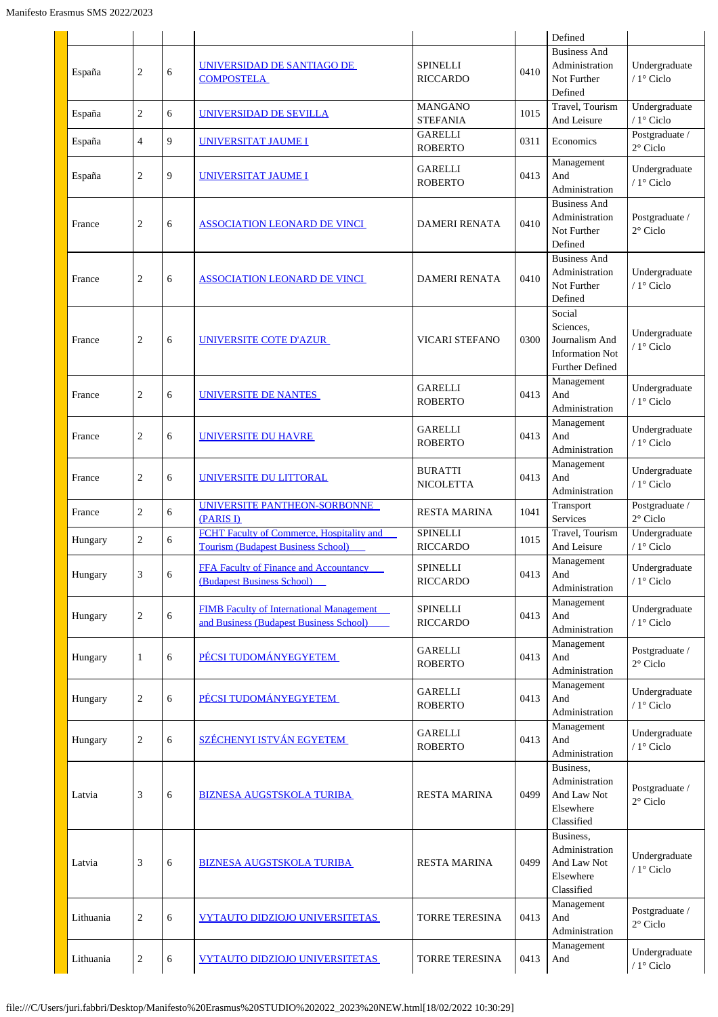|           |                  |   |                                                                                            |                                    |      | Defined                                                                                   |                                                        |
|-----------|------------------|---|--------------------------------------------------------------------------------------------|------------------------------------|------|-------------------------------------------------------------------------------------------|--------------------------------------------------------|
| España    | $\overline{c}$   | 6 | UNIVERSIDAD DE SANTIAGO DE<br><b>COMPOSTELA</b>                                            | <b>SPINELLI</b><br><b>RICCARDO</b> | 0410 | <b>Business And</b><br>Administration<br>Not Further<br>Defined                           | Undergraduate<br>/ 1° Ciclo                            |
| España    | $\overline{c}$   | 6 | UNIVERSIDAD DE SEVILLA                                                                     | <b>MANGANO</b><br><b>STEFANIA</b>  | 1015 | Travel, Tourism<br>And Leisure                                                            | Undergraduate<br>/ 1° Ciclo                            |
| España    | 4                | 9 | UNIVERSITAT JAUME I                                                                        | <b>GARELLI</b><br><b>ROBERTO</b>   | 0311 | Economics                                                                                 | Postgraduate /<br>$2^{\circ}$ Ciclo                    |
| España    | 2                | 9 | UNIVERSITAT JAUME I                                                                        | <b>GARELLI</b><br><b>ROBERTO</b>   | 0413 | Management<br>And<br>Administration                                                       | Undergraduate<br>/ 1° Ciclo                            |
| France    | $\overline{c}$   | 6 | <b>ASSOCIATION LEONARD DE VINCI</b>                                                        | <b>DAMERI RENATA</b>               | 0410 | <b>Business And</b><br>Administration<br>Not Further<br>Defined                           | Postgraduate /<br>$2^{\circ}$ Ciclo                    |
| France    | 2                | 6 | <b>ASSOCIATION LEONARD DE VINCI</b>                                                        | <b>DAMERI RENATA</b>               | 0410 | <b>Business And</b><br>Administration<br>Not Further<br>Defined                           | Undergraduate<br>/ 1° Ciclo                            |
| France    | $\overline{c}$   | 6 | <b>UNIVERSITE COTE D'AZUR</b>                                                              | <b>VICARI STEFANO</b>              | 0300 | Social<br>Sciences,<br>Journalism And<br><b>Information Not</b><br><b>Further Defined</b> | Undergraduate<br>/ 1° Ciclo                            |
| France    | 2                | 6 | <b>UNIVERSITE DE NANTES</b>                                                                | <b>GARELLI</b><br><b>ROBERTO</b>   | 0413 | Management<br>And<br>Administration                                                       | Undergraduate<br>/ 1° Ciclo                            |
| France    | 2                | 6 | UNIVERSITE DU HAVRE                                                                        | <b>GARELLI</b><br><b>ROBERTO</b>   | 0413 | Management<br>And<br>Administration                                                       | Undergraduate<br>/ $1^{\circ}$ Ciclo                   |
| France    | $\overline{c}$   | 6 | UNIVERSITE DU LITTORAL                                                                     | <b>BURATTI</b><br><b>NICOLETTA</b> | 0413 | Management<br>And<br>Administration                                                       | Undergraduate<br>$/1$ ° Ciclo                          |
| France    | $\overline{c}$   | 6 | UNIVERSITE PANTHEON-SORBONNE<br>(PARIS I)                                                  | <b>RESTA MARINA</b>                | 1041 | Transport<br>Services                                                                     | Postgraduate /<br>$2^{\circ}$ Ciclo                    |
| Hungary   | 2                | 6 | FCHT Faculty of Commerce, Hospitality and<br><b>Tourism (Budapest Business School)</b>     | <b>SPINELLI</b><br><b>RICCARDO</b> | 1015 | Travel, Tourism<br>And Leisure                                                            | Undergraduate<br>/ 1° Ciclo                            |
| Hungary   | 3                | 6 | FFA Faculty of Finance and Accountancy<br>(Budapest Business School)                       | <b>SPINELLI</b><br><b>RICCARDO</b> | 0413 | Management<br>And<br>Administration                                                       | $\label{thm:undergrad} Under graduate$<br>$/1$ ° Ciclo |
| Hungary   | $\boldsymbol{2}$ | 6 | <b>FIMB Faculty of International Management</b><br>and Business (Budapest Business School) | <b>SPINELLI</b><br><b>RICCARDO</b> | 0413 | Management<br>And<br>Administration                                                       | Undergraduate<br>/ 1° Ciclo                            |
| Hungary   | $\mathbf{1}$     | 6 | PÉCSI TUDOMÁNYEGYETEM                                                                      | <b>GARELLI</b><br><b>ROBERTO</b>   | 0413 | Management<br>And<br>Administration                                                       | Postgraduate /<br>$2^{\circ}$ Ciclo                    |
| Hungary   | $\overline{c}$   | 6 | PÉCSI TUDOMÁNYEGYETEM                                                                      | <b>GARELLI</b><br><b>ROBERTO</b>   | 0413 | Management<br>And<br>Administration                                                       | Undergraduate<br>/ 1° Ciclo                            |
| Hungary   | $\boldsymbol{2}$ | 6 | SZÉCHENYI ISTVÁN EGYETEM                                                                   | <b>GARELLI</b><br><b>ROBERTO</b>   | 0413 | Management<br>And<br>Administration                                                       | Undergraduate<br>/ $1^\circ$ Ciclo                     |
| Latvia    | 3                | 6 | <b>BIZNESA AUGSTSKOLA TURIBA</b>                                                           | <b>RESTA MARINA</b>                | 0499 | Business,<br>Administration<br>And Law Not<br>Elsewhere<br>Classified                     | Postgraduate /<br>$2^{\circ}$ Ciclo                    |
| Latvia    | 3                | 6 | <b>BIZNESA AUGSTSKOLA TURIBA</b>                                                           | RESTA MARINA                       | 0499 | Business.<br>Administration<br>And Law Not<br>Elsewhere<br>Classified                     | Undergraduate<br>/ 1° Ciclo                            |
| Lithuania | $\overline{c}$   | 6 | <b>VYTAUTO DIDZIOJO UNIVERSITETAS</b>                                                      | TORRE TERESINA                     | 0413 | Management<br>And<br>Administration                                                       | Postgraduate /<br>$2^{\circ}$ Ciclo                    |
| Lithuania | $\overline{c}$   | 6 | <b>VYTAUTO DIDZIOJO UNIVERSITETAS</b>                                                      | TORRE TERESINA                     | 0413 | Management<br>And                                                                         | Undergraduate<br>/ $1^\circ$ Ciclo                     |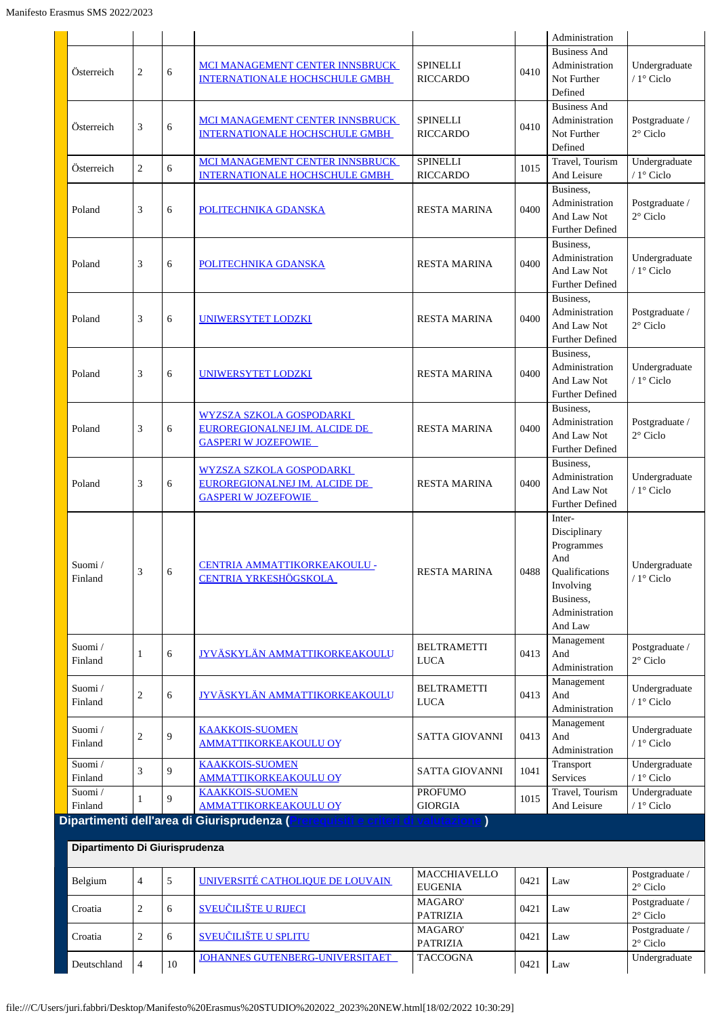|                                |                |   |                                                                                                      |                                              |      | Administration                                                                                                       |                                                          |
|--------------------------------|----------------|---|------------------------------------------------------------------------------------------------------|----------------------------------------------|------|----------------------------------------------------------------------------------------------------------------------|----------------------------------------------------------|
| Österreich                     | $\overline{c}$ | 6 | MCI MANAGEMENT CENTER INNSBRUCK<br><b>INTERNATIONALE HOCHSCHULE GMBH</b>                             | <b>SPINELLI</b><br><b>RICCARDO</b>           | 0410 | <b>Business And</b><br>Administration<br>Not Further<br>Defined                                                      | Undergraduate<br>$/1^\circ$ Ciclo                        |
| Österreich                     | 3              | 6 | MCI MANAGEMENT CENTER INNSBRUCK<br>INTERNATIONALE HOCHSCHULE GMBH                                    | <b>SPINELLI</b><br><b>RICCARDO</b>           | 0410 | <b>Business And</b><br>Administration<br>Not Further<br>Defined                                                      | Postgraduate /<br>$2^{\circ}$ Ciclo                      |
| Österreich                     | $\overline{c}$ | 6 | MCI MANAGEMENT CENTER INNSBRUCK<br><b>INTERNATIONALE HOCHSCHULE GMBH</b>                             | <b>SPINELLI</b><br><b>RICCARDO</b>           | 1015 | Travel, Tourism<br>And Leisure                                                                                       | Undergraduate<br>/ 1° Ciclo                              |
| Poland                         | 3              | 6 | POLITECHNIKA GDANSKA                                                                                 | <b>RESTA MARINA</b>                          | 0400 | Business,<br>Administration<br>And Law Not<br><b>Further Defined</b>                                                 | Postgraduate /<br>2° Ciclo                               |
| Poland                         | 3              | 6 | POLITECHNIKA GDANSKA                                                                                 | <b>RESTA MARINA</b>                          | 0400 | Business,<br>Administration<br>And Law Not<br><b>Further Defined</b>                                                 | Undergraduate<br>/ 1° Ciclo                              |
| Poland                         | 3              | 6 | UNIWERSYTET LODZKI                                                                                   | <b>RESTA MARINA</b>                          | 0400 | Business,<br>Administration<br>And Law Not<br><b>Further Defined</b>                                                 | Postgraduate /<br>$2^{\circ}$ Ciclo                      |
| Poland                         | 3              | 6 | <b>UNIWERSYTET LODZKI</b>                                                                            | <b>RESTA MARINA</b>                          | 0400 | Business,<br>Administration<br>And Law Not<br><b>Further Defined</b>                                                 | Undergraduate<br>/ 1° Ciclo                              |
| Poland                         | 3              | 6 | <u>WYZSZA SZKOLA GOSPODARKI</u><br>EUROREGIONALNEJ IM. ALCIDE DE<br><b>GASPERI W JOZEFOWIE</b>       | <b>RESTA MARINA</b>                          | 0400 | Business.<br>Administration<br>And Law Not<br><b>Further Defined</b>                                                 | Postgraduate /<br>$2^{\circ}$ Ciclo                      |
| Poland                         | 3              | 6 | <b>WYZSZA SZKOLA GOSPODARKI</b><br>EUROREGIONALNEJ IM. ALCIDE DE<br><b>GASPERI W JOZEFOWIE</b>       | <b>RESTA MARINA</b>                          | 0400 | Business.<br>Administration<br>And Law Not<br><b>Further Defined</b>                                                 | Undergraduate<br>/ 1° Ciclo                              |
| Suomi/<br>Finland              | 3              | 6 | CENTRIA AMMATTIKORKEAKOULU -<br>CENTRIA YRKESHÖGSKOLA                                                | <b>RESTA MARINA</b>                          | 0488 | Inter-<br>Disciplinary<br>Programmes<br>And<br>Qualifications<br>Involving<br>Business,<br>Administration<br>And Law | Undergraduate<br>$/1^\circ$ Ciclo                        |
| Suomi/<br>Finland              | 1              | 6 | <b>JYVÄSKYLÄN AMMATTIKORKEAKOULU</b>                                                                 | <b>BELTRAMETTI</b><br><b>LUCA</b>            | 0413 | Management<br>And<br>Administration                                                                                  | Postgraduate /<br>$2^{\circ}$ Ciclo                      |
| Suomi/<br>Finland              | 2              | 6 | <b>JYVÄSKYLÄN AMMATTIKORKEAKOULU</b>                                                                 | <b>BELTRAMETTI</b><br><b>LUCA</b>            | 0413 | Management<br>And<br>Administration                                                                                  | Undergraduate<br>/ 1° Ciclo                              |
| Suomi/<br>Finland              | $\overline{c}$ | 9 | <b>KAAKKOIS-SUOMEN</b><br><b>AMMATTIKORKEAKOULU OY</b>                                               | SATTA GIOVANNI                               | 0413 | Management<br>And<br>Administration                                                                                  | Undergraduate<br>/ $1^{\circ}$ Ciclo                     |
| Suomi/<br>Finland              | 3              | 9 | <b>KAAKKOIS-SUOMEN</b><br><b>AMMATTIKORKEAKOULU OY</b>                                               | SATTA GIOVANNI                               | 1041 | Transport<br>Services                                                                                                | Undergraduate<br>/ $1^\circ$ Ciclo                       |
| Suomi/<br>Finland              | 1              | 9 | <b>KAAKKOIS-SUOMEN</b><br><b>AMMATTIKORKEAKOULU OY</b>                                               | <b>PROFUMO</b><br><b>GIORGIA</b>             | 1015 | Travel, Tourism<br>And Leisure                                                                                       | Undergraduate<br>/ 1° Ciclo                              |
| Dipartimento Di Giurisprudenza |                |   | Dipartimenti dell'area di Giurisprudenza ( <b>P</b><br><u>rerequisiti e criteri di valutazione )</u> |                                              |      |                                                                                                                      |                                                          |
| Belgium                        | 4              | 5 | UNIVERSITÉ CATHOLIQUE DE LOUVAIN                                                                     | MACCHIAVELLO                                 | 0421 | Law                                                                                                                  | Postgraduate /                                           |
| Croatia                        | 2              | 6 | <b>SVEUČILIŠTE U RIJECI</b>                                                                          | <b>EUGENIA</b><br>MAGARO'<br><b>PATRIZIA</b> | 0421 | Law                                                                                                                  | $2^{\circ}$ Ciclo<br>Postgraduate /<br>$2^{\circ}$ Ciclo |

Deutschland 4 10 [JOHANNES GUTENBERG-UNIVERSITAET](http://www.uni-mainz.de/) TACCOGNA 0421 Law Undergraduate

0421 Law Postgraduate /

 $2^\circ$ Ciclo

Croatia 2 6 [SVEU](http://www.unist.hr/)[Č](http://www.unist.hr/)[ILIŠTE U SPLITU](http://www.unist.hr/) MAGARO' PATRIZIA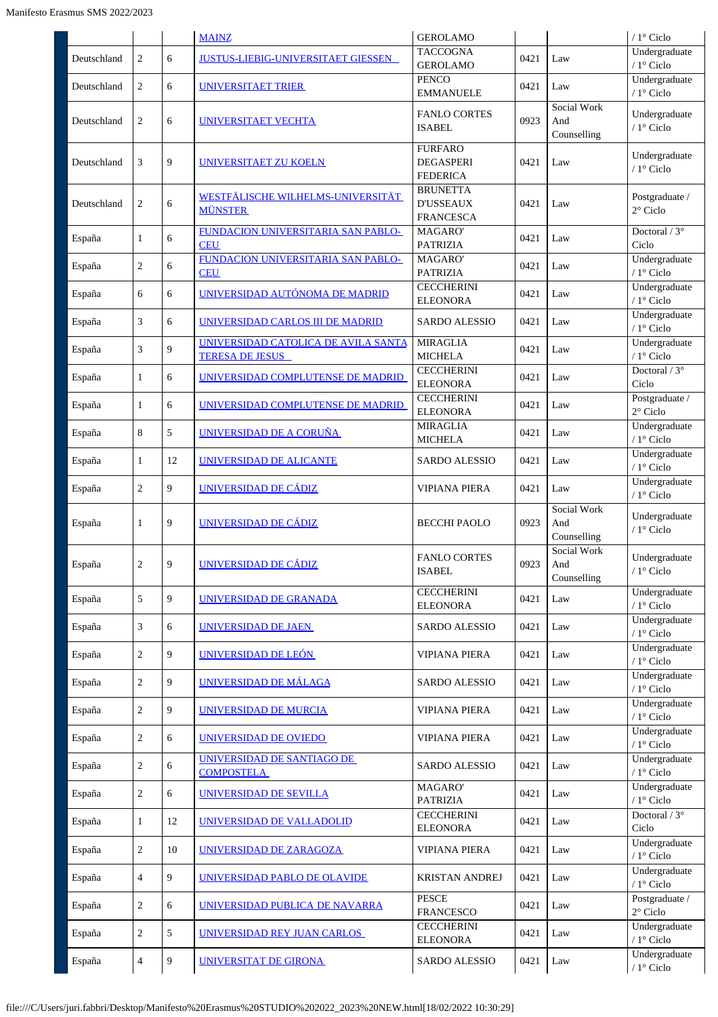|             |                |    | <b>MAINZ</b>                                                  | <b>GEROLAMO</b>                                         |      |                                   | / $1^{\circ}$ Ciclo                  |
|-------------|----------------|----|---------------------------------------------------------------|---------------------------------------------------------|------|-----------------------------------|--------------------------------------|
| Deutschland | $\overline{c}$ | 6  | <b>JUSTUS-LIEBIG-UNIVERSITAET GIESSEN</b>                     | <b>TACCOGNA</b><br><b>GEROLAMO</b>                      | 0421 | Law                               | Undergraduate<br>/ 1° Ciclo          |
| Deutschland | $\overline{2}$ | 6  | UNIVERSITAET TRIER                                            | <b>PENCO</b><br><b>EMMANUELE</b>                        | 0421 | Law                               | Undergraduate<br>/ 1° Ciclo          |
| Deutschland | 2              | 6  | <b>UNIVERSITAET VECHTA</b>                                    | <b>FANLO CORTES</b><br><b>ISABEL</b>                    | 0923 | Social Work<br>And<br>Counselling | Undergraduate<br>/ 1° Ciclo          |
| Deutschland | 3              | 9  | <b>UNIVERSITAET ZU KOELN</b>                                  | <b>FURFARO</b><br><b>DEGASPERI</b><br><b>FEDERICA</b>   | 0421 | Law                               | Undergraduate<br>/ 1° Ciclo          |
| Deutschland | $\overline{c}$ | 6  | WESTFÄLISCHE WILHELMS-UNIVERSITÄT<br><b>MÜNSTER</b>           | <b>BRUNETTA</b><br><b>D'USSEAUX</b><br><b>FRANCESCA</b> | 0421 | Law                               | Postgraduate /<br>$2^{\circ}$ Ciclo  |
| España      | $\mathbf{1}$   | 6  | FUNDACION UNIVERSITARIA SAN PABLO-<br><b>CEU</b>              | MAGARO'<br><b>PATRIZIA</b>                              | 0421 | Law                               | Doctoral / 3°<br>Ciclo               |
| España      | $\overline{c}$ | 6  | FUNDACION UNIVERSITARIA SAN PABLO-<br><b>CEU</b>              | MAGARO'<br><b>PATRIZIA</b>                              | 0421 | Law                               | Undergraduate<br>/ 1° Ciclo          |
| España      | 6              | 6  | UNIVERSIDAD AUTÓNOMA DE MADRID                                | <b>CECCHERINI</b><br><b>ELEONORA</b>                    | 0421 | Law                               | Undergraduate<br>/ 1° Ciclo          |
| España      | 3              | 6  | UNIVERSIDAD CARLOS III DE MADRID                              | <b>SARDO ALESSIO</b>                                    | 0421 | Law                               | Undergraduate<br>/ $1^{\circ}$ Ciclo |
| España      | 3              | 9  | UNIVERSIDAD CATOLICA DE AVILA SANTA<br><b>TERESA DE JESUS</b> | <b>MIRAGLIA</b><br><b>MICHELA</b>                       | 0421 | Law                               | Undergraduate<br>/ $1^{\circ}$ Ciclo |
| España      | $\mathbf{1}$   | 6  | UNIVERSIDAD COMPLUTENSE DE MADRID                             | <b>CECCHERINI</b><br><b>ELEONORA</b>                    | 0421 | Law                               | Doctoral / $3^\circ$<br>Ciclo        |
| España      | $\mathbf{1}$   | 6  | UNIVERSIDAD COMPLUTENSE DE MADRID                             | <b>CECCHERINI</b><br><b>ELEONORA</b>                    | 0421 | Law                               | Postgraduate /<br>$2^{\circ}$ Ciclo  |
| España      | 8              | 5  | UNIVERSIDAD DE A CORUÑA                                       | <b>MIRAGLIA</b><br><b>MICHELA</b>                       | 0421 | Law                               | Undergraduate<br>/ 1° Ciclo          |
| España      | $\mathbf{1}$   | 12 | UNIVERSIDAD DE ALICANTE                                       | <b>SARDO ALESSIO</b>                                    | 0421 | Law                               | Undergraduate<br>/ 1° Ciclo          |
| España      | $\overline{c}$ | 9  | UNIVERSIDAD DE CÁDIZ                                          | <b>VIPIANA PIERA</b>                                    | 0421 | Law                               | Undergraduate<br>/ 1° Ciclo          |
| España      | 1              | 9  | UNIVERSIDAD DE CÁDIZ                                          | <b>BECCHI PAOLO</b>                                     | 0923 | Social Work<br>And<br>Counselling | Undergraduate<br>/ 1° Ciclo          |
| España      | $\overline{c}$ | 9  | UNIVERSIDAD DE CÁDIZ                                          | <b>FANLO CORTES</b><br><b>ISABEL</b>                    | 0923 | Social Work<br>And<br>Counselling | Undergraduate<br>$/ 1$ ° Ciclo       |
| España      | 5              | 9  | UNIVERSIDAD DE GRANADA                                        | <b>CECCHERINI</b><br><b>ELEONORA</b>                    | 0421 | Law                               | Undergraduate<br>/ 1° Ciclo          |
| España      | 3              | 6  | <b>UNIVERSIDAD DE JAEN</b>                                    | <b>SARDO ALESSIO</b>                                    | 0421 | Law                               | Undergraduate<br>/ 1° Ciclo          |
| España      | $\overline{c}$ | 9  | UNIVERSIDAD DE LEÓN                                           | <b>VIPIANA PIERA</b>                                    | 0421 | Law                               | Undergraduate<br>$/1$ ° Ciclo        |
| España      | $\overline{c}$ | 9  | UNIVERSIDAD DE MÁLAGA                                         | <b>SARDO ALESSIO</b>                                    | 0421 | Law                               | Undergraduate<br>/ $1^\circ$ Ciclo   |
| España      | $\overline{c}$ | 9  | UNIVERSIDAD DE MURCIA                                         | <b>VIPIANA PIERA</b>                                    | 0421 | Law                               | Undergraduate<br>$/1$ ° Ciclo        |
| España      | $\overline{c}$ | 6  | UNIVERSIDAD DE OVIEDO                                         | <b>VIPIANA PIERA</b>                                    | 0421 | Law                               | Undergraduate<br>$/1$ ° Ciclo        |
| España      | $\overline{c}$ | 6  | UNIVERSIDAD DE SANTIAGO DE<br><b>COMPOSTELA</b>               | <b>SARDO ALESSIO</b>                                    | 0421 | Law                               | Undergraduate<br>$/1$ ° Ciclo        |
| España      | $\overline{c}$ | 6  | <u>UNIVERSIDAD DE SEVILLA</u>                                 | MAGARO'<br><b>PATRIZIA</b>                              | 0421 | Law                               | Undergraduate<br>/ 1° Ciclo          |
| España      | 1              | 12 | UNIVERSIDAD DE VALLADOLID                                     | <b>CECCHERINI</b><br><b>ELEONORA</b>                    | 0421 | Law                               | Doctoral / $3^\circ$<br>Ciclo        |
| España      | $\overline{c}$ | 10 | UNIVERSIDAD DE ZARAGOZA                                       | <b>VIPIANA PIERA</b>                                    | 0421 | Law                               | Undergraduate<br>/ $1^{\circ}$ Ciclo |
| España      | 4              | 9  | UNIVERSIDAD PABLO DE OLAVIDE                                  | <b>KRISTAN ANDREJ</b>                                   | 0421 | Law                               | Undergraduate<br>$/1$ ° Ciclo        |
| España      | $\overline{c}$ | 6  | UNIVERSIDAD PUBLICA DE NAVARRA                                | <b>PESCE</b><br><b>FRANCESCO</b>                        | 0421 | Law                               | Postgraduate /<br>$2^\circ$ Ciclo    |
| España      | $\overline{c}$ | 5  | UNIVERSIDAD REY JUAN CARLOS                                   | <b>CECCHERINI</b><br><b>ELEONORA</b>                    | 0421 | Law                               | Undergraduate<br>/ $1^\circ$ Ciclo   |
| España      | 4              | 9  | UNIVERSITAT DE GIRONA                                         | <b>SARDO ALESSIO</b>                                    | 0421 | Law                               | Undergraduate<br>/ $1^{\circ}$ Ciclo |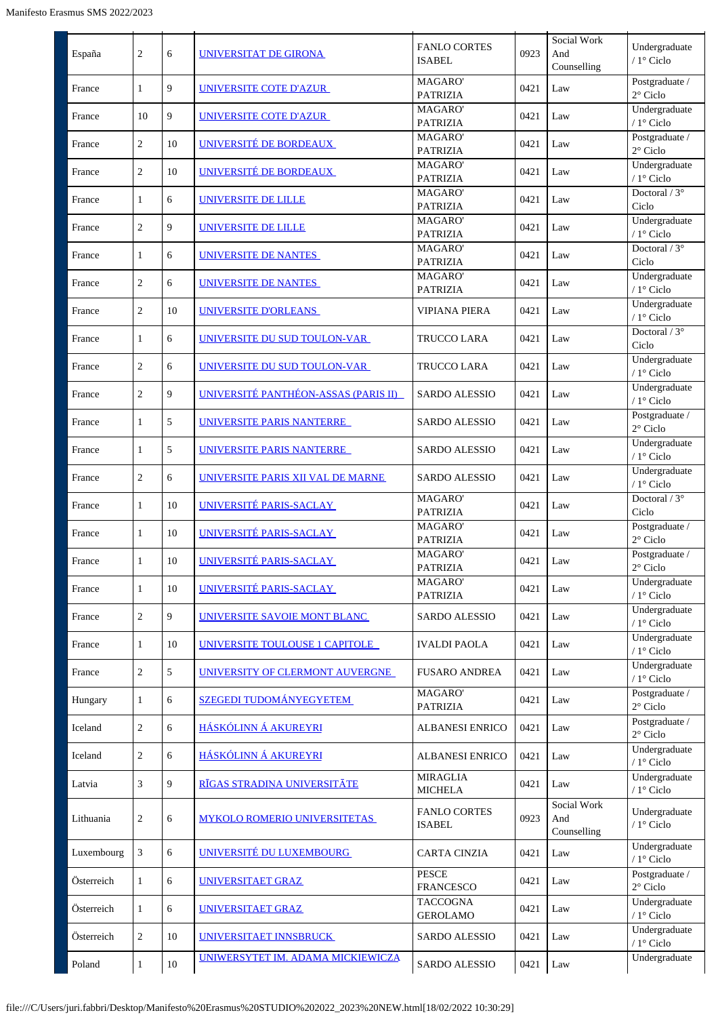| España     | $\overline{2}$ | 6      | <b>UNIVERSITAT DE GIRONA</b>         | <b>FANLO CORTES</b><br><b>ISABEL</b> | 0923 | Social Work<br>And<br>Counselling | Undergraduate<br>/ $1^\circ$ Ciclo   |
|------------|----------------|--------|--------------------------------------|--------------------------------------|------|-----------------------------------|--------------------------------------|
| France     | 1              | 9      | UNIVERSITE COTE D'AZUR               | MAGARO'<br><b>PATRIZIA</b>           | 0421 | Law                               | Postgraduate /<br>$2^{\circ}$ Ciclo  |
| France     | 10             | 9      | <b>UNIVERSITE COTE D'AZUR</b>        | MAGARO'<br><b>PATRIZIA</b>           | 0421 | Law                               | Undergraduate<br>/ 1° Ciclo          |
| France     | $\overline{2}$ | 10     | UNIVERSITÉ DE BORDEAUX               | MAGARO'<br><b>PATRIZIA</b>           | 0421 | Law                               | Postgraduate /<br>$2^{\circ}$ Ciclo  |
| France     | $\overline{2}$ | 10     | UNIVERSITÉ DE BORDEAUX               | MAGARO'<br><b>PATRIZIA</b>           | 0421 | Law                               | Undergraduate<br>/ $1^{\circ}$ Ciclo |
| France     | 1              | 6      | UNIVERSITE DE LILLE                  | MAGARO'<br><b>PATRIZIA</b>           | 0421 | Law                               | Doctoral / $3^\circ$<br>Ciclo        |
| France     | $\overline{c}$ | 9      | UNIVERSITE DE LILLE                  | MAGARO'<br><b>PATRIZIA</b>           | 0421 | Law                               | Undergraduate<br>/ $1^{\circ}$ Ciclo |
| France     | 1              | 6      | UNIVERSITE DE NANTES                 | MAGARO'<br><b>PATRIZIA</b>           | 0421 | Law                               | Doctoral / $3^\circ$<br>Ciclo        |
| France     | $\sqrt{2}$     | 6      | UNIVERSITE DE NANTES                 | MAGARO'<br><b>PATRIZIA</b>           | 0421 | Law                               | Undergraduate<br>/ $1^\circ$ Ciclo   |
| France     | $\overline{2}$ | 10     | <b>UNIVERSITE D'ORLEANS</b>          | <b>VIPIANA PIERA</b>                 | 0421 | Law                               | Undergraduate<br>/ $1^{\circ}$ Ciclo |
| France     | $\mathbf{1}$   | 6      | UNIVERSITE DU SUD TOULON-VAR         | TRUCCO LARA                          | 0421 | Law                               | Doctoral / $3^\circ$<br>Ciclo        |
| France     | $\overline{2}$ | 6      | UNIVERSITE DU SUD TOULON-VAR         | TRUCCO LARA                          | 0421 | Law                               | Undergraduate<br>/ $1^{\circ}$ Ciclo |
| France     | $\overline{c}$ | 9      | UNIVERSITÉ PANTHÉON-ASSAS (PARIS II) | <b>SARDO ALESSIO</b>                 | 0421 | Law                               | Undergraduate<br>/ $1^\circ$ Ciclo   |
| France     | 1              | 5      | UNIVERSITE PARIS NANTERRE            | <b>SARDO ALESSIO</b>                 | 0421 | Law                               | Postgraduate /<br>2° Ciclo           |
| France     | 1              | 5      | UNIVERSITE PARIS NANTERRE            | <b>SARDO ALESSIO</b>                 | 0421 | Law                               | Undergraduate<br>/ 1° Ciclo          |
| France     | $\overline{c}$ | 6      | UNIVERSITE PARIS XII VAL DE MARNE    | <b>SARDO ALESSIO</b>                 | 0421 | Law                               | Undergraduate<br>/ $1^\circ$ Ciclo   |
| France     | $\mathbf{1}$   | 10     | UNIVERSITÉ PARIS-SACLAY              | MAGARO'<br><b>PATRIZIA</b>           | 0421 | Law                               | Doctoral / 3°<br>Ciclo               |
| France     | $\mathbf{1}$   | 10     | UNIVERSITÉ PARIS-SACLAY              | MAGARO'<br><b>PATRIZIA</b>           | 0421 | Law                               | Postgraduate /<br>$2^{\circ}$ Ciclo  |
| France     | $\mathbf{1}$   | 10     | UNIVERSITÉ PARIS-SACLAY              | <b>MAGARO</b><br><b>PATRIZIA</b>     | 0421 | Law                               | Postgraduate /<br>$2^{\circ}$ Ciclo  |
| France     | $\mathbf{1}$   | 10     | UNIVERSITÉ PARIS-SACLAY              | MAGARO'<br><b>PATRIZIA</b>           | 0421 | Law                               | Undergraduate<br>/ 1° Ciclo          |
| France     | $\overline{c}$ | 9      | UNIVERSITE SAVOIE MONT BLANC         | <b>SARDO ALESSIO</b>                 | 0421 | Law                               | Undergraduate<br>/ 1° Ciclo          |
| France     | $\mathbf{1}$   | 10     | UNIVERSITE TOULOUSE 1 CAPITOLE       | <b>IVALDI PAOLA</b>                  | 0421 | Law                               | Undergraduate<br>/ 1° Ciclo          |
| France     | $\overline{c}$ | 5      | UNIVERSITY OF CLERMONT AUVERGNE      | <b>FUSARO ANDREA</b>                 | 0421 | Law                               | Undergraduate<br>/ $1^{\circ}$ Ciclo |
| Hungary    | $\mathbf{1}$   | 6      | <b>SZEGEDI TUDOMÁNYEGYETEM</b>       | MAGARO'<br><b>PATRIZIA</b>           | 0421 | Law                               | Postgraduate /<br>$2^{\circ}$ Ciclo  |
| Iceland    | $\overline{c}$ | 6      | HÁSKÓLINN Á AKUREYRI                 | ALBANESI ENRICO                      | 0421 | Law                               | Postgraduate /<br>$2^{\circ}$ Ciclo  |
| Iceland    | $\overline{2}$ | 6      | HÁSKÓLINN Á AKUREYRI                 | ALBANESI ENRICO                      | 0421 | Law                               | Undergraduate<br>/ $1^{\circ}$ Ciclo |
| Latvia     | 3              | 9      | RĪGAS STRADINA UNIVERSITĀTE          | <b>MIRAGLIA</b><br><b>MICHELA</b>    | 0421 | Law                               | Undergraduate<br>/ 1° Ciclo          |
| Lithuania  | $\sqrt{2}$     | 6      | <b>MYKOLO ROMERIO UNIVERSITETAS</b>  | <b>FANLO CORTES</b><br><b>ISABEL</b> | 0923 | Social Work<br>And<br>Counselling | Undergraduate<br>/ $1^{\circ}$ Ciclo |
| Luxembourg | 3              | 6      | UNIVERSITÉ DU LUXEMBOURG             | <b>CARTA CINZIA</b>                  | 0421 | Law                               | Undergraduate<br>/ 1° Ciclo          |
| Österreich | 1              | 6      | UNIVERSITAET GRAZ                    | <b>PESCE</b><br><b>FRANCESCO</b>     | 0421 | Law                               | Postgraduate /<br>$2^{\circ}$ Ciclo  |
| Österreich | $\mathbf{1}$   | 6      | UNIVERSITAET GRAZ                    | <b>TACCOGNA</b><br><b>GEROLAMO</b>   | 0421 | Law                               | Undergraduate<br>/ $1^{\circ}$ Ciclo |
| Österreich | $\overline{2}$ | 10     | UNIVERSITAET INNSBRUCK               | <b>SARDO ALESSIO</b>                 | 0421 | Law                               | Undergraduate<br>/ $1^\circ$ Ciclo   |
| Poland     | $\mathbf{1}$   | $10\,$ | UNIWERSYTET IM. ADAMA MICKIEWICZĄ    | SARDO ALESSIO                        | 0421 | Law                               | Undergraduate                        |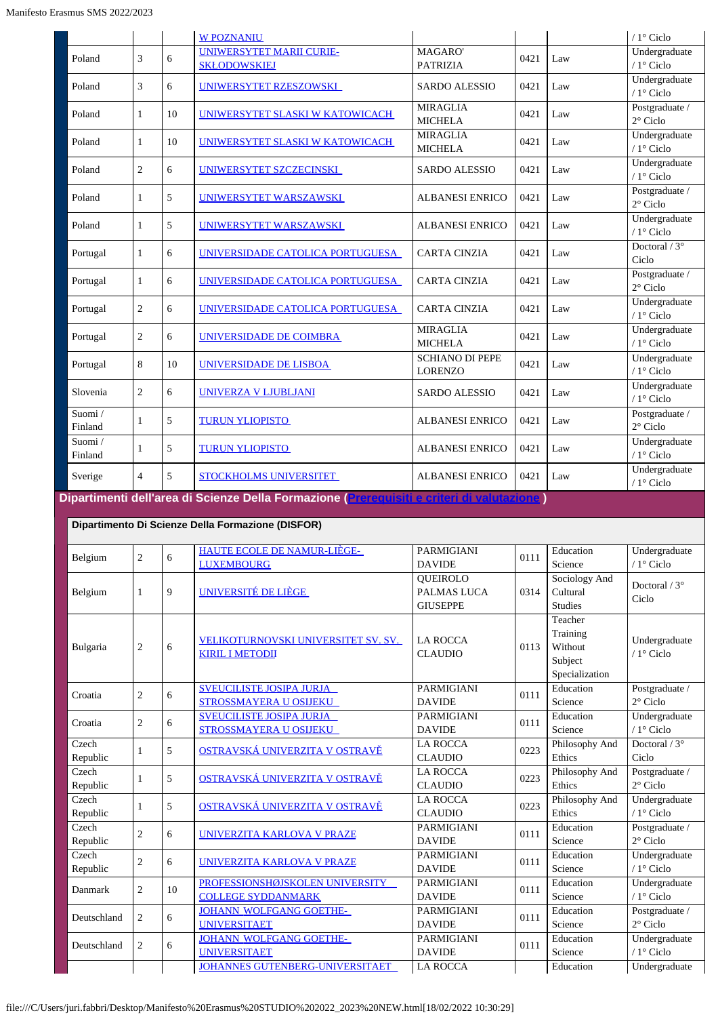|                   |                |    | <b>W POZNANIU</b>                                      |                                          |      |     | $/1^\circ$ Ciclo                    |
|-------------------|----------------|----|--------------------------------------------------------|------------------------------------------|------|-----|-------------------------------------|
| Poland            | 3              | 6  | <b>UNIWERSYTET MARII CURIE-</b><br><b>SKŁODOWSKIEJ</b> | MAGARO'<br><b>PATRIZIA</b>               | 0421 | Law | Undergraduate<br>/ 1° Ciclo         |
| Poland            | 3              | 6  | UNIWERSYTET RZESZOWSKI                                 | <b>SARDO ALESSIO</b>                     | 0421 | Law | Undergraduate<br>$/1^\circ$ Ciclo   |
| Poland            | 1              | 10 | UNIWERSYTET SLASKI W KATOWICACH                        | <b>MIRAGLIA</b><br><b>MICHELA</b>        | 0421 | Law | Postgraduate /<br>$2^{\circ}$ Ciclo |
| Poland            | 1              | 10 | UNIWERSYTET SLASKI W KATOWICACH                        | <b>MIRAGLIA</b><br><b>MICHELA</b>        | 0421 | Law | Undergraduate<br>$/1^\circ$ Ciclo   |
| Poland            | $\overline{2}$ | 6  | UNIWERSYTET SZCZECINSKI                                | <b>SARDO ALESSIO</b>                     | 0421 | Law | Undergraduate<br>/ 1° Ciclo         |
| Poland            | 1              | 5  | UNIWERSYTET WARSZAWSKI                                 | <b>ALBANESI ENRICO</b>                   | 0421 | Law | Postgraduate /<br>$2^{\circ}$ Ciclo |
| Poland            | 1              | 5  | UNIWERSYTET WARSZAWSKI                                 | <b>ALBANESI ENRICO</b>                   | 0421 | Law | Undergraduate<br>/ 1° Ciclo         |
| Portugal          | 1              | 6  | UNIVERSIDADE CATOLICA PORTUGUESA                       | <b>CARTA CINZIA</b>                      | 0421 | Law | Doctoral $/3^{\circ}$<br>Ciclo      |
| Portugal          | 1              | 6  | UNIVERSIDADE CATOLICA PORTUGUESA                       | <b>CARTA CINZIA</b>                      | 0421 | Law | Postgraduate /<br>$2^{\circ}$ Ciclo |
| Portugal          | $\overline{2}$ | 6  | UNIVERSIDADE CATOLICA PORTUGUESA                       | <b>CARTA CINZIA</b>                      | 0421 | Law | Undergraduate<br>$/1$ ° Ciclo       |
| Portugal          | $\overline{c}$ | 6  | UNIVERSIDADE DE COIMBRA                                | <b>MIRAGLIA</b><br><b>MICHELA</b>        | 0421 | Law | Undergraduate<br>$/1^\circ$ Ciclo   |
| Portugal          | 8              | 10 | <b>UNIVERSIDADE DE LISBOA</b>                          | <b>SCHIANO DI PEPE</b><br><b>LORENZO</b> | 0421 | Law | Undergraduate<br>$/1^\circ$ Ciclo   |
| Slovenia          | $\overline{c}$ | 6  | <b>UNIVERZA V LJUBLJANI</b>                            | <b>SARDO ALESSIO</b>                     | 0421 | Law | Undergraduate<br>/ 1° Ciclo         |
| Suomi/<br>Finland | 1              | 5  | <b>TURUN YLIOPISTO</b>                                 | <b>ALBANESI ENRICO</b>                   | 0421 | Law | Postgraduate /<br>$2^\circ$ Ciclo   |
| Suomi/<br>Finland | 1              | 5  | <b>TURUN YLIOPISTO</b>                                 | <b>ALBANESI ENRICO</b>                   | 0421 | Law | Undergraduate<br>$/1$ ° Ciclo       |
| Sverige           | $\overline{4}$ | 5  | <b>STOCKHOLMS UNIVERSITET</b>                          | <b>ALBANESI ENRICO</b>                   | 0421 | Law | Undergraduate<br>$/1^\circ$ Ciclo   |

| Dipartimento Di Scienze Della Formazione (DISFOR) |                |    |                                                               |                                                   |      |                                                             |                                     |  |  |  |
|---------------------------------------------------|----------------|----|---------------------------------------------------------------|---------------------------------------------------|------|-------------------------------------------------------------|-------------------------------------|--|--|--|
| Belgium                                           | $\overline{2}$ | 6  | <b>HAUTE ECOLE DE NAMUR-LIÈGE-</b><br><b>LUXEMBOURG</b>       | <b>PARMIGIANI</b><br><b>DAVIDE</b>                | 0111 | Education<br>Science                                        | Undergraduate<br>$/1$ ° Ciclo       |  |  |  |
| Belgium                                           | 1              | 9  | UNIVERSITÉ DE LIÈGE                                           | <b>OUEIROLO</b><br>PALMAS LUCA<br><b>GIUSEPPE</b> | 0314 | Sociology And<br>Cultural<br><b>Studies</b>                 | Doctoral / $3^\circ$<br>Ciclo       |  |  |  |
| Bulgaria                                          | $\overline{2}$ | 6  | VELIKOTURNOVSKI UNIVERSITET SV. SV.<br><b>KIRIL I METODII</b> | <b>LA ROCCA</b><br><b>CLAUDIO</b>                 | 0113 | Teacher<br>Training<br>Without<br>Subject<br>Specialization | Undergraduate<br>$/1^\circ$ Ciclo   |  |  |  |
| Croatia                                           | $\overline{2}$ | 6  | <b>SVEUCILISTE JOSIPA JURJA</b><br>STROSSMAYERA U OSIJEKU     | <b>PARMIGIANI</b><br><b>DAVIDE</b>                | 0111 | Education<br>Science                                        | Postgraduate /<br>$2^{\circ}$ Ciclo |  |  |  |
| Croatia                                           | $\overline{2}$ | 6  | <b>SVEUCILISTE JOSIPA JURJA</b><br>STROSSMAYERA U OSIJEKU     | <b>PARMIGIANI</b><br><b>DAVIDE</b>                | 0111 | Education<br>Science                                        | Undergraduate<br>$/1^\circ$ Ciclo   |  |  |  |
| Czech<br>Republic                                 | $\mathbf{1}$   | 5  | <u>OSTRAVSKÁ UNIVERZITA V OSTRAVĚ</u>                         | <b>LA ROCCA</b><br><b>CLAUDIO</b>                 | 0223 | Philosophy And<br>Ethics                                    | Doctoral $/3^{\circ}$<br>Ciclo      |  |  |  |
| Czech<br>Republic                                 | 1              | 5  | <u>OSTRAVSKÁ UNIVERZITA V OSTRAVĚ</u>                         | <b>LA ROCCA</b><br><b>CLAUDIO</b>                 | 0223 | Philosophy And<br>Ethics                                    | Postgraduate /<br>$2^{\circ}$ Ciclo |  |  |  |
| Czech<br>Republic                                 | $\mathbf{1}$   | 5  | <u>OSTRAVSKÁ UNIVERZITA V OSTRAVĚ</u>                         | <b>LA ROCCA</b><br><b>CLAUDIO</b>                 | 0223 | Philosophy And<br>Ethics                                    | Undergraduate<br>$/1$ ° Ciclo       |  |  |  |
| Czech<br>Republic                                 | $\overline{2}$ | 6  | UNIVERZITA KARLOVA V PRAZE                                    | <b>PARMIGIANI</b><br><b>DAVIDE</b>                | 0111 | Education<br>Science                                        | Postgraduate /<br>$2^{\circ}$ Ciclo |  |  |  |
| Czech<br>Republic                                 | $\overline{2}$ | 6  | <b>UNIVERZITA KARLOVA V PRAZE</b>                             | <b>PARMIGIANI</b><br><b>DAVIDE</b>                | 0111 | Education<br>Science                                        | Undergraduate<br>$/1$ ° Ciclo       |  |  |  |
| Danmark                                           | $\overline{2}$ | 10 | PROFESSIONSHØJSKOLEN UNIVERSITY<br><b>COLLEGE SYDDANMARK</b>  | <b>PARMIGIANI</b><br><b>DAVIDE</b>                | 0111 | Education<br>Science                                        | Undergraduate<br>/ 1° Ciclo         |  |  |  |
| Deutschland                                       | 2              | 6  | <b>JOHANN WOLFGANG GOETHE-</b><br><b>UNIVERSITAET</b>         | <b>PARMIGIANI</b><br><b>DAVIDE</b>                | 0111 | Education<br>Science                                        | Postgraduate /<br>$2^{\circ}$ Ciclo |  |  |  |
| Deutschland                                       | 2              | 6  | <b>JOHANN WOLFGANG GOETHE-</b><br><b>UNIVERSITAET</b>         | <b>PARMIGIANI</b><br><b>DAVIDE</b>                | 0111 | Education<br>Science                                        | Undergraduate<br>$/1$ ° Ciclo       |  |  |  |
|                                                   |                |    | <b>JOHANNES GUTENBERG-UNIVERSITAET</b>                        | <b>LA ROCCA</b>                                   |      | Education                                                   | Undergraduate                       |  |  |  |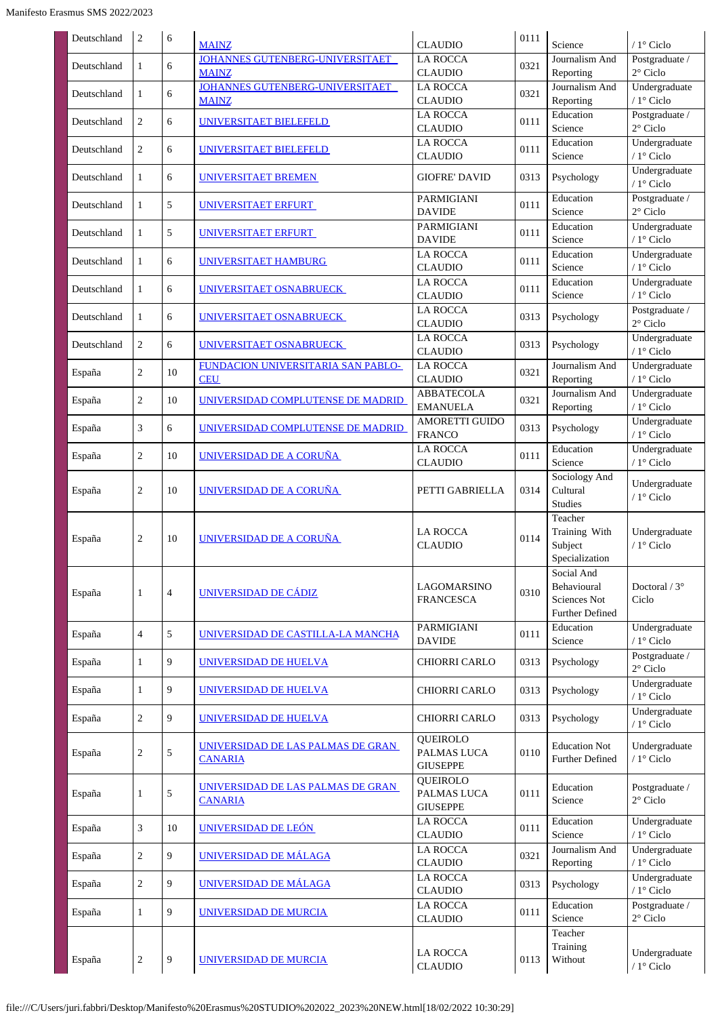| Deutschland | $\overline{2}$ | 6              | <b>MAINZ</b>                                        | <b>CLAUDIO</b>                             | 0111 | Science                                                             | $/1^\circ$ Ciclo                     |
|-------------|----------------|----------------|-----------------------------------------------------|--------------------------------------------|------|---------------------------------------------------------------------|--------------------------------------|
| Deutschland | $\mathbf{1}$   | 6              | JOHANNES GUTENBERG-UNIVERSITAET                     | <b>LA ROCCA</b>                            | 0321 | Journalism And                                                      | Postgraduate /                       |
|             |                |                | <b>MAINZ</b><br>JOHANNES GUTENBERG-UNIVERSITAET     | <b>CLAUDIO</b><br><b>LA ROCCA</b>          |      | Reporting<br>Journalism And                                         | $2^\circ$ Ciclo<br>Undergraduate     |
| Deutschland | $\mathbf{1}$   | 6              | <b>MAINZ</b>                                        | <b>CLAUDIO</b>                             | 0321 | Reporting                                                           | / 1° Ciclo                           |
| Deutschland | $\overline{2}$ | 6              | UNIVERSITAET BIELEFELD                              | <b>LA ROCCA</b><br><b>CLAUDIO</b>          | 0111 | Education<br>Science                                                | Postgraduate /<br>$2^\circ$ Ciclo    |
| Deutschland | $\overline{2}$ | 6              | UNIVERSITAET BIELEFELD                              | <b>LA ROCCA</b><br><b>CLAUDIO</b>          | 0111 | Education<br>Science                                                | Undergraduate<br>/ 1° Ciclo          |
| Deutschland | $\mathbf{1}$   | 6              | UNIVERSITAET BREMEN                                 | <b>GIOFRE' DAVID</b>                       | 0313 | Psychology                                                          | Undergraduate<br>/ 1° Ciclo          |
| Deutschland | $\mathbf{1}$   | 5              | UNIVERSITAET ERFURT                                 | <b>PARMIGIANI</b><br><b>DAVIDE</b>         | 0111 | Education<br>Science                                                | Postgraduate /<br>$2^{\circ}$ Ciclo  |
| Deutschland | $\mathbf{1}$   | 5              | UNIVERSITAET ERFURT                                 | PARMIGIANI<br><b>DAVIDE</b>                | 0111 | Education<br>Science                                                | Undergraduate<br>/ 1° Ciclo          |
| Deutschland | $\mathbf{1}$   | 6              | UNIVERSITAET HAMBURG                                | <b>LA ROCCA</b><br><b>CLAUDIO</b>          | 0111 | Education<br>Science                                                | Undergraduate<br>/ 1° Ciclo          |
| Deutschland | $\mathbf{1}$   | 6              | UNIVERSITAET OSNABRUECK                             | <b>LA ROCCA</b><br><b>CLAUDIO</b>          | 0111 | Education<br>Science                                                | Undergraduate<br>/ 1° Ciclo          |
| Deutschland | $\mathbf{1}$   | 6              | UNIVERSITAET OSNABRUECK                             | <b>LA ROCCA</b><br><b>CLAUDIO</b>          | 0313 | Psychology                                                          | Postgraduate /<br>$2^{\circ}$ Ciclo  |
| Deutschland | $\overline{c}$ | 6              | UNIVERSITAET OSNABRUECK                             | <b>LA ROCCA</b><br><b>CLAUDIO</b>          | 0313 | Psychology                                                          | Undergraduate<br>/ 1° Ciclo          |
| España      | $\overline{c}$ | 10             | FUNDACION UNIVERSITARIA SAN PABLO-<br><b>CEU</b>    | <b>LA ROCCA</b><br><b>CLAUDIO</b>          | 0321 | Journalism And<br>Reporting                                         | Undergraduate<br>/ 1° Ciclo          |
| España      | $\overline{c}$ | 10             | UNIVERSIDAD COMPLUTENSE DE MADRID                   | <b>ABBATECOLA</b><br><b>EMANUELA</b>       | 0321 | Journalism And<br>Reporting                                         | Undergraduate<br>/ 1° Ciclo          |
| España      | 3              | 6              | UNIVERSIDAD COMPLUTENSE DE MADRID                   | <b>AMORETTI GUIDO</b><br><b>FRANCO</b>     | 0313 | Psychology                                                          | Undergraduate<br>/ $1^{\circ}$ Ciclo |
| España      | $\overline{c}$ | 10             | <b>UNIVERSIDAD DE A CORUÑA</b>                      | <b>LA ROCCA</b><br><b>CLAUDIO</b>          | 0111 | Education<br>Science                                                | Undergraduate<br>/ 1° Ciclo          |
| España      | $\overline{c}$ | 10             | UNIVERSIDAD DE A CORUÑA                             | PETTI GABRIELLA                            | 0314 | Sociology And<br>Cultural<br><b>Studies</b>                         | Undergraduate<br>/ 1° Ciclo          |
| España      | $\overline{c}$ | 10             | UNIVERSIDAD DE A CORUNA                             | <b>LA ROCCA</b><br><b>CLAUDIO</b>          | 0114 | Teacher<br>Training With<br>Subject<br>Specialization               | Undergraduate<br>/ 1° Ciclo          |
| España      | $\mathbf{1}$   | $\overline{4}$ | UNIVERSIDAD DE CÁDIZ                                | <b>LAGOMARSINO</b><br><b>FRANCESCA</b>     | 0310 | Social And<br>Behavioural<br><b>Sciences Not</b><br>Further Defined | Doctoral $/3^{\circ}$<br>Ciclo       |
| España      | $\overline{4}$ | 5              | UNIVERSIDAD DE CASTILLA-LA MANCHA                   | PARMIGIANI<br><b>DAVIDE</b>                | 0111 | Education<br>Science                                                | Undergraduate<br>/ 1° Ciclo          |
| España      | 1              | 9              | <b>UNIVERSIDAD DE HUELVA</b>                        | <b>CHIORRI CARLO</b>                       | 0313 | Psychology                                                          | Postgraduate /<br>$2^{\circ}$ Ciclo  |
| España      | 1              | 9              | <b>UNIVERSIDAD DE HUELVA</b>                        | CHIORRI CARLO                              | 0313 | Psychology                                                          | Undergraduate<br>/ 1° Ciclo          |
| España      | $\overline{c}$ | 9              | <b>UNIVERSIDAD DE HUELVA</b>                        | <b>CHIORRI CARLO</b>                       | 0313 | Psychology                                                          | Undergraduate<br>/ $1^{\circ}$ Ciclo |
| España      | $\overline{c}$ | 5              | UNIVERSIDAD DE LAS PALMAS DE GRAN<br><b>CANARIA</b> | QUEIROLO<br>PALMAS LUCA<br><b>GIUSEPPE</b> | 0110 | <b>Education Not</b><br><b>Further Defined</b>                      | Undergraduate<br>/ 1° Ciclo          |
| España      | $\mathbf{1}$   | 5              | UNIVERSIDAD DE LAS PALMAS DE GRAN<br><b>CANARIA</b> | QUEIROLO<br>PALMAS LUCA<br><b>GIUSEPPE</b> | 0111 | Education<br>Science                                                | Postgraduate /<br>$2^{\circ}$ Ciclo  |
| España      | 3              | 10             | UNIVERSIDAD DE LEÓN                                 | <b>LA ROCCA</b><br><b>CLAUDIO</b>          | 0111 | Education<br>Science                                                | Undergraduate<br>/ 1° Ciclo          |
| España      | $\overline{c}$ | 9              | <b>UNIVERSIDAD DE MÁLAGA</b>                        | <b>LA ROCCA</b><br><b>CLAUDIO</b>          | 0321 | Journalism And<br>Reporting                                         | Undergraduate<br>/ 1° Ciclo          |
| España      | $\overline{c}$ | 9              | <b>UNIVERSIDAD DE MÁLAGA</b>                        | <b>LA ROCCA</b><br><b>CLAUDIO</b>          | 0313 | Psychology                                                          | Undergraduate<br>/ $1^{\circ}$ Ciclo |
| España      | $\mathbf{1}$   | 9              | UNIVERSIDAD DE MURCIA                               | LA ROCCA<br><b>CLAUDIO</b>                 | 0111 | Education<br>Science                                                | Postgraduate /<br>$2^{\circ}$ Ciclo  |
| España      | $\overline{2}$ | 9              | UNIVERSIDAD DE MURCIA                               | <b>LA ROCCA</b><br><b>CLAUDIO</b>          | 0113 | Teacher<br>Training<br>Without                                      | Undergraduate<br>/ 1° Ciclo          |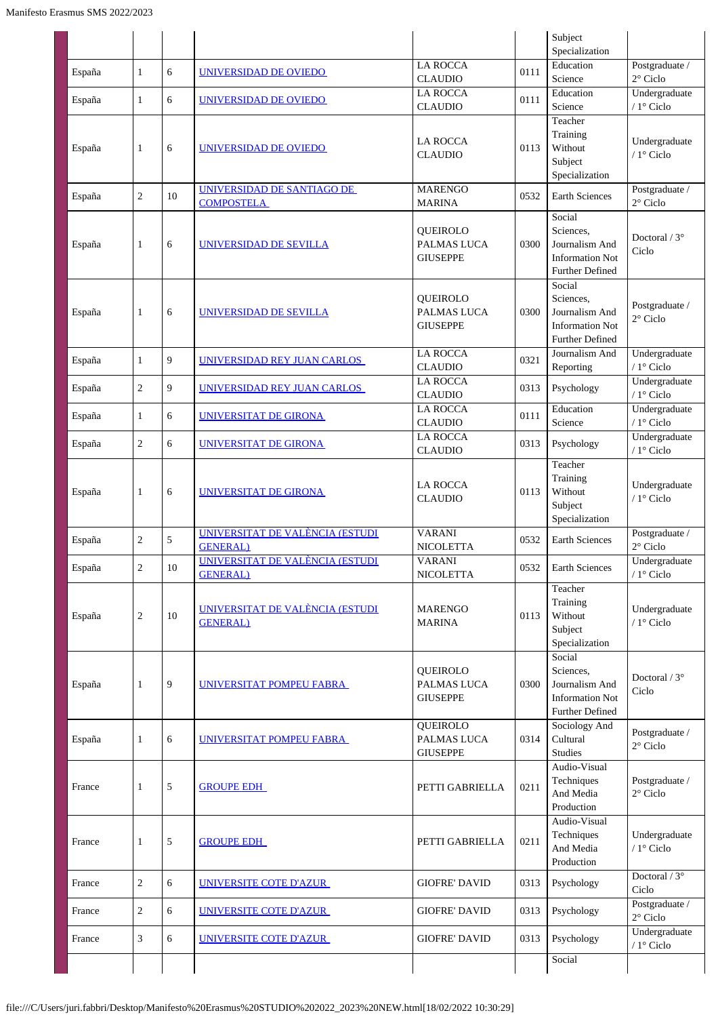|        |                  |    |                                                     |                                                   |      | Subject<br>Specialization                                                                 |                                      |
|--------|------------------|----|-----------------------------------------------------|---------------------------------------------------|------|-------------------------------------------------------------------------------------------|--------------------------------------|
| España | $\mathbf{1}$     | 6  | <u>UNIVERSIDAD DE OVIEDO</u>                        | <b>LA ROCCA</b>                                   | 0111 | Education                                                                                 | Postgraduate /                       |
|        |                  |    |                                                     | <b>CLAUDIO</b>                                    |      | Science                                                                                   | $2^{\circ}$ Ciclo                    |
| España | $\mathbf{1}$     | 6  | UNIVERSIDAD DE OVIEDO                               | <b>LA ROCCA</b><br><b>CLAUDIO</b>                 | 0111 | Education<br>Science                                                                      | Undergraduate<br>/ $1^{\circ}$ Ciclo |
| España | 1                | 6  | UNIVERSIDAD DE OVIEDO                               | <b>LA ROCCA</b><br><b>CLAUDIO</b>                 | 0113 | Teacher<br>Training<br>Without<br>Subject<br>Specialization                               | Undergraduate<br>/ $1^{\circ}$ Ciclo |
| España | $\boldsymbol{2}$ | 10 | UNIVERSIDAD DE SANTIAGO DE<br><b>COMPOSTELA</b>     | <b>MARENGO</b><br><b>MARINA</b>                   | 0532 | <b>Earth Sciences</b>                                                                     | Postgraduate /<br>2° Ciclo           |
| España | 1                | 6  | UNIVERSIDAD DE SEVILLA                              | QUEIROLO<br>PALMAS LUCA<br><b>GIUSEPPE</b>        | 0300 | Social<br>Sciences.<br>Journalism And<br><b>Information Not</b><br><b>Further Defined</b> | Doctoral / $3^\circ$<br>Ciclo        |
| España | 1                | 6  | UNIVERSIDAD DE SEVILLA                              | QUEIROLO<br>PALMAS LUCA<br><b>GIUSEPPE</b>        | 0300 | Social<br>Sciences,<br>Journalism And<br><b>Information Not</b><br><b>Further Defined</b> | Postgraduate /<br>2° Ciclo           |
| España | $\mathbf{1}$     | 9  | UNIVERSIDAD REY JUAN CARLOS                         | <b>LA ROCCA</b><br><b>CLAUDIO</b>                 | 0321 | Journalism And<br>Reporting                                                               | Undergraduate<br>/ $1^\circ$ Ciclo   |
| España | $\overline{c}$   | 9  | UNIVERSIDAD REY JUAN CARLOS                         | <b>LA ROCCA</b><br><b>CLAUDIO</b>                 | 0313 | Psychology                                                                                | Undergraduate<br>/ $1^\circ$ Ciclo   |
| España | $\mathbf{1}$     | 6  | UNIVERSITAT DE GIRONA                               | <b>LA ROCCA</b><br><b>CLAUDIO</b>                 | 0111 | Education<br>Science                                                                      | Undergraduate<br>/ 1° Ciclo          |
| España | 2                | 6  | <b>UNIVERSITAT DE GIRONA</b>                        | <b>LA ROCCA</b><br><b>CLAUDIO</b>                 | 0313 | Psychology                                                                                | Undergraduate<br>/ 1° Ciclo          |
| España | 1                | 6  | <b>UNIVERSITAT DE GIRONA</b>                        | <b>LA ROCCA</b><br><b>CLAUDIO</b>                 | 0113 | Teacher<br>Training<br>Without<br>Subject<br>Specialization                               | Undergraduate<br>/ $1^{\circ}$ Ciclo |
| España | $\overline{2}$   | 5  | UNIVERSITAT DE VALÈNCIA (ESTUDI<br><b>GENERAL</b> ) | <b>VARANI</b><br><b>NICOLETTA</b>                 | 0532 | Earth Sciences                                                                            | Postgraduate /<br>$2^{\circ}$ Ciclo  |
| España | $\boldsymbol{2}$ | 10 | UNIVERSITAT DE VALÈNCIA (ESTUDI<br><b>GENERAL</b> ) | <b>VARANI</b><br>NICOLETTA                        | 0532 | Earth Sciences                                                                            | Undergraduate<br>$/1^{\circ}$ Ciclo  |
| España | $\overline{c}$   | 10 | UNIVERSITAT DE VALÈNCIA (ESTUDI<br><b>GENERAL</b> ) | <b>MARENGO</b><br><b>MARINA</b>                   | 0113 | Teacher<br>Training<br>Without<br>Subject<br>Specialization                               | Undergraduate<br>/ $1^{\circ}$ Ciclo |
| España | 1                | 9  | UNIVERSITAT POMPEU FABRA                            | <b>OUEIROLO</b><br>PALMAS LUCA<br><b>GIUSEPPE</b> | 0300 | Social<br>Sciences,<br>Journalism And<br><b>Information Not</b><br>Further Defined        | Doctoral / $3^\circ$<br>Ciclo        |
| España | 1                | 6  | UNIVERSITAT POMPEU FABRA                            | QUEIROLO<br>PALMAS LUCA<br><b>GIUSEPPE</b>        | 0314 | Sociology And<br>Cultural<br><b>Studies</b>                                               | Postgraduate /<br>$2^{\circ}$ Ciclo  |
| France | 1                | 5  | <b>GROUPE EDH</b>                                   | PETTI GABRIELLA                                   | 0211 | Audio-Visual<br>Techniques<br>And Media<br>Production                                     | Postgraduate /<br>$2^{\circ}$ Ciclo  |
| France | 1                | 5  | <b>GROUPE EDH</b>                                   | PETTI GABRIELLA                                   | 0211 | Audio-Visual<br>Techniques<br>And Media<br>Production                                     | Undergraduate<br>/ $1^{\circ}$ Ciclo |
| France | $\boldsymbol{2}$ | 6  | UNIVERSITE COTE D'AZUR                              | <b>GIOFRE' DAVID</b>                              | 0313 | Psychology                                                                                | Doctoral / $3^\circ$<br>Ciclo        |
| France | $\overline{c}$   | 6  | UNIVERSITE COTE D'AZUR                              | <b>GIOFRE' DAVID</b>                              | 0313 | Psychology                                                                                | Postgraduate /<br>$2^{\circ}$ Ciclo  |
| France | 3                | 6  | UNIVERSITE COTE D'AZUR                              | <b>GIOFRE' DAVID</b>                              | 0313 | Psychology                                                                                | Undergraduate<br>/ $1^\circ$ Ciclo   |
|        |                  |    |                                                     |                                                   |      | Social                                                                                    |                                      |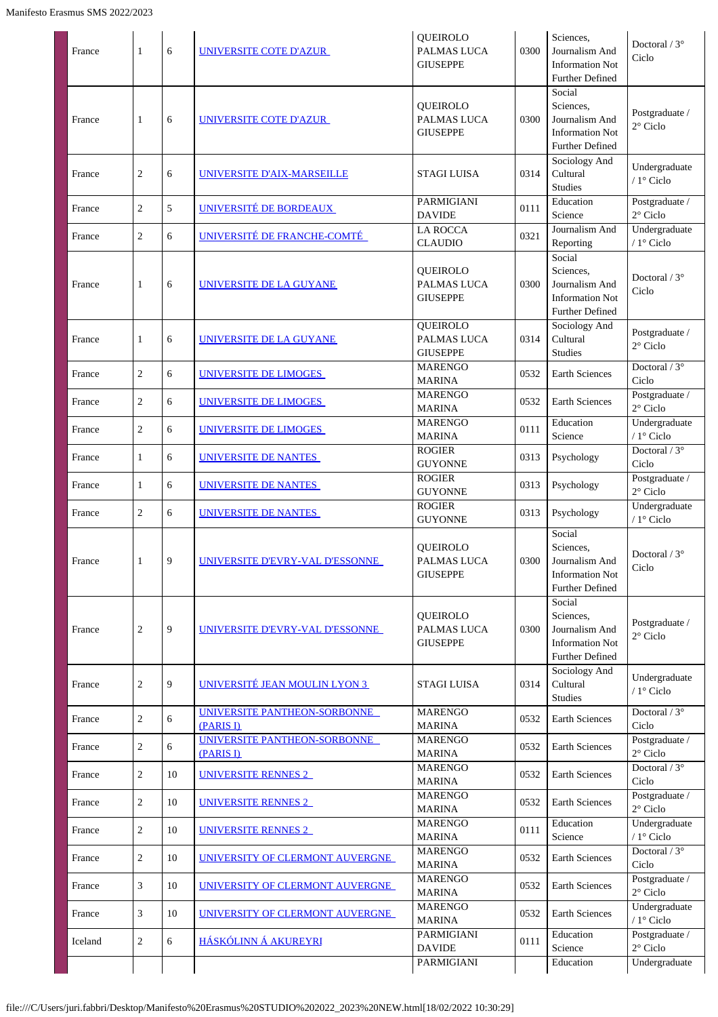| France  | 1              | 6  | UNIVERSITE COTE D'AZUR                    | <b>OUEIROLO</b><br>PALMAS LUCA<br><b>GIUSEPPE</b> | 0300 | Sciences,<br>Journalism And<br><b>Information Not</b><br><b>Further Defined</b>           | Doctoral / $3^\circ$<br>Ciclo        |
|---------|----------------|----|-------------------------------------------|---------------------------------------------------|------|-------------------------------------------------------------------------------------------|--------------------------------------|
| France  | 1              | 6  | UNIVERSITE COTE D'AZUR                    | <b>QUEIROLO</b><br>PALMAS LUCA<br><b>GIUSEPPE</b> | 0300 | Social<br>Sciences,<br>Journalism And<br><b>Information Not</b><br><b>Further Defined</b> | Postgraduate /<br>$2^{\circ}$ Ciclo  |
| France  | 2              | 6  | UNIVERSITE D'AIX-MARSEILLE                | <b>STAGI LUISA</b>                                | 0314 | Sociology And<br>Cultural<br><b>Studies</b>                                               | Undergraduate<br>/ $1^{\circ}$ Ciclo |
| France  | $\overline{c}$ | 5  | UNIVERSITÉ DE BORDEAUX                    | PARMIGIANI<br><b>DAVIDE</b>                       | 0111 | Education<br>Science                                                                      | Postgraduate /<br>2° Ciclo           |
| France  | $\overline{c}$ | 6  | UNIVERSITÉ DE FRANCHE-COMTÉ               | <b>LA ROCCA</b><br><b>CLAUDIO</b>                 | 0321 | Journalism And<br>Reporting                                                               | Undergraduate<br>/ 1° Ciclo          |
| France  | 1              | 6  | UNIVERSITE DE LA GUYANE                   | <b>OUEIROLO</b><br>PALMAS LUCA<br><b>GIUSEPPE</b> | 0300 | Social<br>Sciences,<br>Journalism And<br><b>Information Not</b><br><b>Further Defined</b> | Doctoral $/3^{\circ}$<br>Ciclo       |
| France  | 1              | 6  | <b>UNIVERSITE DE LA GUYANE</b>            | QUEIROLO<br>PALMAS LUCA<br><b>GIUSEPPE</b>        | 0314 | Sociology And<br>Cultural<br><b>Studies</b>                                               | Postgraduate /<br>$2^{\circ}$ Ciclo  |
| France  | $\overline{2}$ | 6  | UNIVERSITE DE LIMOGES                     | <b>MARENGO</b><br><b>MARINA</b>                   | 0532 | Earth Sciences                                                                            | Doctoral / $3^\circ$<br>Ciclo        |
| France  | $\overline{2}$ | 6  | UNIVERSITE DE LIMOGES                     | <b>MARENGO</b><br><b>MARINA</b>                   | 0532 | Earth Sciences                                                                            | Postgraduate /<br>$2^{\circ}$ Ciclo  |
| France  | $\overline{2}$ | 6  | UNIVERSITE DE LIMOGES                     | <b>MARENGO</b><br><b>MARINA</b>                   | 0111 | Education<br>Science                                                                      | Undergraduate<br>/ 1° Ciclo          |
| France  | 1              | 6  | UNIVERSITE DE NANTES                      | <b>ROGIER</b><br><b>GUYONNE</b>                   | 0313 | Psychology                                                                                | Doctoral / 3°<br>Ciclo               |
| France  | 1              | 6  | UNIVERSITE DE NANTES                      | <b>ROGIER</b><br><b>GUYONNE</b>                   | 0313 | Psychology                                                                                | Postgraduate /<br>$2^{\circ}$ Ciclo  |
| France  | $\overline{c}$ | 6  | UNIVERSITE DE NANTES                      | <b>ROGIER</b><br><b>GUYONNE</b>                   | 0313 | Psychology                                                                                | Undergraduate<br>/ 1° Ciclo          |
| France  | 1              | 9  | UNIVERSITE D'EVRY-VAL D'ESSONNE           | QUEIROLO<br>PALMAS LUCA<br><b>GIUSEPPE</b>        | 0300 | Social<br>Sciences,<br>Journalism And<br><b>Information Not</b><br><b>Further Defined</b> | Doctoral $/3^{\circ}$<br>Ciclo       |
| France  | 2              | 9  | UNIVERSITE D'EVRY-VAL D'ESSONNE           | QUEIROLO<br>PALMAS LUCA<br><b>GIUSEPPE</b>        | 0300 | Social<br>Sciences,<br>Journalism And<br><b>Information Not</b><br>Further Defined        | Postgraduate /<br>$2^{\circ}$ Ciclo  |
| France  | 2              | 9  | <b>UNIVERSITÉ JEAN MOULIN LYON 3</b>      | <b>STAGI LUISA</b>                                | 0314 | Sociology And<br>Cultural<br><b>Studies</b>                                               | Undergraduate<br>/ $1^\circ$ Ciclo   |
| France  | $\overline{2}$ | 6  | UNIVERSITE PANTHEON-SORBONNE<br>(PARIS I) | <b>MARENGO</b><br><b>MARINA</b>                   | 0532 | Earth Sciences                                                                            | Doctoral / $3^\circ$<br>Ciclo        |
| France  | 2              | 6  | UNIVERSITE PANTHEON-SORBONNE<br>(PARIS I) | <b>MARENGO</b><br><b>MARINA</b>                   | 0532 | Earth Sciences                                                                            | Postgraduate /<br>$2^{\circ}$ Ciclo  |
| France  | 2              | 10 | UNIVERSITE RENNES 2                       | <b>MARENGO</b><br><b>MARINA</b>                   | 0532 | Earth Sciences                                                                            | Doctoral / 3°<br>Ciclo               |
| France  | $\overline{c}$ | 10 | UNIVERSITE RENNES 2                       | <b>MARENGO</b><br><b>MARINA</b>                   | 0532 | <b>Earth Sciences</b>                                                                     | Postgraduate /<br>$2^{\circ}$ Ciclo  |
| France  | 2              | 10 | UNIVERSITE RENNES 2                       | <b>MARENGO</b><br><b>MARINA</b>                   | 0111 | Education<br>Science                                                                      | Undergraduate<br>/ 1° Ciclo          |
| France  | $\overline{c}$ | 10 | UNIVERSITY OF CLERMONT AUVERGNE           | <b>MARENGO</b><br><b>MARINA</b>                   | 0532 | Earth Sciences                                                                            | Doctoral / 3°<br>Ciclo               |
| France  | 3              | 10 | UNIVERSITY OF CLERMONT AUVERGNE           | <b>MARENGO</b><br><b>MARINA</b>                   | 0532 | <b>Earth Sciences</b>                                                                     | Postgraduate /<br>$2^{\circ}$ Ciclo  |
| France  | 3              | 10 | UNIVERSITY OF CLERMONT AUVERGNE           | <b>MARENGO</b><br><b>MARINA</b>                   | 0532 | Earth Sciences                                                                            | Undergraduate<br>/ $1^{\circ}$ Ciclo |
| Iceland | 2              | 6  | HÁSKÓLINN Á AKUREYRI                      | PARMIGIANI<br><b>DAVIDE</b>                       | 0111 | Education<br>Science                                                                      | Postgraduate /<br>$2^{\circ}$ Ciclo  |
|         |                |    |                                           | PARMIGIANI                                        |      | Education                                                                                 | Undergraduate                        |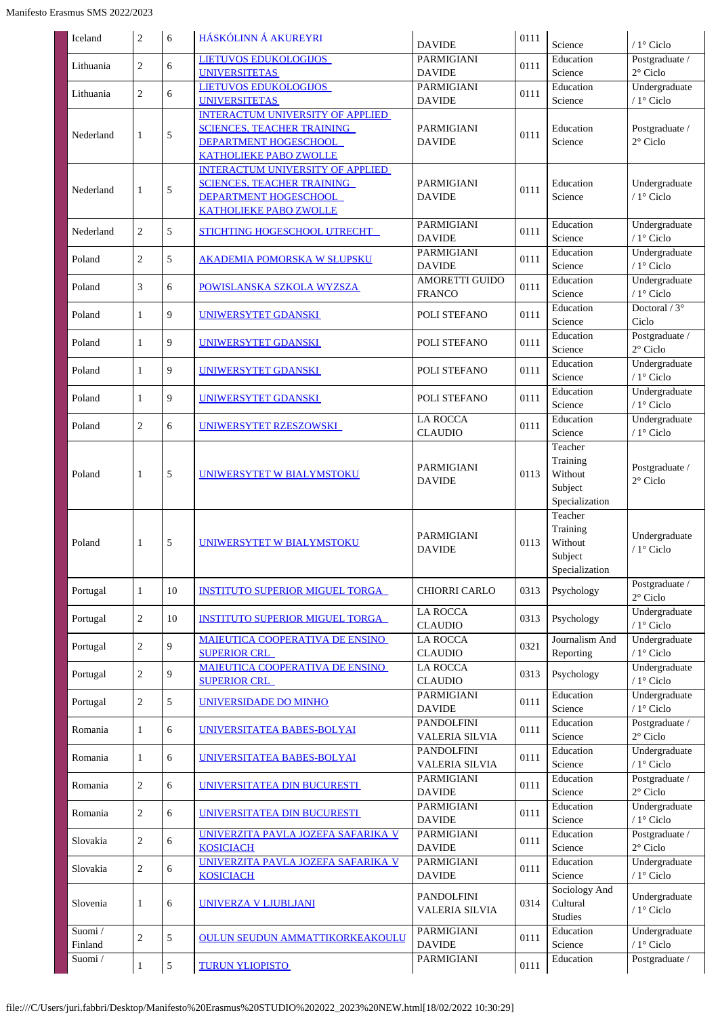| Iceland           | 2              | 6             | <b>HÁSKÓLINN Á AKUREYRI</b>                                                                                                            | <b>DAVIDE</b>                              | 0111 | Science                                                     | $/1$ ° Ciclo                         |
|-------------------|----------------|---------------|----------------------------------------------------------------------------------------------------------------------------------------|--------------------------------------------|------|-------------------------------------------------------------|--------------------------------------|
| Lithuania         | $\overline{c}$ | 6             | <b>LIETUVOS EDUKOLOGIJOS</b><br><b>UNIVERSITETAS</b>                                                                                   | PARMIGIANI<br><b>DAVIDE</b>                | 0111 | Education<br>Science                                        | Postgraduate /<br>$2^{\circ}$ Ciclo  |
| Lithuania         | $\overline{c}$ | 6             | <b>LIETUVOS EDUKOLOGIJOS</b><br><b>UNIVERSITETAS</b>                                                                                   | PARMIGIANI<br><b>DAVIDE</b>                | 0111 | Education<br>Science                                        | Undergraduate<br>/ $1^\circ$ Ciclo   |
| Nederland         | $\mathbf{1}$   | $\sqrt{5}$    | <b>INTERACTUM UNIVERSITY OF APPLIED</b><br><b>SCIENCES, TEACHER TRAINING</b><br>DEPARTMENT HOGESCHOOL<br><b>KATHOLIEKE PABO ZWOLLE</b> | PARMIGIANI<br><b>DAVIDE</b>                | 0111 | Education<br>Science                                        | Postgraduate /<br>$2^{\circ}$ Ciclo  |
| Nederland         | $\mathbf{1}$   | $\sqrt{5}$    | <b>INTERACTUM UNIVERSITY OF APPLIED</b><br><b>SCIENCES, TEACHER TRAINING</b><br>DEPARTMENT HOGESCHOOL<br><b>KATHOLIEKE PABO ZWOLLE</b> | <b>PARMIGIANI</b><br><b>DAVIDE</b>         | 0111 | Education<br>Science                                        | Undergraduate<br>/ 1° Ciclo          |
| Nederland         | $\overline{2}$ | 5             | <b>STICHTING HOGESCHOOL UTRECHT</b>                                                                                                    | PARMIGIANI<br><b>DAVIDE</b>                | 0111 | Education<br>Science                                        | Undergraduate<br>/ $1^{\circ}$ Ciclo |
| Poland            | 2              | 5             | <b>AKADEMIA POMORSKA W SŁUPSKU</b>                                                                                                     | PARMIGIANI<br><b>DAVIDE</b>                | 0111 | Education<br>Science                                        | Undergraduate<br>/ $1^\circ$ Ciclo   |
| Poland            | $\mathfrak{Z}$ | 6             | POWISLANSKA SZKOLA WYZSZA                                                                                                              | <b>AMORETTI GUIDO</b><br><b>FRANCO</b>     | 0111 | Education<br>Science                                        | Undergraduate<br>/ $1^{\circ}$ Ciclo |
| Poland            | $\mathbf{1}$   | 9             | UNIWERSYTET GDANSKI                                                                                                                    | POLI STEFANO                               | 0111 | Education<br>Science                                        | Doctoral / $3^\circ$<br>Ciclo        |
| Poland            | $\mathbf{1}$   | 9             | UNIWERSYTET GDANSKI                                                                                                                    | POLI STEFANO                               | 0111 | Education<br>Science                                        | Postgraduate /<br>$2^\circ$ Ciclo    |
| Poland            | $\mathbf{1}$   | 9             | UNIWERSYTET GDANSKI                                                                                                                    | POLI STEFANO                               | 0111 | Education<br>Science                                        | Undergraduate<br>/ $1^{\circ}$ Ciclo |
| Poland            | $\mathbf{1}$   | 9             | UNIWERSYTET GDANSKI                                                                                                                    | POLI STEFANO                               | 0111 | Education<br>Science                                        | Undergraduate<br>/ $1^\circ$ Ciclo   |
| Poland            | 2              | 6             | UNIWERSYTET RZESZOWSKI                                                                                                                 | <b>LA ROCCA</b><br><b>CLAUDIO</b>          | 0111 | Education<br>Science                                        | Undergraduate<br>/ $1^{\circ}$ Ciclo |
| Poland            | $\mathbf{1}$   | $\sqrt{5}$    | UNIWERSYTET W BIALYMSTOKU                                                                                                              | PARMIGIANI<br><b>DAVIDE</b>                | 0113 | Teacher<br>Training<br>Without<br>Subject<br>Specialization | Postgraduate /<br>$2^{\circ}$ Ciclo  |
| Poland            | $\mathbf{1}$   | $\sqrt{5}$    | UNIWERSYTET W BIALYMSTOKU                                                                                                              | PARMIGIANI<br><b>DAVIDE</b>                | 0113 | Teacher<br>Training<br>Without<br>Subject<br>Specialization | Undergraduate<br>/ 1° Ciclo          |
| Portugal          | $\mathbf{1}$   | 10            | <b>INSTITUTO SUPERIOR MIGUEL TORGA</b>                                                                                                 | CHIORRI CARLO                              | 0313 | Psychology                                                  | Postgraduate /<br>$2^{\circ}$ Ciclo  |
| Portugal          | $\sqrt{2}$     | 10            | <b>INSTITUTO SUPERIOR MIGUEL TORGA</b>                                                                                                 | <b>LA ROCCA</b><br><b>CLAUDIO</b>          | 0313 | Psychology                                                  | Undergraduate<br>/ $1^{\circ}$ Ciclo |
| Portugal          | $\sqrt{2}$     | 9             | <b>MAIEUTICA COOPERATIVA DE ENSINO</b><br><b>SUPERIOR CRL</b>                                                                          | <b>LA ROCCA</b><br><b>CLAUDIO</b>          | 0321 | Journalism And<br>Reporting                                 | Undergraduate<br>/ $1^{\circ}$ Ciclo |
| Portugal          | $\sqrt{2}$     | 9             | MAIEUTICA COOPERATIVA DE ENSINO<br><b>SUPERIOR CRL</b>                                                                                 | <b>LA ROCCA</b><br><b>CLAUDIO</b>          | 0313 | Psychology                                                  | Undergraduate<br>/ 1° Ciclo          |
| Portugal          | $\sqrt{2}$     | $\sqrt{5}$    | UNIVERSIDADE DO MINHO                                                                                                                  | PARMIGIANI<br><b>DAVIDE</b>                | 0111 | Education<br>Science                                        | Undergraduate<br>/ $1^{\circ}$ Ciclo |
| Romania           | $\mathbf{1}$   | 6             | UNIVERSITATEA BABES-BOLYAI                                                                                                             | PANDOLFINI<br><b>VALERIA SILVIA</b>        | 0111 | Education<br>Science                                        | Postgraduate /<br>$2^{\circ}$ Ciclo  |
| Romania           | 1              | 6             | UNIVERSITATEA BABES-BOLYAI                                                                                                             | PANDOLFINI<br><b>VALERIA SILVIA</b>        | 0111 | Education<br>Science                                        | Undergraduate<br>/ $1^{\circ}$ Ciclo |
| Romania           | $\overline{2}$ | 6             | UNIVERSITATEA DIN BUCURESTI                                                                                                            | PARMIGIANI<br><b>DAVIDE</b>                | 0111 | Education<br>Science                                        | Postgraduate /<br>$2^{\circ}$ Ciclo  |
| Romania           | $\overline{2}$ | 6             | UNIVERSITATEA DIN BUCURESTI                                                                                                            | <b>PARMIGIANI</b><br><b>DAVIDE</b>         | 0111 | Education<br>Science                                        | Undergraduate<br>/ $1^{\circ}$ Ciclo |
| Slovakia          | $\sqrt{2}$     | 6             | UNIVERZITA PAVLA JOZEFA SAFARIKA V<br><b>KOSICIACH</b>                                                                                 | <b>PARMIGIANI</b><br><b>DAVIDE</b>         | 0111 | Education<br>Science                                        | Postgraduate /<br>$2^{\circ}$ Ciclo  |
| Slovakia          | 2              | 6             | UNIVERZITA PAVLA JOZEFA SAFARIKA V<br><b>KOSICIACH</b>                                                                                 | PARMIGIANI<br><b>DAVIDE</b>                | 0111 | Education<br>Science                                        | Undergraduate<br>/ $1^{\circ}$ Ciclo |
| Slovenia          | $\mathbf{1}$   | 6             | <b>UNIVERZA V LJUBLJANI</b>                                                                                                            | <b>PANDOLFINI</b><br><b>VALERIA SILVIA</b> | 0314 | Sociology And<br>Cultural<br><b>Studies</b>                 | Undergraduate<br>/ $1^\circ$ Ciclo   |
| Suomi/<br>Finland | $\overline{c}$ | 5             | <b>OULUN SEUDUN AMMATTIKORKEAKOULU</b>                                                                                                 | PARMIGIANI<br><b>DAVIDE</b>                | 0111 | Education<br>Science                                        | Undergraduate<br>/ $1^\circ$ Ciclo   |
| Suomi/            | $\mathbf{1}$   | $\mathfrak s$ | <b>TURUN YLIOPISTO</b>                                                                                                                 | PARMIGIANI                                 | 0111 | Education                                                   | Postgraduate /                       |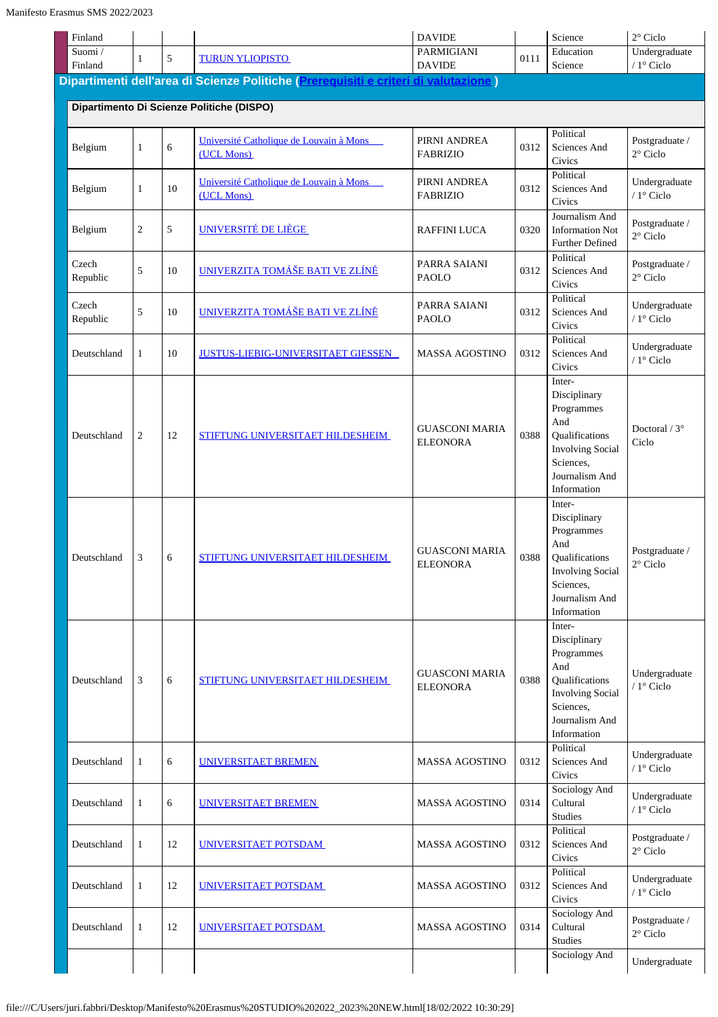| Finland                                   |                |    |                                                                                     | <b>DAVIDE</b>                            |      | Science                                                                                                                                | $2^{\circ}$ Ciclo                    |  |  |  |
|-------------------------------------------|----------------|----|-------------------------------------------------------------------------------------|------------------------------------------|------|----------------------------------------------------------------------------------------------------------------------------------------|--------------------------------------|--|--|--|
| Suomi/                                    | 1              | 5  | <b>TURUN YLIOPISTO</b>                                                              | <b>PARMIGIANI</b>                        | 0111 | Education<br>Science                                                                                                                   | Undergraduate<br>/ $1^\circ$ Ciclo   |  |  |  |
| Finland                                   |                |    | Dipartimenti dell'area di Scienze Politiche (Prerequisiti e criteri di valutazione) | <b>DAVIDE</b>                            |      |                                                                                                                                        |                                      |  |  |  |
|                                           |                |    |                                                                                     |                                          |      |                                                                                                                                        |                                      |  |  |  |
| Dipartimento Di Scienze Politiche (DISPO) |                |    |                                                                                     |                                          |      |                                                                                                                                        |                                      |  |  |  |
| Belgium                                   | $\mathbf{1}$   | 6  | Université Catholique de Louvain à Mons<br>(UCL Mons)                               | PIRNI ANDREA<br><b>FABRIZIO</b>          | 0312 | Political<br>Sciences And<br>Civics                                                                                                    | Postgraduate /<br>2° Ciclo           |  |  |  |
| Belgium                                   | 1              | 10 | Université Catholique de Louvain à Mons<br>(UCL Mons)                               | PIRNI ANDREA<br><b>FABRIZIO</b>          | 0312 | Political<br>Sciences And<br>Civics                                                                                                    | Undergraduate<br>/ $1^\circ$ Ciclo   |  |  |  |
| Belgium                                   | 2              | 5  | UNIVERSITÉ DE LIÈGE                                                                 | <b>RAFFINI LUCA</b>                      | 0320 | Journalism And<br><b>Information Not</b><br><b>Further Defined</b>                                                                     | Postgraduate /<br>$2^{\circ}$ Ciclo  |  |  |  |
| Czech<br>Republic                         | 5              | 10 | UNIVERZITA TOMÁŠE BATI VE ZLÍNĚ                                                     | PARRA SAIANI<br><b>PAOLO</b>             | 0312 | Political<br>Sciences And<br>Civics                                                                                                    | Postgraduate /<br>$2^{\circ}$ Ciclo  |  |  |  |
| Czech<br>Republic                         | 5              | 10 | UNIVERZITA TOMÁŠE BATI VE ZLÍNĚ                                                     | PARRA SAIANI<br><b>PAOLO</b>             | 0312 | Political<br>Sciences And<br>Civics                                                                                                    | Undergraduate<br>/ 1° Ciclo          |  |  |  |
| Deutschland                               | $\mathbf{1}$   | 10 | <b>JUSTUS-LIEBIG-UNIVERSITAET GIESSEN</b>                                           | <b>MASSA AGOSTINO</b>                    | 0312 | Political<br>Sciences And<br>Civics                                                                                                    | Undergraduate<br>/ 1° Ciclo          |  |  |  |
| Deutschland                               | $\overline{2}$ | 12 | STIFTUNG UNIVERSITAET HILDESHEIM                                                    | <b>GUASCONI MARIA</b><br><b>ELEONORA</b> | 0388 | Inter-<br>Disciplinary<br>Programmes<br>And<br>Qualifications<br><b>Involving Social</b><br>Sciences,<br>Journalism And<br>Information | Doctoral $/3^{\circ}$<br>Ciclo       |  |  |  |
| Deutschland                               | 3              | 6  | STIFTUNG UNIVERSITAET HILDESHEIM                                                    | <b>GUASCONI MARIA</b><br><b>ELEONORA</b> | 0388 | Inter-<br>Disciplinary<br>Programmes<br>And<br>Qualifications<br><b>Involving Social</b><br>Sciences.<br>Journalism And<br>Information | Postgraduate /<br>$2^{\circ}$ Ciclo  |  |  |  |
| Deutschland                               | 3              | 6  | STIFTUNG UNIVERSITAET HILDESHEIM                                                    | <b>GUASCONI MARIA</b><br><b>ELEONORA</b> | 0388 | Inter-<br>Disciplinary<br>Programmes<br>And<br>Qualifications<br><b>Involving Social</b><br>Sciences,<br>Journalism And<br>Information | Undergraduate<br>/ $1^{\circ}$ Ciclo |  |  |  |
| Deutschland                               | 1              | 6  | UNIVERSITAET BREMEN                                                                 | <b>MASSA AGOSTINO</b>                    | 0312 | Political<br>Sciences And<br>Civics                                                                                                    | Undergraduate<br>/ $1^\circ$ Ciclo   |  |  |  |
| Deutschland                               | $\mathbf{1}$   | 6  | UNIVERSITAET BREMEN                                                                 | <b>MASSA AGOSTINO</b>                    | 0314 | Sociology And<br>Cultural<br>Studies                                                                                                   | Undergraduate<br>/ $1^\circ$ Ciclo   |  |  |  |
| Deutschland                               | $\mathbf{1}$   | 12 | UNIVERSITAET POTSDAM                                                                | <b>MASSA AGOSTINO</b>                    | 0312 | Political<br>Sciences And<br>Civics                                                                                                    | Postgraduate /<br>$2^{\circ}$ Ciclo  |  |  |  |
| Deutschland                               | $\mathbf{1}$   | 12 | UNIVERSITAET POTSDAM                                                                | <b>MASSA AGOSTINO</b>                    | 0312 | Political<br>Sciences And<br>Civics                                                                                                    | Undergraduate<br>/ 1° Ciclo          |  |  |  |
| Deutschland                               | 1              | 12 | UNIVERSITAET POTSDAM                                                                | <b>MASSA AGOSTINO</b>                    | 0314 | Sociology And<br>Cultural<br>Studies                                                                                                   | Postgraduate /<br>$2^{\circ}$ Ciclo  |  |  |  |
|                                           |                |    |                                                                                     |                                          |      | Sociology And                                                                                                                          | Undergraduate                        |  |  |  |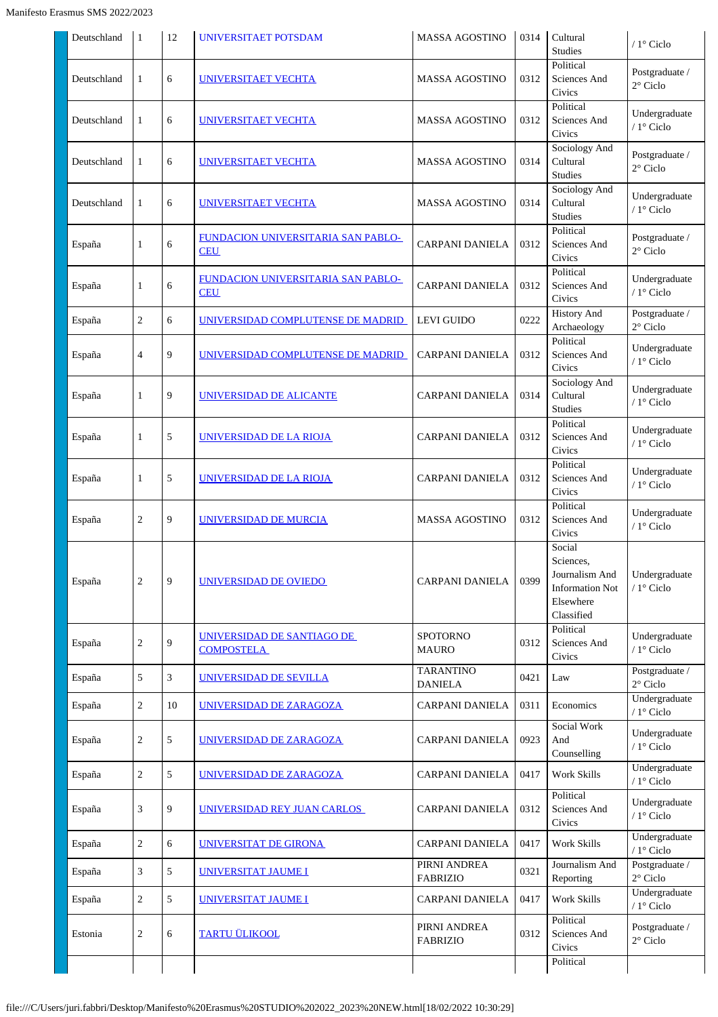| Deutschland | $\vert$ 1      | 12 | <b>UNIVERSITAET POTSDAM</b>                             | <b>MASSA AGOSTINO</b>              | 0314 | Cultural<br><b>Studies</b>                                                                 | $/1$ ° Ciclo                         |
|-------------|----------------|----|---------------------------------------------------------|------------------------------------|------|--------------------------------------------------------------------------------------------|--------------------------------------|
| Deutschland | $\mathbf{1}$   | 6  | <u>UNIVERSITAET VECHTA</u>                              | <b>MASSA AGOSTINO</b>              | 0312 | Political<br>Sciences And<br>Civics                                                        | Postgraduate /<br>$2^{\circ}$ Ciclo  |
| Deutschland | 1              | 6  | <b>UNIVERSITAET VECHTA</b>                              | <b>MASSA AGOSTINO</b>              | 0312 | Political<br>Sciences And<br>Civics                                                        | Undergraduate<br>/ $1^{\circ}$ Ciclo |
| Deutschland | 1              | 6  | <b>UNIVERSITAET VECHTA</b>                              | <b>MASSA AGOSTINO</b>              | 0314 | Sociology And<br>Cultural<br><b>Studies</b>                                                | Postgraduate /<br>$2^{\circ}$ Ciclo  |
| Deutschland | 1              | 6  | UNIVERSITAET VECHTA                                     | <b>MASSA AGOSTINO</b>              | 0314 | Sociology And<br>Cultural<br>Studies                                                       | Undergraduate<br>/ 1° Ciclo          |
| España      | $\mathbf{1}$   | 6  | <u>FUNDACION UNIVERSITARIA SAN PABLO-</u><br><b>CEU</b> | <b>CARPANI DANIELA</b>             | 0312 | Political<br>Sciences And<br>Civics                                                        | Postgraduate /<br>$2^{\circ}$ Ciclo  |
| España      | $\mathbf{1}$   | 6  | FUNDACION UNIVERSITARIA SAN PABLO-<br><b>CEU</b>        | <b>CARPANI DANIELA</b>             | 0312 | Political<br>Sciences And<br>Civics                                                        | Undergraduate<br>/ 1° Ciclo          |
| España      | $\sqrt{2}$     | 6  | UNIVERSIDAD COMPLUTENSE DE MADRID                       | <b>LEVI GUIDO</b>                  | 0222 | <b>History And</b><br>Archaeology                                                          | Postgraduate /<br>$2^{\circ}$ Ciclo  |
| España      | $\overline{4}$ | 9  | UNIVERSIDAD COMPLUTENSE DE MADRID                       | <b>CARPANI DANIELA</b>             | 0312 | Political<br>Sciences And<br>Civics                                                        | Undergraduate<br>/ 1° Ciclo          |
| España      | $\mathbf{1}$   | 9  | <u>UNIVERSIDAD DE ALICANTE</u>                          | <b>CARPANI DANIELA</b>             | 0314 | Sociology And<br>Cultural<br><b>Studies</b>                                                | Undergraduate<br>/ 1° Ciclo          |
| España      | $\mathbf{1}$   | 5  | UNIVERSIDAD DE LA RIOJA                                 | <b>CARPANI DANIELA</b>             | 0312 | Political<br>Sciences And<br>Civics                                                        | Undergraduate<br>/ $1^{\circ}$ Ciclo |
| España      | $\mathbf{1}$   | 5  | <b>UNIVERSIDAD DE LA RIOJA</b>                          | <b>CARPANI DANIELA</b>             | 0312 | Political<br>Sciences And<br>Civics                                                        | Undergraduate<br>/ 1° Ciclo          |
| España      | $\overline{2}$ | 9  | <b>UNIVERSIDAD DE MURCIA</b>                            | <b>MASSA AGOSTINO</b>              | 0312 | Political<br>Sciences And<br>Civics                                                        | Undergraduate<br>/ 1° Ciclo          |
| España      | $\sqrt{2}$     | 9  | UNIVERSIDAD DE OVIEDO                                   | CARPANI DANIELA                    | 0399 | Social<br>Sciences,<br>Journalism And<br><b>Information Not</b><br>Elsewhere<br>Classified | Undergraduate<br>/ $1^{\circ}$ Ciclo |
| España      | $\sqrt{2}$     | 9  | <u>UNIVERSIDAD DE SANTIAGO DE</u><br><b>COMPOSTELA</b>  | <b>SPOTORNO</b><br><b>MAURO</b>    | 0312 | Political<br>Sciences And<br>Civics                                                        | Undergraduate<br>/ 1° Ciclo          |
| España      | 5              | 3  | UNIVERSIDAD DE SEVILLA                                  | <b>TARANTINO</b><br><b>DANIELA</b> | 0421 | Law                                                                                        | Postgraduate /<br>$2^{\circ}$ Ciclo  |
| España      | $\sqrt{2}$     | 10 | UNIVERSIDAD DE ZARAGOZA                                 | CARPANI DANIELA                    | 0311 | Economics                                                                                  | Undergraduate<br>/ $1^{\circ}$ Ciclo |
| España      | $\sqrt{2}$     | 5  | UNIVERSIDAD DE ZARAGOZA                                 | <b>CARPANI DANIELA</b>             | 0923 | Social Work<br>And<br>Counselling                                                          | Undergraduate<br>/ 1° Ciclo          |
| España      | $\sqrt{2}$     | 5  | UNIVERSIDAD DE ZARAGOZA                                 | <b>CARPANI DANIELA</b>             | 0417 | <b>Work Skills</b>                                                                         | Undergraduate<br>/ $1^{\circ}$ Ciclo |
| España      | 3              | 9  | UNIVERSIDAD REY JUAN CARLOS                             | <b>CARPANI DANIELA</b>             | 0312 | Political<br>Sciences And<br>Civics                                                        | Undergraduate<br>/ 1° Ciclo          |
| España      | $\sqrt{2}$     | 6  | UNIVERSITAT DE GIRONA                                   | <b>CARPANI DANIELA</b>             | 0417 | Work Skills                                                                                | Undergraduate<br>/ $1^{\circ}$ Ciclo |
| España      | $\mathfrak{Z}$ | 5  | UNIVERSITAT JAUME I                                     | PIRNI ANDREA<br><b>FABRIZIO</b>    | 0321 | Journalism And<br>Reporting                                                                | Postgraduate /<br>$2^{\circ}$ Ciclo  |
| España      | $\sqrt{2}$     | 5  | UNIVERSITAT JAUME I                                     | <b>CARPANI DANIELA</b>             | 0417 | <b>Work Skills</b>                                                                         | Undergraduate<br>/ 1° Ciclo          |
| Estonia     | $\sqrt{2}$     | 6  | <b>TARTU ÜLIKOOL</b>                                    | PIRNI ANDREA<br><b>FABRIZIO</b>    | 0312 | Political<br>Sciences And<br>Civics                                                        | Postgraduate /<br>$2^{\circ}$ Ciclo  |
|             |                |    |                                                         |                                    |      | Political                                                                                  |                                      |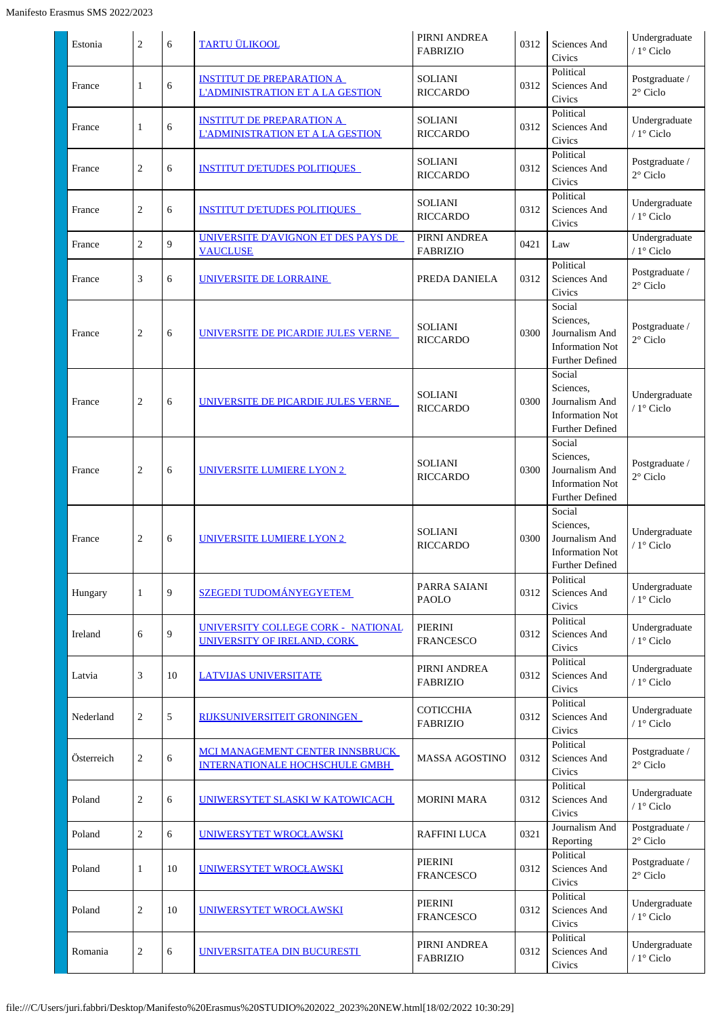| Estonia    | $\overline{2}$ | 6  | <b>TARTU ÜLIKOOL</b>                                                        | PIRNI ANDREA<br><b>FABRIZIO</b>     | 0312 | Sciences And<br>Civics                                                                    | Undergraduate<br>/ $1^\circ$ Ciclo  |
|------------|----------------|----|-----------------------------------------------------------------------------|-------------------------------------|------|-------------------------------------------------------------------------------------------|-------------------------------------|
| France     | $\mathbf{1}$   | 6  | <b>INSTITUT DE PREPARATION A</b><br><b>L'ADMINISTRATION ET A LA GESTION</b> | <b>SOLIANI</b><br><b>RICCARDO</b>   | 0312 | Political<br>Sciences And<br>Civics                                                       | Postgraduate /<br>$2^{\circ}$ Ciclo |
| France     | 1              | 6  | <b>INSTITUT DE PREPARATION A</b><br><b>L'ADMINISTRATION ET A LA GESTION</b> | <b>SOLIANI</b><br><b>RICCARDO</b>   | 0312 | Political<br>Sciences And<br>Civics                                                       | Undergraduate<br>/ 1° Ciclo         |
| France     | $\overline{2}$ | 6  | <b>INSTITUT D'ETUDES POLITIQUES</b>                                         | <b>SOLIANI</b><br><b>RICCARDO</b>   | 0312 | Political<br>Sciences And<br>Civics                                                       | Postgraduate /<br>$2^{\circ}$ Ciclo |
| France     | $\overline{c}$ | 6  | <b>INSTITUT D'ETUDES POLITIQUES</b>                                         | <b>SOLIANI</b><br><b>RICCARDO</b>   | 0312 | Political<br>Sciences And<br>Civics                                                       | Undergraduate<br>$/1^\circ$ Ciclo   |
| France     | $\overline{2}$ | 9  | UNIVERSITE D'AVIGNON ET DES PAYS DE<br><b>VAUCLUSE</b>                      | PIRNI ANDREA<br><b>FABRIZIO</b>     | 0421 | $\operatorname{Law}$                                                                      | Undergraduate<br>/ $1^\circ$ Ciclo  |
| France     | 3              | 6  | UNIVERSITE DE LORRAINE                                                      | PREDA DANIELA                       | 0312 | Political<br>Sciences And<br>Civics                                                       | Postgraduate /<br>2° Ciclo          |
| France     | $\overline{2}$ | 6  | UNIVERSITE DE PICARDIE JULES VERNE                                          | <b>SOLIANI</b><br><b>RICCARDO</b>   | 0300 | Social<br>Sciences,<br>Journalism And<br><b>Information Not</b><br><b>Further Defined</b> | Postgraduate /<br>$2^{\circ}$ Ciclo |
| France     | $\overline{c}$ | 6  | <u>UNIVERSITE DE PICARDIE JULES VERNE</u>                                   | <b>SOLIANI</b><br><b>RICCARDO</b>   | 0300 | Social<br>Sciences,<br>Journalism And<br><b>Information Not</b><br>Further Defined        | Undergraduate<br>/ 1° Ciclo         |
| France     | $\overline{2}$ | 6  | UNIVERSITE LUMIERE LYON 2                                                   | <b>SOLIANI</b><br><b>RICCARDO</b>   | 0300 | Social<br>Sciences,<br>Journalism And<br><b>Information Not</b><br><b>Further Defined</b> | Postgraduate /<br>$2^{\circ}$ Ciclo |
| France     | 2              | 6  | <b>UNIVERSITE LUMIERE LYON 2</b>                                            | <b>SOLIANI</b><br><b>RICCARDO</b>   | 0300 | Social<br>Sciences,<br>Journalism And<br><b>Information Not</b><br><b>Further Defined</b> | Undergraduate<br>/ 1° Ciclo         |
| Hungary    | $\mathbf{1}$   | 9  | <b>SZEGEDI TUDOMÁNYEGYETEM</b>                                              | PARRA SAIANI<br><b>PAOLO</b>        | 0312 | Political<br>Sciences And<br>Civics                                                       | Undergraduate<br>/ 1° Ciclo         |
| Ireland    | 6              | 9  | UNIVERSITY COLLEGE CORK - NATIONAL<br>UNIVERSITY OF IRELAND, CORK           | <b>PIERINI</b><br><b>FRANCESCO</b>  | 0312 | Political<br>Sciences And<br>Civics                                                       | Undergraduate<br>/ $1^\circ$ Ciclo  |
| Latvia     | 3              | 10 | <b>LATVIJAS UNIVERSITATE</b>                                                | PIRNI ANDREA<br><b>FABRIZIO</b>     | 0312 | Political<br>Sciences And<br>Civics                                                       | Undergraduate<br>/ 1° Ciclo         |
| Nederland  | $\overline{c}$ | 5  | RIJKSUNIVERSITEIT GRONINGEN                                                 | <b>COTICCHIA</b><br><b>FABRIZIO</b> | 0312 | Political<br>Sciences And<br>Civics                                                       | Undergraduate<br>/ 1° Ciclo         |
| Österreich | $\overline{2}$ | 6  | MCI MANAGEMENT CENTER INNSBRUCK<br><b>INTERNATIONALE HOCHSCHULE GMBH</b>    | <b>MASSA AGOSTINO</b>               | 0312 | Political<br>Sciences And<br>Civics                                                       | Postgraduate /<br>$2^{\circ}$ Ciclo |
| Poland     | 2              | 6  | UNIWERSYTET SLASKI W KATOWICACH                                             | <b>MORINI MARA</b>                  | 0312 | Political<br>Sciences And<br>Civics                                                       | Undergraduate<br>/ $1^\circ$ Ciclo  |
| Poland     | $\overline{c}$ | 6  | UNIWERSYTET WROCŁAWSKI                                                      | <b>RAFFINI LUCA</b>                 | 0321 | Journalism And<br>Reporting                                                               | Postgraduate /<br>$2^{\circ}$ Ciclo |
| Poland     | $\mathbf{1}$   | 10 | UNIWERSYTET WROCŁAWSKI                                                      | PIERINI<br><b>FRANCESCO</b>         | 0312 | Political<br>Sciences And<br>Civics                                                       | Postgraduate /<br>$2^{\circ}$ Ciclo |
| Poland     | $\overline{2}$ | 10 | UNIWERSYTET WROCŁAWSKI                                                      | PIERINI<br><b>FRANCESCO</b>         | 0312 | Political<br>Sciences And<br>Civics                                                       | Undergraduate<br>$/1^\circ$ Ciclo   |
| Romania    | $\overline{c}$ | 6  | UNIVERSITATEA DIN BUCURESTI                                                 | PIRNI ANDREA<br><b>FABRIZIO</b>     | 0312 | Political<br>Sciences And<br>Civics                                                       | Undergraduate<br>/ $1^\circ$ Ciclo  |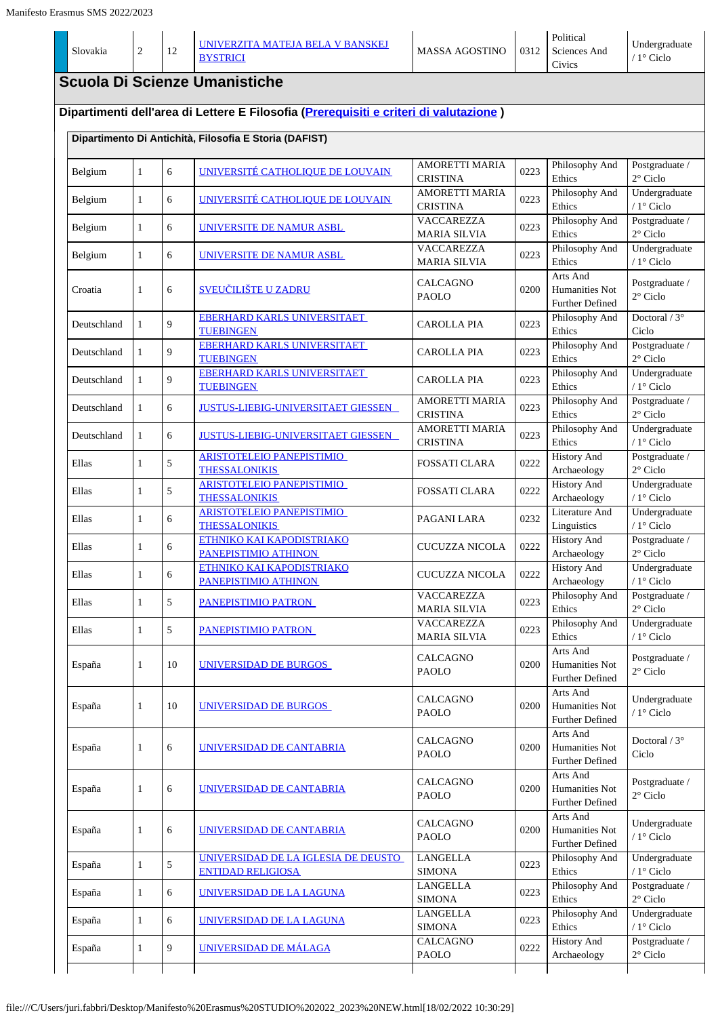| Slovakia    | $\overline{2}$ | 12 | <u>UNIVERZITA MATEJA BELA V BANSKEJ</u><br><b>BYSTRICI</b>                                                                                      | MASSA AGOSTINO                                                    | 0312 | Political<br>Sciences And<br>Civics                  | Undergraduate<br>/ $1^{\circ}$ Ciclo          |
|-------------|----------------|----|-------------------------------------------------------------------------------------------------------------------------------------------------|-------------------------------------------------------------------|------|------------------------------------------------------|-----------------------------------------------|
|             |                |    | <b>Scuola Di Scienze Umanistiche</b>                                                                                                            |                                                                   |      |                                                      |                                               |
|             |                |    | Dipartimenti dell'area di Lettere E Filosofia (Prerequisiti e criteri di valutazione)<br>Dipartimento Di Antichità, Filosofia E Storia (DAFIST) |                                                                   |      |                                                      |                                               |
| Belgium     | $\mathbf{1}$   | 6  | UNIVERSITÉ CATHOLIQUE DE LOUVAIN                                                                                                                | <b>AMORETTI MARIA</b><br><b>CRISTINA</b>                          | 0223 | Philosophy And<br>Ethics                             | Postgraduate /<br>$2^{\circ}$ Ciclo           |
| Belgium     | $\mathbf{1}$   | 6  | UNIVERSITÉ CATHOLIQUE DE LOUVAIN                                                                                                                | <b>AMORETTI MARIA</b><br><b>CRISTINA</b>                          | 0223 | Philosophy And<br>Ethics                             | Undergraduate<br>/ $1^{\circ}$ Ciclo          |
| Belgium     | $\mathbf{1}$   | 6  | UNIVERSITE DE NAMUR ASBL                                                                                                                        | VACCAREZZA<br><b>MARIA SILVIA</b>                                 | 0223 | Philosophy And<br>Ethics                             | Postgraduate /<br>$2^{\circ}$ Ciclo           |
| Belgium     | $\mathbf{1}$   | 6  | <u>UNIVERSITE DE NAMUR ASBL-</u>                                                                                                                | VACCAREZZA<br><b>MARIA SILVIA</b>                                 | 0223 | Philosophy And<br>Ethics                             | Undergraduate<br>$/1^\circ$ Ciclo             |
| Croatia     | $\mathbf{1}$   | 6  | <u>SVEUČILIŠTE U ZADRU</u>                                                                                                                      | CALCAGNO<br><b>PAOLO</b>                                          | 0200 | Arts And<br>Humanities Not<br><b>Further Defined</b> | Postgraduate /<br>$2^{\circ}$ Ciclo           |
| Deutschland | $\mathbf{1}$   | 9  | <b>EBERHARD KARLS UNIVERSITAET</b><br><b>TUEBINGEN</b>                                                                                          | CAROLLA PIA                                                       | 0223 | Philosophy And<br>Ethics                             | Doctoral / $3^\circ$<br>Ciclo                 |
| Deutschland | $\mathbf{1}$   | 9  | <b>EBERHARD KARLS UNIVERSITAET</b><br><b>TUEBINGEN</b>                                                                                          | <b>CAROLLA PIA</b>                                                | 0223 | Philosophy And<br>Ethics                             | Postgraduate /<br>$2^{\circ}$ Ciclo           |
| Deutschland | $\mathbf{1}$   | 9  | <b>EBERHARD KARLS UNIVERSITAET</b><br><b>TUEBINGEN</b>                                                                                          | <b>CAROLLA PIA</b>                                                | 0223 | Philosophy And<br>Ethics                             | Undergraduate<br>/ $1^{\circ}$ Ciclo          |
| Deutschland | $\mathbf{1}$   | 6  | JUSTUS-LIEBIG-UNIVERSITAET GIESSEN                                                                                                              | <b>AMORETTI MARIA</b><br><b>CRISTINA</b><br><b>AMORETTI MARIA</b> | 0223 | Philosophy And<br>Ethics                             | Postgraduate /<br>$2^{\circ}$ Ciclo           |
| Deutschland | $\mathbf{1}$   | 6  | <b>JUSTUS-LIEBIG-UNIVERSITAET GIESSEN</b><br><b>ARISTOTELEIO PANEPISTIMIO</b>                                                                   | <b>CRISTINA</b>                                                   | 0223 | Philosophy And<br>Ethics<br><b>History And</b>       | Undergraduate<br>/ 1° Ciclo<br>Postgraduate / |
| Ellas       | 1              | 5  | <b>THESSALONIKIS</b><br><b>ARISTOTELEIO PANEPISTIMIO</b>                                                                                        | <b>FOSSATI CLARA</b>                                              | 0222 | Archaeology<br><b>History And</b>                    | $2^{\circ}$ Ciclo<br>Undergraduate            |
| Ellas       | $\mathbf{1}$   | 5  | <b>THESSALONIKIS</b><br><b>ARISTOTELEIO PANEPISTIMIO</b>                                                                                        | <b>FOSSATI CLARA</b>                                              | 0222 | Archaeology<br>Literature And                        | / $1^\circ$ Ciclo<br>Undergraduate            |
| Ellas       | $\mathbf{1}$   | 6  | <b>THESSALONIKIS</b><br>ETHNIKO KAI KAPODISTRIAKO                                                                                               | PAGANI LARA                                                       | 0232 | Linguistics<br><b>History And</b>                    | / $1^{\circ}$ Ciclo<br>Postgraduate /         |
| Ellas       | $\mathbf{1}$   | 6  | PANEPISTIMIO ATHINON<br>ETHNIKO KAI KAPODISTRIAKO                                                                                               | <b>CUCUZZA NICOLA</b>                                             | 0222 | Archaeology<br><b>History And</b>                    | $2^{\circ}$ Ciclo<br>Undergraduate            |
| Ellas       | 1              | 6  | PANEPISTIMIO ATHINON                                                                                                                            | CUCUZZA NICOLA<br><b>VACCAREZZA</b>                               | 0222 | Archaeology<br>Philosophy And                        | / $1^{\circ}$ Ciclo<br>Postgraduate /         |
| Ellas       | $\mathbf{1}$   | 5  | PANEPISTIMIO PATRON                                                                                                                             | <b>MARIA SILVIA</b><br><b>VACCAREZZA</b>                          | 0223 | Ethics<br>Philosophy And                             | $2^{\circ}$ Ciclo<br>Undergraduate            |
| Ellas       | 1              | 5  | PANEPISTIMIO PATRON                                                                                                                             | <b>MARIA SILVIA</b>                                               | 0223 | Ethics<br>Arts And                                   | / $1^{\circ}$ Ciclo                           |
| España      | $\mathbf{1}$   | 10 | UNIVERSIDAD DE BURGOS                                                                                                                           | <b>CALCAGNO</b><br>PAOLO                                          | 0200 | Humanities Not<br><b>Further Defined</b>             | Postgraduate /<br>$2^{\circ}$ Ciclo           |
| España      | $\mathbf{1}$   | 10 | <u>UNIVERSIDAD DE BURGOS </u>                                                                                                                   | <b>CALCAGNO</b><br>PAOLO                                          | 0200 | Arts And<br>Humanities Not<br>Further Defined        | Undergraduate<br>/ $1^{\circ}$ Ciclo          |
| España      | 1              | 6  | <u>UNIVERSIDAD DE CANTABRIA</u>                                                                                                                 | CALCAGNO<br>PAOLO                                                 | 0200 | Arts And<br>Humanities Not<br>Further Defined        | Doctoral / 3°<br>Ciclo                        |
| España      | 1              | 6  | UNIVERSIDAD DE CANTABRIA                                                                                                                        | CALCAGNO<br>PAOLO                                                 | 0200 | Arts And<br>Humanities Not<br>Further Defined        | Postgraduate /<br>$2^{\circ}$ Ciclo           |
| España      | $\mathbf{1}$   | 6  | <u>UNIVERSIDAD DE CANTABRIA</u>                                                                                                                 | <b>CALCAGNO</b><br>PAOLO                                          | 0200 | Arts And<br>Humanities Not<br>Further Defined        | Undergraduate<br>/ 1° Ciclo                   |
| España      | $\mathbf{1}$   | 5  | UNIVERSIDAD DE LA IGLESIA DE DEUSTO<br><b>ENTIDAD RELIGIOSA</b>                                                                                 | <b>LANGELLA</b><br><b>SIMONA</b>                                  | 0223 | Philosophy And<br>Ethics                             | Undergraduate<br>/ $1^{\circ}$ Ciclo          |
| España      | $\mathbf{1}$   | 6  | UNIVERSIDAD DE LA LAGUNA                                                                                                                        | <b>LANGELLA</b><br><b>SIMONA</b>                                  | 0223 | Philosophy And<br>Ethics                             | Postgraduate /<br>$2^{\circ}$ Ciclo           |
| España      | 1              | 6  | UNIVERSIDAD DE LA LAGUNA                                                                                                                        | <b>LANGELLA</b><br><b>SIMONA</b>                                  | 0223 | Philosophy And<br>Ethics                             | Undergraduate<br>$/ 1$ ° Ciclo                |
| España      | $\mathbf{1}$   | 9  | UNIVERSIDAD DE MÁLAGA                                                                                                                           | CALCAGNO<br>PAOLO                                                 | 0222 | <b>History And</b><br>Archaeology                    | Postgraduate /<br>$2^{\circ}$ Ciclo           |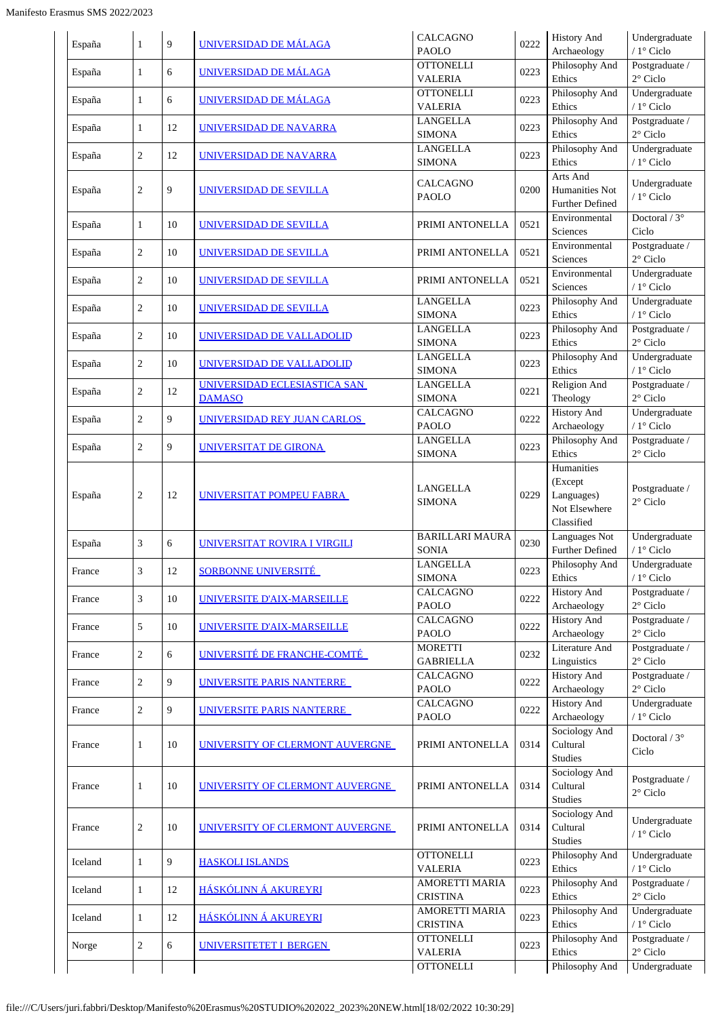| España  | 1              | 9  | UNIVERSIDAD DE MÁLAGA                         | <b>CALCAGNO</b><br><b>PAOLO</b>          | 0222 | <b>History And</b><br>Archaeology        | Undergraduate<br>/ $1^\circ$ Ciclo    |
|---------|----------------|----|-----------------------------------------------|------------------------------------------|------|------------------------------------------|---------------------------------------|
| España  | 1              | 6  | <b>UNIVERSIDAD DE MÁLAGA</b>                  | <b>OTTONELLI</b><br><b>VALERIA</b>       | 0223 | Philosophy And<br>Ethics                 | Postgraduate /<br>$2^{\circ}$ Ciclo   |
| España  | 1              | 6  | UNIVERSIDAD DE MÁLAGA                         | <b>OTTONELLI</b><br><b>VALERIA</b>       | 0223 | Philosophy And<br>Ethics                 | Undergraduate<br>/ 1° Ciclo           |
| España  | 1              | 12 | UNIVERSIDAD DE NAVARRA                        | <b>LANGELLA</b><br><b>SIMONA</b>         | 0223 | Philosophy And<br>Ethics                 | Postgraduate /<br>$2^{\circ}$ Ciclo   |
| España  | $\overline{c}$ | 12 | UNIVERSIDAD DE NAVARRA                        | <b>LANGELLA</b>                          | 0223 | Philosophy And                           | Undergraduate                         |
|         |                |    |                                               | <b>SIMONA</b><br>CALCAGNO                |      | Ethics<br>Arts And                       | / 1° Ciclo<br>Undergraduate           |
| España  | $\overline{c}$ | 9  | UNIVERSIDAD DE SEVILLA                        | <b>PAOLO</b>                             | 0200 | Humanities Not<br><b>Further Defined</b> | / 1° Ciclo                            |
| España  | $\mathbf{1}$   | 10 | UNIVERSIDAD DE SEVILLA                        | PRIMI ANTONELLA                          | 0521 | Environmental<br>Sciences                | Doctoral / 3°<br>Ciclo                |
| España  | $\overline{c}$ | 10 | UNIVERSIDAD DE SEVILLA                        | PRIMI ANTONELLA                          | 0521 | Environmental<br>Sciences                | Postgraduate /<br>$2^{\circ}$ Ciclo   |
| España  | $\overline{c}$ | 10 | UNIVERSIDAD DE SEVILLA                        | PRIMI ANTONELLA                          | 0521 | Environmental<br>Sciences                | Undergraduate<br>$/1$ ° Ciclo         |
| España  | $\overline{c}$ | 10 | UNIVERSIDAD DE SEVILLA                        | <b>LANGELLA</b><br><b>SIMONA</b>         | 0223 | Philosophy And<br>Ethics                 | Undergraduate<br>/ 1° Ciclo           |
| España  | $\overline{c}$ | 10 | UNIVERSIDAD DE VALLADOLID                     | <b>LANGELLA</b><br><b>SIMONA</b>         | 0223 | Philosophy And<br>Ethics                 | Postgraduate /<br>$2^\circ$ Ciclo     |
| España  | $\overline{c}$ | 10 | UNIVERSIDAD DE VALLADOLID                     | <b>LANGELLA</b><br><b>SIMONA</b>         | 0223 | Philosophy And<br>Ethics                 | Undergraduate<br>/ 1° Ciclo           |
| España  | $\overline{c}$ | 12 | UNIVERSIDAD ECLESIASTICA SAN<br><b>DAMASO</b> | <b>LANGELLA</b><br><b>SIMONA</b>         | 0221 | Religion And<br>Theology                 | Postgraduate /<br>$2^{\circ}$ Ciclo   |
| España  | 2              | 9  | UNIVERSIDAD REY JUAN CARLOS                   | <b>CALCAGNO</b>                          | 0222 | <b>History And</b>                       | Undergraduate                         |
| España  | $\overline{c}$ | 9  | <b>UNIVERSITAT DE GIRONA</b>                  | <b>PAOLO</b><br><b>LANGELLA</b>          | 0223 | Archaeology<br>Philosophy And            | / 1° Ciclo<br>Postgraduate /          |
|         |                |    |                                               | <b>SIMONA</b>                            |      | Ethics<br>Humanities                     | $2^{\circ}$ Ciclo                     |
|         | 2              | 12 | UNIVERSITAT POMPEU FABRA                      | LANGELLA                                 | 0229 | (Except<br>Languages)                    | Postgraduate /                        |
| España  |                |    |                                               | <b>SIMONA</b>                            |      | Not Elsewhere                            | $2^{\circ}$ Ciclo                     |
|         |                |    |                                               | <b>BARILLARI MAURA</b>                   |      | Classified<br>Languages Not              | Undergraduate                         |
| España  | 3              | 6  | UNIVERSITAT ROVIRA I VIRGILI                  | <b>SONIA</b>                             | 0230 | Further Defined                          | / 1° Ciclo                            |
| France  | 3              | 12 | <b>SORBONNE UNIVERSITÉ</b>                    | <b>LANGELLA</b><br><b>SIMONA</b>         | 0223 | Philosophy And<br>Ethics                 | Undergraduate<br>/ $1^{\circ}$ Ciclo  |
| France  | 3              | 10 | UNIVERSITE D'AIX-MARSEILLE                    | <b>CALCAGNO</b><br><b>PAOLO</b>          | 0222 | <b>History And</b><br>Archaeology        | Postgraduate /<br>$2^{\circ}$ Ciclo   |
| France  | 5              | 10 | UNIVERSITE D'AIX-MARSEILLE                    | <b>CALCAGNO</b><br><b>PAOLO</b>          | 0222 | <b>History And</b><br>Archaeology        | Postgraduate /<br>$2^{\circ}$ Ciclo   |
| France  | $\overline{c}$ | 6  | UNIVERSITÉ DE FRANCHE-COMTÉ                   | <b>MORETTI</b><br><b>GABRIELLA</b>       | 0232 | Literature And<br>Linguistics            | Postgraduate /<br>$2^{\circ}$ Ciclo   |
| France  | $\overline{c}$ | 9  | UNIVERSITE PARIS NANTERRE                     | CALCAGNO<br><b>PAOLO</b>                 | 0222 | <b>History And</b><br>Archaeology        | Postgraduate /<br>$2^{\circ}$ Ciclo   |
| France  | $\overline{c}$ | 9  | UNIVERSITE PARIS NANTERRE                     | CALCAGNO<br>PAOLO                        | 0222 | <b>History And</b><br>Archaeology        | Undergraduate<br>/ 1° Ciclo           |
|         |                |    |                                               |                                          |      | Sociology And                            | Doctoral / $3^\circ$                  |
| France  | 1              | 10 | UNIVERSITY OF CLERMONT AUVERGNE               | PRIMI ANTONELLA                          | 0314 | Cultural<br>Studies                      | Ciclo                                 |
| France  | 1              | 10 | UNIVERSITY OF CLERMONT AUVERGNE               | PRIMI ANTONELLA                          | 0314 | Sociology And<br>Cultural                | Postgraduate /                        |
|         |                |    |                                               |                                          |      | Studies                                  | $2^{\circ}$ Ciclo                     |
| France  | $\overline{c}$ | 10 | UNIVERSITY OF CLERMONT AUVERGNE               | PRIMI ANTONELLA                          | 0314 | Sociology And<br>Cultural                | Undergraduate<br>/ $1^{\circ}$ Ciclo  |
| Iceland | $\mathbf{1}$   | 9  | <b>HASKOLI ISLANDS</b>                        | <b>OTTONELLI</b>                         | 0223 | <b>Studies</b><br>Philosophy And         | Undergraduate                         |
|         |                |    |                                               | <b>VALERIA</b><br>AMORETTI MARIA         |      | Ethics<br>Philosophy And                 | / $1^{\circ}$ Ciclo<br>Postgraduate / |
| Iceland | $\mathbf{1}$   | 12 | HÁSKÓLINN Á AKUREYRI                          | <b>CRISTINA</b><br><b>AMORETTI MARIA</b> | 0223 | Ethics<br>Philosophy And                 | $2^{\circ}$ Ciclo<br>Undergraduate    |
| Iceland | 1              | 12 | HÁSKÓLINN Á AKUREYRI                          | <b>CRISTINA</b>                          | 0223 | Ethics                                   | / 1° Ciclo                            |
| Norge   | $\overline{c}$ | 6  | UNIVERSITETET I BERGEN                        | <b>OTTONELLI</b><br><b>VALERIA</b>       | 0223 | Philosophy And<br>Ethics                 | Postgraduate /<br>$2^{\circ}$ Ciclo   |
|         |                |    |                                               | <b>OTTONELLI</b>                         |      | Philosophy And                           | Undergraduate                         |
|         |                |    |                                               |                                          |      |                                          |                                       |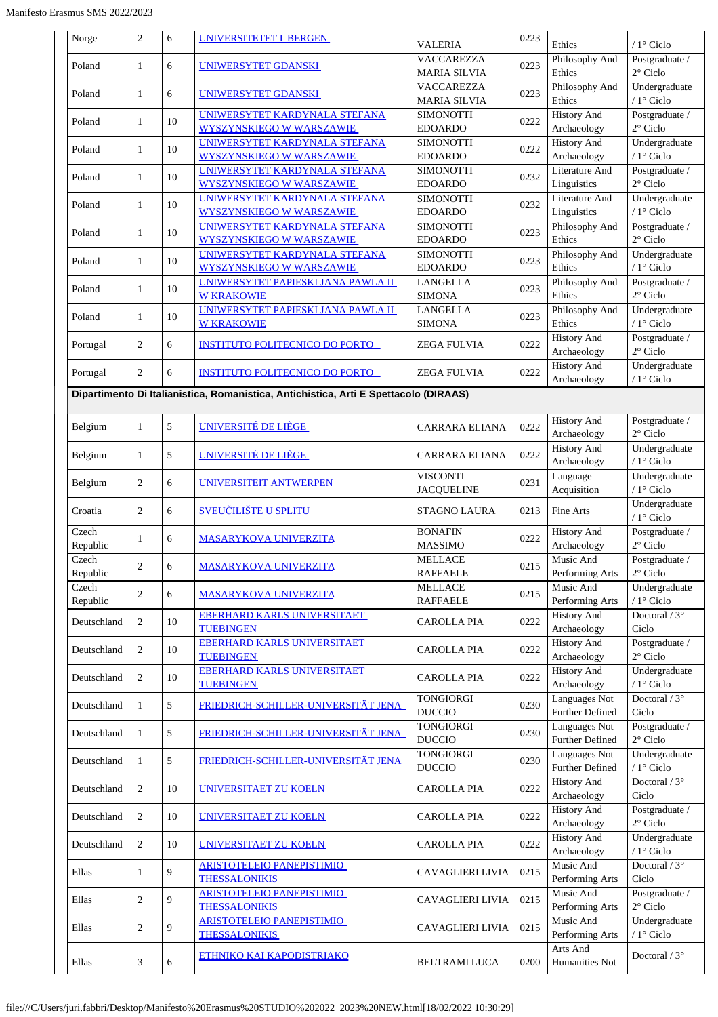|                   |                |    | <b>UNIVERSITETET I BERGEN</b>                                                        |                                    | 0223 |                                   |                                     |
|-------------------|----------------|----|--------------------------------------------------------------------------------------|------------------------------------|------|-----------------------------------|-------------------------------------|
| Norge             | $\overline{c}$ | 6  |                                                                                      | <b>VALERIA</b>                     |      | Ethics                            | $/1^\circ$ Ciclo                    |
| Poland            | $\mathbf{1}$   | 6  | UNIWERSYTET GDANSKI                                                                  | <b>VACCAREZZA</b>                  | 0223 | Philosophy And                    | Postgraduate /                      |
|                   |                |    |                                                                                      | MARIA SILVIA<br><b>VACCAREZZA</b>  |      | Ethics<br>Philosophy And          | $2^{\circ}$ Ciclo<br>Undergraduate  |
| Poland            | 1              | 6  | <b>UNIWERSYTET GDANSKI</b>                                                           | <b>MARIA SILVIA</b>                | 0223 | Ethics                            | / $1^\circ$ Ciclo                   |
| Poland            | 1              | 10 | UNIWERSYTET KARDYNALA STEFANA                                                        | SIMONOTTI                          | 0222 | <b>History And</b>                | Postgraduate /                      |
|                   |                |    | <b>WYSZYNSKIEGO W WARSZAWIE</b>                                                      | <b>EDOARDO</b>                     |      | Archaeology                       | $2^{\circ}$ Ciclo                   |
| Poland            | $\mathbf{1}$   | 10 | UNIWERSYTET KARDYNALA STEFANA                                                        | <b>SIMONOTTI</b>                   | 0222 | <b>History And</b>                | Undergraduate                       |
|                   |                |    | <b>WYSZYNSKIEGO W WARSZAWIE</b><br>UNIWERSYTET KARDYNALA STEFANA                     | <b>EDOARDO</b><br><b>SIMONOTTI</b> |      | Archaeology<br>Literature And     | / 1° Ciclo<br>Postgraduate /        |
| Poland            | $\mathbf{1}$   | 10 | <b>WYSZYNSKIEGO W WARSZAWIE</b>                                                      | <b>EDOARDO</b>                     | 0232 | Linguistics                       | $2^{\circ}$ Ciclo                   |
|                   |                |    | UNIWERSYTET KARDYNALA STEFANA                                                        | <b>SIMONOTTI</b>                   |      | Literature And                    | Undergraduate                       |
| Poland            | $\mathbf{1}$   | 10 | <b>WYSZYNSKIEGO W WARSZAWIE</b>                                                      | <b>EDOARDO</b>                     | 0232 | Linguistics                       | / 1° Ciclo                          |
| Poland            | $\mathbf{1}$   | 10 | UNIWERSYTET KARDYNALA STEFANA                                                        | <b>SIMONOTTI</b>                   | 0223 | Philosophy And                    | Postgraduate /                      |
|                   |                |    | <b>WYSZYNSKIEGO W WARSZAWIE</b>                                                      | <b>EDOARDO</b>                     |      | Ethics                            | $2^{\circ}$ Ciclo                   |
| Poland            | 1              | 10 | UNIWERSYTET KARDYNALA STEFANA<br><b>WYSZYNSKIEGO W WARSZAWIE</b>                     | <b>SIMONOTTI</b><br><b>EDOARDO</b> | 0223 | Philosophy And<br>Ethics          | Undergraduate<br>/ 1° Ciclo         |
|                   |                |    | UNIWERSYTET PAPIESKI JANA PAWLA II                                                   | <b>LANGELLA</b>                    |      | Philosophy And                    | Postgraduate /                      |
| Poland            | 1              | 10 | <b>W KRAKOWIE</b>                                                                    | <b>SIMONA</b>                      | 0223 | Ethics                            | $2^{\circ}$ Ciclo                   |
|                   |                |    | UNIWERSYTET PAPIESKI JANA PAWLA II                                                   | <b>LANGELLA</b>                    |      | Philosophy And                    | Undergraduate                       |
| Poland            | $\mathbf{1}$   | 10 | <b>W KRAKOWIE</b>                                                                    | <b>SIMONA</b>                      | 0223 | Ethics                            | $/1$ ° Ciclo                        |
| Portugal          | $\overline{c}$ | 6  | <b>INSTITUTO POLITECNICO DO PORTO</b>                                                | ZEGA FULVIA                        | 0222 | <b>History And</b>                | Postgraduate /                      |
|                   |                |    |                                                                                      |                                    |      | Archaeology                       | $2^{\circ}$ Ciclo                   |
| Portugal          | $\overline{2}$ | 6  | <b>INSTITUTO POLITECNICO DO PORTO</b>                                                | ZEGA FULVIA                        | 0222 | <b>History And</b><br>Archaeology | Undergraduate<br>/ 1° Ciclo         |
|                   |                |    | Dipartimento Di Italianistica, Romanistica, Antichistica, Arti E Spettacolo (DIRAAS) |                                    |      |                                   |                                     |
|                   |                |    |                                                                                      |                                    |      |                                   |                                     |
| Belgium           | $\mathbf{1}$   | 5  | UNIVERSITÉ DE LIÈGE                                                                  | CARRARA ELIANA                     | 0222 | <b>History And</b>                | Postgraduate /                      |
|                   |                |    |                                                                                      |                                    |      | Archaeology                       | $2^{\circ}$ Ciclo                   |
| Belgium           | $\mathbf{1}$   | 5  | UNIVERSITÉ DE LIÈGE                                                                  | CARRARA ELIANA                     | 0222 | <b>History And</b>                | Undergraduate                       |
|                   |                |    |                                                                                      | <b>VISCONTI</b>                    |      | Archaeology<br>Language           | / $1^\circ$ Ciclo<br>Undergraduate  |
| Belgium           | $\overline{c}$ | 6  | UNIVERSITEIT ANTWERPEN                                                               | <b>JACQUELINE</b>                  | 0231 | Acquisition                       | / $1^\circ$ Ciclo                   |
|                   |                |    |                                                                                      |                                    |      |                                   | Undergraduate                       |
| Croatia           | $\overline{2}$ | 6  | <b>SVEUČILIŠTE U SPLITU</b>                                                          | <b>STAGNO LAURA</b>                | 0213 | Fine Arts                         | / 1° Ciclo                          |
| Czech             | 1              | 6  | <u>MASARYKOVA UNIVERZITA</u>                                                         | <b>BONAFIN</b>                     | 0222 | <b>History And</b>                | Postgraduate /                      |
| Republic          |                |    |                                                                                      | <b>MASSIMO</b>                     |      | Archaeology                       | $2^{\circ}$ Ciclo                   |
| Czech<br>Republic | 2              | 6  | <u>MASARYKOVA UNIVERZITA</u>                                                         | <b>MELLACE</b><br><b>RAFFAELE</b>  | 0215 | Music And<br>Performing Arts      | Postgraduate /<br>$2^{\circ}$ Ciclo |
| Czech             |                |    |                                                                                      | MELLACE                            |      | Music And                         | Undergraduate                       |
| Republic          | $\overline{c}$ | 6  | <b>MASARYKOVA UNIVERZITA</b>                                                         | <b>RAFFAELE</b>                    | 0215 | Performing Arts                   | / $1^\circ$ Ciclo                   |
| Deutschland       | $\overline{c}$ | 10 | <b>EBERHARD KARLS UNIVERSITAET</b>                                                   | <b>CAROLLA PIA</b>                 | 0222 | <b>History And</b>                | Doctoral $\sqrt{3^{\circ}}$         |
|                   |                |    | <b>TUEBINGEN</b>                                                                     |                                    |      | Archaeology                       | Ciclo                               |
| Deutschland       | $\overline{2}$ | 10 | <b>EBERHARD KARLS UNIVERSITAET</b>                                                   | <b>CAROLLA PIA</b>                 | 0222 | <b>History And</b>                | Postgraduate /                      |
|                   |                |    | <b>TUEBINGEN</b>                                                                     |                                    |      | Archaeology                       | $2^{\circ}$ Ciclo                   |
| Deutschland       | $\overline{2}$ | 10 | <b>EBERHARD KARLS UNIVERSITAET</b><br><b>TUEBINGEN</b>                               | <b>CAROLLA PIA</b>                 | 0222 | <b>History And</b><br>Archaeology | Undergraduate<br>/ $1^\circ$ Ciclo  |
|                   |                |    |                                                                                      | <b>TONGIORGI</b>                   |      | <b>Languages Not</b>              | Doctoral / 3°                       |
| Deutschland       | $\mathbf{1}$   | 5  | FRIEDRICH-SCHILLER-UNIVERSITÄT JENA                                                  | <b>DUCCIO</b>                      | 0230 | Further Defined                   | Ciclo                               |
| Deutschland       | $\mathbf{1}$   | 5  | FRIEDRICH-SCHILLER-UNIVERSITÄT JENA                                                  | <b>TONGIORGI</b>                   | 0230 | Languages Not                     | Postgraduate /                      |
|                   |                |    |                                                                                      | <b>DUCCIO</b>                      |      | <b>Further Defined</b>            | $2^{\circ}$ Ciclo                   |
| Deutschland       | 1              | 5  | <u>FRIEDRICH-SCHILLER-UNIVERSITÄT JENA</u>                                           | <b>TONGIORGI</b>                   | 0230 | Languages Not<br>Further Defined  | Undergraduate<br>/ $1^\circ$ Ciclo  |
|                   |                |    |                                                                                      | <b>DUCCIO</b>                      |      | <b>History And</b>                | Doctoral / $3^{\circ}$              |
| Deutschland       | $\overline{2}$ | 10 | <b>UNIVERSITAET ZU KOELN</b>                                                         | CAROLLA PIA                        | 0222 | Archaeology                       | Ciclo                               |
|                   |                |    |                                                                                      |                                    |      | <b>History And</b>                | Postgraduate /                      |
| Deutschland       | $\overline{2}$ | 10 | <b>UNIVERSITAET ZU KOELN</b>                                                         | <b>CAROLLA PIA</b>                 | 0222 | Archaeology                       | $2^{\circ}$ Ciclo                   |
| Deutschland       | $\overline{2}$ | 10 | <b>UNIVERSITAET ZU KOELN</b>                                                         | <b>CAROLLA PIA</b>                 | 0222 | <b>History And</b>                | Undergraduate                       |
|                   |                |    |                                                                                      |                                    |      | Archaeology                       | / $1^\circ$ Ciclo                   |
| Ellas             | 1              | 9  | <b>ARISTOTELEIO PANEPISTIMIO</b>                                                     | <b>CAVAGLIERI LIVIA</b>            | 0215 | Music And                         | Doctoral / $3^\circ$                |
|                   |                |    | <b>THESSALONIKIS</b><br><b>ARISTOTELEIO PANEPISTIMIO</b>                             |                                    |      | Performing Arts<br>Music And      | Ciclo<br>Postgraduate /             |
| Ellas             | $\sqrt{2}$     | 9  | <b>THESSALONIKIS</b>                                                                 | <b>CAVAGLIERI LIVIA</b>            | 0215 | Performing Arts                   | $2^{\circ}$ Ciclo                   |
|                   |                |    | <b>ARISTOTELEIO PANEPISTIMIO</b>                                                     |                                    |      | Music And                         | Undergraduate                       |
| Ellas             | $\sqrt{2}$     | 9  | <b>THESSALONIKIS</b>                                                                 | <b>CAVAGLIERI LIVIA</b>            | 0215 | Performing Arts                   | / $1^\circ$ Ciclo                   |
|                   |                |    | ETHNIKO KAI KAPODISTRIAKO                                                            |                                    |      | Arts And                          | Doctoral $/3^{\circ}$               |
| Ellas             | 3              | 6  |                                                                                      | BELTRAMI LUCA                      | 0200 | Humanities Not                    |                                     |
|                   |                |    |                                                                                      |                                    |      |                                   |                                     |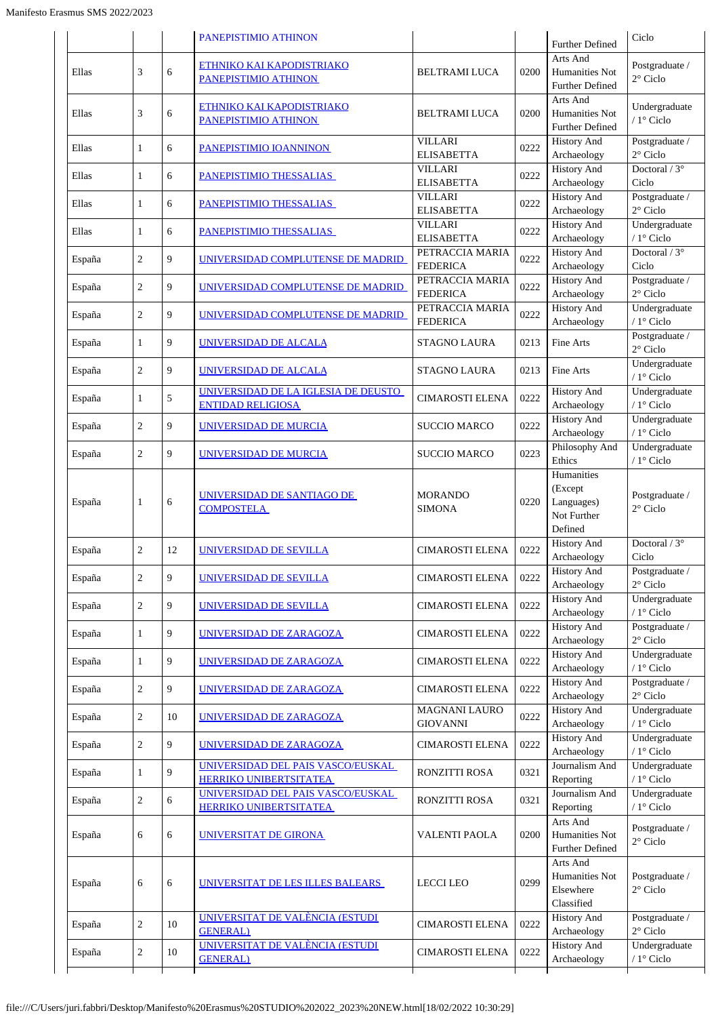|        |                |    | PANEPISTIMIO ATHINON                                            |                                     |      | <b>Further Defined</b>                                        | Ciclo                                |
|--------|----------------|----|-----------------------------------------------------------------|-------------------------------------|------|---------------------------------------------------------------|--------------------------------------|
| Ellas  | 3              | 6  | ETHNIKO KAI KAPODISTRIAKO<br>PANEPISTIMIO ATHINON               | <b>BELTRAMI LUCA</b>                | 0200 | Arts And<br>Humanities Not<br><b>Further Defined</b>          | Postgraduate /<br>$2^{\circ}$ Ciclo  |
| Ellas  | 3              | 6  | <b>ETHNIKO KAI KAPODISTRIAKO</b><br>PANEPISTIMIO ATHINON        | <b>BELTRAMI LUCA</b>                | 0200 | Arts And<br>Humanities Not<br><b>Further Defined</b>          | Undergraduate<br>/ $1^{\circ}$ Ciclo |
| Ellas  | $\mathbf{1}$   | 6  | PANEPISTIMIO IOANNINON                                          | <b>VILLARI</b><br><b>ELISABETTA</b> | 0222 | <b>History And</b><br>Archaeology                             | Postgraduate /<br>$2^{\circ}$ Ciclo  |
| Ellas  | $\mathbf{1}$   | 6  | PANEPISTIMIO THESSALIAS                                         | <b>VILLARI</b><br><b>ELISABETTA</b> | 0222 | <b>History And</b><br>Archaeology                             | Doctoral / $3^\circ$<br>Ciclo        |
| Ellas  | 1              | 6  | PANEPISTIMIO THESSALIAS                                         | <b>VILLARI</b><br><b>ELISABETTA</b> | 0222 | <b>History And</b><br>Archaeology                             | Postgraduate /<br>$2^{\circ}$ Ciclo  |
| Ellas  | 1              | 6  | PANEPISTIMIO THESSALIAS                                         | <b>VILLARI</b><br><b>ELISABETTA</b> | 0222 | <b>History And</b><br>Archaeology                             | Undergraduate<br>/ 1° Ciclo          |
| España | $\overline{c}$ | 9  | UNIVERSIDAD COMPLUTENSE DE MADRID                               | PETRACCIA MARIA<br><b>FEDERICA</b>  | 0222 | <b>History And</b><br>Archaeology                             | Doctoral / $3^\circ$<br>Ciclo        |
| España | $\overline{c}$ | 9  | UNIVERSIDAD COMPLUTENSE DE MADRID                               | PETRACCIA MARIA<br><b>FEDERICA</b>  | 0222 | <b>History And</b><br>Archaeology                             | Postgraduate /<br>$2^{\circ}$ Ciclo  |
| España | $\overline{c}$ | 9  | UNIVERSIDAD COMPLUTENSE DE MADRID                               | PETRACCIA MARIA<br><b>FEDERICA</b>  | 0222 | <b>History And</b><br>Archaeology                             | Undergraduate<br>/ $1^\circ$ Ciclo   |
| España | 1              | 9  | UNIVERSIDAD DE ALCALA                                           | <b>STAGNO LAURA</b>                 | 0213 | Fine Arts                                                     | Postgraduate /<br>$2^{\circ}$ Ciclo  |
| España | $\overline{c}$ | 9  | UNIVERSIDAD DE ALCALA                                           | <b>STAGNO LAURA</b>                 | 0213 | Fine Arts                                                     | Undergraduate<br>/ $1^{\circ}$ Ciclo |
| España | $\mathbf{1}$   | 5  | UNIVERSIDAD DE LA IGLESIA DE DEUSTO<br><b>ENTIDAD RELIGIOSA</b> | <b>CIMAROSTI ELENA</b>              | 0222 | <b>History And</b><br>Archaeology                             | Undergraduate<br>/ $1^{\circ}$ Ciclo |
| España | $\overline{c}$ | 9  | <b>UNIVERSIDAD DE MURCIA</b>                                    | <b>SUCCIO MARCO</b>                 | 0222 | <b>History And</b><br>Archaeology                             | Undergraduate<br>/ $1^{\circ}$ Ciclo |
| España | $\overline{c}$ | 9  | UNIVERSIDAD DE MURCIA                                           | <b>SUCCIO MARCO</b>                 | 0223 | Philosophy And<br>Ethics                                      | Undergraduate<br>/ $1^{\circ}$ Ciclo |
| España | 1              | 6  | UNIVERSIDAD DE SANTIAGO DE<br><b>COMPOSTELA</b>                 | <b>MORANDO</b><br><b>SIMONA</b>     | 0220 | Humanities<br>(Except<br>Languages)<br>Not Further<br>Defined | Postgraduate /<br>$2^{\circ}$ Ciclo  |
| España | $\overline{c}$ | 12 | UNIVERSIDAD DE SEVILLA                                          | <b>CIMAROSTI ELENA</b>              | 0222 | <b>History And</b><br>Archaeology                             | Doctoral / $3^\circ$<br>Ciclo        |
| España | 2              | 9  | UNIVERSIDAD DE SEVILLA                                          | <b>CIMAROSTI ELENA</b>              | 0222 | <b>History And</b><br>Archaeology                             | Postgraduate /<br>$2^{\circ}$ Ciclo  |
| España | $\overline{c}$ | 9  | <b>UNIVERSIDAD DE SEVILLA</b>                                   | <b>CIMAROSTI ELENA</b>              | 0222 | <b>History And</b><br>Archaeology                             | Undergraduate<br>/ $1^{\circ}$ Ciclo |
| España | 1              | 9  | UNIVERSIDAD DE ZARAGOZA                                         | <b>CIMAROSTI ELENA</b>              | 0222 | <b>History And</b><br>Archaeology                             | Postgraduate /<br>$2^\circ$ Ciclo    |
| España | 1              | 9  | UNIVERSIDAD DE ZARAGOZA                                         | <b>CIMAROSTI ELENA</b>              | 0222 | <b>History And</b><br>Archaeology                             | Undergraduate<br>/ $1^\circ$ Ciclo   |
| España | $\overline{c}$ | 9  | <u>UNIVERSIDAD DE ZARAGOZA</u>                                  | <b>CIMAROSTI ELENA</b>              | 0222 | <b>History And</b><br>Archaeology                             | Postgraduate /<br>$2^{\circ}$ Ciclo  |
| España | $\overline{c}$ | 10 | UNIVERSIDAD DE ZARAGOZA                                         | MAGNANI LAURO<br><b>GIOVANNI</b>    | 0222 | <b>History And</b><br>Archaeology                             | Undergraduate<br>/ $1^\circ$ Ciclo   |
| España | $\overline{c}$ | 9  | UNIVERSIDAD DE ZARAGOZA                                         | <b>CIMAROSTI ELENA</b>              | 0222 | <b>History And</b><br>Archaeology                             | Undergraduate<br>/ $1^{\circ}$ Ciclo |
| España | 1              | 9  | UNIVERSIDAD DEL PAIS VASCO/EUSKAL<br>HERRIKO UNIBERTSITATEA     | <b>RONZITTI ROSA</b>                | 0321 | Journalism And<br>Reporting                                   | Undergraduate<br>/ $1^\circ$ Ciclo   |
| España | $\overline{c}$ | 6  | UNIVERSIDAD DEL PAIS VASCO/EUSKAL<br>HERRIKO UNIBERTSITATEA     | RONZITTI ROSA                       | 0321 | Journalism And<br>Reporting                                   | Undergraduate<br>/ $1^{\circ}$ Ciclo |
| España | 6              | 6  | UNIVERSITAT DE GIRONA                                           | VALENTI PAOLA                       | 0200 | Arts And<br>Humanities Not<br>Further Defined                 | Postgraduate /<br>$2^{\circ}$ Ciclo  |
| España | 6              | 6  | <u>UNIVERSITAT DE LES ILLES BALEARS </u>                        | <b>LECCI LEO</b>                    | 0299 | Arts And<br>Humanities Not<br>Elsewhere<br>Classified         | Postgraduate /<br>$2^{\circ}$ Ciclo  |
| España | $\overline{c}$ | 10 | UNIVERSITAT DE VALÈNCIA (ESTUDI<br><b>GENERAL</b> )             | <b>CIMAROSTI ELENA</b>              | 0222 | <b>History And</b><br>Archaeology                             | Postgraduate /<br>$2^{\circ}$ Ciclo  |
| España | $\sqrt{2}$     | 10 | <u>UNIVERSITAT DE VALÈNCIA (ESTUDI</u><br><b>GENERAL</b> )      | <b>CIMAROSTI ELENA</b>              | 0222 | <b>History And</b><br>Archaeology                             | Undergraduate<br>/ $1^{\circ}$ Ciclo |
|        |                |    |                                                                 |                                     |      |                                                               |                                      |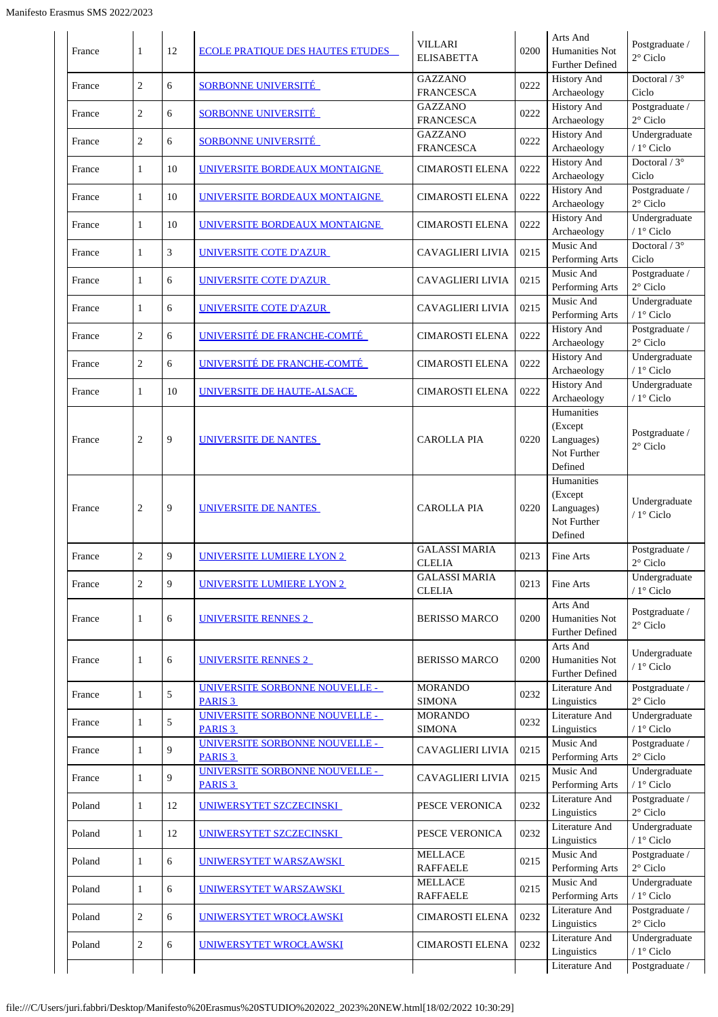| France | $\mathbf{1}$   | 12 | <b>ECOLE PRATIQUE DES HAUTES ETUDES</b>              | <b>VILLARI</b><br><b>ELISABETTA</b>   | 0200 | Arts And<br>Humanities Not<br>Further Defined                 | Postgraduate /<br>$2^{\circ}$ Ciclo  |
|--------|----------------|----|------------------------------------------------------|---------------------------------------|------|---------------------------------------------------------------|--------------------------------------|
| France | $\overline{2}$ | 6  | <b>SORBONNE UNIVERSITÉ</b>                           | <b>GAZZANO</b><br><b>FRANCESCA</b>    | 0222 | <b>History And</b><br>Archaeology                             | Doctoral $/3^{\circ}$<br>Ciclo       |
| France | $\overline{2}$ | 6  | <b>SORBONNE UNIVERSITÉ</b>                           | <b>GAZZANO</b><br><b>FRANCESCA</b>    | 0222 | <b>History And</b><br>Archaeology                             | Postgraduate /<br>$2^{\circ}$ Ciclo  |
| France | $\overline{2}$ | 6  | <b>SORBONNE UNIVERSITÉ</b>                           | <b>GAZZANO</b><br><b>FRANCESCA</b>    | 0222 | <b>History And</b><br>Archaeology                             | Undergraduate<br>/ $1^{\circ}$ Ciclo |
| France | $\mathbf{1}$   | 10 | <u>UNIVERSITE BORDEAUX MONTAIGNE</u>                 | <b>CIMAROSTI ELENA</b>                | 0222 | <b>History And</b><br>Archaeology                             | Doctoral $/3^{\circ}$<br>Ciclo       |
| France | $\mathbf{1}$   | 10 | UNIVERSITE BORDEAUX MONTAIGNE                        | <b>CIMAROSTI ELENA</b>                | 0222 | <b>History And</b><br>Archaeology                             | Postgraduate /<br>$2^{\circ}$ Ciclo  |
| France | $\mathbf{1}$   | 10 | UNIVERSITE BORDEAUX MONTAIGNE                        | <b>CIMAROSTI ELENA</b>                | 0222 | <b>History And</b><br>Archaeology                             | Undergraduate<br>/ 1° Ciclo          |
| France | $\mathbf{1}$   | 3  | UNIVERSITE COTE D'AZUR                               | <b>CAVAGLIERI LIVIA</b>               | 0215 | Music And<br>Performing Arts                                  | Doctoral / $3^\circ$<br>Ciclo        |
| France | $\mathbf{1}$   | 6  | UNIVERSITE COTE D'AZUR                               | <b>CAVAGLIERI LIVIA</b>               | 0215 | Music And<br>Performing Arts                                  | Postgraduate /<br>$2^{\circ}$ Ciclo  |
| France | 1              | 6  | UNIVERSITE COTE D'AZUR                               | <b>CAVAGLIERI LIVIA</b>               | 0215 | Music And<br>Performing Arts                                  | Undergraduate<br>/ $1^{\circ}$ Ciclo |
| France | $\sqrt{2}$     | 6  | UNIVERSITÉ DE FRANCHE-COMTÉ                          | <b>CIMAROSTI ELENA</b>                | 0222 | <b>History And</b><br>Archaeology                             | Postgraduate /<br>$2^{\circ}$ Ciclo  |
| France | $\mathbf{2}$   | 6  | UNIVERSITÉ DE FRANCHE-COMTÉ                          | <b>CIMAROSTI ELENA</b>                | 0222 | <b>History And</b><br>Archaeology                             | Undergraduate<br>/ $1^{\circ}$ Ciclo |
| France | $\mathbf{1}$   | 10 | UNIVERSITE DE HAUTE-ALSACE                           | <b>CIMAROSTI ELENA</b>                | 0222 | <b>History And</b><br>Archaeology                             | Undergraduate<br>/ 1° Ciclo          |
| France | $\overline{2}$ | 9  | UNIVERSITE DE NANTES                                 | <b>CAROLLA PIA</b>                    | 0220 | Humanities<br>(Except<br>Languages)<br>Not Further<br>Defined | Postgraduate /<br>$2^{\circ}$ Ciclo  |
| France | $\sqrt{2}$     | 9  | UNIVERSITE DE NANTES                                 | <b>CAROLLA PIA</b>                    | 0220 | Humanities<br>(Except<br>Languages)<br>Not Further<br>Defined | Undergraduate<br>/ 1° Ciclo          |
| France | $\sqrt{2}$     | 9  | UNIVERSITE LUMIERE LYON 2                            | <b>GALASSI MARIA</b><br><b>CLELIA</b> | 0213 | Fine Arts                                                     | Postgraduate /<br>$2^{\circ}$ Ciclo  |
| France | $\overline{2}$ | 9  | <b>UNIVERSITE LUMIERE LYON 2</b>                     | <b>GALASSI MARIA</b><br><b>CLELIA</b> | 0213 | Fine Arts                                                     | Undergraduate<br>/ 1° Ciclo          |
| France | 1              | 6  | <u>UNIVERSITE RENNES 2</u>                           | <b>BERISSO MARCO</b>                  | 0200 | Arts And<br>Humanities Not<br>Further Defined                 | Postgraduate /<br>$2^{\circ}$ Ciclo  |
| France | $\mathbf{1}$   | 6  | UNIVERSITE RENNES 2                                  | <b>BERISSO MARCO</b>                  | 0200 | Arts And<br>Humanities Not<br><b>Further Defined</b>          | Undergraduate<br>/ 1° Ciclo          |
| France | $\mathbf{1}$   | 5  | UNIVERSITE SORBONNE NOUVELLE -<br>PARIS <sub>3</sub> | <b>MORANDO</b><br><b>SIMONA</b>       | 0232 | Literature And<br>Linguistics                                 | Postgraduate /<br>$2^{\circ}$ Ciclo  |
| France | $\mathbf{1}$   | 5  | UNIVERSITE SORBONNE NOUVELLE -<br><b>PARIS 3</b>     | <b>MORANDO</b><br><b>SIMONA</b>       | 0232 | Literature And<br>Linguistics                                 | Undergraduate<br>/ 1° Ciclo          |
| France | $\mathbf{1}$   | 9  | UNIVERSITE SORBONNE NOUVELLE -<br>PARIS <sub>3</sub> | <b>CAVAGLIERI LIVIA</b>               | 0215 | Music And<br>Performing Arts                                  | Postgraduate /<br>$2^{\circ}$ Ciclo  |
| France | $\mathbf{1}$   | 9  | UNIVERSITE SORBONNE NOUVELLE -<br><b>PARIS 3</b>     | <b>CAVAGLIERI LIVIA</b>               | 0215 | Music And<br>Performing Arts                                  | Undergraduate<br>/ $1^\circ$ Ciclo   |
| Poland | $\mathbf{1}$   | 12 | UNIWERSYTET SZCZECINSKI                              | PESCE VERONICA                        | 0232 | Literature And<br>Linguistics                                 | Postgraduate /<br>$2^{\circ}$ Ciclo  |
| Poland | $\mathbf{1}$   | 12 | UNIWERSYTET SZCZECINSKI                              | PESCE VERONICA                        | 0232 | Literature And<br>Linguistics                                 | Undergraduate<br>/ 1° Ciclo          |
| Poland | $\mathbf{1}$   | 6  | UNIWERSYTET WARSZAWSKI                               | <b>MELLACE</b><br><b>RAFFAELE</b>     | 0215 | Music And<br>Performing Arts                                  | Postgraduate /<br>$2^{\circ}$ Ciclo  |
| Poland | $\mathbf{1}$   | 6  | UNIWERSYTET WARSZAWSKI                               | <b>MELLACE</b><br><b>RAFFAELE</b>     | 0215 | Music And<br>Performing Arts                                  | Undergraduate<br>/ $1^{\circ}$ Ciclo |
| Poland | $\sqrt{2}$     | 6  | <u>UNIWERSYTET WROCŁAWSKI</u>                        | CIMAROSTI ELENA                       | 0232 | Literature And<br>Linguistics                                 | Postgraduate /<br>$2^{\circ}$ Ciclo  |
| Poland | $\sqrt{2}$     | 6  | UNIWERSYTET WROCŁAWSKI                               | <b>CIMAROSTI ELENA</b>                | 0232 | <b>Literature And</b><br>Linguistics                          | Undergraduate<br>/ $1^\circ$ Ciclo   |
|        |                |    |                                                      |                                       |      | Literature And                                                | Postgraduate /                       |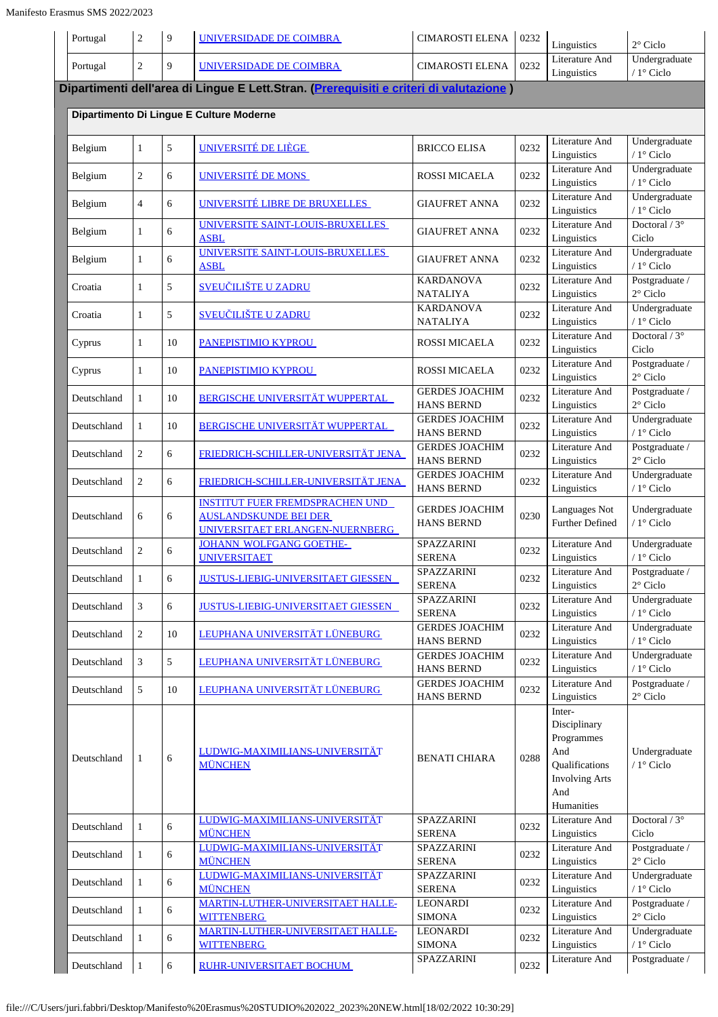| Portugal    | $\overline{c}$ | $\overline{9}$ | UNIVERSIDADE DE COIMBRA                                                                                   | <b>CIMAROSTI ELENA</b>                     | 0232 | Linguistics                                                                                                 | $2^{\circ}$ Ciclo                    |
|-------------|----------------|----------------|-----------------------------------------------------------------------------------------------------------|--------------------------------------------|------|-------------------------------------------------------------------------------------------------------------|--------------------------------------|
| Portugal    | $\overline{2}$ | 9              | UNIVERSIDADE DE COIMBRA                                                                                   | <b>CIMAROSTI ELENA</b>                     | 0232 | Literature And<br>Linguistics                                                                               | Undergraduate<br>/ $1^{\circ}$ Ciclo |
|             |                |                | Dipartimenti dell'area di Lingue E Lett.Stran. (Prerequisiti e criteri di valutazione)                    |                                            |      |                                                                                                             |                                      |
|             |                |                | Dipartimento Di Lingue E Culture Moderne                                                                  |                                            |      |                                                                                                             |                                      |
| Belgium     | $\mathbf{1}$   | 5              | UNIVERSITÉ DE LIÈGE                                                                                       | <b>BRICCO ELISA</b>                        | 0232 | Literature And<br>Linguistics                                                                               | Undergraduate<br>/ 1° Ciclo          |
| Belgium     | $\overline{2}$ | 6              | UNIVERSITÉ DE MONS                                                                                        | <b>ROSSI MICAELA</b>                       | 0232 | Literature And<br>Linguistics                                                                               | Undergraduate<br>/ $1^\circ$ Ciclo   |
| Belgium     | $\overline{4}$ | 6              | UNIVERSITÉ LIBRE DE BRUXELLES                                                                             | <b>GIAUFRET ANNA</b>                       | 0232 | Literature And<br>Linguistics                                                                               | Undergraduate<br>/ $1^{\circ}$ Ciclo |
| Belgium     | $\mathbf{1}$   | 6              | UNIVERSITE SAINT-LOUIS-BRUXELLES<br><b>ASBL</b>                                                           | <b>GIAUFRET ANNA</b>                       | 0232 | <b>Literature And</b><br>Linguistics                                                                        | Doctoral / $3^\circ$<br>Ciclo        |
| Belgium     | $\mathbf{1}$   | 6              | UNIVERSITE SAINT-LOUIS-BRUXELLES<br><b>ASBL</b>                                                           | <b>GIAUFRET ANNA</b>                       | 0232 | Literature And<br>Linguistics                                                                               | Undergraduate<br>/ $1^{\circ}$ Ciclo |
| Croatia     | $\mathbf{1}$   | 5              | <u>SVEUČILIŠTE U ZADRU</u>                                                                                | <b>KARDANOVA</b><br><b>NATALIYA</b>        | 0232 | Literature And<br>Linguistics                                                                               | Postgraduate /<br>$2^{\circ}$ Ciclo  |
| Croatia     | $\mathbf{1}$   | 5              | <u>SVEUČILIŠTE U ZADRU</u>                                                                                | <b>KARDANOVA</b><br><b>NATALIYA</b>        | 0232 | Literature And<br>Linguistics                                                                               | Undergraduate<br>/ 1° Ciclo          |
| Cyprus      | $\mathbf{1}$   | 10             | PANEPISTIMIO KYPROU                                                                                       | <b>ROSSI MICAELA</b>                       | 0232 | Literature And<br>Linguistics                                                                               | Doctoral $/3^{\circ}$<br>Ciclo       |
| Cyprus      | $\mathbf{1}$   | 10             | PANEPISTIMIO KYPROU                                                                                       | ROSSI MICAELA                              | 0232 | Literature And<br>Linguistics                                                                               | Postgraduate /<br>$2^{\circ}$ Ciclo  |
| Deutschland | $\mathbf{1}$   | 10             | BERGISCHE UNIVERSITÄT WUPPERTAL                                                                           | <b>GERDES JOACHIM</b><br><b>HANS BERND</b> | 0232 | Literature And<br>Linguistics                                                                               | Postgraduate /<br>$2^{\circ}$ Ciclo  |
| Deutschland | $\mathbf{1}$   | 10             | <b>BERGISCHE UNIVERSITÄT WUPPERTAL</b>                                                                    | <b>GERDES JOACHIM</b><br><b>HANS BERND</b> | 0232 | Literature And<br>Linguistics                                                                               | Undergraduate<br>/ 1° Ciclo          |
| Deutschland | $\overline{2}$ | 6              | FRIEDRICH-SCHILLER-UNIVERSITÄT JENA                                                                       | <b>GERDES JOACHIM</b><br><b>HANS BERND</b> | 0232 | Literature And<br>Linguistics                                                                               | Postgraduate /<br>$2^{\circ}$ Ciclo  |
| Deutschland | $\overline{2}$ | 6              | FRIEDRICH-SCHILLER-UNIVERSITÄT JENA                                                                       | <b>GERDES JOACHIM</b><br><b>HANS BERND</b> | 0232 | Literature And<br>Linguistics                                                                               | Undergraduate<br>$/1$ ° Ciclo        |
| Deutschland | 6              | 6              | <b>INSTITUT FUER FREMDSPRACHEN UND</b><br><b>AUSLANDSKUNDE BEI DER</b><br>UNIVERSITAET ERLANGEN-NUERNBERG | <b>GERDES JOACHIM</b><br><b>HANS BERND</b> | 0230 | Languages Not<br><b>Further Defined</b>                                                                     | Undergraduate<br>/ $1^{\circ}$ Ciclo |
| Deutschland | $\overline{c}$ | 6              | <b>JOHANN WOLFGANG GOETHE-</b><br><b>UNIVERSITAET</b>                                                     | SPAZZARINI<br><b>SERENA</b>                | 0232 | Literature And<br>Linguistics                                                                               | Undergraduate<br>$/ 1$ ° Ciclo       |
| Deutschland | $\mathbf{1}$   | 6              | <b>JUSTUS-LIEBIG-UNIVERSITAET GIESSEN</b>                                                                 | SPAZZARINI<br><b>SERENA</b>                | 0232 | Literature And<br>Linguistics                                                                               | Postgraduate /<br>$2^\circ$ Ciclo    |
| Deutschland | 3              | 6              | <b>JUSTUS-LIEBIG-UNIVERSITAET GIESSEN</b>                                                                 | SPAZZARINI<br><b>SERENA</b>                | 0232 | Literature And<br>Linguistics                                                                               | Undergraduate<br>$/1$ ° Ciclo        |
| Deutschland | $\overline{c}$ | 10             | LEUPHANA UNIVERSITÄT LÜNEBURG                                                                             | <b>GERDES JOACHIM</b><br><b>HANS BERND</b> | 0232 | Literature And<br>Linguistics                                                                               | Undergraduate<br>/ $1^{\circ}$ Ciclo |
| Deutschland | 3              | 5              | LEUPHANA UNIVERSITÄT LÜNEBURG                                                                             | <b>GERDES JOACHIM</b><br><b>HANS BERND</b> | 0232 | Literature And<br>Linguistics                                                                               | Undergraduate<br>/ $1^{\circ}$ Ciclo |
| Deutschland | 5              | 10             | LEUPHANA UNIVERSITÄT LÜNEBURG                                                                             | <b>GERDES JOACHIM</b><br><b>HANS BERND</b> | 0232 | Literature And<br>Linguistics                                                                               | Postgraduate /<br>$2^{\circ}$ Ciclo  |
| Deutschland | 1              | 6              | LUDWIG-MAXIMILIANS-UNIVERSITÄT<br><b>MÜNCHEN</b>                                                          | <b>BENATI CHIARA</b>                       | 0288 | Inter-<br>Disciplinary<br>Programmes<br>And<br>Qualifications<br><b>Involving Arts</b><br>And<br>Humanities | Undergraduate<br>/ 1° Ciclo          |
| Deutschland | $\mathbf{1}$   | 6              | LUDWIG-MAXIMILIANS-UNIVERSITÄT<br><b>MÜNCHEN</b>                                                          | <b>SPAZZARINI</b><br><b>SERENA</b>         | 0232 | Literature And<br>Linguistics                                                                               | Doctoral $/3^{\circ}$<br>Ciclo       |
| Deutschland | $\mathbf{1}$   | 6              | LUDWIG-MAXIMILIANS-UNIVERSITÄT<br><b>MÜNCHEN</b>                                                          | <b>SPAZZARINI</b><br><b>SERENA</b>         | 0232 | Literature And<br>Linguistics                                                                               | Postgraduate /<br>$2^{\circ}$ Ciclo  |
| Deutschland | $\mathbf{1}$   | 6              | LUDWIG-MAXIMILIANS-UNIVERSITÄT<br><b>MÜNCHEN</b>                                                          | SPAZZARINI<br><b>SERENA</b>                | 0232 | Literature And<br>Linguistics                                                                               | Undergraduate<br>$/1$ ° Ciclo        |
| Deutschland | $\mathbf{1}$   | 6              | <b>MARTIN-LUTHER-UNIVERSITAET HALLE-</b><br><b>WITTENBERG</b>                                             | <b>LEONARDI</b><br><b>SIMONA</b>           | 0232 | Literature And<br>Linguistics                                                                               | Postgraduate /<br>$2^{\circ}$ Ciclo  |
| Deutschland | $\mathbf{1}$   | 6              | <b>MARTIN-LUTHER-UNIVERSITAET HALLE-</b><br><b>WITTENBERG</b>                                             | <b>LEONARDI</b><br><b>SIMONA</b>           | 0232 | Literature And<br>Linguistics                                                                               | Undergraduate<br>/ 1° Ciclo          |
| Deutschland | 1              | 6              | RUHR-UNIVERSITAET BOCHUM                                                                                  | SPAZZARINI                                 | 0232 | Literature And                                                                                              | Postgraduate /                       |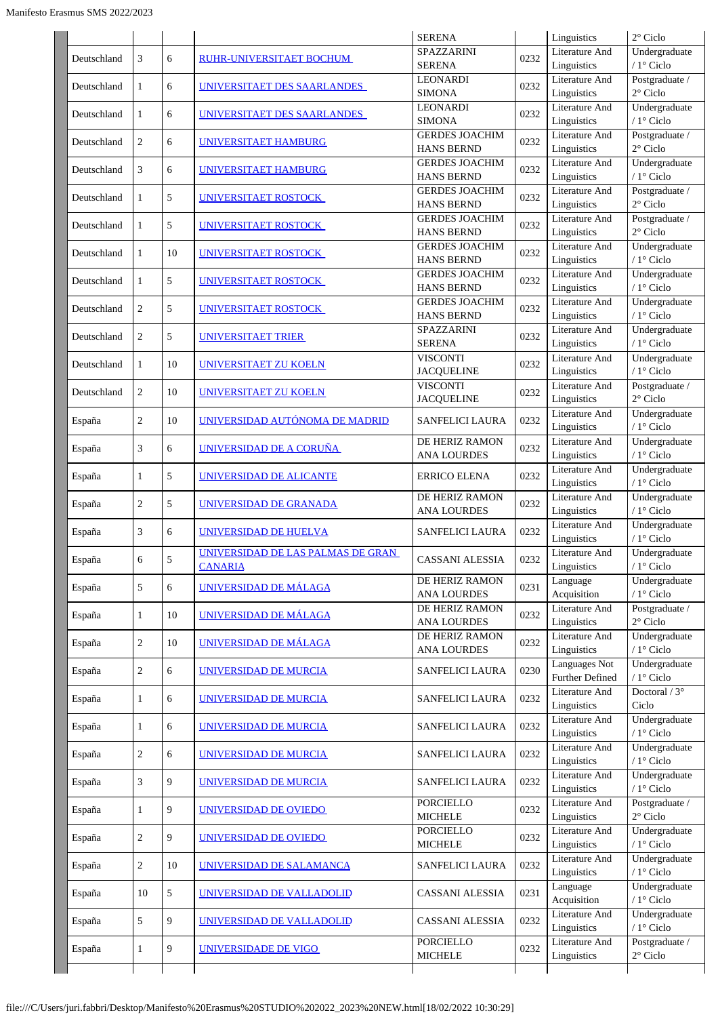|             |                |    |                                                     | <b>SERENA</b>                              |      | Linguistics                          | $2^{\circ}$ Ciclo                    |
|-------------|----------------|----|-----------------------------------------------------|--------------------------------------------|------|--------------------------------------|--------------------------------------|
| Deutschland | 3              | 6  | RUHR-UNIVERSITAET BOCHUM                            | <b>SPAZZARINI</b><br><b>SERENA</b>         | 0232 | Literature And<br>Linguistics        | Undergraduate<br>/ 1° Ciclo          |
| Deutschland | 1              | 6  | UNIVERSITAET DES SAARLANDES                         | <b>LEONARDI</b><br><b>SIMONA</b>           | 0232 | Literature And<br>Linguistics        | Postgraduate /<br>$2^{\circ}$ Ciclo  |
| Deutschland | $\mathbf{1}$   | 6  | UNIVERSITAET DES SAARLANDES                         | <b>LEONARDI</b><br><b>SIMONA</b>           | 0232 | Literature And<br>Linguistics        | Undergraduate<br>/ 1° Ciclo          |
| Deutschland | 2              | 6  | UNIVERSITAET HAMBURG                                | <b>GERDES JOACHIM</b><br><b>HANS BERND</b> | 0232 | Literature And<br>Linguistics        | Postgraduate /<br>$2^{\circ}$ Ciclo  |
| Deutschland | 3              | 6  | UNIVERSITAET HAMBURG                                | <b>GERDES JOACHIM</b><br><b>HANS BERND</b> | 0232 | Literature And<br>Linguistics        | Undergraduate<br>/ 1° Ciclo          |
| Deutschland | $\mathbf{1}$   | 5  | UNIVERSITAET ROSTOCK                                | <b>GERDES JOACHIM</b><br><b>HANS BERND</b> | 0232 | <b>Literature And</b><br>Linguistics | Postgraduate /<br>$2^{\circ}$ Ciclo  |
| Deutschland | $\mathbf{1}$   | 5  | UNIVERSITAET ROSTOCK                                | <b>GERDES JOACHIM</b><br><b>HANS BERND</b> | 0232 | Literature And<br>Linguistics        | Postgraduate /<br>$2^{\circ}$ Ciclo  |
| Deutschland | 1              | 10 | <u>UNIVERSITAET ROSTOCK J</u>                       | <b>GERDES JOACHIM</b><br><b>HANS BERND</b> | 0232 | <b>Literature And</b><br>Linguistics | Undergraduate<br>/ 1° Ciclo          |
| Deutschland | -1             | 5  | <b>UNIVERSITAET ROSTOCK</b>                         | <b>GERDES JOACHIM</b><br><b>HANS BERND</b> | 0232 | Literature And<br>Linguistics        | Undergraduate<br>/ 1° Ciclo          |
| Deutschland | $\overline{c}$ | 5  | UNIVERSITAET ROSTOCK                                | <b>GERDES JOACHIM</b><br><b>HANS BERND</b> | 0232 | Literature And<br>Linguistics        | Undergraduate<br>/ 1° Ciclo          |
| Deutschland | 2              | 5  | UNIVERSITAET TRIER                                  | SPAZZARINI<br><b>SERENA</b>                | 0232 | Literature And<br>Linguistics        | Undergraduate<br>/ 1° Ciclo          |
| Deutschland | $\mathbf{1}$   | 10 | <b>UNIVERSITAET ZU KOELN</b>                        | <b>VISCONTI</b><br><b>JACQUELINE</b>       | 0232 | Literature And<br>Linguistics        | Undergraduate<br>/ 1° Ciclo          |
| Deutschland | $\overline{c}$ | 10 | <b>UNIVERSITAET ZU KOELN</b>                        | <b>VISCONTI</b><br><b>JACQUELINE</b>       | 0232 | Literature And<br>Linguistics        | Postgraduate /<br>$2^\circ$ Ciclo    |
| España      | $\sqrt{2}$     | 10 | UNIVERSIDAD AUTÓNOMA DE MADRID                      | <b>SANFELICI LAURA</b>                     | 0232 | Literature And<br>Linguistics        | Undergraduate<br>/ 1° Ciclo          |
| España      | 3              | 6  | UNIVERSIDAD DE A CORUÑA                             | DE HERIZ RAMON<br><b>ANA LOURDES</b>       | 0232 | Literature And<br>Linguistics        | Undergraduate<br>/ 1° Ciclo          |
| España      | $\mathbf{1}$   | 5  | UNIVERSIDAD DE ALICANTE                             | <b>ERRICO ELENA</b>                        | 0232 | Literature And<br>Linguistics        | Undergraduate<br>/ 1° Ciclo          |
| España      | $\overline{2}$ | 5  | UNIVERSIDAD DE GRANADA                              | DE HERIZ RAMON<br><b>ANA LOURDES</b>       | 0232 | Literature And<br>Linguistics        | Undergraduate<br>/ 1° Ciclo          |
| España      | 3              | 6  | UNIVERSIDAD DE HUELVA                               | <b>SANFELICI LAURA</b>                     | 0232 | Literature And<br>Linguistics        | Undergraduate<br>/ 1° Ciclo          |
| España      | 6              | 5  | UNIVERSIDAD DE LAS PALMAS DE GRAN<br><b>CANARIA</b> | CASSANI ALESSIA                            | 0232 | Literature And<br>Linguistics        | Undergraduate<br>/ $1^\circ$ Ciclo   |
| España      | 5              | 6  | UNIVERSIDAD DE MÁLAGA                               | DE HERIZ RAMON<br><b>ANA LOURDES</b>       | 0231 | Language<br>Acquisition              | Undergraduate<br>/ 1° Ciclo          |
| España      | $\mathbf{1}$   | 10 | <b>UNIVERSIDAD DE MÁLAGA</b>                        | DE HERIZ RAMON<br><b>ANA LOURDES</b>       | 0232 | Literature And<br>Linguistics        | Postgraduate /<br>$2^{\circ}$ Ciclo  |
| España      | $\sqrt{2}$     | 10 | <u>UNIVERSIDAD DE MÁLAGA</u>                        | DE HERIZ RAMON<br><b>ANA LOURDES</b>       | 0232 | Literature And<br>Linguistics        | Undergraduate<br>/ 1° Ciclo          |
| España      | $\overline{2}$ | 6  | UNIVERSIDAD DE MURCIA                               | SANFELICI LAURA                            | 0230 | Languages Not<br>Further Defined     | Undergraduate<br>/ 1° Ciclo          |
| España      | $\mathbf{1}$   | 6  | <b>UNIVERSIDAD DE MURCIA</b>                        | SANFELICI LAURA                            | 0232 | Literature And<br>Linguistics        | Doctoral / 3°<br>Ciclo               |
| España      | 1              | 6  | <b>UNIVERSIDAD DE MURCIA</b>                        | SANFELICI LAURA                            | 0232 | <b>Literature And</b><br>Linguistics | Undergraduate<br>/ $1^{\circ}$ Ciclo |
| España      | $\sqrt{2}$     | 6  | <b>UNIVERSIDAD DE MURCIA</b>                        | SANFELICI LAURA                            | 0232 | Literature And<br>Linguistics        | Undergraduate<br>/ $1^{\circ}$ Ciclo |
| España      | 3              | 9  | <u>UNIVERSIDAD DE MURCIA</u>                        | <b>SANFELICI LAURA</b>                     | 0232 | Literature And<br>Linguistics        | Undergraduate<br>/ $1^{\circ}$ Ciclo |
| España      | 1              | 9  | UNIVERSIDAD DE OVIEDO                               | <b>PORCIELLO</b><br><b>MICHELE</b>         | 0232 | <b>Literature And</b><br>Linguistics | Postgraduate /<br>$2^{\circ}$ Ciclo  |
| España      | $\sqrt{2}$     | 9  | UNIVERSIDAD DE OVIEDO                               | <b>PORCIELLO</b><br><b>MICHELE</b>         | 0232 | Literature And<br>Linguistics        | Undergraduate<br>/ 1° Ciclo          |
| España      | $\sqrt{2}$     | 10 | UNIVERSIDAD DE SALAMANCA                            | SANFELICI LAURA                            | 0232 | Literature And<br>Linguistics        | Undergraduate<br>/ 1° Ciclo          |
| España      | 10             | 5  | UNIVERSIDAD DE VALLADOLID                           | CASSANI ALESSIA                            | 0231 | Language<br>Acquisition              | Undergraduate<br>/ 1° Ciclo          |
| España      | $\sqrt{5}$     | 9  | UNIVERSIDAD DE VALLADOLID                           | CASSANI ALESSIA                            | 0232 | Literature And<br>Linguistics        | Undergraduate<br>/ 1° Ciclo          |
| España      | $\mathbf{1}$   | 9  | <u>UNIVERSIDADE DE VIGO</u>                         | <b>PORCIELLO</b><br><b>MICHELE</b>         | 0232 | Literature And<br>Linguistics        | Postgraduate /<br>$2^{\circ}$ Ciclo  |
|             |                |    |                                                     |                                            |      |                                      |                                      |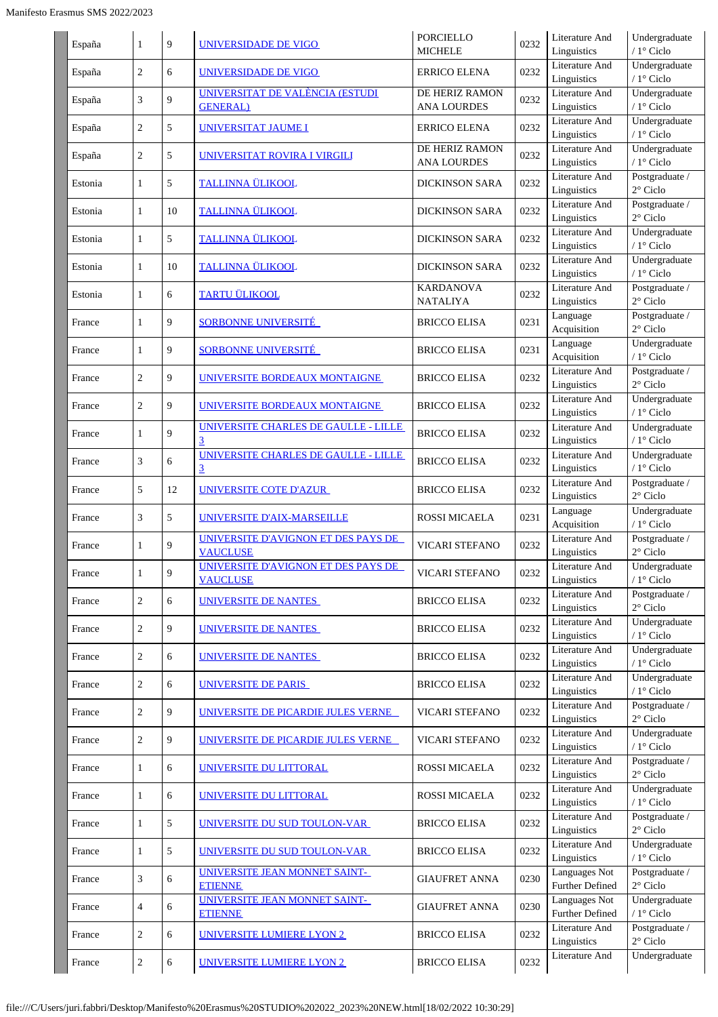| España  | 1              | 9  | UNIVERSIDADE DE VIGO                                   | <b>PORCIELLO</b><br><b>MICHELE</b>   | 0232 | Literature And<br>Linguistics           | Undergraduate<br>/ 1° Ciclo          |
|---------|----------------|----|--------------------------------------------------------|--------------------------------------|------|-----------------------------------------|--------------------------------------|
| España  | $\overline{c}$ | 6  | UNIVERSIDADE DE VIGO                                   | <b>ERRICO ELENA</b>                  | 0232 | Literature And<br>Linguistics           | Undergraduate<br>/ $1^{\circ}$ Ciclo |
| España  | 3              | 9  | UNIVERSITAT DE VALÈNCIA (ESTUDI<br><b>GENERAL</b> )    | DE HERIZ RAMON<br><b>ANA LOURDES</b> | 0232 | Literature And<br>Linguistics           | Undergraduate<br>/ $1^{\circ}$ Ciclo |
| España  | $\overline{c}$ | 5  | UNIVERSITAT JAUME I                                    | ERRICO ELENA                         | 0232 | Literature And<br>Linguistics           | Undergraduate<br>/ $1^{\circ}$ Ciclo |
| España  | $\overline{c}$ | 5  | UNIVERSITAT ROVIRA I VIRGILI                           | DE HERIZ RAMON<br><b>ANA LOURDES</b> | 0232 | Literature And<br>Linguistics           | Undergraduate<br>/ 1° Ciclo          |
| Estonia | 1              | 5  | <b>TALLINNA ÜLIKOOL</b>                                | DICKINSON SARA                       | 0232 | Literature And<br>Linguistics           | Postgraduate /<br>$2^{\circ}$ Ciclo  |
| Estonia | 1              | 10 | <b>TALLINNA ÜLIKOOL</b>                                | <b>DICKINSON SARA</b>                | 0232 | Literature And<br>Linguistics           | Postgraduate /<br>$2^{\circ}$ Ciclo  |
| Estonia | $\mathbf{1}$   | 5  | <b>TALLINNA ÜLIKOOL</b>                                | <b>DICKINSON SARA</b>                | 0232 | Literature And<br>Linguistics           | Undergraduate<br>/ 1° Ciclo          |
| Estonia | $\mathbf{1}$   | 10 | <b>TALLINNA ÜLIKOOL</b>                                | <b>DICKINSON SARA</b>                | 0232 | Literature And<br>Linguistics           | Undergraduate<br>/ 1° Ciclo          |
| Estonia | $\mathbf{1}$   | 6  | <b>TARTU ÜLIKOOL</b>                                   | <b>KARDANOVA</b><br><b>NATALIYA</b>  | 0232 | Literature And<br>Linguistics           | Postgraduate /<br>$2^{\circ}$ Ciclo  |
| France  | $\mathbf{1}$   | 9  | <b>SORBONNE UNIVERSITÉ</b>                             | <b>BRICCO ELISA</b>                  | 0231 | Language<br>Acquisition                 | Postgraduate /<br>$2^{\circ}$ Ciclo  |
| France  | 1              | 9  | <b>SORBONNE UNIVERSITÉ</b>                             | <b>BRICCO ELISA</b>                  | 0231 | Language<br>Acquisition                 | Undergraduate<br>/ 1° Ciclo          |
| France  | $\overline{c}$ | 9  | UNIVERSITE BORDEAUX MONTAIGNE                          | <b>BRICCO ELISA</b>                  | 0232 | Literature And<br>Linguistics           | Postgraduate /<br>$2^{\circ}$ Ciclo  |
| France  | $\overline{c}$ | 9  | UNIVERSITE BORDEAUX MONTAIGNE                          | <b>BRICCO ELISA</b>                  | 0232 | Literature And<br>Linguistics           | Undergraduate<br>/ $1^{\circ}$ Ciclo |
| France  | $\mathbf{1}$   | 9  | UNIVERSITE CHARLES DE GAULLE - LILLE<br>$\overline{3}$ | <b>BRICCO ELISA</b>                  | 0232 | Literature And<br>Linguistics           | Undergraduate<br>/ $1^{\circ}$ Ciclo |
| France  | 3              | 6  | UNIVERSITE CHARLES DE GAULLE - LILLE<br>$\overline{3}$ | <b>BRICCO ELISA</b>                  | 0232 | Literature And<br>Linguistics           | Undergraduate<br>/ $1^{\circ}$ Ciclo |
| France  | 5              | 12 | UNIVERSITE COTE D'AZUR                                 | <b>BRICCO ELISA</b>                  | 0232 | Literature And<br>Linguistics           | Postgraduate /<br>$2^{\circ}$ Ciclo  |
| France  | 3              | 5  | UNIVERSITE D'AIX-MARSEILLE                             | <b>ROSSI MICAELA</b>                 | 0231 | Language<br>Acquisition                 | Undergraduate<br>/ 1° Ciclo          |
| France  | 1              | 9  | UNIVERSITE D'AVIGNON ET DES PAYS DE<br><b>VAUCLUSE</b> | VICARI STEFANO                       | 0232 | Literature And<br>Linguistics           | Postgraduate /<br>$2^{\circ}$ Ciclo  |
| France  | $\mathbf{1}$   | 9  | UNIVERSITE D'AVIGNON ET DES PAYS DE<br><b>VAUCLUSE</b> | VICARI STEFANO                       | 0232 | Literature And<br>Linguistics           | Undergraduate<br>/ $1^{\circ}$ Ciclo |
| France  | $\overline{c}$ | 6  | UNIVERSITE DE NANTES                                   | <b>BRICCO ELISA</b>                  | 0232 | Literature And<br>Linguistics           | Postgraduate /<br>$2^{\circ}$ Ciclo  |
| France  | $\overline{c}$ | 9  | <u>UNIVERSITE DE NANTES </u>                           | <b>BRICCO ELISA</b>                  | 0232 | Literature And<br>Linguistics           | Undergraduate<br>/ $1^{\circ}$ Ciclo |
| France  | $\overline{c}$ | 6  | UNIVERSITE DE NANTES                                   | <b>BRICCO ELISA</b>                  | 0232 | Literature And<br>Linguistics           | Undergraduate<br>/ 1° Ciclo          |
| France  | $\overline{c}$ | 6  | UNIVERSITE DE PARIS                                    | <b>BRICCO ELISA</b>                  | 0232 | Literature And<br>Linguistics           | Undergraduate<br>/ 1° Ciclo          |
| France  | $\overline{c}$ | 9  | UNIVERSITE DE PICARDIE JULES VERNE                     | VICARI STEFANO                       | 0232 | Literature And<br>Linguistics           | Postgraduate /<br>$2^{\circ}$ Ciclo  |
| France  | $\overline{c}$ | 9  | <u>UNIVERSITE DE PICARDIE JULES VERNE -</u>            | VICARI STEFANO                       | 0232 | Literature And<br>Linguistics           | Undergraduate<br>/ $1^{\circ}$ Ciclo |
| France  | $\mathbf{1}$   | 6  | UNIVERSITE DU LITTORAL                                 | <b>ROSSI MICAELA</b>                 | 0232 | Literature And<br>Linguistics           | Postgraduate /<br>$2^{\circ}$ Ciclo  |
| France  | $\mathbf{1}$   | 6  | UNIVERSITE DU LITTORAL                                 | <b>ROSSI MICAELA</b>                 | 0232 | Literature And<br>Linguistics           | Undergraduate<br>/ $1^{\circ}$ Ciclo |
| France  | $\mathbf{1}$   | 5  | UNIVERSITE DU SUD TOULON-VAR                           | <b>BRICCO ELISA</b>                  | 0232 | Literature And<br>Linguistics           | Postgraduate /<br>$2^{\circ}$ Ciclo  |
| France  | $\mathbf{1}$   | 5  | UNIVERSITE DU SUD TOULON-VAR                           | <b>BRICCO ELISA</b>                  | 0232 | Literature And<br>Linguistics           | Undergraduate<br>/ $1^{\circ}$ Ciclo |
| France  | 3              | 6  | UNIVERSITE JEAN MONNET SAINT-<br><b>ETIENNE</b>        | <b>GIAUFRET ANNA</b>                 | 0230 | Languages Not<br><b>Further Defined</b> | Postgraduate /<br>$2^{\circ}$ Ciclo  |
| France  | $\overline{4}$ | 6  | UNIVERSITE JEAN MONNET SAINT-<br><b>ETIENNE</b>        | <b>GIAUFRET ANNA</b>                 | 0230 | Languages Not<br>Further Defined        | Undergraduate<br>/ $1^\circ$ Ciclo   |
| France  | $\overline{c}$ | 6  | <b>UNIVERSITE LUMIERE LYON 2</b>                       | <b>BRICCO ELISA</b>                  | 0232 | Literature And<br>Linguistics           | Postgraduate /<br>$2^{\circ}$ Ciclo  |
| France  | $\overline{c}$ | 6  | <b>UNIVERSITE LUMIERE LYON 2</b>                       | <b>BRICCO ELISA</b>                  | 0232 | Literature And                          | Undergraduate                        |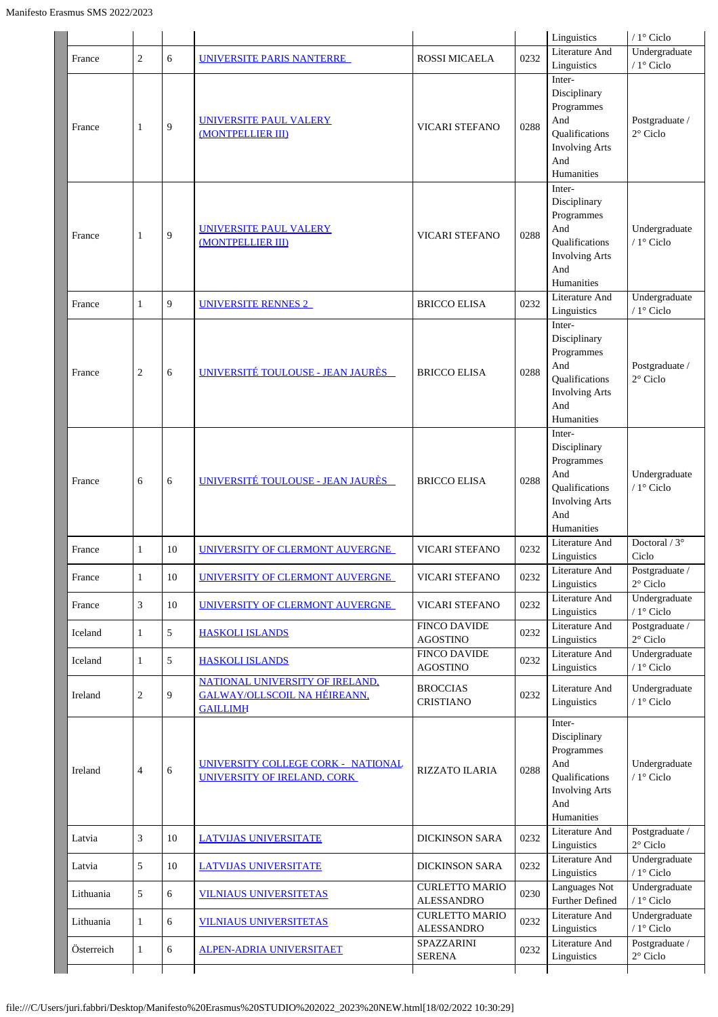|            |                |        |                                                                                           |                                            |      | Linguistics                                                                                                 | / 1° Ciclo                            |
|------------|----------------|--------|-------------------------------------------------------------------------------------------|--------------------------------------------|------|-------------------------------------------------------------------------------------------------------------|---------------------------------------|
| France     | $\overline{c}$ | 6      | UNIVERSITE PARIS NANTERRE                                                                 | <b>ROSSI MICAELA</b>                       | 0232 | Literature And<br>Linguistics                                                                               | Undergraduate<br>/ 1° Ciclo           |
| France     | 1              | 9      | <b>UNIVERSITE PAUL VALERY</b><br>(MONTPELLIER III)                                        | <b>VICARI STEFANO</b>                      | 0288 | Inter-<br>Disciplinary<br>Programmes<br>And<br>Qualifications<br><b>Involving Arts</b><br>And<br>Humanities | Postgraduate /<br>$2^{\circ}$ Ciclo   |
| France     | 1              | 9      | <b>UNIVERSITE PAUL VALERY</b><br>(MONTPELLIER III)                                        | <b>VICARI STEFANO</b>                      | 0288 | Inter-<br>Disciplinary<br>Programmes<br>And<br>Qualifications<br><b>Involving Arts</b><br>And<br>Humanities | Undergraduate<br>/ 1° Ciclo           |
| France     | $\mathbf{1}$   | 9      | <b>UNIVERSITE RENNES 2</b>                                                                | <b>BRICCO ELISA</b>                        | 0232 | Literature And<br>Linguistics                                                                               | Undergraduate<br>/ 1° Ciclo           |
| France     | $\overline{c}$ | 6      | UNIVERSITÉ TOULOUSE - JEAN JAURÈS                                                         | <b>BRICCO ELISA</b>                        | 0288 | Inter-<br>Disciplinary<br>Programmes<br>And<br>Qualifications<br><b>Involving Arts</b><br>And<br>Humanities | Postgraduate /<br>$2^{\circ}$ Ciclo   |
| France     | 6              | 6      | UNIVERSITÉ TOULOUSE - JEAN JAURÈS                                                         | <b>BRICCO ELISA</b>                        | 0288 | Inter-<br>Disciplinary<br>Programmes<br>And<br>Qualifications<br><b>Involving Arts</b><br>And<br>Humanities | Undergraduate<br>/ 1° Ciclo           |
| France     | $\mathbf{1}$   | 10     | UNIVERSITY OF CLERMONT AUVERGNE                                                           | VICARI STEFANO                             | 0232 | Literature And<br>Linguistics                                                                               | Doctoral / $3^\circ$<br>Ciclo         |
| France     | 1              | $10\,$ | UNIVERSITY OF CLERMONT AUVERGNE                                                           | VICARI STEFANO                             | 0232 | Literature And<br>Linguistics                                                                               | Postgraduate $/$<br>$2^{\circ}$ Ciclo |
| France     | 3              | 10     | UNIVERSITY OF CLERMONT AUVERGNE                                                           | VICARI STEFANO                             | 0232 | Literature And<br>Linguistics                                                                               | Undergraduate<br>/ 1° Ciclo           |
| Iceland    | $\mathbf{1}$   | 5      | <b>HASKOLI ISLANDS</b>                                                                    | <b>FINCO DAVIDE</b><br><b>AGOSTINO</b>     | 0232 | Literature And<br>Linguistics                                                                               | Postgraduate /<br>$2^{\circ}$ Ciclo   |
| Iceland    | 1              | 5      | <b>HASKOLI ISLANDS</b>                                                                    | <b>FINCO DAVIDE</b><br><b>AGOSTINO</b>     | 0232 | Literature And<br>Linguistics                                                                               | Undergraduate<br>/ $1^{\circ}$ Ciclo  |
| Ireland    | $\sqrt{2}$     | 9      | NATIONAL UNIVERSITY OF IRELAND,<br><b>GALWAY/OLLSCOIL NA HÉIREANN,</b><br><b>GAILLIMH</b> | <b>BROCCIAS</b><br><b>CRISTIANO</b>        | 0232 | Literature And<br>Linguistics                                                                               | Undergraduate<br>/ $1^{\circ}$ Ciclo  |
| Ireland    | 4              | 6      | UNIVERSITY COLLEGE CORK - NATIONAL<br>UNIVERSITY OF IRELAND, CORK                         | <b>RIZZATO ILARIA</b>                      | 0288 | Inter-<br>Disciplinary<br>Programmes<br>And<br>Qualifications<br><b>Involving Arts</b><br>And<br>Humanities | Undergraduate<br>/ 1° Ciclo           |
| Latvia     | 3              | 10     | <b>LATVIJAS UNIVERSITATE</b>                                                              | <b>DICKINSON SARA</b>                      | 0232 | Literature And<br>Linguistics                                                                               | Postgraduate /<br>$2^{\circ}$ Ciclo   |
| Latvia     | 5              | 10     | <b>LATVIJAS UNIVERSITATE</b>                                                              | <b>DICKINSON SARA</b>                      | 0232 | Literature And<br>Linguistics                                                                               | Undergraduate<br>/ $1^{\circ}$ Ciclo  |
| Lithuania  | 5              | 6      | <b>VILNIAUS UNIVERSITETAS</b>                                                             | <b>CURLETTO MARIO</b><br><b>ALESSANDRO</b> | 0230 | <b>Languages Not</b><br>Further Defined                                                                     | Undergraduate<br>/ $1^{\circ}$ Ciclo  |
| Lithuania  | 1              | 6      | <b>VILNIAUS UNIVERSITETAS</b>                                                             | <b>CURLETTO MARIO</b><br><b>ALESSANDRO</b> | 0232 | Literature And<br>Linguistics                                                                               | Undergraduate<br>/ $1^{\circ}$ Ciclo  |
| Österreich | $\mathbf{1}$   | 6      | <u>ALPEN-ADRIA UNIVERSITAET</u>                                                           | SPAZZARINI<br><b>SERENA</b>                | 0232 | Literature And<br>Linguistics                                                                               | Postgraduate /<br>$2^{\circ}$ Ciclo   |
|            |                |        |                                                                                           |                                            |      |                                                                                                             |                                       |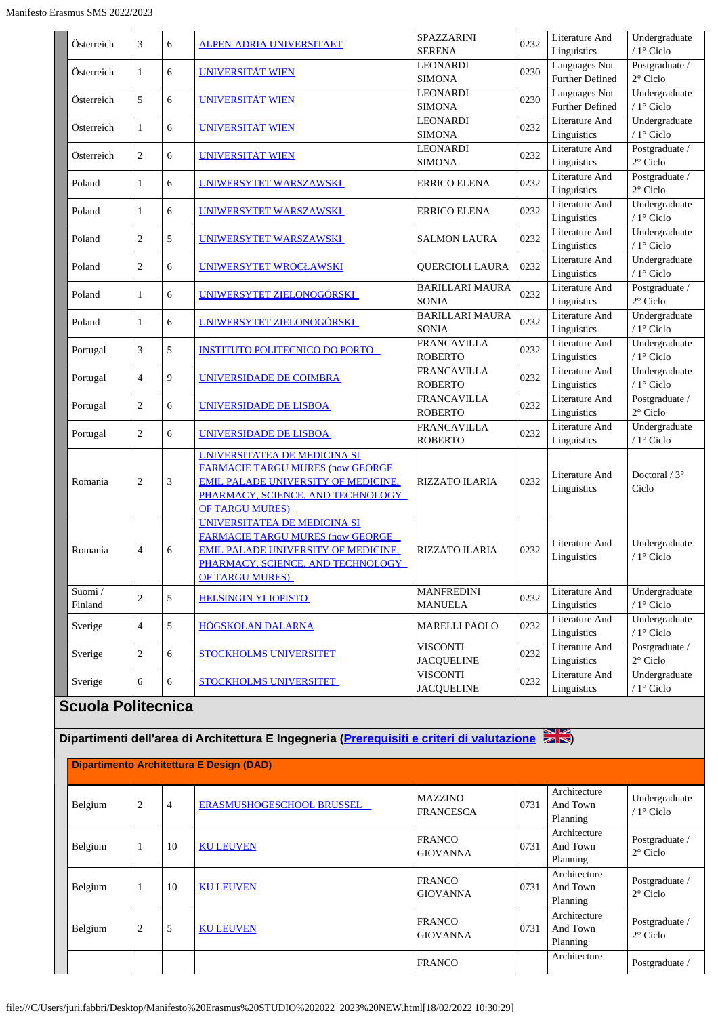| Österreich                | 3                | 6              | ALPEN-ADRIA UNIVERSITAET                                                                                                                                                              | SPAZZARINI<br><b>SERENA</b>            | 0232 | Literature And<br>Linguistics           | Undergraduate<br>/ 1º Ciclo          |
|---------------------------|------------------|----------------|---------------------------------------------------------------------------------------------------------------------------------------------------------------------------------------|----------------------------------------|------|-----------------------------------------|--------------------------------------|
| Österreich                | $\mathbf{1}$     | 6              | <b>UNIVERSITÄT WIEN</b>                                                                                                                                                               | <b>LEONARDI</b><br><b>SIMONA</b>       | 0230 | Languages Not<br><b>Further Defined</b> | Postgraduate /<br>$2^{\circ}$ Ciclo  |
| Österreich                | 5                | 6              | <b>UNIVERSITÄT WIEN</b>                                                                                                                                                               | <b>LEONARDI</b><br><b>SIMONA</b>       | 0230 | Languages Not<br>Further Defined        | Undergraduate<br>/ $1^\circ$ Ciclo   |
|                           |                  |                |                                                                                                                                                                                       |                                        |      |                                         |                                      |
| Österreich                | $\mathbf{1}$     | 6              | <b>UNIVERSITÄT WIEN</b>                                                                                                                                                               | LEONARDI<br><b>SIMONA</b>              | 0232 | Literature And<br>Linguistics           | Undergraduate<br>/ $1^\circ$ Ciclo   |
|                           |                  |                |                                                                                                                                                                                       | LEONARDI                               |      | Literature And                          | Postgraduate /                       |
| Österreich                | $\overline{2}$   | 6              | <b>UNIVERSITÄT WIEN</b>                                                                                                                                                               | <b>SIMONA</b>                          | 0232 | Linguistics                             | $2^{\circ}$ Ciclo                    |
| Poland                    | $\mathbf{1}$     | 6              | UNIWERSYTET WARSZAWSKI                                                                                                                                                                | <b>ERRICO ELENA</b>                    | 0232 | Literature And<br>Linguistics           | Postgraduate /<br>$2^{\circ}$ Ciclo  |
| Poland                    | $\mathbf{1}$     | 6              | UNIWERSYTET WARSZAWSKI                                                                                                                                                                | ERRICO ELENA                           | 0232 | Literature And<br>Linguistics           | Undergraduate<br>/ $1^{\circ}$ Ciclo |
| Poland                    | $\overline{c}$   | 5              | UNIWERSYTET WARSZAWSKI                                                                                                                                                                | SALMON LAURA                           | 0232 | Literature And<br>Linguistics           | Undergraduate<br>$/1$ ° Ciclo        |
| Poland                    | $\overline{c}$   | 6              | UNIWERSYTET WROCŁAWSKI                                                                                                                                                                | <b>QUERCIOLI LAURA</b>                 | 0232 | Literature And<br>Linguistics           | Undergraduate<br>/ 1° Ciclo          |
| Poland                    | $\mathbf{1}$     | 6              | UNIWERSYTET ZIELONOGÓRSKI                                                                                                                                                             | <b>BARILLARI MAURA</b><br><b>SONIA</b> | 0232 | Literature And<br>Linguistics           | Postgraduate /<br>$2^{\circ}$ Ciclo  |
| Poland                    | $\mathbf{1}$     | 6              | UNIWERSYTET ZIELONOGÓRSKI                                                                                                                                                             | <b>BARILLARI MAURA</b><br><b>SONIA</b> | 0232 | Literature And<br>Linguistics           | Undergraduate<br>/ $1^{\circ}$ Ciclo |
| Portugal                  | 3                | 5              | <b>INSTITUTO POLITECNICO DO PORTO</b>                                                                                                                                                 | <b>FRANCAVILLA</b><br><b>ROBERTO</b>   | 0232 | Literature And<br>Linguistics           | Undergraduate<br>/ $1^{\circ}$ Ciclo |
| Portugal                  | $\overline{4}$   | 9              | UNIVERSIDADE DE COIMBRA                                                                                                                                                               | <b>FRANCAVILLA</b><br><b>ROBERTO</b>   | 0232 | Literature And<br>Linguistics           | Undergraduate<br>$/1$ ° Ciclo        |
|                           |                  |                |                                                                                                                                                                                       |                                        |      |                                         |                                      |
| Portugal                  | $\overline{c}$   | 6              | <u>UNIVERSIDADE DE LISBOA</u>                                                                                                                                                         | <b>FRANCAVILLA</b><br><b>ROBERTO</b>   | 0232 | Literature And<br>Linguistics           | Postgraduate /<br>$2^{\circ}$ Ciclo  |
| Portugal                  | $\overline{c}$   | 6              | UNIVERSIDADE DE LISBOA                                                                                                                                                                | <b>FRANCAVILLA</b><br><b>ROBERTO</b>   | 0232 | Literature And<br>Linguistics           | Undergraduate<br>$/1^\circ$ Ciclo    |
| Romania                   | $\overline{c}$   | 3              | UNIVERSITATEA DE MEDICINA SI<br><b>FARMACIE TARGU MURES (now GEORGE</b><br><b>EMIL PALADE UNIVERSITY OF MEDICINE.</b><br>PHARMACY, SCIENCE, AND TECHNOLOGY<br><b>OF TARGU MURES)</b>  | <b>RIZZATO ILARIA</b>                  | 0232 | Literature And<br>Linguistics           | Doctoral $/3^{\circ}$<br>Ciclo       |
| Romania                   | $\overline{4}$   | 6              | UNIVERSITATEA DE MEDICINA SI<br><b>FARMACIE TARGU MURES (now GEORGE)</b><br><b>EMIL PALADE UNIVERSITY OF MEDICINE,</b><br>PHARMACY, SCIENCE, AND TECHNOLOGY<br><b>OF TARGU MURES)</b> | <b>RIZZATO ILARIA</b>                  | 0232 | Literature And<br>Linguistics           | Undergraduate<br>/ 1° Ciclo          |
| Suomi/<br>Finland         | $\overline{c}$   | 5              | <b>HELSINGIN YLIOPISTO</b>                                                                                                                                                            | <b>MANFREDINI</b><br><b>MANUELA</b>    | 0232 | Literature And<br>Linguistics           | Undergraduate<br>/ $1^\circ$ Ciclo   |
| Sverige                   | $\overline{4}$   | 5              | <b>HÖGSKOLAN DALARNA</b>                                                                                                                                                              | <b>MARELLI PAOLO</b>                   | 0232 | Literature And<br>Linguistics           | Undergraduate<br>/ $1^\circ$ Ciclo   |
| Sverige                   | $\overline{c}$   | 6              | STOCKHOLMS UNIVERSITET                                                                                                                                                                | <b>VISCONTI</b><br><b>JACQUELINE</b>   | 0232 | Literature And<br>Linguistics           | Postgraduate /<br>$2^{\circ}$ Ciclo  |
| Sverige                   | 6                | 6              | STOCKHOLMS UNIVERSITET                                                                                                                                                                | <b>VISCONTI</b><br><b>JACQUELINE</b>   | 0232 | Literature And<br>Linguistics           | Undergraduate<br>/ 1° Ciclo          |
| <b>Scuola Politecnica</b> |                  |                |                                                                                                                                                                                       |                                        |      |                                         |                                      |
|                           |                  |                | Dipartimenti dell'area di Architettura E Ingegneria ( <mark>Prerequisiti e criteri di valutazione alle</mark>                                                                         |                                        |      |                                         |                                      |
|                           |                  |                | <b>Dipartimento Architettura E Design (DAD)</b>                                                                                                                                       |                                        |      |                                         |                                      |
|                           |                  |                |                                                                                                                                                                                       |                                        |      |                                         |                                      |
| Belgium                   | $\boldsymbol{2}$ | $\overline{4}$ | ERASMUSHOGESCHOOL BRUSSEL                                                                                                                                                             | <b>MAZZINO</b><br><b>FRANCESCA</b>     | 0731 | Architecture<br>And Town<br>Planning    | Undergraduate<br>/ $1^{\circ}$ Ciclo |
| Belgium                   | $\mathbf{1}$     | 10             | <b>KU LEUVEN</b>                                                                                                                                                                      | <b>FRANCO</b><br><b>GIOVANNA</b>       | 0731 | Architecture<br>And Town                | Postgraduate /<br>$2^{\circ}$ Ciclo  |

Planning

Architecture And Town Planning

Architecture And Town Planning

FRANCO Architecture Postgraduate /

Postgraduate / 2° Ciclo

Postgraduate / 2° Ciclo

GIOVANNA 0731

GIOVANNA 0731

Belgium <sup>1</sup> <sup>10</sup> [KU LEUVEN](https://www.kuleuven.be/english/) FRANCO

Belgium <sup>2</sup> <sup>5</sup> [KU LEUVEN](https://www.kuleuven.be/english/) FRANCO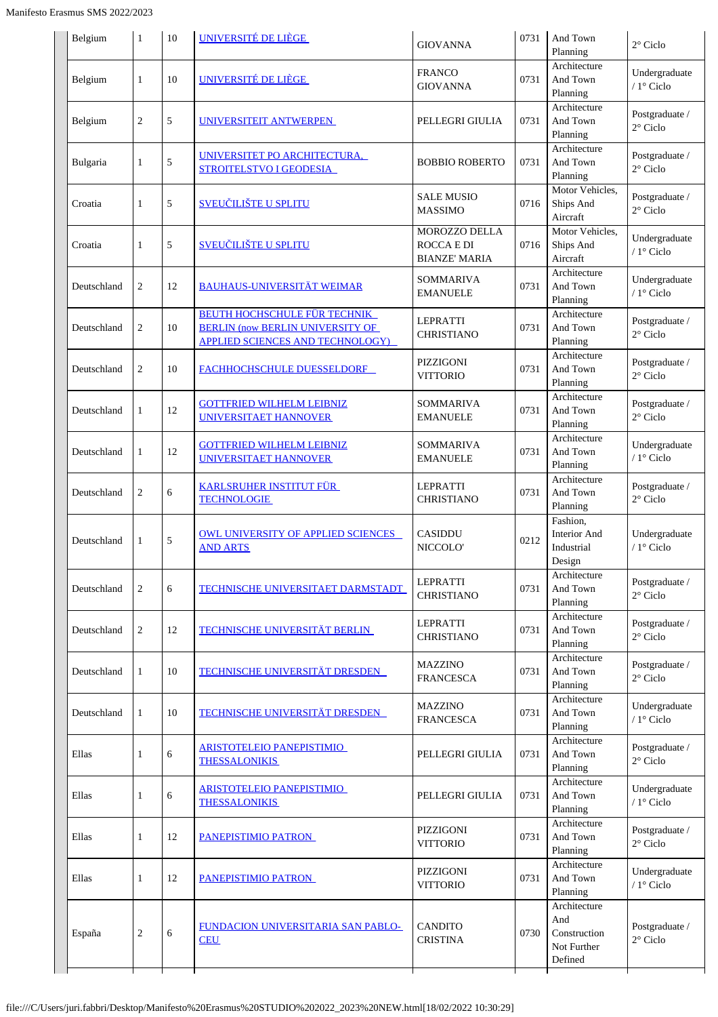| Belgium     | $\mathbf{1}$   | 10 | UNIVERSITÉ DE LIÈGE                                                                                                       | <b>GIOVANNA</b>                                            | 0731 | And Town<br>Planning                                          | $2^{\circ}$ Ciclo                   |
|-------------|----------------|----|---------------------------------------------------------------------------------------------------------------------------|------------------------------------------------------------|------|---------------------------------------------------------------|-------------------------------------|
| Belgium     | $\mathbf{1}$   | 10 | UNIVERSITÉ DE LIÈGE                                                                                                       | <b>FRANCO</b><br><b>GIOVANNA</b>                           | 0731 | Architecture<br>And Town<br>Planning                          | Undergraduate<br>/ 1° Ciclo         |
| Belgium     | $\overline{c}$ | 5  | UNIVERSITEIT ANTWERPEN                                                                                                    | PELLEGRI GIULIA                                            | 0731 | Architecture<br>And Town<br>Planning                          | Postgraduate /<br>$2^{\circ}$ Ciclo |
| Bulgaria    | 1              | 5  | UNIVERSITET PO ARCHITECTURA,<br><b>STROITELSTVO I GEODESIA</b>                                                            | <b>BOBBIO ROBERTO</b>                                      | 0731 | Architecture<br>And Town<br>Planning                          | Postgraduate /<br>$2^{\circ}$ Ciclo |
| Croatia     | 1              | 5  | <b>SVEUČILIŠTE U SPLITU</b>                                                                                               | <b>SALE MUSIO</b><br><b>MASSIMO</b>                        | 0716 | Motor Vehicles,<br>Ships And<br>Aircraft                      | Postgraduate /<br>$2^{\circ}$ Ciclo |
| Croatia     | 1              | 5  | <b>SVEUČILIŠTE U SPLITU</b>                                                                                               | MOROZZO DELLA<br><b>ROCCA E DI</b><br><b>BIANZE' MARIA</b> | 0716 | Motor Vehicles,<br>Ships And<br>Aircraft                      | Undergraduate<br>/ 1° Ciclo         |
| Deutschland | 2              | 12 | <b>BAUHAUS-UNIVERSITÄT WEIMAR</b>                                                                                         | <b>SOMMARIVA</b><br><b>EMANUELE</b>                        | 0731 | Architecture<br>And Town<br>Planning                          | Undergraduate<br>$/1$ ° Ciclo       |
| Deutschland | 2              | 10 | <b>BEUTH HOCHSCHULE FÜR TECHNIK</b><br><b>BERLIN (now BERLIN UNIVERSITY OF</b><br><b>APPLIED SCIENCES AND TECHNOLOGY)</b> | <b>LEPRATTI</b><br><b>CHRISTIANO</b>                       | 0731 | Architecture<br>And Town<br>Planning                          | Postgraduate /<br>$2^{\circ}$ Ciclo |
| Deutschland | $\overline{c}$ | 10 | FACHHOCHSCHULE DUESSELDORF                                                                                                | PIZZIGONI<br><b>VITTORIO</b>                               | 0731 | Architecture<br>And Town<br>Planning                          | Postgraduate /<br>$2^{\circ}$ Ciclo |
| Deutschland | 1              | 12 | <b>GOTTFRIED WILHELM LEIBNIZ</b><br><b>UNIVERSITAET HANNOVER</b>                                                          | <b>SOMMARIVA</b><br><b>EMANUELE</b>                        | 0731 | Architecture<br>And Town<br>Planning                          | Postgraduate /<br>$2^{\circ}$ Ciclo |
| Deutschland | 1              | 12 | <b>GOTTFRIED WILHELM LEIBNIZ</b><br><b>UNIVERSITAET HANNOVER</b>                                                          | <b>SOMMARIVA</b><br><b>EMANUELE</b>                        | 0731 | Architecture<br>And Town<br>Planning                          | Undergraduate<br>$/1^\circ$ Ciclo   |
| Deutschland | 2              | 6  | <b>KARLSRUHER INSTITUT FÜR</b><br><b>TECHNOLOGIE</b>                                                                      | <b>LEPRATTI</b><br><b>CHRISTIANO</b>                       | 0731 | Architecture<br>And Town<br>Planning                          | Postgraduate /<br>$2^{\circ}$ Ciclo |
| Deutschland | 1              | 5  | <b>OWL UNIVERSITY OF APPLIED SCIENCES</b><br><b>AND ARTS</b>                                                              | <b>CASIDDU</b><br>NICCOLO'                                 | 0212 | Fashion,<br>Interior And<br>Industrial<br>Design              | Undergraduate<br>$/1$ ° Ciclo       |
| Deutschland | 2              | 6  | TECHNISCHE UNIVERSITAET DARMSTADT                                                                                         | <b>LEPRATTI</b><br><b>CHRISTIANO</b>                       | 0731 | Architecture<br>And Town<br>Planning                          | Postgraduate /<br>$2^{\circ}$ Ciclo |
| Deutschland | 2              | 12 | <b>TECHNISCHE UNIVERSITÄT BERLIN</b>                                                                                      | <b>LEPRATTI</b><br><b>CHRISTIANO</b>                       | 0731 | Architecture<br>And Town<br>Planning                          | Postgraduate /<br>$2^{\circ}$ Ciclo |
| Deutschland | 1              | 10 | TECHNISCHE UNIVERSITÄT DRESDEN                                                                                            | <b>MAZZINO</b><br><b>FRANCESCA</b>                         | 0731 | Architecture<br>And Town<br>Planning                          | Postgraduate /<br>$2^{\circ}$ Ciclo |
| Deutschland | 1              | 10 | <b>TECHNISCHE UNIVERSITÄT DRESDEN</b>                                                                                     | <b>MAZZINO</b><br><b>FRANCESCA</b>                         | 0731 | Architecture<br>And Town<br>Planning                          | Undergraduate<br>/ 1° Ciclo         |
| Ellas       | 1              | 6  | <b>ARISTOTELEIO PANEPISTIMIO</b><br><b>THESSALONIKIS</b>                                                                  | PELLEGRI GIULIA                                            | 0731 | Architecture<br>And Town<br>Planning                          | Postgraduate /<br>$2^{\circ}$ Ciclo |
| Ellas       | 1              | 6  | <b>ARISTOTELEIO PANEPISTIMIO</b><br><b>THESSALONIKIS</b>                                                                  | PELLEGRI GIULIA                                            | 0731 | Architecture<br>And Town<br>Planning                          | Undergraduate<br>/ 1° Ciclo         |
| Ellas       | 1              | 12 | <b>PANEPISTIMIO PATRON</b>                                                                                                | PIZZIGONI<br><b>VITTORIO</b>                               | 0731 | Architecture<br>And Town<br>Planning                          | Postgraduate /<br>$2^{\circ}$ Ciclo |
| Ellas       | 1              | 12 | PANEPISTIMIO PATRON                                                                                                       | PIZZIGONI<br><b>VITTORIO</b>                               | 0731 | Architecture<br>And Town<br>Planning                          | Undergraduate<br>/ 1° Ciclo         |
| España      | $\overline{c}$ | 6  | FUNDACION UNIVERSITARIA SAN PABLO-<br><b>CEU</b>                                                                          | <b>CANDITO</b><br><b>CRISTINA</b>                          | 0730 | Architecture<br>And<br>Construction<br>Not Further<br>Defined | Postgraduate /<br>$2^{\circ}$ Ciclo |
|             |                |    |                                                                                                                           |                                                            |      |                                                               |                                     |

 $\mathsf{I}$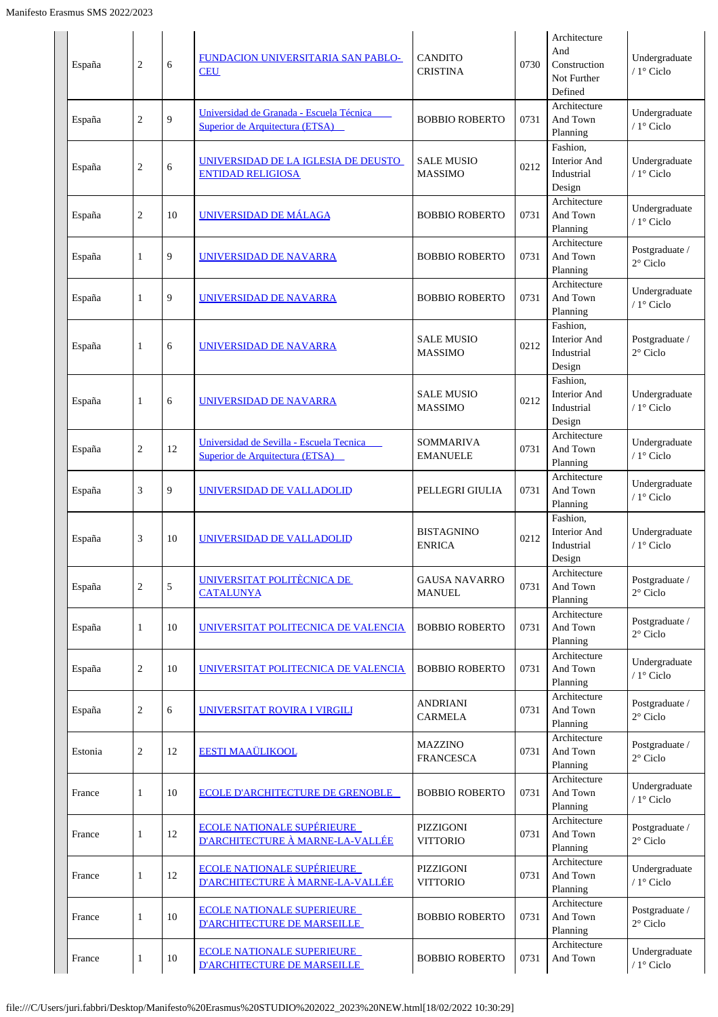| España  | $\overline{c}$ | 6          | FUNDACION UNIVERSITARIA SAN PABLO-<br><b>CEU</b>                            | <b>CANDITO</b><br><b>CRISTINA</b>     | 0730 | Architecture<br>And<br>Construction<br>Not Further<br>Defined | Undergraduate<br>/ 1° Ciclo          |
|---------|----------------|------------|-----------------------------------------------------------------------------|---------------------------------------|------|---------------------------------------------------------------|--------------------------------------|
| España  | 2              | 9          | Universidad de Granada - Escuela Técnica<br>Superior de Arquitectura (ETSA) | <b>BOBBIO ROBERTO</b>                 | 0731 | Architecture<br>And Town<br>Planning                          | Undergraduate<br>/ 1° Ciclo          |
| España  | 2              | 6          | UNIVERSIDAD DE LA IGLESIA DE DEUSTO<br><b>ENTIDAD RELIGIOSA</b>             | <b>SALE MUSIO</b><br><b>MASSIMO</b>   | 0212 | Fashion,<br><b>Interior And</b><br>Industrial<br>Design       | Undergraduate<br>$/1^\circ$ Ciclo    |
| España  | 2              | 10         | UNIVERSIDAD DE MÁLAGA                                                       | <b>BOBBIO ROBERTO</b>                 | 0731 | Architecture<br>And Town<br>Planning                          | Undergraduate<br>/ 1° Ciclo          |
| España  | 1              | 9          | UNIVERSIDAD DE NAVARRA                                                      | <b>BOBBIO ROBERTO</b>                 | 0731 | Architecture<br>And Town<br>Planning                          | Postgraduate /<br>$2^{\circ}$ Ciclo  |
| España  | $\mathbf{1}$   | 9          | UNIVERSIDAD DE NAVARRA                                                      | <b>BOBBIO ROBERTO</b>                 | 0731 | Architecture<br>And Town<br>Planning                          | Undergraduate<br>/ 1° Ciclo          |
| España  | 1              | 6          | <u>UNIVERSIDAD DE NAVARRA</u>                                               | <b>SALE MUSIO</b><br><b>MASSIMO</b>   | 0212 | Fashion.<br><b>Interior And</b><br>Industrial<br>Design       | Postgraduate /<br>2° Ciclo           |
| España  | $\mathbf{1}$   | 6          | UNIVERSIDAD DE NAVARRA                                                      | <b>SALE MUSIO</b><br><b>MASSIMO</b>   | 0212 | Fashion,<br>Interior And<br>Industrial<br>Design              | Undergraduate<br>/ 1° Ciclo          |
| España  | 2              | 12         | Universidad de Sevilla - Escuela Tecnica<br>Superior de Arquitectura (ETSA) | <b>SOMMARIVA</b><br><b>EMANUELE</b>   | 0731 | Architecture<br>And Town<br>Planning                          | Undergraduate<br>/ 1° Ciclo          |
| España  | 3              | 9          | <u>UNIVERSIDAD DE VALLADOLID</u>                                            | PELLEGRI GIULIA                       | 0731 | Architecture<br>And Town<br>Planning                          | Undergraduate<br>/ 1° Ciclo          |
| España  | 3              | 10         | UNIVERSIDAD DE VALLADOLID                                                   | <b>BISTAGNINO</b><br><b>ENRICA</b>    | 0212 | Fashion.<br>Interior And<br>Industrial<br>Design              | Undergraduate<br>/ 1° Ciclo          |
| España  | $\overline{c}$ | $\sqrt{5}$ | UNIVERSITAT POLITÈCNICA DE<br><b>CATALUNYA</b>                              | <b>GAUSA NAVARRO</b><br><b>MANUEL</b> | 0731 | Architecture<br>And Town<br>Planning                          | Postgraduate /<br>$2^{\circ}$ Ciclo  |
| España  | 1              | 10         | UNIVERSITAT POLITECNICA DE VALENCIA                                         | <b>BOBBIO ROBERTO</b>                 | 0731 | Architecture<br>And Town<br>Planning                          | Postgraduate /<br>$2^{\circ}$ Ciclo  |
| España  | $\overline{c}$ | 10         | UNIVERSITAT POLITECNICA DE VALENCIA                                         | <b>BOBBIO ROBERTO</b>                 | 0731 | Architecture<br>And Town<br>Planning                          | Undergraduate<br>/ 1° Ciclo          |
| España  | $\overline{c}$ | 6          | UNIVERSITAT ROVIRA I VIRGILI                                                | <b>ANDRIANI</b><br><b>CARMELA</b>     | 0731 | Architecture<br>And Town<br>Planning                          | Postgraduate /<br>$2^{\circ}$ Ciclo  |
| Estonia | 2              | 12         | <b>EESTI MAAÜLIKOOL</b>                                                     | <b>MAZZINO</b><br><b>FRANCESCA</b>    | 0731 | Architecture<br>And Town<br>Planning                          | Postgraduate /<br>$2^{\circ}$ Ciclo  |
| France  | 1              | 10         | <b>ECOLE D'ARCHITECTURE DE GRENOBLE</b>                                     | <b>BOBBIO ROBERTO</b>                 | 0731 | Architecture<br>And Town<br>Planning                          | Undergraduate<br>/ $1^{\circ}$ Ciclo |
| France  | $\mathbf{1}$   | 12         | <b>ECOLE NATIONALE SUPÉRIEURE</b><br>D'ARCHITECTURE À MARNE-LA-VALLÉE       | PIZZIGONI<br><b>VITTORIO</b>          | 0731 | Architecture<br>And Town<br>Planning                          | Postgraduate /<br>$2^{\circ}$ Ciclo  |
| France  | $\mathbf{1}$   | 12         | <b>ECOLE NATIONALE SUPÉRIEURE</b><br>D'ARCHITECTURE À MARNE-LA-VALLÉE       | PIZZIGONI<br><b>VITTORIO</b>          | 0731 | Architecture<br>And Town<br>Planning                          | Undergraduate<br>/ 1° Ciclo          |
| France  | $\mathbf{1}$   | 10         | <b>ECOLE NATIONALE SUPERIEURE</b><br><b>D'ARCHITECTURE DE MARSEILLE</b>     | <b>BOBBIO ROBERTO</b>                 | 0731 | Architecture<br>And Town<br>Planning                          | Postgraduate /<br>2° Ciclo           |
| France  | $\mathbf{1}$   | 10         | <b>ECOLE NATIONALE SUPERIEURE</b><br>D'ARCHITECTURE DE MARSEILLE            | <b>BOBBIO ROBERTO</b>                 | 0731 | Architecture<br>And Town                                      | Undergraduate<br>/ $1^{\circ}$ Ciclo |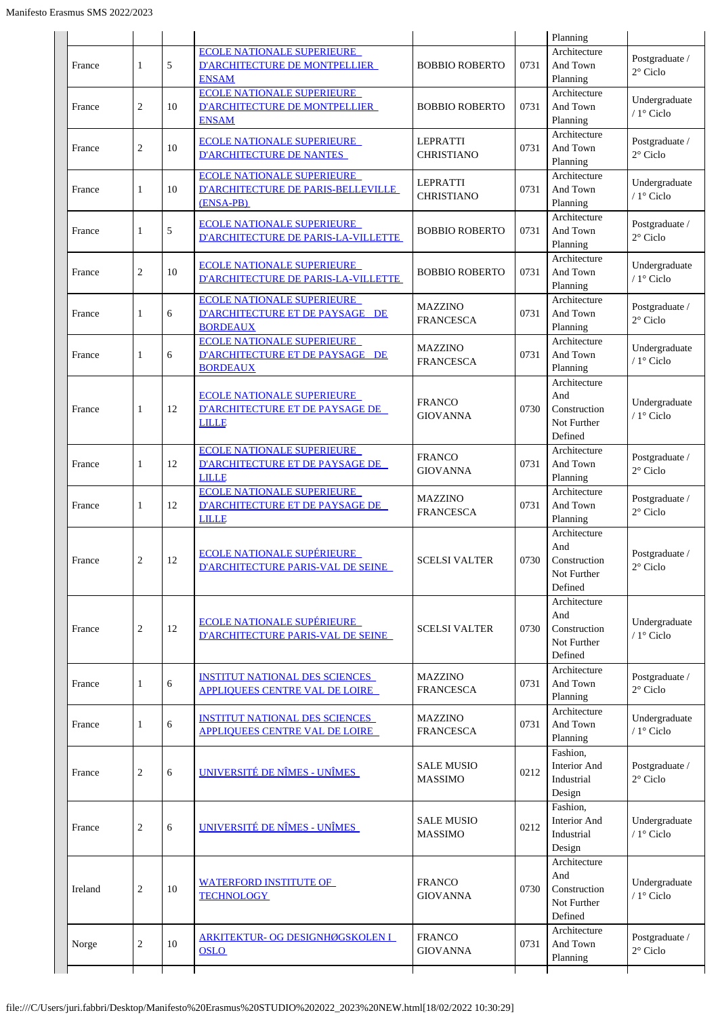|         |                |    |                                                                                             |                                      |      | Planning                                                      |                                      |
|---------|----------------|----|---------------------------------------------------------------------------------------------|--------------------------------------|------|---------------------------------------------------------------|--------------------------------------|
| France  | 1              | 5  | <b>ECOLE NATIONALE SUPERIEURE</b><br><b>D'ARCHITECTURE DE MONTPELLIER</b><br><b>ENSAM</b>   | <b>BOBBIO ROBERTO</b>                | 0731 | Architecture<br>And Town<br>Planning                          | Postgraduate /<br>$2^{\circ}$ Ciclo  |
| France  | $\overline{c}$ | 10 | <b>ECOLE NATIONALE SUPERIEURE</b><br><b>D'ARCHITECTURE DE MONTPELLIER</b><br><b>ENSAM</b>   | <b>BOBBIO ROBERTO</b>                | 0731 | Architecture<br>And Town<br>Planning                          | Undergraduate<br>/ 1° Ciclo          |
| France  | $\overline{c}$ | 10 | <b>ECOLE NATIONALE SUPERIEURE</b><br><b>D'ARCHITECTURE DE NANTES</b>                        | <b>LEPRATTI</b><br><b>CHRISTIANO</b> | 0731 | Architecture<br>And Town<br>Planning                          | Postgraduate /<br>$2^{\circ}$ Ciclo  |
| France  | 1              | 10 | <b>ECOLE NATIONALE SUPERIEURE</b><br><b>D'ARCHITECTURE DE PARIS-BELLEVILLE</b><br>(ENSA-PB) | <b>LEPRATTI</b><br><b>CHRISTIANO</b> | 0731 | Architecture<br>And Town<br>Planning                          | Undergraduate<br>/ $1^\circ$ Ciclo   |
| France  | 1              | 5  | <b>ECOLE NATIONALE SUPERIEURE</b><br>D'ARCHITECTURE DE PARIS-LA-VILLETTE                    | <b>BOBBIO ROBERTO</b>                | 0731 | Architecture<br>And Town<br>Planning                          | Postgraduate /<br>$2^{\circ}$ Ciclo  |
| France  | $\overline{2}$ | 10 | <b>ECOLE NATIONALE SUPERIEURE</b><br>D'ARCHITECTURE DE PARIS-LA-VILLETTE                    | <b>BOBBIO ROBERTO</b>                | 0731 | Architecture<br>And Town<br>Planning                          | Undergraduate<br>/ 1° Ciclo          |
| France  | 1              | 6  | <b>ECOLE NATIONALE SUPERIEURE</b><br>D'ARCHITECTURE ET DE PAYSAGE DE<br><b>BORDEAUX</b>     | <b>MAZZINO</b><br><b>FRANCESCA</b>   | 0731 | Architecture<br>And Town<br>Planning                          | Postgraduate /<br>$2^{\circ}$ Ciclo  |
| France  | 1              | 6  | <b>ECOLE NATIONALE SUPERIEURE</b><br>D'ARCHITECTURE ET DE PAYSAGE DE<br><b>BORDEAUX</b>     | <b>MAZZINO</b><br><b>FRANCESCA</b>   | 0731 | Architecture<br>And Town<br>Planning                          | Undergraduate<br>/ 1° Ciclo          |
| France  | 1              | 12 | <u>ECOLE NATIONALE SUPERIEURE</u><br><b>D'ARCHITECTURE ET DE PAYSAGE DE</b><br><b>LILLE</b> | <b>FRANCO</b><br><b>GIOVANNA</b>     | 0730 | Architecture<br>And<br>Construction<br>Not Further<br>Defined | Undergraduate<br>$/1$ ° Ciclo        |
| France  | 1              | 12 | <b>ECOLE NATIONALE SUPERIEURE</b><br>D'ARCHITECTURE ET DE PAYSAGE DE<br><b>LILLE</b>        | <b>FRANCO</b><br><b>GIOVANNA</b>     | 0731 | Architecture<br>And Town<br>Planning                          | Postgraduate /<br>$2^{\circ}$ Ciclo  |
| France  | 1              | 12 | <b>ECOLE NATIONALE SUPERIEURE</b><br><b>D'ARCHITECTURE ET DE PAYSAGE DE</b><br><b>LILLE</b> | <b>MAZZINO</b><br><b>FRANCESCA</b>   | 0731 | Architecture<br>And Town<br>Planning                          | Postgraduate /<br>$2^{\circ}$ Ciclo  |
| France  | $\overline{c}$ | 12 | <b>ECOLE NATIONALE SUPÉRIEURE</b><br><b>D'ARCHITECTURE PARIS-VAL DE SEINE</b>               | <b>SCELSI VALTER</b>                 | 0730 | Architecture<br>And<br>Construction<br>Not Further<br>Defined | Postgraduate /<br>$2^\circ$ Ciclo    |
| France  | $\overline{c}$ | 12 | <b>ECOLE NATIONALE SUPÉRIEURE</b><br><b>D'ARCHITECTURE PARIS-VAL DE SEINE</b>               | <b>SCELSI VALTER</b>                 | 0730 | Architecture<br>And<br>Construction<br>Not Further<br>Defined | Undergraduate<br>/ 1° Ciclo          |
| France  | 1              | 6  | <b>INSTITUT NATIONAL DES SCIENCES</b><br><b>APPLIQUEES CENTRE VAL DE LOIRE</b>              | <b>MAZZINO</b><br><b>FRANCESCA</b>   | 0731 | Architecture<br>And Town<br>Planning                          | Postgraduate /<br>$2^{\circ}$ Ciclo  |
| France  | 1              | 6  | <b>INSTITUT NATIONAL DES SCIENCES</b><br><b>APPLIQUEES CENTRE VAL DE LOIRE</b>              | <b>MAZZINO</b><br><b>FRANCESCA</b>   | 0731 | Architecture<br>And Town<br>Planning                          | Undergraduate<br>/ $1^{\circ}$ Ciclo |
| France  | $\overline{2}$ | 6  | UNIVERSITÉ DE NÎMES - UNÎMES                                                                | <b>SALE MUSIO</b><br><b>MASSIMO</b>  | 0212 | Fashion,<br><b>Interior And</b><br>Industrial<br>Design       | Postgraduate /<br>2° Ciclo           |
| France  | $\overline{c}$ | 6  | UNIVERSITÉ DE NÎMES - UNÎMES                                                                | <b>SALE MUSIO</b><br><b>MASSIMO</b>  | 0212 | Fashion,<br><b>Interior And</b><br>Industrial<br>Design       | Undergraduate<br>/ 1° Ciclo          |
| Ireland | $\overline{c}$ | 10 | <b>WATERFORD INSTITUTE OF</b><br><b>TECHNOLOGY</b>                                          | <b>FRANCO</b><br><b>GIOVANNA</b>     | 0730 | Architecture<br>And<br>Construction<br>Not Further<br>Defined | Undergraduate<br>/ 1° Ciclo          |
| Norge   | $\overline{2}$ | 10 | ARKITEKTUR- OG DESIGNHØGSKOLEN I<br><b>OSLO</b>                                             | <b>FRANCO</b><br><b>GIOVANNA</b>     | 0731 | Architecture<br>And Town<br>Planning                          | Postgraduate /<br>$2^{\circ}$ Ciclo  |
|         |                |    |                                                                                             |                                      |      |                                                               |                                      |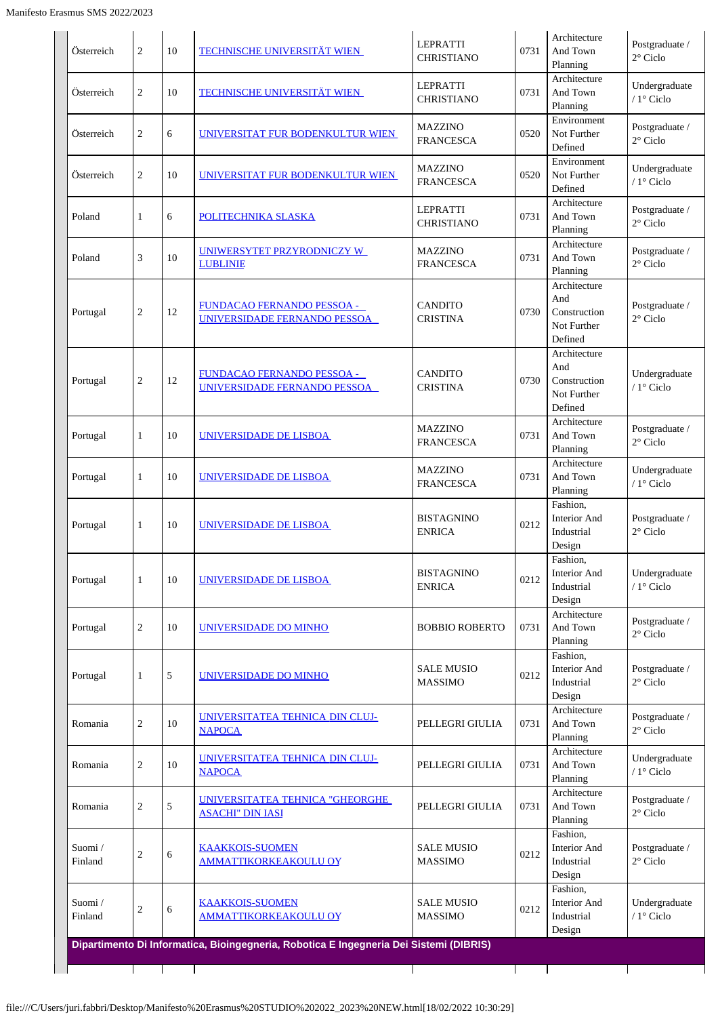| Österreich        | 2              | 10 | <b>TECHNISCHE UNIVERSITÄT WIEN</b>                         | <b>LEPRATTI</b><br><b>CHRISTIANO</b> | 0731 | Architecture<br>And Town<br>Planning                          | Postgraduate /<br>$2^{\circ}$ Ciclo |
|-------------------|----------------|----|------------------------------------------------------------|--------------------------------------|------|---------------------------------------------------------------|-------------------------------------|
| Österreich        | $\mathbf{2}$   | 10 | TECHNISCHE UNIVERSITÄT WIEN                                | <b>LEPRATTI</b><br><b>CHRISTIANO</b> | 0731 | Architecture<br>And Town<br>Planning                          | Undergraduate<br>/ 1° Ciclo         |
| Österreich        | $\mathbf{2}$   | 6  | UNIVERSITAT FUR BODENKULTUR WIEN                           | <b>MAZZINO</b><br><b>FRANCESCA</b>   | 0520 | Environment<br>Not Further<br>Defined                         | Postgraduate /<br>$2^{\circ}$ Ciclo |
| Österreich        | $\mathbf{2}$   | 10 | UNIVERSITAT FUR BODENKULTUR WIEN                           | <b>MAZZINO</b><br><b>FRANCESCA</b>   | 0520 | Environment<br>Not Further<br>Defined                         | Undergraduate<br>/ 1° Ciclo         |
| Poland            | 1              | 6  | POLITECHNIKA SLASKA                                        | <b>LEPRATTI</b><br><b>CHRISTIANO</b> | 0731 | Architecture<br>And Town<br>Planning                          | Postgraduate /<br>2° Ciclo          |
| Poland            | 3              | 10 | UNIWERSYTET PRZYRODNICZY W<br><b>LUBLINIE</b>              | <b>MAZZINO</b><br><b>FRANCESCA</b>   | 0731 | Architecture<br>And Town<br>Planning                          | Postgraduate /<br>$2^{\circ}$ Ciclo |
| Portugal          | $\sqrt{2}$     | 12 | FUNDACAO FERNANDO PESSOA -<br>UNIVERSIDADE FERNANDO PESSOA | <b>CANDITO</b><br><b>CRISTINA</b>    | 0730 | Architecture<br>And<br>Construction<br>Not Further<br>Defined | Postgraduate /<br>$2^{\circ}$ Ciclo |
| Portugal          | $\sqrt{2}$     | 12 | FUNDACAO FERNANDO PESSOA -<br>UNIVERSIDADE FERNANDO PESSOA | <b>CANDITO</b><br><b>CRISTINA</b>    | 0730 | Architecture<br>And<br>Construction<br>Not Further<br>Defined | Undergraduate<br>/ 1° Ciclo         |
| Portugal          | $\mathbf{1}$   | 10 | UNIVERSIDADE DE LISBOA                                     | <b>MAZZINO</b><br><b>FRANCESCA</b>   | 0731 | Architecture<br>And Town<br>Planning                          | Postgraduate /<br>$2^{\circ}$ Ciclo |
| Portugal          | 1              | 10 | UNIVERSIDADE DE LISBOA                                     | <b>MAZZINO</b><br><b>FRANCESCA</b>   | 0731 | Architecture<br>And Town<br>Planning                          | Undergraduate<br>$/1$ ° Ciclo       |
| Portugal          | 1              | 10 | UNIVERSIDADE DE LISBOA                                     | <b>BISTAGNINO</b><br><b>ENRICA</b>   | 0212 | Fashion,<br><b>Interior And</b><br>Industrial<br>Design       | Postgraduate /<br>$2^{\circ}$ Ciclo |
| Portugal          | 1              | 10 | UNIVERSIDADE DE LISBOA                                     | <b>BISTAGNINO</b><br><b>ENRICA</b>   | 0212 | Fashion,<br><b>Interior And</b><br>Industrial<br>Design       | Undergraduate<br>/ 1° Ciclo         |
| Portugal          | $\overline{2}$ | 10 | UNIVERSIDADE DO MINHO                                      | <b>BOBBIO ROBERTO</b>                | 0731 | Architecture<br>And Town<br>Planning                          | Postgraduate /<br>$2^{\circ}$ Ciclo |
| Portugal          | $\mathbf{1}$   | 5  | UNIVERSIDADE DO MINHO                                      | <b>SALE MUSIO</b><br><b>MASSIMO</b>  | 0212 | Fashion,<br><b>Interior And</b><br>Industrial<br>Design       | Postgraduate /<br>$2^{\circ}$ Ciclo |
| Romania           | $\sqrt{2}$     | 10 | UNIVERSITATEA TEHNICA DIN CLUJ-<br><b>NAPOCA</b>           | PELLEGRI GIULIA                      | 0731 | Architecture<br>And Town<br>Planning                          | Postgraduate /<br>$2^{\circ}$ Ciclo |
| Romania           | $\overline{2}$ | 10 | UNIVERSITATEA TEHNICA DIN CLUJ-<br><b>NAPOCA</b>           | PELLEGRI GIULIA                      | 0731 | Architecture<br>And Town<br>Planning                          | Undergraduate<br>/ 1° Ciclo         |
| Romania           | $\overline{2}$ | 5  | UNIVERSITATEA TEHNICA "GHEORGHE<br><b>ASACHI" DIN IASI</b> | PELLEGRI GIULIA                      | 0731 | Architecture<br>And Town<br>Planning                          | Postgraduate /<br>$2^{\circ}$ Ciclo |
| Suomi/<br>Finland | $\sqrt{2}$     | 6  | <b>KAAKKOIS-SUOMEN</b><br><u>AMMATTIKORKEAKOULU OY</u>     | <b>SALE MUSIO</b><br><b>MASSIMO</b>  | 0212 | Fashion,<br>Interior And<br>Industrial<br>Design              | Postgraduate /<br>$2^{\circ}$ Ciclo |
| Suomi/<br>Finland | $\sqrt{2}$     | 6  | <b>KAAKKOIS-SUOMEN</b><br><u>AMMATTIKORKEAKOULU OY</u>     | <b>SALE MUSIO</b><br><b>MASSIMO</b>  | 0212 | Fashion,<br>Interior And<br>Industrial                        | Undergraduate<br>/ 1° Ciclo         |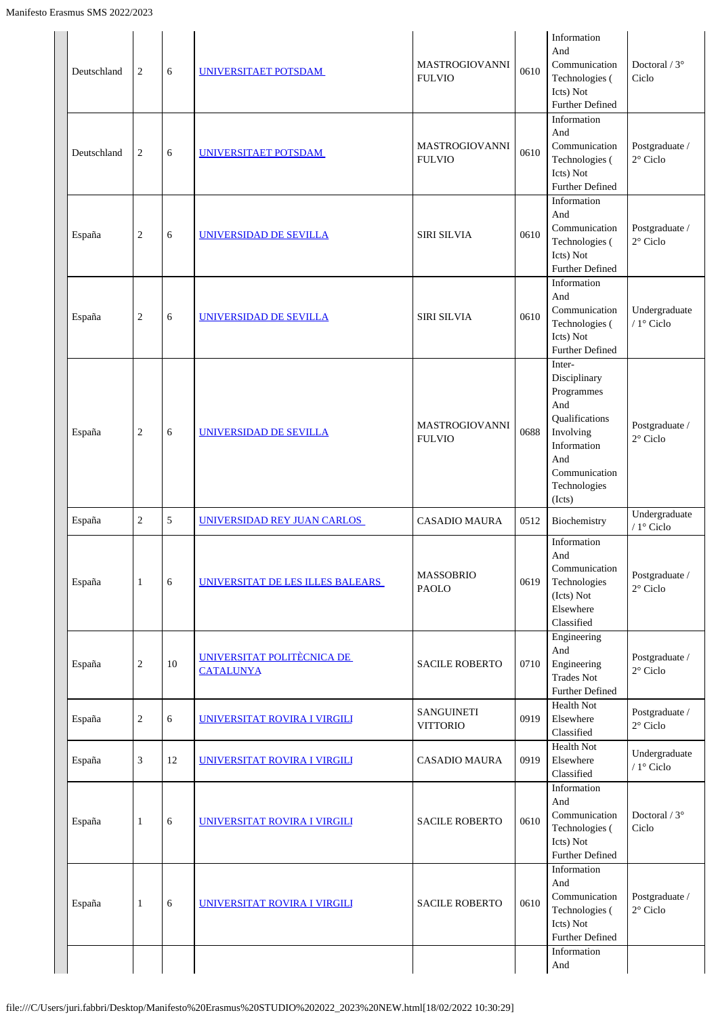| Deutschland | 2              | 6  | UNIVERSITAET POTSDAM                           | <b>MASTROGIOVANNI</b><br><b>FULVIO</b> | 0610 | Information<br>And<br>Communication<br>Technologies (<br>Icts) Not<br>Further Defined                                                       | Doctoral / $3^\circ$<br>Ciclo       |
|-------------|----------------|----|------------------------------------------------|----------------------------------------|------|---------------------------------------------------------------------------------------------------------------------------------------------|-------------------------------------|
| Deutschland | $\overline{2}$ | 6  | UNIVERSITAET POTSDAM                           | <b>MASTROGIOVANNI</b><br><b>FULVIO</b> | 0610 | Information<br>And<br>Communication<br>Technologies (<br>Icts) Not<br><b>Further Defined</b>                                                | Postgraduate /<br>$2^{\circ}$ Ciclo |
| España      | $\overline{c}$ | 6  | UNIVERSIDAD DE SEVILLA                         | <b>SIRI SILVIA</b>                     | 0610 | Information<br>And<br>Communication<br>Technologies (<br>Icts) Not<br><b>Further Defined</b>                                                | Postgraduate /<br>$2^{\circ}$ Ciclo |
| España      | $\overline{2}$ | 6  | UNIVERSIDAD DE SEVILLA                         | <b>SIRI SILVIA</b>                     | 0610 | Information<br>And<br>Communication<br>Technologies (<br>Icts) Not<br><b>Further Defined</b>                                                | Undergraduate<br>/ 1° Ciclo         |
| España      | $\overline{2}$ | 6  | UNIVERSIDAD DE SEVILLA                         | <b>MASTROGIOVANNI</b><br><b>FULVIO</b> | 0688 | Inter-<br>Disciplinary<br>Programmes<br>And<br>Qualifications<br>Involving<br>Information<br>And<br>Communication<br>Technologies<br>(Icts) | Postgraduate /<br>$2^{\circ}$ Ciclo |
| España      | 2              | 5  | UNIVERSIDAD REY JUAN CARLOS                    | <b>CASADIO MAURA</b>                   | 0512 | Biochemistry                                                                                                                                | Undergraduate<br>/ $1^\circ$ Ciclo  |
| España      | 1              | 6  | UNIVERSITAT DE LES ILLES BALEARS               | <b>MASSOBRIO</b><br><b>PAOLO</b>       | 0619 | Information<br>And<br>Communication<br>Technologies<br>(Icts) Not<br>Elsewhere<br>Classified                                                | Postgraduate /<br>$2^{\circ}$ Ciclo |
| España      | $\overline{c}$ | 10 | UNIVERSITAT POLITÈCNICA DE<br><b>CATALUNYA</b> | <b>SACILE ROBERTO</b>                  | 0710 | Engineering<br>And<br>Engineering<br><b>Trades Not</b><br><b>Further Defined</b>                                                            | Postgraduate /<br>$2^{\circ}$ Ciclo |
| España      | $\overline{2}$ | 6  | UNIVERSITAT ROVIRA I VIRGILI                   | SANGUINETI<br><b>VITTORIO</b>          | 0919 | Health Not<br>Elsewhere<br>Classified                                                                                                       | Postgraduate /<br>$2^{\circ}$ Ciclo |
| España      | 3              | 12 | UNIVERSITAT ROVIRA I VIRGILI                   | <b>CASADIO MAURA</b>                   | 0919 | Health Not<br>Elsewhere<br>Classified                                                                                                       | Undergraduate<br>/ 1° Ciclo         |
| España      | 1              | 6  | UNIVERSITAT ROVIRA I VIRGILI                   | <b>SACILE ROBERTO</b>                  | 0610 | Information<br>And<br>Communication<br>Technologies (<br>Icts) Not<br><b>Further Defined</b>                                                | Doctoral / $3^\circ$<br>Ciclo       |
| España      | 1              | 6  | UNIVERSITAT ROVIRA I VIRGILI                   | <b>SACILE ROBERTO</b>                  | 0610 | Information<br>And<br>Communication<br>Technologies (<br>Icts) Not<br><b>Further Defined</b>                                                | Postgraduate /<br>$2^{\circ}$ Ciclo |
|             |                |    |                                                |                                        |      | Information<br>And                                                                                                                          |                                     |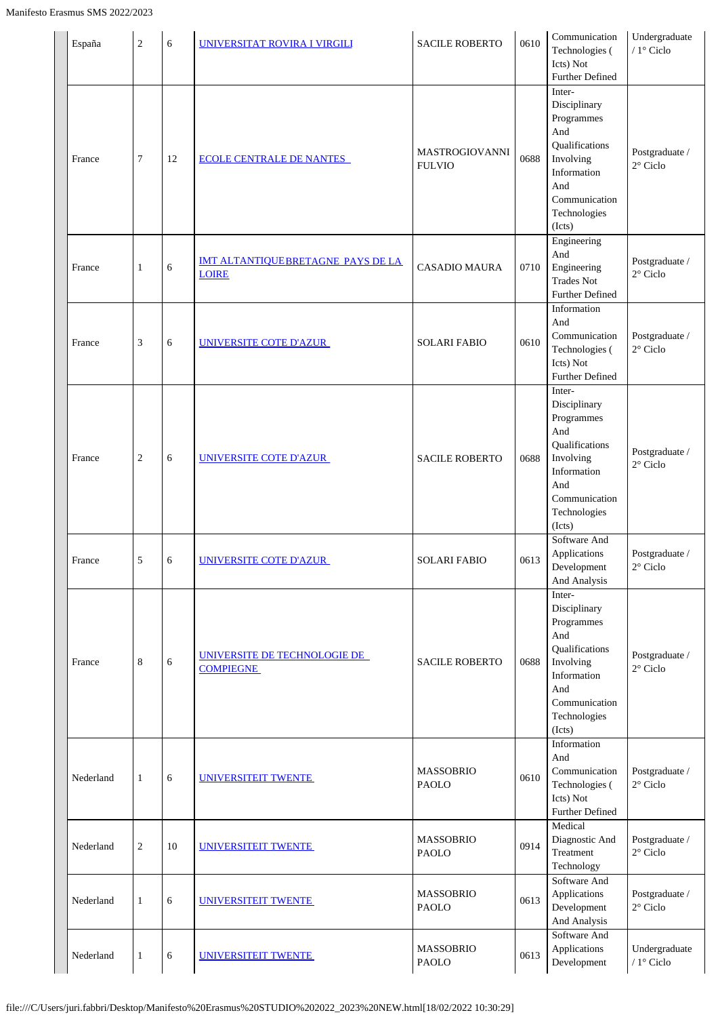| España    | $\overline{2}$ | 6  | UNIVERSITAT ROVIRA I VIRGILI                             | <b>SACILE ROBERTO</b>                  | 0610 | Communication<br>Technologies (<br>Icts) Not<br><b>Further Defined</b>                                                                      | Undergraduate<br>/ 1º Ciclo         |
|-----------|----------------|----|----------------------------------------------------------|----------------------------------------|------|---------------------------------------------------------------------------------------------------------------------------------------------|-------------------------------------|
| France    | 7              | 12 | <b>ECOLE CENTRALE DE NANTES</b>                          | <b>MASTROGIOVANNI</b><br><b>FULVIO</b> | 0688 | Inter-<br>Disciplinary<br>Programmes<br>And<br>Qualifications<br>Involving<br>Information<br>And<br>Communication<br>Technologies<br>(Icts) | Postgraduate /<br>$2^{\circ}$ Ciclo |
| France    | $\mathbf{1}$   | 6  | <b>IMT ALTANTIQUEBRETAGNE PAYS DE LA</b><br><b>LOIRE</b> | <b>CASADIO MAURA</b>                   | 0710 | Engineering<br>And<br>Engineering<br><b>Trades Not</b><br><b>Further Defined</b>                                                            | Postgraduate /<br>$2^{\circ}$ Ciclo |
| France    | 3              | 6  | UNIVERSITE COTE D'AZUR                                   | <b>SOLARI FABIO</b>                    | 0610 | Information<br>And<br>Communication<br>Technologies (<br>Icts) Not<br>Further Defined                                                       | Postgraduate /<br>$2^{\circ}$ Ciclo |
| France    | $\overline{2}$ | 6  | UNIVERSITE COTE D'AZUR                                   | <b>SACILE ROBERTO</b>                  | 0688 | Inter-<br>Disciplinary<br>Programmes<br>And<br>Qualifications<br>Involving<br>Information<br>And<br>Communication<br>Technologies<br>(Icts) | Postgraduate /<br>$2^{\circ}$ Ciclo |
| France    | 5              | 6  | UNIVERSITE COTE D'AZUR                                   | <b>SOLARI FABIO</b>                    | 0613 | Software And<br>Applications<br>Development<br>And Analysis                                                                                 | Postgraduate /<br>$2^{\circ}$ Ciclo |
| France    | 8              | 6  | UNIVERSITE DE TECHNOLOGIE DE<br><b>COMPIEGNE</b>         | <b>SACILE ROBERTO</b>                  | 0688 | Inter-<br>Disciplinary<br>Programmes<br>And<br>Qualifications<br>Involving<br>Information<br>And<br>Communication<br>Technologies<br>(Icts) | Postgraduate /<br>$2^{\circ}$ Ciclo |
| Nederland | 1              | 6  | UNIVERSITEIT TWENTE                                      | <b>MASSOBRIO</b><br><b>PAOLO</b>       | 0610 | Information<br>And<br>Communication<br>Technologies (<br>Icts) Not<br><b>Further Defined</b>                                                | Postgraduate /<br>$2^{\circ}$ Ciclo |
| Nederland | $\overline{2}$ | 10 | UNIVERSITEIT TWENTE                                      | <b>MASSOBRIO</b><br><b>PAOLO</b>       | 0914 | Medical<br>Diagnostic And<br>Treatment<br>Technology                                                                                        | Postgraduate /<br>$2^{\circ}$ Ciclo |
| Nederland | $\mathbf{1}$   | 6  | UNIVERSITEIT TWENTE                                      | <b>MASSOBRIO</b><br><b>PAOLO</b>       | 0613 | Software And<br>Applications<br>Development<br>And Analysis                                                                                 | Postgraduate /<br>$2^{\circ}$ Ciclo |
| Nederland | $\mathbf{1}$   | 6  | UNIVERSITEIT TWENTE                                      | <b>MASSOBRIO</b><br>PAOLO              | 0613 | Software And<br>Applications<br>Development                                                                                                 | Undergraduate<br>/ $1^\circ$ Ciclo  |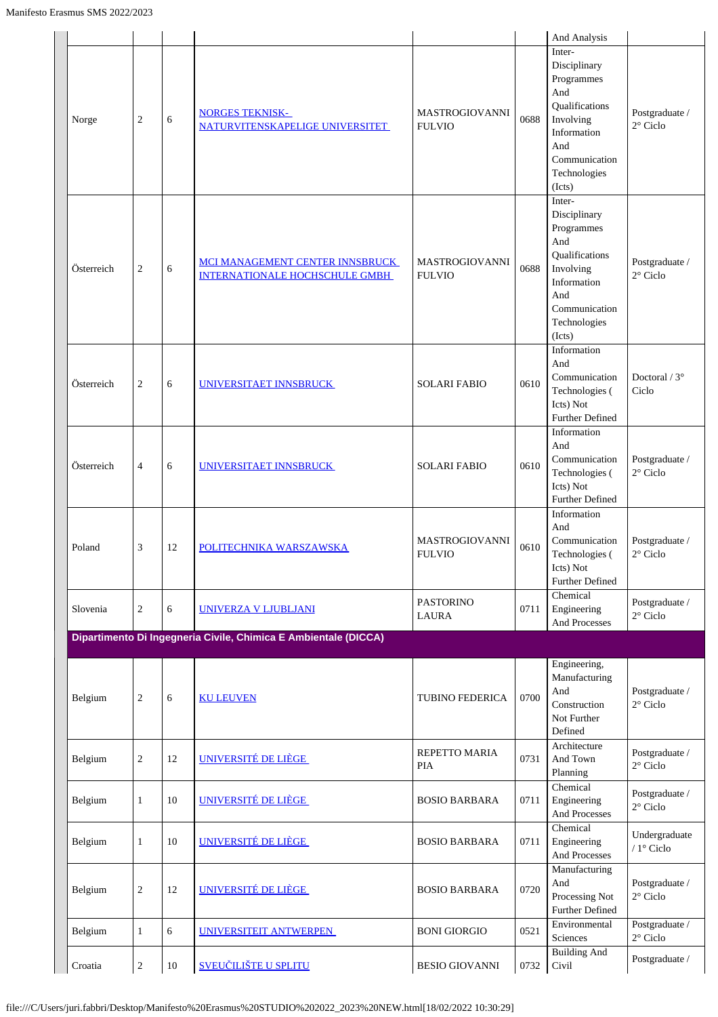|            |                |    |                                                                          |                                        |      | And Analysis                                                                                                                                |                                     |
|------------|----------------|----|--------------------------------------------------------------------------|----------------------------------------|------|---------------------------------------------------------------------------------------------------------------------------------------------|-------------------------------------|
| Norge      | $\sqrt{2}$     | 6  | <b>NORGES TEKNISK-</b><br>NATURVITENSKAPELIGE UNIVERSITET                | <b>MASTROGIOVANNI</b><br><b>FULVIO</b> | 0688 | Inter-<br>Disciplinary<br>Programmes<br>And<br>Qualifications<br>Involving<br>Information<br>And<br>Communication<br>Technologies<br>(Icts) | Postgraduate /<br>2° Ciclo          |
| Österreich | $\sqrt{2}$     | 6  | MCI MANAGEMENT CENTER INNSBRUCK<br><b>INTERNATIONALE HOCHSCHULE GMBH</b> | <b>MASTROGIOVANNI</b><br><b>FULVIO</b> | 0688 | Inter-<br>Disciplinary<br>Programmes<br>And<br>Qualifications<br>Involving<br>Information<br>And<br>Communication<br>Technologies<br>(Icts) | Postgraduate /<br>$2^{\circ}$ Ciclo |
| Österreich | $\mathbf{2}$   | 6  | UNIVERSITAET INNSBRUCK                                                   | <b>SOLARI FABIO</b>                    | 0610 | Information<br>And<br>Communication<br>Technologies (<br>Icts) Not<br><b>Further Defined</b>                                                | Doctoral $/3^{\circ}$<br>Ciclo      |
| Österreich | $\overline{4}$ | 6  | UNIVERSITAET INNSBRUCK                                                   | <b>SOLARI FABIO</b>                    | 0610 | Information<br>And<br>Communication<br>Technologies (<br>Icts) Not<br><b>Further Defined</b>                                                | Postgraduate /<br>$2^{\circ}$ Ciclo |
| Poland     | $\mathfrak 3$  | 12 | POLITECHNIKA WARSZAWSKA                                                  | <b>MASTROGIOVANNI</b><br><b>FULVIO</b> | 0610 | Information<br>And<br>Communication<br>Technologies (<br>Icts) Not<br><b>Further Defined</b>                                                | Postgraduate /<br>$2^{\circ}$ Ciclo |
| Slovenia   | $\sqrt{2}$     | 6  | <b>UNIVERZA V LJUBLJANI</b>                                              | <b>PASTORINO</b><br><b>LAURA</b>       | 0711 | Chemical<br>Engineering<br>And Processes                                                                                                    | Postgraduate /<br>$2^{\circ}$ Ciclo |
|            |                |    | Dipartimento Di Ingegneria Civile, Chimica E Ambientale (DICCA)          |                                        |      |                                                                                                                                             |                                     |
| Belgium    | $\mathbf{2}$   | 6  | <b>KU LEUVEN</b>                                                         | TUBINO FEDERICA                        | 0700 | Engineering,<br>Manufacturing<br>And<br>Construction<br>Not Further<br>Defined                                                              | Postgraduate /<br>$2^{\circ}$ Ciclo |
| Belgium    | $\mathbf{2}$   | 12 | UNIVERSITÉ DE LIÈGE                                                      | REPETTO MARIA<br>PIA                   | 0731 | Architecture<br>And Town<br>Planning                                                                                                        | Postgraduate /<br>$2^{\circ}$ Ciclo |
| Belgium    | $\mathbf{1}$   | 10 | UNIVERSITÉ DE LIÈGE                                                      | <b>BOSIO BARBARA</b>                   | 0711 | Chemical<br>Engineering<br>And Processes                                                                                                    | Postgraduate /<br>$2^{\circ}$ Ciclo |
| Belgium    | $\mathbf{1}$   | 10 | UNIVERSITÉ DE LIÈGE                                                      | <b>BOSIO BARBARA</b>                   | 0711 | Chemical<br>Engineering<br>And Processes                                                                                                    | Undergraduate<br>/ $1^\circ$ Ciclo  |
| Belgium    | $\sqrt{2}$     | 12 | UNIVERSITÉ DE LIÈGE                                                      | <b>BOSIO BARBARA</b>                   | 0720 | Manufacturing<br>And<br>Processing Not<br><b>Further Defined</b>                                                                            | Postgraduate /<br>$2^{\circ}$ Ciclo |
| Belgium    | $\mathbf{1}$   | 6  | UNIVERSITEIT ANTWERPEN                                                   | <b>BONI GIORGIO</b>                    | 0521 | Environmental<br>Sciences                                                                                                                   | Postgraduate /<br>$2^{\circ}$ Ciclo |
| Croatia    | $\overline{2}$ | 10 | <b>SVEUČILIŠTE U SPLITU</b>                                              | <b>BESIO GIOVANNI</b>                  | 0732 | <b>Building And</b><br>Civil                                                                                                                | Postgraduate /                      |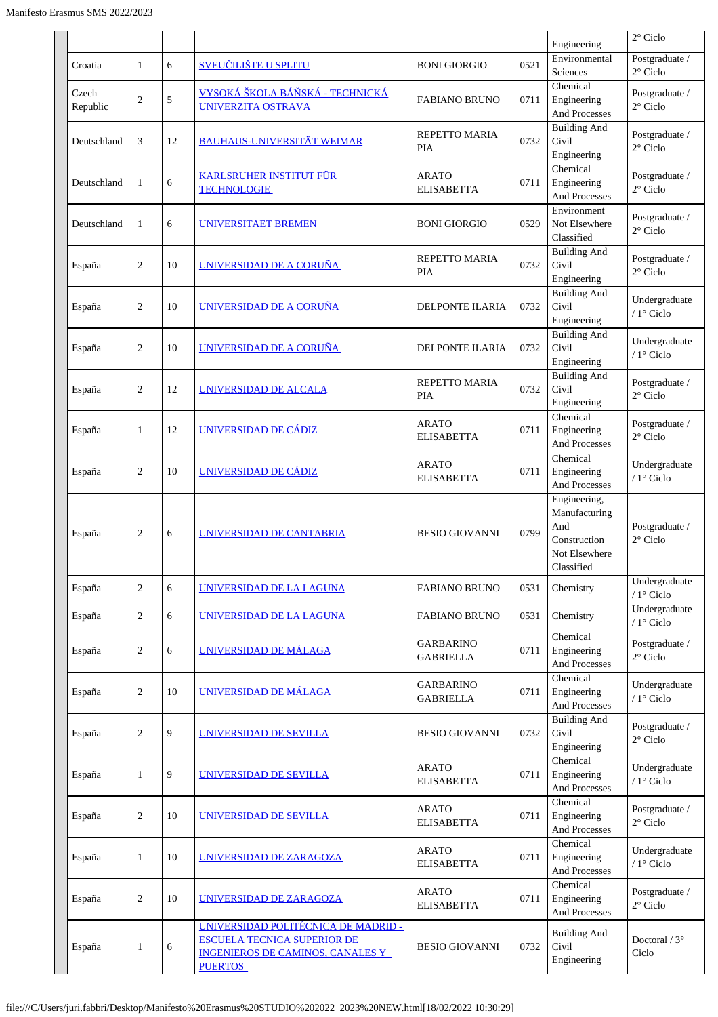|                   |                |    |                                                                                                                                 |                                      |      | Engineering                                                                         | $2^{\circ}$ Ciclo                    |
|-------------------|----------------|----|---------------------------------------------------------------------------------------------------------------------------------|--------------------------------------|------|-------------------------------------------------------------------------------------|--------------------------------------|
| Croatia           | 1              | 6  | <b>SVEUČILIŠTE U SPLITU</b>                                                                                                     | <b>BONI GIORGIO</b>                  | 0521 | Environmental<br>Sciences                                                           | Postgraduate /<br>$2^{\circ}$ Ciclo  |
| Czech<br>Republic | $\sqrt{2}$     | 5  | <u>VYSOKÁ ŠKOLA BÁŇSKÁ - TECHNICKÁ</u><br><b>UNIVERZITA OSTRAVA</b>                                                             | <b>FABIANO BRUNO</b>                 | 0711 | Chemical<br>Engineering<br>And Processes                                            | Postgraduate /<br>$2^{\circ}$ Ciclo  |
| Deutschland       | 3              | 12 | <b>BAUHAUS-UNIVERSITÄT WEIMAR</b>                                                                                               | REPETTO MARIA<br><b>PIA</b>          | 0732 | <b>Building And</b><br>Civil<br>Engineering                                         | Postgraduate /<br>$2^{\circ}$ Ciclo  |
| Deutschland       | 1              | 6  | <b>KARLSRUHER INSTITUT FÜR</b><br><b>TECHNOLOGIE</b>                                                                            | <b>ARATO</b><br><b>ELISABETTA</b>    | 0711 | Chemical<br>Engineering<br>And Processes                                            | Postgraduate /<br>$2^{\circ}$ Ciclo  |
| Deutschland       | 1              | 6  | UNIVERSITAET BREMEN                                                                                                             | <b>BONI GIORGIO</b>                  | 0529 | Environment<br>Not Elsewhere<br>Classified                                          | Postgraduate /<br>$2^{\circ}$ Ciclo  |
| España            | $\overline{2}$ | 10 | UNIVERSIDAD DE A CORUÑA                                                                                                         | REPETTO MARIA<br><b>PIA</b>          | 0732 | <b>Building And</b><br>Civil<br>Engineering                                         | Postgraduate /<br>$2^{\circ}$ Ciclo  |
| España            | $\overline{2}$ | 10 | UNIVERSIDAD DE A CORUÑA                                                                                                         | <b>DELPONTE ILARIA</b>               | 0732 | <b>Building And</b><br>Civil<br>Engineering                                         | Undergraduate<br>/ 1° Ciclo          |
| España            | $\sqrt{2}$     | 10 | UNIVERSIDAD DE A CORUÑA                                                                                                         | <b>DELPONTE ILARIA</b>               | 0732 | <b>Building And</b><br>Civil<br>Engineering                                         | Undergraduate<br>/ 1° Ciclo          |
| España            | $\mathbf{2}$   | 12 | UNIVERSIDAD DE ALCALA                                                                                                           | REPETTO MARIA<br>PIA                 | 0732 | <b>Building And</b><br>Civil<br>Engineering                                         | Postgraduate /<br>$2^{\circ}$ Ciclo  |
| España            | $\mathbf{1}$   | 12 | UNIVERSIDAD DE CÁDIZ                                                                                                            | <b>ARATO</b><br><b>ELISABETTA</b>    | 0711 | Chemical<br>Engineering<br>And Processes                                            | Postgraduate /<br>$2^{\circ}$ Ciclo  |
| España            | $\overline{2}$ | 10 | UNIVERSIDAD DE CÁDIZ                                                                                                            | <b>ARATO</b><br><b>ELISABETTA</b>    | 0711 | Chemical<br>Engineering<br>And Processes                                            | Undergraduate<br>/ 1° Ciclo          |
| España            | $\overline{2}$ | 6  | UNIVERSIDAD DE CANTABRIA                                                                                                        | <b>BESIO GIOVANNI</b>                | 0799 | Engineering,<br>Manufacturing<br>And<br>Construction<br>Not Elsewhere<br>Classified | Postgraduate /<br>$2^{\circ}$ Ciclo  |
| España            | $\sqrt{2}$     | 6  | UNIVERSIDAD DE LA LAGUNA                                                                                                        | <b>FABIANO BRUNO</b>                 | 0531 | Chemistry                                                                           | Undergraduate<br>/ 1° Ciclo          |
| España            | $\sqrt{2}$     | 6  | UNIVERSIDAD DE LA LAGUNA                                                                                                        | <b>FABIANO BRUNO</b>                 | 0531 | Chemistry                                                                           | Undergraduate<br>/ $1^{\circ}$ Ciclo |
| España            | $\sqrt{2}$     | 6  | <b>UNIVERSIDAD DE MÁLAGA</b>                                                                                                    | <b>GARBARINO</b><br><b>GABRIELLA</b> | 0711 | Chemical<br>Engineering<br>And Processes                                            | Postgraduate /<br>$2^{\circ}$ Ciclo  |
| España            | $\sqrt{2}$     | 10 | UNIVERSIDAD DE MÁLAGA                                                                                                           | <b>GARBARINO</b><br><b>GABRIELLA</b> | 0711 | Chemical<br>Engineering<br>And Processes                                            | Undergraduate<br>/ 1° Ciclo          |
| España            | $\sqrt{2}$     | 9  | UNIVERSIDAD DE SEVILLA                                                                                                          | <b>BESIO GIOVANNI</b>                | 0732 | <b>Building And</b><br>Civil<br>Engineering                                         | Postgraduate /<br>$2^{\circ}$ Ciclo  |
| España            | $\mathbf{1}$   | 9  | UNIVERSIDAD DE SEVILLA                                                                                                          | <b>ARATO</b><br><b>ELISABETTA</b>    | 0711 | Chemical<br>Engineering<br>And Processes                                            | Undergraduate<br>/ $1^{\circ}$ Ciclo |
| España            | $\sqrt{2}$     | 10 | UNIVERSIDAD DE SEVILLA                                                                                                          | <b>ARATO</b><br><b>ELISABETTA</b>    | 0711 | Chemical<br>Engineering<br>And Processes                                            | Postgraduate /<br>$2^{\circ}$ Ciclo  |
| España            | $\mathbf{1}$   | 10 | UNIVERSIDAD DE ZARAGOZA                                                                                                         | <b>ARATO</b><br><b>ELISABETTA</b>    | 0711 | Chemical<br>Engineering<br>And Processes                                            | Undergraduate<br>/ 1° Ciclo          |
| España            | $\sqrt{2}$     | 10 | UNIVERSIDAD DE ZARAGOZA                                                                                                         | <b>ARATO</b><br><b>ELISABETTA</b>    | 0711 | $\overline{\text{Chemical}}$<br>Engineering<br>And Processes                        | Postgraduate /<br>$2^{\circ}$ Ciclo  |
| España            | $\mathbf{1}$   | 6  | UNIVERSIDAD POLITÉCNICA DE MADRID -<br><b>ESCUELA TECNICA SUPERIOR DE</b><br>INGENIEROS DE CAMINOS, CANALES Y<br><b>PUERTOS</b> | <b>BESIO GIOVANNI</b>                | 0732 | <b>Building And</b><br>Civil<br>Engineering                                         | Doctoral / $3^\circ$<br>Ciclo        |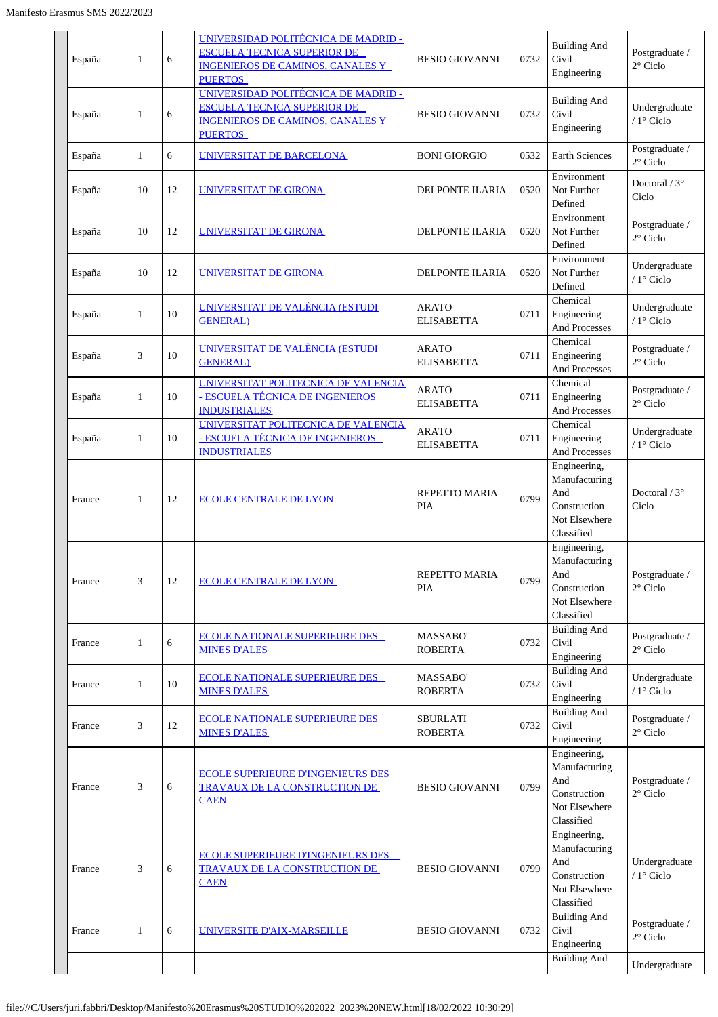| España | 1  | 6  | <u> UNIVERSIDAD POLITÉCNICA DE MADRID -</u><br><b>ESCUELA TECNICA SUPERIOR DE</b><br><b>INGENIEROS DE CAMINOS, CANALES Y</b><br><b>PUERTOS</b> | <b>BESIO GIOVANNI</b>             | 0732 | <b>Building And</b><br>Civil<br>Engineering                                         | Postgraduate /<br>$2^{\circ}$ Ciclo        |
|--------|----|----|------------------------------------------------------------------------------------------------------------------------------------------------|-----------------------------------|------|-------------------------------------------------------------------------------------|--------------------------------------------|
| España | 1  | 6  | UNIVERSIDAD POLITÉCNICA DE MADRID -<br><b>ESCUELA TECNICA SUPERIOR DE</b><br><b>INGENIEROS DE CAMINOS, CANALES Y</b><br><b>PUERTOS</b>         | <b>BESIO GIOVANNI</b>             | 0732 | <b>Building And</b><br>Civil<br>Engineering                                         | Undergraduate<br>/ 1° Ciclo                |
| España | 1  | 6  | UNIVERSITAT DE BARCELONA                                                                                                                       | <b>BONI GIORGIO</b>               | 0532 | Earth Sciences                                                                      | Postgraduate /<br>2° Ciclo                 |
| España | 10 | 12 | UNIVERSITAT DE GIRONA                                                                                                                          | <b>DELPONTE ILARIA</b>            | 0520 | Environment<br>Not Further<br>Defined                                               | Doctoral / $3^\circ$<br>Ciclo              |
| España | 10 | 12 | UNIVERSITAT DE GIRONA                                                                                                                          | <b>DELPONTE ILARIA</b>            | 0520 | Environment<br>Not Further<br>Defined                                               | Postgraduate /<br>$2^{\circ}$ Ciclo        |
| España | 10 | 12 | <b>UNIVERSITAT DE GIRONA</b>                                                                                                                   | <b>DELPONTE ILARIA</b>            | 0520 | Environment<br>Not Further<br>Defined                                               | Undergraduate<br>/ 1° Ciclo                |
| España | 1  | 10 | UNIVERSITAT DE VALÈNCIA (ESTUDI<br><b>GENERAL</b> )                                                                                            | <b>ARATO</b><br><b>ELISABETTA</b> | 0711 | Chemical<br>Engineering<br>And Processes                                            | Undergraduate<br>/ 1° Ciclo                |
| España | 3  | 10 | UNIVERSITAT DE VALÈNCIA (ESTUDI<br><b>GENERAL</b> )                                                                                            | <b>ARATO</b><br><b>ELISABETTA</b> | 0711 | Chemical<br>Engineering<br>And Processes                                            | Postgraduate /<br>$2^{\circ}$ Ciclo        |
| España | 1  | 10 | UNIVERSITAT POLITECNICA DE VALENCIA<br><u>- ESCUELA TÉCNICA DE INGENIEROS</u><br><b>INDUSTRIALES</b>                                           | <b>ARATO</b><br><b>ELISABETTA</b> | 0711 | Chemical<br>Engineering<br>And Processes                                            | Postgraduate /<br>$2^{\circ}$ Ciclo        |
| España | 1  | 10 | UNIVERSITAT POLITECNICA DE VALENCIA<br>- ESCUELA TÉCNICA DE INGENIEROS<br><b>INDUSTRIALES</b>                                                  | <b>ARATO</b><br><b>ELISABETTA</b> | 0711 | Chemical<br>Engineering<br>And Processes                                            | Undergraduate<br>/ 1° Ciclo                |
| France | 1  | 12 | <b>ECOLE CENTRALE DE LYON</b>                                                                                                                  | REPETTO MARIA<br>PIA              | 0799 | Engineering,<br>Manufacturing<br>And<br>Construction<br>Not Elsewhere<br>Classified | Doctoral $/3^{\circ}$<br>Ciclo             |
| France | 3  | 12 | <b>ECOLE CENTRALE DE LYON</b>                                                                                                                  | REPETTO MARIA<br><b>PIA</b>       | 0799 | Engineering,<br>Manufacturing<br>And<br>Construction<br>Not Elsewhere<br>Classified | Postgraduate $\prime$<br>$2^{\circ}$ Ciclo |
| France | 1  | 6  | <b>ECOLE NATIONALE SUPERIEURE DES</b><br><b>MINES D'ALES</b>                                                                                   | MASSABO'<br><b>ROBERTA</b>        | 0732 | <b>Building And</b><br>Civil<br>Engineering                                         | Postgraduate /<br>$2^{\circ}$ Ciclo        |
| France | 1  | 10 | <b>ECOLE NATIONALE SUPERIEURE DES</b><br><b>MINES D'ALES</b>                                                                                   | MASSABO'<br><b>ROBERTA</b>        | 0732 | <b>Building And</b><br>Civil<br>Engineering                                         | Undergraduate<br>/ $1^{\circ}$ Ciclo       |
| France | 3  | 12 | <b>ECOLE NATIONALE SUPERIEURE DES</b><br><b>MINES D'ALES</b>                                                                                   | <b>SBURLATI</b><br><b>ROBERTA</b> | 0732 | <b>Building And</b><br>Civil<br>Engineering                                         | Postgraduate /<br>$2^{\circ}$ Ciclo        |
| France | 3  | 6  | <b>ECOLE SUPERIEURE D'INGENIEURS DES</b><br>TRAVAUX DE LA CONSTRUCTION DE<br><b>CAEN</b>                                                       | <b>BESIO GIOVANNI</b>             | 0799 | Engineering,<br>Manufacturing<br>And<br>Construction<br>Not Elsewhere<br>Classified | Postgraduate /<br>$2^{\circ}$ Ciclo        |
| France | 3  | 6  | <b>ECOLE SUPERIEURE D'INGENIEURS DES</b><br><b>TRAVAUX DE LA CONSTRUCTION DE</b><br><b>CAEN</b>                                                | <b>BESIO GIOVANNI</b>             | 0799 | Engineering,<br>Manufacturing<br>And<br>Construction<br>Not Elsewhere<br>Classified | Undergraduate<br>/ $1^{\circ}$ Ciclo       |
| France | 1  | 6  | UNIVERSITE D'AIX-MARSEILLE                                                                                                                     | <b>BESIO GIOVANNI</b>             | 0732 | <b>Building And</b><br>Civil<br>Engineering                                         | Postgraduate /<br>$2^{\circ}$ Ciclo        |
|        |    |    |                                                                                                                                                |                                   |      | <b>Building And</b>                                                                 | Undergraduate                              |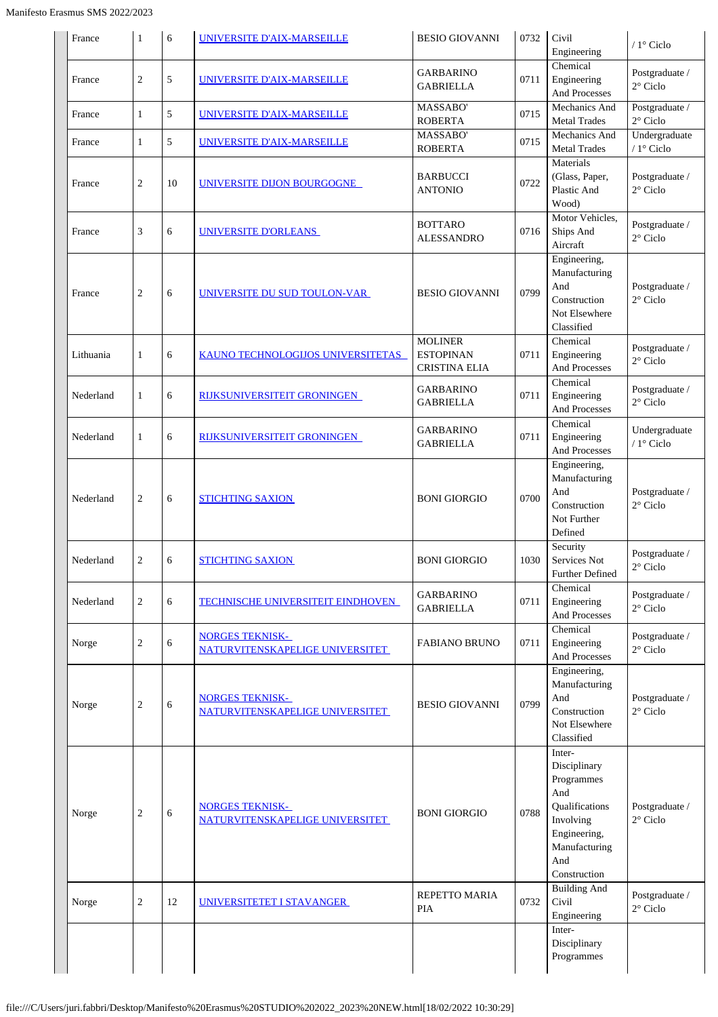| France    | 1              | 6  | UNIVERSITE D'AIX-MARSEILLE                                | <b>BESIO GIOVANNI</b>                                      | 0732 | Civil<br>Engineering                                                                                                               | / $1^\circ$ Ciclo                    |
|-----------|----------------|----|-----------------------------------------------------------|------------------------------------------------------------|------|------------------------------------------------------------------------------------------------------------------------------------|--------------------------------------|
| France    | $\overline{c}$ | 5  | UNIVERSITE D'AIX-MARSEILLE                                | <b>GARBARINO</b><br><b>GABRIELLA</b>                       | 0711 | Chemical<br>Engineering<br>And Processes                                                                                           | Postgraduate /<br>$2^{\circ}$ Ciclo  |
| France    | 1              | 5  | <b>UNIVERSITE D'AIX-MARSEILLE</b>                         | MASSABO'<br><b>ROBERTA</b>                                 | 0715 | Mechanics And<br><b>Metal Trades</b>                                                                                               | Postgraduate /<br>$2^{\circ}$ Ciclo  |
| France    | 1              | 5  | UNIVERSITE D'AIX-MARSEILLE                                | MASSABO'<br><b>ROBERTA</b>                                 | 0715 | Mechanics And<br><b>Metal Trades</b>                                                                                               | Undergraduate<br>/ $1^{\circ}$ Ciclo |
| France    | $\overline{c}$ | 10 | UNIVERSITE DIJON BOURGOGNE                                | <b>BARBUCCI</b><br><b>ANTONIO</b>                          | 0722 | Materials<br>(Glass, Paper,<br>Plastic And<br>Wood)                                                                                | Postgraduate /<br>$2^{\circ}$ Ciclo  |
| France    | 3              | 6  | <u>UNIVERSITE D'ORLEANS</u>                               | <b>BOTTARO</b><br><b>ALESSANDRO</b>                        | 0716 | Motor Vehicles,<br>Ships And<br>Aircraft                                                                                           | Postgraduate /<br>$2^{\circ}$ Ciclo  |
| France    | $\overline{c}$ | 6  | UNIVERSITE DU SUD TOULON-VAR                              | <b>BESIO GIOVANNI</b>                                      | 0799 | Engineering,<br>Manufacturing<br>And<br>Construction<br>Not Elsewhere<br>Classified                                                | Postgraduate /<br>$2^{\circ}$ Ciclo  |
| Lithuania | 1              | 6  | <b>KAUNO TECHNOLOGIJOS UNIVERSITETAS</b>                  | <b>MOLINER</b><br><b>ESTOPINAN</b><br><b>CRISTINA ELIA</b> | 0711 | Chemical<br>Engineering<br>And Processes                                                                                           | Postgraduate /<br>$2^{\circ}$ Ciclo  |
| Nederland | 1              | 6  | <u>RIJKSUNIVERSITEIT GRONINGEN_</u>                       | <b>GARBARINO</b><br><b>GABRIELLA</b>                       | 0711 | Chemical<br>Engineering<br>And Processes                                                                                           | Postgraduate /<br>$2^{\circ}$ Ciclo  |
| Nederland | 1              | 6  | RIJKSUNIVERSITEIT GRONINGEN                               | <b>GARBARINO</b><br><b>GABRIELLA</b>                       | 0711 | Chemical<br>Engineering<br>And Processes                                                                                           | Undergraduate<br>/ $1^\circ$ Ciclo   |
| Nederland | $\overline{c}$ | 6  | <b>STICHTING SAXION</b>                                   | <b>BONI GIORGIO</b>                                        | 0700 | Engineering,<br>Manufacturing<br>And<br>Construction<br>Not Further<br>Defined                                                     | Postgraduate /<br>$2^{\circ}$ Ciclo  |
| Nederland | $\overline{c}$ | 6  | <b>STICHTING SAXION</b>                                   | <b>BONI GIORGIO</b>                                        | 1030 | Security<br>Services Not<br>Further Defined                                                                                        | Postgraduate /<br>$2^{\circ}$ Ciclo  |
| Nederland | $\overline{2}$ | 6  | <b>TECHNISCHE UNIVERSITEIT EINDHOVEN</b>                  | <b>GARBARINO</b><br><b>GABRIELLA</b>                       | 0711 | Chemical<br>Engineering<br>And Processes                                                                                           | Postgraduate /<br>$2^{\circ}$ Ciclo  |
| Norge     | $\overline{c}$ | 6  | <b>NORGES TEKNISK-</b><br>NATURVITENSKAPELIGE UNIVERSITET | <b>FABIANO BRUNO</b>                                       | 0711 | Chemical<br>Engineering<br>And Processes                                                                                           | Postgraduate /<br>$2^{\circ}$ Ciclo  |
| Norge     | 2              | 6  | <b>NORGES TEKNISK-</b><br>NATURVITENSKAPELIGE UNIVERSITET | <b>BESIO GIOVANNI</b>                                      | 0799 | Engineering,<br>Manufacturing<br>And<br>Construction<br>Not Elsewhere<br>Classified                                                | Postgraduate /<br>$2^{\circ}$ Ciclo  |
| Norge     | $\overline{c}$ | 6  | <b>NORGES TEKNISK-</b><br>NATURVITENSKAPELIGE UNIVERSITET | <b>BONI GIORGIO</b>                                        | 0788 | Inter-<br>Disciplinary<br>Programmes<br>And<br>Qualifications<br>Involving<br>Engineering,<br>Manufacturing<br>And<br>Construction | Postgraduate /<br>$2^{\circ}$ Ciclo  |
| Norge     | $\overline{c}$ | 12 | UNIVERSITETET I STAVANGER                                 | REPETTO MARIA<br><b>PIA</b>                                | 0732 | <b>Building And</b><br>Civil<br>Engineering                                                                                        | Postgraduate /<br>$2^{\circ}$ Ciclo  |
|           |                |    |                                                           |                                                            |      | Inter-<br>Disciplinary<br>Programmes                                                                                               |                                      |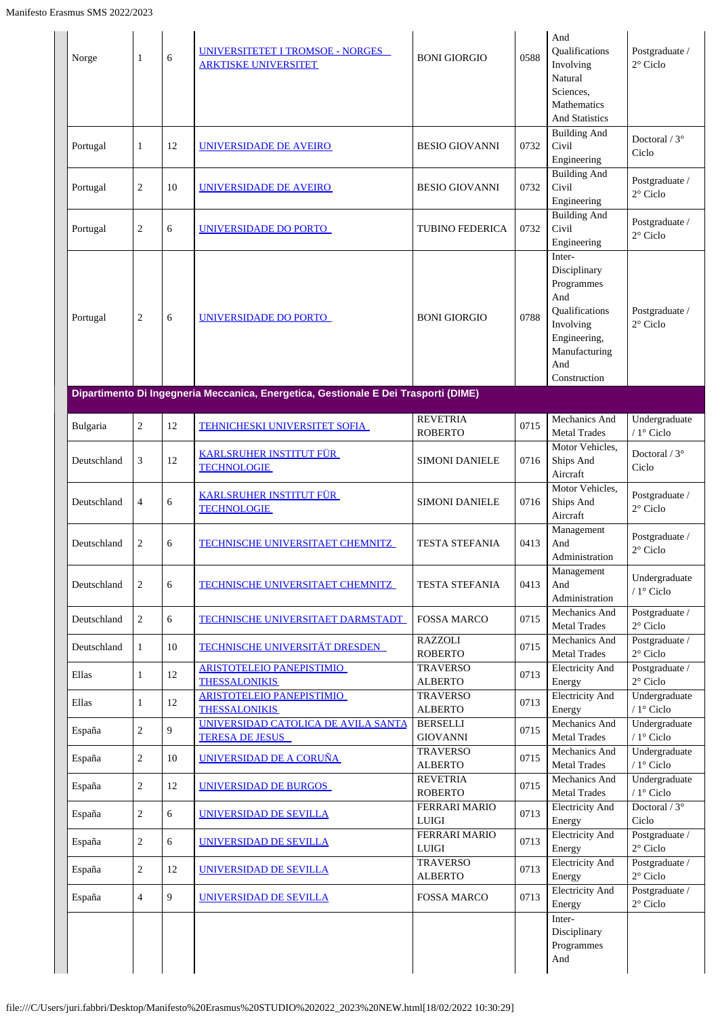| Norge       | 1              | 6  | UNIVERSITETET I TROMSOE - NORGES<br><b>ARKTISKE UNIVERSITET</b>                     | <b>BONI GIORGIO</b>                  | 0588 | And<br>Qualifications<br>Involving<br>Natural<br>Sciences,<br>Mathematics<br><b>And Statistics</b>                                 | Postgraduate /<br>$2^{\circ}$ Ciclo  |
|-------------|----------------|----|-------------------------------------------------------------------------------------|--------------------------------------|------|------------------------------------------------------------------------------------------------------------------------------------|--------------------------------------|
| Portugal    | 1              | 12 | UNIVERSIDADE DE AVEIRO                                                              | <b>BESIO GIOVANNI</b>                | 0732 | <b>Building And</b><br>Civil<br>Engineering                                                                                        | Doctoral / $3^{\circ}$<br>Ciclo      |
| Portugal    | $\overline{c}$ | 10 | UNIVERSIDADE DE AVEIRO                                                              | <b>BESIO GIOVANNI</b>                | 0732 | <b>Building And</b><br>Civil<br>Engineering                                                                                        | Postgraduate /<br>$2^{\circ}$ Ciclo  |
| Portugal    | $\overline{2}$ | 6  | UNIVERSIDADE DO PORTO                                                               | <b>TUBINO FEDERICA</b>               | 0732 | <b>Building And</b><br>Civil<br>Engineering                                                                                        | Postgraduate /<br>$2^{\circ}$ Ciclo  |
| Portugal    | 2              | 6  | UNIVERSIDADE DO PORTO                                                               | <b>BONI GIORGIO</b>                  | 0788 | Inter-<br>Disciplinary<br>Programmes<br>And<br>Qualifications<br>Involving<br>Engineering,<br>Manufacturing<br>And<br>Construction | Postgraduate /<br>$2^{\circ}$ Ciclo  |
|             |                |    | Dipartimento Di Ingegneria Meccanica, Energetica, Gestionale E Dei Trasporti (DIME) |                                      |      |                                                                                                                                    |                                      |
|             |                |    |                                                                                     | <b>REVETRIA</b>                      |      | Mechanics And                                                                                                                      | Undergraduate                        |
| Bulgaria    | $\overline{2}$ | 12 | <b>TEHNICHESKI UNIVERSITET SOFIA</b>                                                | <b>ROBERTO</b>                       | 0715 | <b>Metal Trades</b>                                                                                                                | / 1° Ciclo                           |
| Deutschland | 3              | 12 | <b>KARLSRUHER INSTITUT FÜR</b><br><b>TECHNOLOGIE</b>                                | <b>SIMONI DANIELE</b>                | 0716 | Motor Vehicles,<br>Ships And<br>Aircraft                                                                                           | Doctoral / $3^\circ$<br>Ciclo        |
| Deutschland | $\overline{4}$ | 6  | <b>KARLSRUHER INSTITUT FÜR</b><br><b>TECHNOLOGIE</b>                                | <b>SIMONI DANIELE</b>                | 0716 | Motor Vehicles,<br>Ships And<br>Aircraft                                                                                           | Postgraduate /<br>$2^{\circ}$ Ciclo  |
| Deutschland | $\overline{2}$ | 6  | <b>TECHNISCHE UNIVERSITAET CHEMNITZ</b>                                             | <b>TESTA STEFANIA</b>                | 0413 | Management<br>And<br>Administration                                                                                                | Postgraduate /<br>$2^{\circ}$ Ciclo  |
| Deutschland | $\overline{c}$ | 6  | <b>TECHNISCHE UNIVERSITAET CHEMNITZ</b>                                             | <b>TESTA STEFANIA</b>                | 0413 | Management<br>And<br>Administration                                                                                                | Undergraduate<br>/ $1^\circ$ Ciclo   |
| Deutschland | $\overline{2}$ | 6  | TECHNISCHE UNIVERSITAET DARMSTADT                                                   | <b>FOSSA MARCO</b>                   | 0715 | Mechanics And<br><b>Metal Trades</b>                                                                                               | Postgraduate /<br>$2^{\circ}$ Ciclo  |
| Deutschland | 1              | 10 | <b>TECHNISCHE UNIVERSITÄT DRESDEN</b>                                               | <b>RAZZOLI</b><br><b>ROBERTO</b>     | 0715 | Mechanics And<br><b>Metal Trades</b>                                                                                               | Postgraduate /<br>$2^{\circ}$ Ciclo  |
| Ellas       | 1              | 12 | <b>ARISTOTELEIO PANEPISTIMIO</b><br><b>THESSALONIKIS</b>                            | <b>TRAVERSO</b><br><b>ALBERTO</b>    | 0713 | Electricity And<br>Energy                                                                                                          | Postgraduate /<br>$2^{\circ}$ Ciclo  |
| Ellas       | $\mathbf{1}$   | 12 | <b>ARISTOTELEIO PANEPISTIMIO</b><br><b>THESSALONIKIS</b>                            | <b>TRAVERSO</b><br><b>ALBERTO</b>    | 0713 | <b>Electricity And</b><br>Energy                                                                                                   | Undergraduate<br>/ $1^{\circ}$ Ciclo |
| España      | $\overline{2}$ | 9  | UNIVERSIDAD CATOLICA DE AVILA SANTA<br><b>TERESA DE JESUS</b>                       | <b>BERSELLI</b><br><b>GIOVANNI</b>   | 0715 | Mechanics And<br><b>Metal Trades</b>                                                                                               | Undergraduate<br>/ $1^{\circ}$ Ciclo |
| España      | $\overline{2}$ | 10 | UNIVERSIDAD DE A CORUÑA                                                             | <b>TRAVERSO</b><br><b>ALBERTO</b>    | 0715 | Mechanics And<br><b>Metal Trades</b>                                                                                               | Undergraduate<br>/ $1^\circ$ Ciclo   |
| España      | $\overline{c}$ | 12 | UNIVERSIDAD DE BURGOS                                                               | <b>REVETRIA</b><br><b>ROBERTO</b>    | 0715 | Mechanics And<br><b>Metal Trades</b>                                                                                               | Undergraduate<br>/ 1° Ciclo          |
| España      | $\overline{2}$ | 6  | UNIVERSIDAD DE SEVILLA                                                              | <b>FERRARI MARIO</b><br><b>LUIGI</b> | 0713 | <b>Electricity And</b><br>Energy                                                                                                   | Doctoral / 3°<br>Ciclo               |
| España      | $\overline{2}$ | 6  | UNIVERSIDAD DE SEVILLA                                                              | <b>FERRARI MARIO</b><br><b>LUIGI</b> | 0713 | <b>Electricity And</b><br>Energy                                                                                                   | Postgraduate /<br>$2^{\circ}$ Ciclo  |
| España      | $\sqrt{2}$     | 12 | UNIVERSIDAD DE SEVILLA                                                              | <b>TRAVERSO</b><br><b>ALBERTO</b>    | 0713 | <b>Electricity And</b><br>Energy                                                                                                   | Postgraduate /<br>$2^{\circ}$ Ciclo  |
| España      | $\overline{4}$ | 9  | UNIVERSIDAD DE SEVILLA                                                              | <b>FOSSA MARCO</b>                   | 0713 | <b>Electricity And</b><br>Energy<br>Inter-                                                                                         | Postgraduate /<br>$2^{\circ}$ Ciclo  |
|             |                |    |                                                                                     |                                      |      | Disciplinary<br>Programmes<br>And                                                                                                  |                                      |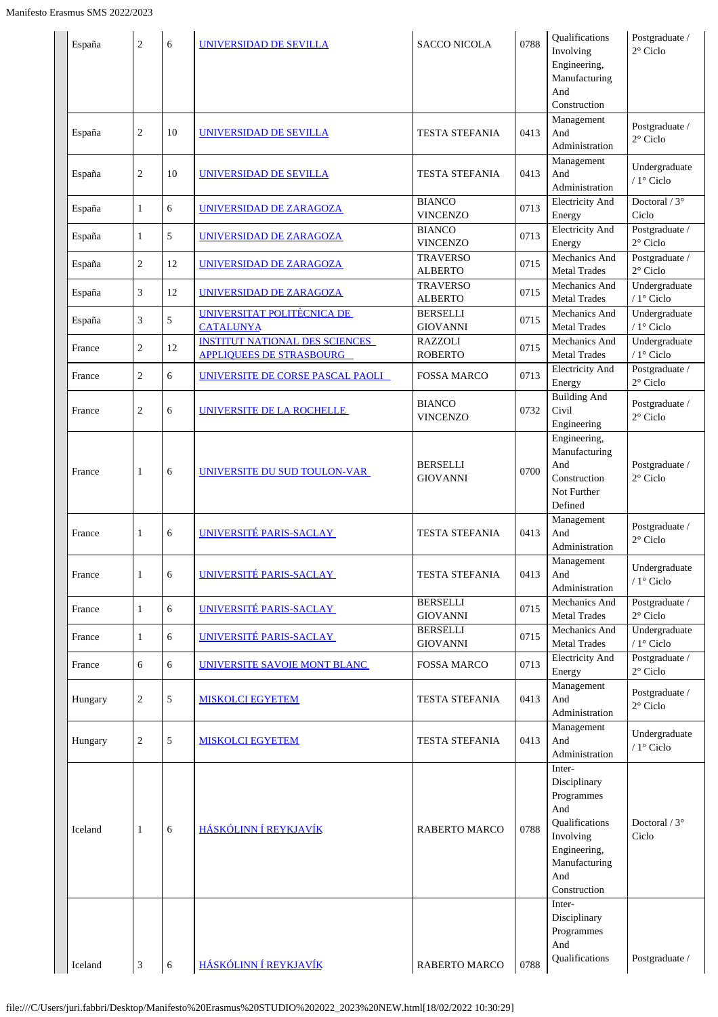| Management<br>Postgraduate /<br>$\overline{2}$<br>10<br>0413<br>And<br><b>UNIVERSIDAD DE SEVILLA</b><br><b>TESTA STEFANIA</b><br>España<br>2° Ciclo<br>Administration<br>Management<br>Undergraduate<br>$\overline{c}$<br>10<br>0413<br>And<br>TESTA STEFANIA<br>España<br>UNIVERSIDAD DE SEVILLA<br>/ 1° Ciclo<br>Administration<br><b>BIANCO</b><br><b>Electricity And</b><br>Doctoral / $3^\circ$<br>6<br>0713<br>$\mathbf{1}$<br>UNIVERSIDAD DE ZARAGOZA<br>España<br>Ciclo<br><b>VINCENZO</b><br>Energy<br><b>Electricity And</b><br>Postgraduate /<br><b>BIANCO</b><br>5<br>0713<br>1<br>UNIVERSIDAD DE ZARAGOZA<br>España<br>2° Ciclo<br><b>VINCENZO</b><br>Energy<br>Mechanics And<br>Postgraduate /<br><b>TRAVERSO</b><br>$\overline{2}$<br>0715<br>12<br>UNIVERSIDAD DE ZARAGOZA<br>España<br>$2^{\circ}$ Ciclo<br><b>ALBERTO</b><br><b>Metal Trades</b><br>Undergraduate<br><b>TRAVERSO</b><br>Mechanics And<br>3<br>0715<br>12<br>España<br>UNIVERSIDAD DE ZARAGOZA<br>/ $1^\circ$ Ciclo<br><b>ALBERTO</b><br><b>Metal Trades</b><br>Undergraduate<br>UNIVERSITAT POLITÈCNICA DE<br><b>BERSELLI</b><br>Mechanics And<br>3<br>5<br>0715<br>España<br>/ $1^{\circ}$ Ciclo<br><b>GIOVANNI</b><br><b>Metal Trades</b><br><b>CATALUNYA</b><br><b>INSTITUT NATIONAL DES SCIENCES</b><br>Undergraduate<br><b>RAZZOLI</b><br>Mechanics And<br>$\overline{c}$<br>12<br>0715<br>France<br>/ 1° Ciclo<br><b>APPLIOUEES DE STRASBOURG</b><br><b>ROBERTO</b><br><b>Metal Trades</b><br>Postgraduate /<br><b>Electricity And</b><br>$\overline{c}$<br>6<br>0713<br>France<br>UNIVERSITE DE CORSE PASCAL PAOLI<br>FOSSA MARCO<br>$2^{\circ}$ Ciclo<br>Energy<br><b>Building And</b><br><b>BIANCO</b><br>Postgraduate /<br>Civil<br>$\overline{c}$<br>6<br>0732<br>UNIVERSITE DE LA ROCHELLE<br>France<br>$2^{\circ}$ Ciclo<br><b>VINCENZO</b><br>Engineering<br>Engineering,<br>Manufacturing<br>And<br>Postgraduate /<br><b>BERSELLI</b><br>6<br>UNIVERSITE DU SUD TOULON-VAR<br>0700<br>France<br>1<br>2° Ciclo<br>Construction<br><b>GIOVANNI</b><br>Not Further<br>Defined<br>Management<br>Postgraduate /<br>UNIVERSITÉ PARIS-SACLAY<br>6<br>0413<br>And<br><b>TESTA STEFANIA</b><br>France<br>1<br>$2^\circ$ Ciclo<br>Administration<br>Management<br>Undergraduate<br>UNIVERSITÉ PARIS-SACLAY<br>6<br><b>TESTA STEFANIA</b><br>0413 And<br>France<br>1<br>/ 1° Ciclo<br>Administration<br><b>BERSELLI</b><br>Mechanics And<br>Postgraduate /<br>UNIVERSITÉ PARIS-SACLAY<br>6<br>$\mathbf{1}$<br>0715<br>France<br>$2^{\circ}$ Ciclo<br><b>GIOVANNI</b><br><b>Metal Trades</b><br><b>BERSELLI</b><br>Undergraduate<br>Mechanics And<br>UNIVERSITÉ PARIS-SACLAY<br>6<br>0715<br>France<br>$\mathbf{1}$<br>$/1$ ° Ciclo<br><b>GIOVANNI</b><br><b>Metal Trades</b><br><b>Electricity And</b><br>Postgraduate /<br>6<br>UNIVERSITE SAVOIE MONT BLANC<br>0713<br>France<br>6<br><b>FOSSA MARCO</b><br>$2^{\circ}$ Ciclo<br>Energy<br>Management<br>Postgraduate /<br>$\sqrt{5}$<br>$\overline{c}$<br>0413<br>And<br><b>MISKOLCI EGYETEM</b><br><b>TESTA STEFANIA</b><br>Hungary<br>$2^{\circ}$ Ciclo<br>Administration<br>Management<br>Undergraduate<br>$\overline{2}$<br>5<br><b>TESTA STEFANIA</b><br>0413<br>And<br>Hungary<br><b>MISKOLCI EGYETEM</b><br>/ $1^{\circ}$ Ciclo<br>Administration<br>Inter-<br>Disciplinary<br>Programmes<br>And<br>Qualifications<br>Doctoral / $3^\circ$<br>HÁSKÓLINN Í REYKJAVÍK<br>0788<br>Iceland<br>6<br><b>RABERTO MARCO</b><br>1<br>Involving<br>Ciclo<br>Engineering,<br>Manufacturing<br>And<br>Construction<br>Inter-<br>Disciplinary<br>Programmes<br>And<br>Qualifications<br>Postgraduate /<br>HÁSKÓLINN Í REYKJAVÍK<br>Iceland<br>3<br>6<br>RABERTO MARCO<br>0788 | España | $\overline{c}$ | 6 | UNIVERSIDAD DE SEVILLA | <b>SACCO NICOLA</b> | 0788 | Qualifications<br>Involving<br>Engineering,<br>Manufacturing<br>And<br>Construction | Postgraduate /<br>2° Ciclo |
|------------------------------------------------------------------------------------------------------------------------------------------------------------------------------------------------------------------------------------------------------------------------------------------------------------------------------------------------------------------------------------------------------------------------------------------------------------------------------------------------------------------------------------------------------------------------------------------------------------------------------------------------------------------------------------------------------------------------------------------------------------------------------------------------------------------------------------------------------------------------------------------------------------------------------------------------------------------------------------------------------------------------------------------------------------------------------------------------------------------------------------------------------------------------------------------------------------------------------------------------------------------------------------------------------------------------------------------------------------------------------------------------------------------------------------------------------------------------------------------------------------------------------------------------------------------------------------------------------------------------------------------------------------------------------------------------------------------------------------------------------------------------------------------------------------------------------------------------------------------------------------------------------------------------------------------------------------------------------------------------------------------------------------------------------------------------------------------------------------------------------------------------------------------------------------------------------------------------------------------------------------------------------------------------------------------------------------------------------------------------------------------------------------------------------------------------------------------------------------------------------------------------------------------------------------------------------------------------------------------------------------------------------------------------------------------------------------------------------------------------------------------------------------------------------------------------------------------------------------------------------------------------------------------------------------------------------------------------------------------------------------------------------------------------------------------------------------------------------------------------------------------------------------------------------------------------------------------------------------------------------------------------------------------------------------------------------------------------------------------------------------------------------------------------------------------------------------------------------------------------------------------------------------------------------------------------------------------------------------------------------------------------------------------------------------------------------------------|--------|----------------|---|------------------------|---------------------|------|-------------------------------------------------------------------------------------|----------------------------|
|                                                                                                                                                                                                                                                                                                                                                                                                                                                                                                                                                                                                                                                                                                                                                                                                                                                                                                                                                                                                                                                                                                                                                                                                                                                                                                                                                                                                                                                                                                                                                                                                                                                                                                                                                                                                                                                                                                                                                                                                                                                                                                                                                                                                                                                                                                                                                                                                                                                                                                                                                                                                                                                                                                                                                                                                                                                                                                                                                                                                                                                                                                                                                                                                                                                                                                                                                                                                                                                                                                                                                                                                                                                                                                                  |        |                |   |                        |                     |      |                                                                                     |                            |
|                                                                                                                                                                                                                                                                                                                                                                                                                                                                                                                                                                                                                                                                                                                                                                                                                                                                                                                                                                                                                                                                                                                                                                                                                                                                                                                                                                                                                                                                                                                                                                                                                                                                                                                                                                                                                                                                                                                                                                                                                                                                                                                                                                                                                                                                                                                                                                                                                                                                                                                                                                                                                                                                                                                                                                                                                                                                                                                                                                                                                                                                                                                                                                                                                                                                                                                                                                                                                                                                                                                                                                                                                                                                                                                  |        |                |   |                        |                     |      |                                                                                     |                            |
|                                                                                                                                                                                                                                                                                                                                                                                                                                                                                                                                                                                                                                                                                                                                                                                                                                                                                                                                                                                                                                                                                                                                                                                                                                                                                                                                                                                                                                                                                                                                                                                                                                                                                                                                                                                                                                                                                                                                                                                                                                                                                                                                                                                                                                                                                                                                                                                                                                                                                                                                                                                                                                                                                                                                                                                                                                                                                                                                                                                                                                                                                                                                                                                                                                                                                                                                                                                                                                                                                                                                                                                                                                                                                                                  |        |                |   |                        |                     |      |                                                                                     |                            |
|                                                                                                                                                                                                                                                                                                                                                                                                                                                                                                                                                                                                                                                                                                                                                                                                                                                                                                                                                                                                                                                                                                                                                                                                                                                                                                                                                                                                                                                                                                                                                                                                                                                                                                                                                                                                                                                                                                                                                                                                                                                                                                                                                                                                                                                                                                                                                                                                                                                                                                                                                                                                                                                                                                                                                                                                                                                                                                                                                                                                                                                                                                                                                                                                                                                                                                                                                                                                                                                                                                                                                                                                                                                                                                                  |        |                |   |                        |                     |      |                                                                                     |                            |
|                                                                                                                                                                                                                                                                                                                                                                                                                                                                                                                                                                                                                                                                                                                                                                                                                                                                                                                                                                                                                                                                                                                                                                                                                                                                                                                                                                                                                                                                                                                                                                                                                                                                                                                                                                                                                                                                                                                                                                                                                                                                                                                                                                                                                                                                                                                                                                                                                                                                                                                                                                                                                                                                                                                                                                                                                                                                                                                                                                                                                                                                                                                                                                                                                                                                                                                                                                                                                                                                                                                                                                                                                                                                                                                  |        |                |   |                        |                     |      |                                                                                     |                            |
|                                                                                                                                                                                                                                                                                                                                                                                                                                                                                                                                                                                                                                                                                                                                                                                                                                                                                                                                                                                                                                                                                                                                                                                                                                                                                                                                                                                                                                                                                                                                                                                                                                                                                                                                                                                                                                                                                                                                                                                                                                                                                                                                                                                                                                                                                                                                                                                                                                                                                                                                                                                                                                                                                                                                                                                                                                                                                                                                                                                                                                                                                                                                                                                                                                                                                                                                                                                                                                                                                                                                                                                                                                                                                                                  |        |                |   |                        |                     |      |                                                                                     |                            |
|                                                                                                                                                                                                                                                                                                                                                                                                                                                                                                                                                                                                                                                                                                                                                                                                                                                                                                                                                                                                                                                                                                                                                                                                                                                                                                                                                                                                                                                                                                                                                                                                                                                                                                                                                                                                                                                                                                                                                                                                                                                                                                                                                                                                                                                                                                                                                                                                                                                                                                                                                                                                                                                                                                                                                                                                                                                                                                                                                                                                                                                                                                                                                                                                                                                                                                                                                                                                                                                                                                                                                                                                                                                                                                                  |        |                |   |                        |                     |      |                                                                                     |                            |
|                                                                                                                                                                                                                                                                                                                                                                                                                                                                                                                                                                                                                                                                                                                                                                                                                                                                                                                                                                                                                                                                                                                                                                                                                                                                                                                                                                                                                                                                                                                                                                                                                                                                                                                                                                                                                                                                                                                                                                                                                                                                                                                                                                                                                                                                                                                                                                                                                                                                                                                                                                                                                                                                                                                                                                                                                                                                                                                                                                                                                                                                                                                                                                                                                                                                                                                                                                                                                                                                                                                                                                                                                                                                                                                  |        |                |   |                        |                     |      |                                                                                     |                            |
|                                                                                                                                                                                                                                                                                                                                                                                                                                                                                                                                                                                                                                                                                                                                                                                                                                                                                                                                                                                                                                                                                                                                                                                                                                                                                                                                                                                                                                                                                                                                                                                                                                                                                                                                                                                                                                                                                                                                                                                                                                                                                                                                                                                                                                                                                                                                                                                                                                                                                                                                                                                                                                                                                                                                                                                                                                                                                                                                                                                                                                                                                                                                                                                                                                                                                                                                                                                                                                                                                                                                                                                                                                                                                                                  |        |                |   |                        |                     |      |                                                                                     |                            |
|                                                                                                                                                                                                                                                                                                                                                                                                                                                                                                                                                                                                                                                                                                                                                                                                                                                                                                                                                                                                                                                                                                                                                                                                                                                                                                                                                                                                                                                                                                                                                                                                                                                                                                                                                                                                                                                                                                                                                                                                                                                                                                                                                                                                                                                                                                                                                                                                                                                                                                                                                                                                                                                                                                                                                                                                                                                                                                                                                                                                                                                                                                                                                                                                                                                                                                                                                                                                                                                                                                                                                                                                                                                                                                                  |        |                |   |                        |                     |      |                                                                                     |                            |
|                                                                                                                                                                                                                                                                                                                                                                                                                                                                                                                                                                                                                                                                                                                                                                                                                                                                                                                                                                                                                                                                                                                                                                                                                                                                                                                                                                                                                                                                                                                                                                                                                                                                                                                                                                                                                                                                                                                                                                                                                                                                                                                                                                                                                                                                                                                                                                                                                                                                                                                                                                                                                                                                                                                                                                                                                                                                                                                                                                                                                                                                                                                                                                                                                                                                                                                                                                                                                                                                                                                                                                                                                                                                                                                  |        |                |   |                        |                     |      |                                                                                     |                            |
|                                                                                                                                                                                                                                                                                                                                                                                                                                                                                                                                                                                                                                                                                                                                                                                                                                                                                                                                                                                                                                                                                                                                                                                                                                                                                                                                                                                                                                                                                                                                                                                                                                                                                                                                                                                                                                                                                                                                                                                                                                                                                                                                                                                                                                                                                                                                                                                                                                                                                                                                                                                                                                                                                                                                                                                                                                                                                                                                                                                                                                                                                                                                                                                                                                                                                                                                                                                                                                                                                                                                                                                                                                                                                                                  |        |                |   |                        |                     |      |                                                                                     |                            |
|                                                                                                                                                                                                                                                                                                                                                                                                                                                                                                                                                                                                                                                                                                                                                                                                                                                                                                                                                                                                                                                                                                                                                                                                                                                                                                                                                                                                                                                                                                                                                                                                                                                                                                                                                                                                                                                                                                                                                                                                                                                                                                                                                                                                                                                                                                                                                                                                                                                                                                                                                                                                                                                                                                                                                                                                                                                                                                                                                                                                                                                                                                                                                                                                                                                                                                                                                                                                                                                                                                                                                                                                                                                                                                                  |        |                |   |                        |                     |      |                                                                                     |                            |
|                                                                                                                                                                                                                                                                                                                                                                                                                                                                                                                                                                                                                                                                                                                                                                                                                                                                                                                                                                                                                                                                                                                                                                                                                                                                                                                                                                                                                                                                                                                                                                                                                                                                                                                                                                                                                                                                                                                                                                                                                                                                                                                                                                                                                                                                                                                                                                                                                                                                                                                                                                                                                                                                                                                                                                                                                                                                                                                                                                                                                                                                                                                                                                                                                                                                                                                                                                                                                                                                                                                                                                                                                                                                                                                  |        |                |   |                        |                     |      |                                                                                     |                            |
|                                                                                                                                                                                                                                                                                                                                                                                                                                                                                                                                                                                                                                                                                                                                                                                                                                                                                                                                                                                                                                                                                                                                                                                                                                                                                                                                                                                                                                                                                                                                                                                                                                                                                                                                                                                                                                                                                                                                                                                                                                                                                                                                                                                                                                                                                                                                                                                                                                                                                                                                                                                                                                                                                                                                                                                                                                                                                                                                                                                                                                                                                                                                                                                                                                                                                                                                                                                                                                                                                                                                                                                                                                                                                                                  |        |                |   |                        |                     |      |                                                                                     |                            |
|                                                                                                                                                                                                                                                                                                                                                                                                                                                                                                                                                                                                                                                                                                                                                                                                                                                                                                                                                                                                                                                                                                                                                                                                                                                                                                                                                                                                                                                                                                                                                                                                                                                                                                                                                                                                                                                                                                                                                                                                                                                                                                                                                                                                                                                                                                                                                                                                                                                                                                                                                                                                                                                                                                                                                                                                                                                                                                                                                                                                                                                                                                                                                                                                                                                                                                                                                                                                                                                                                                                                                                                                                                                                                                                  |        |                |   |                        |                     |      |                                                                                     |                            |
|                                                                                                                                                                                                                                                                                                                                                                                                                                                                                                                                                                                                                                                                                                                                                                                                                                                                                                                                                                                                                                                                                                                                                                                                                                                                                                                                                                                                                                                                                                                                                                                                                                                                                                                                                                                                                                                                                                                                                                                                                                                                                                                                                                                                                                                                                                                                                                                                                                                                                                                                                                                                                                                                                                                                                                                                                                                                                                                                                                                                                                                                                                                                                                                                                                                                                                                                                                                                                                                                                                                                                                                                                                                                                                                  |        |                |   |                        |                     |      |                                                                                     |                            |
|                                                                                                                                                                                                                                                                                                                                                                                                                                                                                                                                                                                                                                                                                                                                                                                                                                                                                                                                                                                                                                                                                                                                                                                                                                                                                                                                                                                                                                                                                                                                                                                                                                                                                                                                                                                                                                                                                                                                                                                                                                                                                                                                                                                                                                                                                                                                                                                                                                                                                                                                                                                                                                                                                                                                                                                                                                                                                                                                                                                                                                                                                                                                                                                                                                                                                                                                                                                                                                                                                                                                                                                                                                                                                                                  |        |                |   |                        |                     |      |                                                                                     |                            |
|                                                                                                                                                                                                                                                                                                                                                                                                                                                                                                                                                                                                                                                                                                                                                                                                                                                                                                                                                                                                                                                                                                                                                                                                                                                                                                                                                                                                                                                                                                                                                                                                                                                                                                                                                                                                                                                                                                                                                                                                                                                                                                                                                                                                                                                                                                                                                                                                                                                                                                                                                                                                                                                                                                                                                                                                                                                                                                                                                                                                                                                                                                                                                                                                                                                                                                                                                                                                                                                                                                                                                                                                                                                                                                                  |        |                |   |                        |                     |      |                                                                                     |                            |
|                                                                                                                                                                                                                                                                                                                                                                                                                                                                                                                                                                                                                                                                                                                                                                                                                                                                                                                                                                                                                                                                                                                                                                                                                                                                                                                                                                                                                                                                                                                                                                                                                                                                                                                                                                                                                                                                                                                                                                                                                                                                                                                                                                                                                                                                                                                                                                                                                                                                                                                                                                                                                                                                                                                                                                                                                                                                                                                                                                                                                                                                                                                                                                                                                                                                                                                                                                                                                                                                                                                                                                                                                                                                                                                  |        |                |   |                        |                     |      |                                                                                     |                            |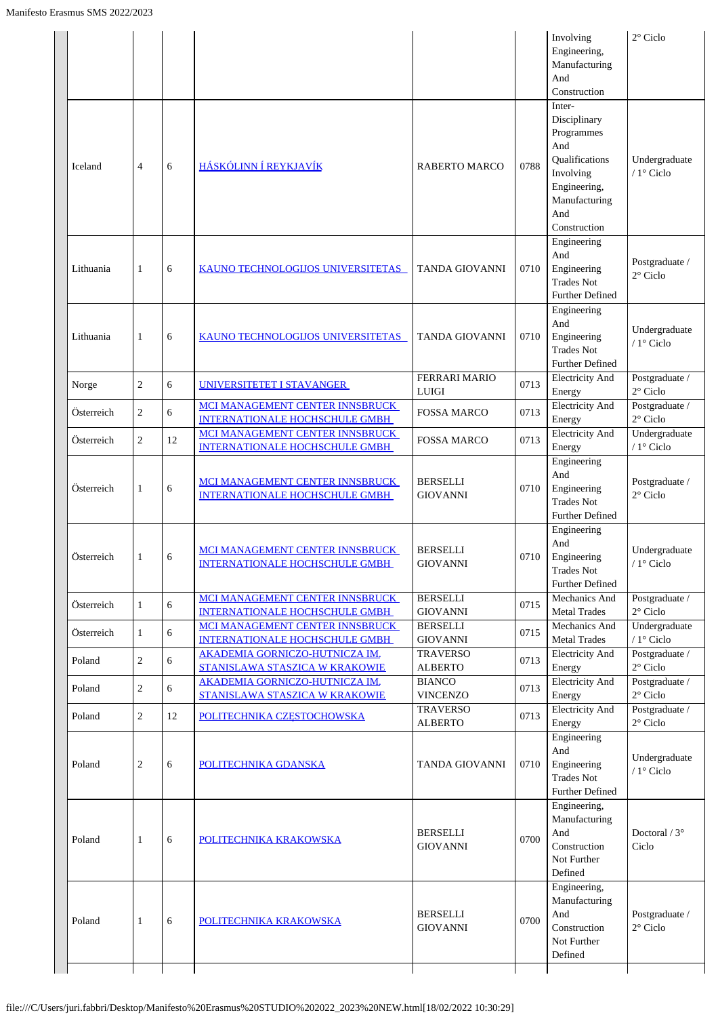|            |                |    |                                                                          |                                      |      | Involving<br>Engineering,<br>Manufacturing<br>And<br>Construction                                                                         | $2^{\circ}$ Ciclo                    |
|------------|----------------|----|--------------------------------------------------------------------------|--------------------------------------|------|-------------------------------------------------------------------------------------------------------------------------------------------|--------------------------------------|
| Iceland    | 4              | 6  | HÁSKÓLINN Í REYKJAVÍK                                                    | <b>RABERTO MARCO</b>                 | 0788 | Inter-<br>Disciplinary<br>Programmes<br>And<br><b>Oualifications</b><br>Involving<br>Engineering,<br>Manufacturing<br>And<br>Construction | Undergraduate<br>/ 1° Ciclo          |
| Lithuania  | 1              | 6  | KAUNO TECHNOLOGIJOS UNIVERSITETAS                                        | <b>TANDA GIOVANNI</b>                | 0710 | Engineering<br>And<br>Engineering<br><b>Trades Not</b><br><b>Further Defined</b>                                                          | Postgraduate /<br>$2^{\circ}$ Ciclo  |
| Lithuania  | $\mathbf{1}$   | 6  | <b>KAUNO TECHNOLOGIJOS UNIVERSITETAS</b>                                 | <b>TANDA GIOVANNI</b>                | 0710 | Engineering<br>And<br>Engineering<br><b>Trades Not</b><br><b>Further Defined</b>                                                          | Undergraduate<br>/ 1° Ciclo          |
| Norge      | $\overline{c}$ | 6  | UNIVERSITETET I STAVANGER                                                | <b>FERRARI MARIO</b><br><b>LUIGI</b> | 0713 | <b>Electricity And</b><br>Energy                                                                                                          | Postgraduate /<br>$2^{\circ}$ Ciclo  |
| Österreich | $\overline{c}$ | 6  | MCI MANAGEMENT CENTER INNSBRUCK<br><b>INTERNATIONALE HOCHSCHULE GMBH</b> | <b>FOSSA MARCO</b>                   | 0713 | <b>Electricity And</b><br>Energy                                                                                                          | Postgraduate /<br>$2^{\circ}$ Ciclo  |
| Österreich | $\overline{2}$ | 12 | MCI MANAGEMENT CENTER INNSBRUCK<br><b>INTERNATIONALE HOCHSCHULE GMBH</b> | <b>FOSSA MARCO</b>                   | 0713 | <b>Electricity And</b><br>Energy                                                                                                          | Undergraduate<br>/ 1° Ciclo          |
| Österreich | 1              | 6  | MCI MANAGEMENT CENTER INNSBRUCK<br><b>INTERNATIONALE HOCHSCHULE GMBH</b> | <b>BERSELLI</b><br><b>GIOVANNI</b>   | 0710 | Engineering<br>And<br>Engineering<br><b>Trades Not</b><br>Further Defined                                                                 | Postgraduate /<br>$2^{\circ}$ Ciclo  |
| Österreich | 1              | 6  | MCI MANAGEMENT CENTER INNSBRUCK<br><b>INTERNATIONALE HOCHSCHULE GMBH</b> | <b>BERSELLI</b><br><b>GIOVANNI</b>   | 0710 | Engineering<br>And<br>Engineering<br><b>Trades Not</b><br>Further Defined                                                                 | Undergraduate<br>$/1^\circ$ Ciclo    |
| Österreich | $\mathbf{1}$   | 6  | MCI MANAGEMENT CENTER INNSBRUCK<br><b>INTERNATIONALE HOCHSCHULE GMBH</b> | <b>BERSELLI</b><br><b>GIOVANNI</b>   | 0715 | Mechanics And<br><b>Metal Trades</b>                                                                                                      | Postgraduate /<br>$2^{\circ}$ Ciclo  |
| Österreich | $\mathbf{1}$   | 6  | MCI MANAGEMENT CENTER INNSBRUCK<br><b>INTERNATIONALE HOCHSCHULE GMBH</b> | <b>BERSELLI</b><br><b>GIOVANNI</b>   | 0715 | Mechanics And<br><b>Metal Trades</b>                                                                                                      | Undergraduate<br>/ $1^{\circ}$ Ciclo |
| Poland     | $\overline{c}$ | 6  | <b>AKADEMIA GORNICZO-HUTNICZA IM.</b><br>STANISLAWA STASZICA W KRAKOWIE  | <b>TRAVERSO</b><br><b>ALBERTO</b>    | 0713 | <b>Electricity And</b><br>Energy                                                                                                          | Postgraduate /<br>$2^{\circ}$ Ciclo  |
| Poland     | $\overline{c}$ | 6  | <b>AKADEMIA GORNICZO-HUTNICZA IM.</b><br>STANISLAWA STASZICA W KRAKOWIE  | <b>BIANCO</b><br><b>VINCENZO</b>     | 0713 | <b>Electricity And</b><br>Energy                                                                                                          | Postgraduate /<br>$2^{\circ}$ Ciclo  |
| Poland     | $\overline{2}$ | 12 | POLITECHNIKA CZESTOCHOWSKA                                               | <b>TRAVERSO</b><br><b>ALBERTO</b>    | 0713 | <b>Electricity And</b><br>Energy                                                                                                          | Postgraduate /<br>$2^{\circ}$ Ciclo  |
| Poland     | 2              | 6  | POLITECHNIKA GDANSKA                                                     | <b>TANDA GIOVANNI</b>                | 0710 | Engineering<br>And<br>Engineering<br><b>Trades Not</b><br><b>Further Defined</b>                                                          | Undergraduate<br>/ 1° Ciclo          |
| Poland     | 1              | 6  | POLITECHNIKA KRAKOWSKA                                                   | <b>BERSELLI</b><br><b>GIOVANNI</b>   | 0700 | Engineering,<br>Manufacturing<br>And<br>Construction<br>Not Further<br>Defined                                                            | Doctoral / $3^\circ$<br>Ciclo        |
| Poland     | 1              | 6  | POLITECHNIKA KRAKOWSKA                                                   | BERSELLI<br><b>GIOVANNI</b>          | 0700 | Engineering,<br>Manufacturing<br>And<br>Construction<br>Not Further<br>Defined                                                            | Postgraduate /<br>$2^{\circ}$ Ciclo  |
|            |                |    |                                                                          |                                      |      |                                                                                                                                           |                                      |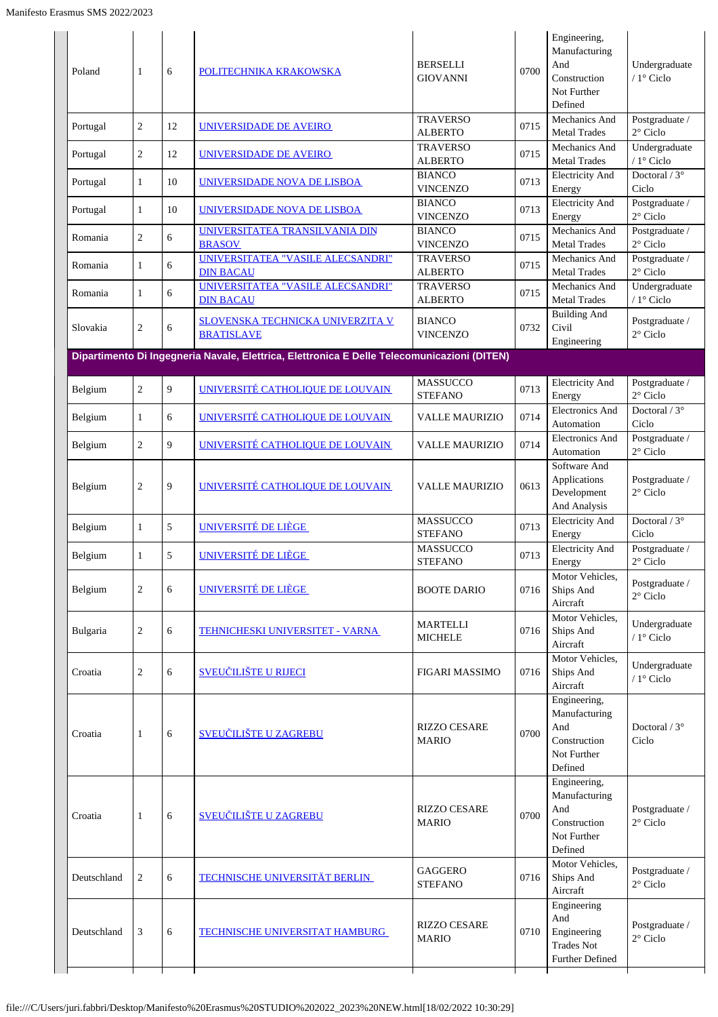| Poland      | 1              | 6  | POLITECHNIKA KRAKOWSKA                                                                      | <b>BERSELLI</b><br><b>GIOVANNI</b>  | 0700 | Engineering,<br>Manufacturing<br>And<br>Construction<br>Not Further<br>Defined | Undergraduate<br>/ 1° Ciclo         |
|-------------|----------------|----|---------------------------------------------------------------------------------------------|-------------------------------------|------|--------------------------------------------------------------------------------|-------------------------------------|
| Portugal    | $\overline{c}$ | 12 | UNIVERSIDADE DE AVEIRO                                                                      | <b>TRAVERSO</b><br><b>ALBERTO</b>   | 0715 | Mechanics And<br><b>Metal Trades</b>                                           | Postgraduate /<br>$2^{\circ}$ Ciclo |
| Portugal    | $\overline{c}$ | 12 | UNIVERSIDADE DE AVEIRO                                                                      | <b>TRAVERSO</b><br><b>ALBERTO</b>   | 0715 | Mechanics And<br><b>Metal Trades</b>                                           | Undergraduate<br>/ $1^\circ$ Ciclo  |
| Portugal    | $\mathbf{1}$   | 10 | UNIVERSIDADE NOVA DE LISBOA                                                                 | <b>BIANCO</b><br><b>VINCENZO</b>    | 0713 | <b>Electricity And</b><br>Energy                                               | Doctoral / $3^\circ$<br>Ciclo       |
| Portugal    | 1              | 10 | UNIVERSIDADE NOVA DE LISBOA                                                                 | <b>BIANCO</b><br><b>VINCENZO</b>    | 0713 | <b>Electricity And</b><br>Energy                                               | Postgraduate /<br>$2^{\circ}$ Ciclo |
| Romania     | $\overline{c}$ | 6  | UNIVERSITATEA TRANSILVANIA DIN<br><b>BRASOV</b>                                             | <b>BIANCO</b><br><b>VINCENZO</b>    | 0715 | Mechanics And<br><b>Metal Trades</b>                                           | Postgraduate /<br>$2^{\circ}$ Ciclo |
| Romania     | 1              | 6  | UNIVERSITATEA "VASILE ALECSANDRI"<br><b>DIN BACAU</b>                                       | <b>TRAVERSO</b><br><b>ALBERTO</b>   | 0715 | Mechanics And<br><b>Metal Trades</b>                                           | Postgraduate /<br>$2^{\circ}$ Ciclo |
| Romania     | 1              | 6  | UNIVERSITATEA "VASILE ALECSANDRI"<br><b>DIN BACAU</b>                                       | <b>TRAVERSO</b><br><b>ALBERTO</b>   | 0715 | Mechanics And<br><b>Metal Trades</b>                                           | Undergraduate<br>/ 1° Ciclo         |
| Slovakia    | 2              | 6  | <b>SLOVENSKA TECHNICKA UNIVERZITA V</b><br><b>BRATISLAVE</b>                                | <b>BIANCO</b><br><b>VINCENZO</b>    | 0732 | <b>Building And</b><br>Civil<br>Engineering                                    | Postgraduate /<br>$2^{\circ}$ Ciclo |
|             |                |    | Dipartimento Di Ingegneria Navale, Elettrica, Elettronica E Delle Telecomunicazioni (DITEN) |                                     |      |                                                                                |                                     |
| Belgium     | $\overline{c}$ | 9  | UNIVERSITÉ CATHOLIQUE DE LOUVAIN                                                            | <b>MASSUCCO</b><br><b>STEFANO</b>   | 0713 | <b>Electricity And</b><br>Energy                                               | Postgraduate /<br>$2^{\circ}$ Ciclo |
| Belgium     | 1              | 6  | UNIVERSITÉ CATHOLIQUE DE LOUVAIN                                                            | <b>VALLE MAURIZIO</b>               | 0714 | <b>Electronics And</b><br>Automation                                           | Doctoral / $3^\circ$<br>Ciclo       |
| Belgium     | 2              | 9  | UNIVERSITÉ CATHOLIQUE DE LOUVAIN                                                            | <b>VALLE MAURIZIO</b>               | 0714 | <b>Electronics And</b><br>Automation                                           | Postgraduate /<br>$2^{\circ}$ Ciclo |
| Belgium     | $\overline{c}$ | 9  | UNIVERSITÉ CATHOLIQUE DE LOUVAIN                                                            | <b>VALLE MAURIZIO</b>               | 0613 | Software And<br>Applications<br>Development<br>And Analysis                    | Postgraduate /<br>$2^{\circ}$ Ciclo |
| Belgium     | 1              | 5  | UNIVERSITÉ DE LIÈGE                                                                         | <b>MASSUCCO</b><br><b>STEFANO</b>   | 0713 | <b>Electricity And</b><br>Energy                                               | Doctoral / $3^\circ$<br>Ciclo       |
| Belgium     | 1              | 5  | UNIVERSITÉ DE LIÈGE                                                                         | <b>MASSUCCO</b><br><b>STEFANO</b>   | 0713 | <b>Electricity And</b><br>Energy                                               | Postgraduate /<br>$2^{\circ}$ Ciclo |
| Belgium     | 2              | 6  | UNIVERSITÉ DE LIÈGE                                                                         | <b>BOOTE DARIO</b>                  | 0716 | Motor Vehicles.<br>Ships And<br>Aircraft                                       | Postgraduate /<br>2° Ciclo          |
| Bulgaria    | 2              | 6  | TEHNICHESKI UNIVERSITET - VARNA                                                             | <b>MARTELLI</b><br><b>MICHELE</b>   | 0716 | Motor Vehicles,<br>Ships And<br>Aircraft                                       | Undergraduate<br>/ 1° Ciclo         |
| Croatia     | 2              | 6  | <b>SVEUČILIŠTE U RIJECI</b>                                                                 | <b>FIGARI MASSIMO</b>               | 0716 | Motor Vehicles,<br>Ships And<br>Aircraft                                       | Undergraduate<br>/ 1° Ciclo         |
| Croatia     | 1              | 6  | <b>SVEUČILIŠTE U ZAGREBU</b>                                                                | <b>RIZZO CESARE</b><br><b>MARIO</b> | 0700 | Engineering,<br>Manufacturing<br>And<br>Construction<br>Not Further<br>Defined | Doctoral $/3^{\circ}$<br>Ciclo      |
| Croatia     | 1              | 6  | <b>SVEUČILIŠTE U ZAGREBU</b>                                                                | <b>RIZZO CESARE</b><br><b>MARIO</b> | 0700 | Engineering,<br>Manufacturing<br>And<br>Construction<br>Not Further<br>Defined | Postgraduate /<br>$2^{\circ}$ Ciclo |
| Deutschland | 2              | 6  | <b>TECHNISCHE UNIVERSITÄT BERLIN</b>                                                        | GAGGERO<br><b>STEFANO</b>           | 0716 | Motor Vehicles,<br>Ships And<br>Aircraft                                       | Postgraduate /<br>$2^{\circ}$ Ciclo |
| Deutschland | 3              | 6  | <b>TECHNISCHE UNIVERSITAT HAMBURG</b>                                                       | <b>RIZZO CESARE</b><br><b>MARIO</b> | 0710 | Engineering<br>And<br>Engineering<br><b>Trades Not</b><br>Further Defined      | Postgraduate /<br>$2^{\circ}$ Ciclo |
|             |                |    |                                                                                             |                                     |      |                                                                                |                                     |

 $\mathbf{I}$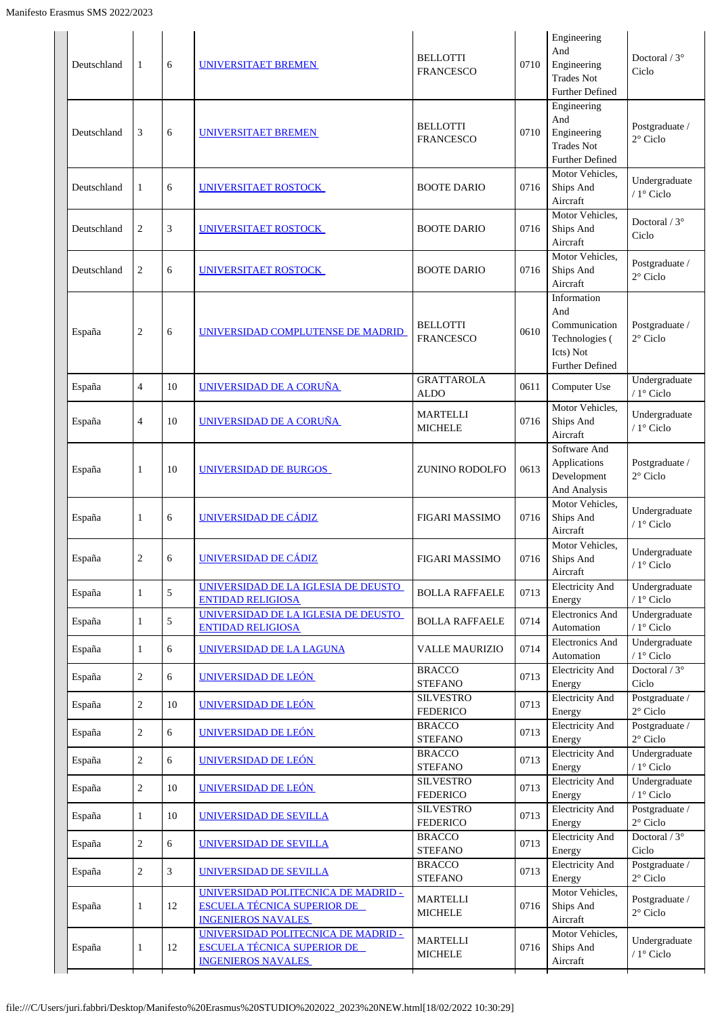| Deutschland | 1              | 6  | UNIVERSITAET BREMEN                                                                                    | <b>BELLOTTI</b><br><b>FRANCESCO</b> | 0710 | Engineering<br>And<br>Engineering<br><b>Trades Not</b><br><b>Further Defined</b>      | Doctoral / $3^{\circ}$<br>Ciclo      |
|-------------|----------------|----|--------------------------------------------------------------------------------------------------------|-------------------------------------|------|---------------------------------------------------------------------------------------|--------------------------------------|
| Deutschland | 3              | 6  | UNIVERSITAET BREMEN                                                                                    | <b>BELLOTTI</b><br><b>FRANCESCO</b> | 0710 | Engineering<br>And<br>Engineering<br><b>Trades Not</b><br><b>Further Defined</b>      | Postgraduate /<br>$2^{\circ}$ Ciclo  |
| Deutschland | $\mathbf{1}$   | 6  | <b>UNIVERSITAET ROSTOCK</b>                                                                            | <b>BOOTE DARIO</b>                  | 0716 | Motor Vehicles,<br>Ships And<br>Aircraft                                              | Undergraduate<br>/ 1° Ciclo          |
| Deutschland | $\overline{2}$ | 3  | UNIVERSITAET ROSTOCK                                                                                   | <b>BOOTE DARIO</b>                  | 0716 | Motor Vehicles,<br>Ships And<br>Aircraft                                              | Doctoral / $3^\circ$<br>Ciclo        |
| Deutschland | $\overline{2}$ | 6  | UNIVERSITAET ROSTOCK                                                                                   | <b>BOOTE DARIO</b>                  | 0716 | Motor Vehicles,<br>Ships And<br>Aircraft                                              | Postgraduate /<br>$2^{\circ}$ Ciclo  |
| España      | $\sqrt{2}$     | 6  | UNIVERSIDAD COMPLUTENSE DE MADRID                                                                      | <b>BELLOTTI</b><br><b>FRANCESCO</b> | 0610 | Information<br>And<br>Communication<br>Technologies (<br>Icts) Not<br>Further Defined | Postgraduate /<br>$2^{\circ}$ Ciclo  |
| España      | $\overline{4}$ | 10 | UNIVERSIDAD DE A CORUÑA                                                                                | <b>GRATTAROLA</b><br><b>ALDO</b>    | 0611 | Computer Use                                                                          | Undergraduate<br>/ 1° Ciclo          |
| España      | $\overline{4}$ | 10 | UNIVERSIDAD DE A CORUÑA                                                                                | <b>MARTELLI</b><br><b>MICHELE</b>   | 0716 | Motor Vehicles,<br>Ships And<br>Aircraft                                              | Undergraduate<br>/ 1° Ciclo          |
| España      | $\mathbf{1}$   | 10 | UNIVERSIDAD DE BURGOS                                                                                  | ZUNINO RODOLFO                      | 0613 | Software And<br>Applications<br>Development<br>And Analysis                           | Postgraduate /<br>$2^{\circ}$ Ciclo  |
| España      | 1              | 6  | UNIVERSIDAD DE CÁDIZ                                                                                   | <b>FIGARI MASSIMO</b>               | 0716 | Motor Vehicles,<br>Ships And<br>Aircraft                                              | Undergraduate<br>/ 1° Ciclo          |
| España      | $\overline{2}$ | 6  | UNIVERSIDAD DE CÁDIZ                                                                                   | <b>FIGARI MASSIMO</b>               | 0716 | Motor Vehicles,<br>Ships And<br>Aircraft                                              | Undergraduate<br>/ $1^{\circ}$ Ciclo |
| España      | $\mathbf{1}$   | 5  | UNIVERSIDAD DE LA IGLESIA DE DEUSTO<br><b>ENTIDAD RELIGIOSA</b>                                        | <b>BOLLA RAFFAELE</b>               | 0713 | <b>Electricity And</b><br>Energy                                                      | Undergraduate<br>/ 1° Ciclo          |
| España      | $\mathbf{1}$   | 5  | UNIVERSIDAD DE LA IGLESIA DE DEUSTO<br><b>ENTIDAD RELIGIOSA</b>                                        | <b>BOLLA RAFFAELE</b>               | 0714 | <b>Electronics And</b><br>Automation                                                  | Undergraduate<br>/ 1° Ciclo          |
| España      | $\mathbf{1}$   | 6  | UNIVERSIDAD DE LA LAGUNA                                                                               | VALLE MAURIZIO                      | 0714 | <b>Electronics And</b><br>Automation                                                  | Undergraduate<br>/ $1^\circ$ Ciclo   |
| España      | $\sqrt{2}$     | 6  | UNIVERSIDAD DE LEÓN                                                                                    | <b>BRACCO</b><br><b>STEFANO</b>     | 0713 | <b>Electricity And</b><br>Energy                                                      | Doctoral / $3^\circ$<br>Ciclo        |
| España      | $\sqrt{2}$     | 10 | UNIVERSIDAD DE LEÓN                                                                                    | <b>SILVESTRO</b><br><b>FEDERICO</b> | 0713 | <b>Electricity And</b><br>Energy                                                      | Postgraduate /<br>$2^{\circ}$ Ciclo  |
| España      | $\sqrt{2}$     | 6  | UNIVERSIDAD DE LEÓN                                                                                    | <b>BRACCO</b><br><b>STEFANO</b>     | 0713 | Electricity And<br>Energy                                                             | Postgraduate /<br>$2^{\circ}$ Ciclo  |
| España      | $\sqrt{2}$     | 6  | UNIVERSIDAD DE LEÓN                                                                                    | <b>BRACCO</b><br><b>STEFANO</b>     | 0713 | <b>Electricity And</b><br>Energy                                                      | Undergraduate<br>/ 1° Ciclo          |
| España      | $\overline{2}$ | 10 | UNIVERSIDAD DE LEÓN                                                                                    | <b>SILVESTRO</b><br><b>FEDERICO</b> | 0713 | <b>Electricity And</b><br>Energy                                                      | Undergraduate<br>/ $1^\circ$ Ciclo   |
| España      | $\mathbf{1}$   | 10 | UNIVERSIDAD DE SEVILLA                                                                                 | <b>SILVESTRO</b><br><b>FEDERICO</b> | 0713 | <b>Electricity And</b><br>Energy                                                      | Postgraduate /<br>$2^{\circ}$ Ciclo  |
| España      | $\sqrt{2}$     | 6  | UNIVERSIDAD DE SEVILLA                                                                                 | <b>BRACCO</b><br><b>STEFANO</b>     | 0713 | Electricity And<br>Energy                                                             | Doctoral / $3^\circ$<br>Ciclo        |
| España      | $\sqrt{2}$     | 3  | <b>UNIVERSIDAD DE SEVILLA</b>                                                                          | <b>BRACCO</b><br><b>STEFANO</b>     | 0713 | <b>Electricity And</b><br>Energy                                                      | Postgraduate /<br>$2^{\circ}$ Ciclo  |
| España      | $\mathbf{1}$   | 12 | UNIVERSIDAD POLITECNICA DE MADRID -<br><b>ESCUELA TÉCNICA SUPERIOR DE</b><br><b>INGENIEROS NAVALES</b> | <b>MARTELLI</b><br><b>MICHELE</b>   | 0716 | Motor Vehicles,<br>Ships And<br>Aircraft                                              | Postgraduate /<br>$2^{\circ}$ Ciclo  |
| España      | $\mathbf{1}$   | 12 | UNIVERSIDAD POLITECNICA DE MADRID -<br><b>ESCUELA TÉCNICA SUPERIOR DE</b><br><b>INGENIEROS NAVALES</b> | <b>MARTELLI</b><br><b>MICHELE</b>   | 0716 | Motor Vehicles,<br>Ships And<br>Aircraft                                              | Undergraduate<br>/ 1° Ciclo          |
|             |                |    |                                                                                                        |                                     |      |                                                                                       |                                      |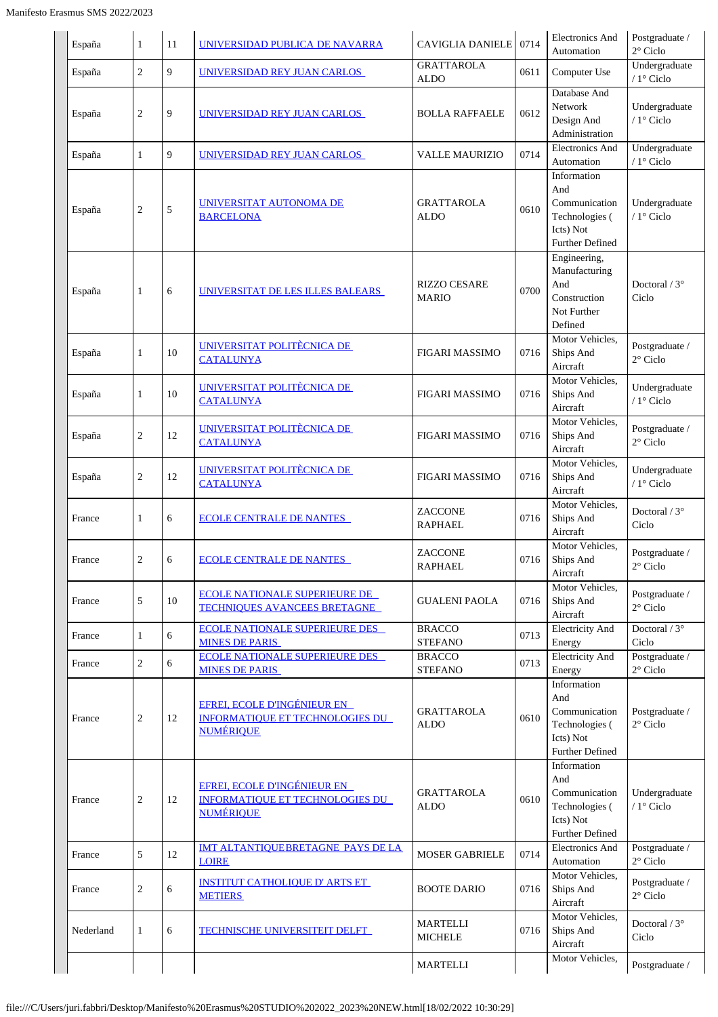| España    | 1              | 11          | UNIVERSIDAD PUBLICA DE NAVARRA                                                                   | <b>CAVIGLIA DANIELE</b> 0714        |      | <b>Electronics And</b><br>Automation                                                         | Postgraduate /<br>2° Ciclo          |
|-----------|----------------|-------------|--------------------------------------------------------------------------------------------------|-------------------------------------|------|----------------------------------------------------------------------------------------------|-------------------------------------|
| España    | $\overline{c}$ | 9           | UNIVERSIDAD REY JUAN CARLOS                                                                      | <b>GRATTAROLA</b><br><b>ALDO</b>    | 0611 | Computer Use                                                                                 | Undergraduate<br>/ 1° Ciclo         |
| España    | 2              | 9           | <u>UNIVERSIDAD REY JUAN CARLOS</u>                                                               | <b>BOLLA RAFFAELE</b>               | 0612 | Database And<br>Network<br>Design And<br>Administration                                      | Undergraduate<br>/ 1° Ciclo         |
| España    | $\mathbf{1}$   | $\mathbf Q$ | <u>UNIVERSIDAD REY JUAN CARLOS </u>                                                              | <b>VALLE MAURIZIO</b>               | 0714 | <b>Electronics And</b><br>Automation                                                         | Undergraduate<br>/ 1° Ciclo         |
| España    | 2              | 5           | UNIVERSITAT AUTONOMA DE<br><b>BARCELONA</b>                                                      | <b>GRATTAROLA</b><br><b>ALDO</b>    | 0610 | Information<br>And<br>Communication<br>Technologies (<br>Icts) Not<br><b>Further Defined</b> | Undergraduate<br>/ 1° Ciclo         |
| España    | 1              | 6           | UNIVERSITAT DE LES ILLES BALEARS                                                                 | <b>RIZZO CESARE</b><br><b>MARIO</b> | 0700 | Engineering,<br>Manufacturing<br>And<br>Construction<br>Not Further<br>Defined               | Doctoral $/3^{\circ}$<br>Ciclo      |
| España    | 1              | 10          | UNIVERSITAT POLITÈCNICA DE<br><b>CATALUNYA</b>                                                   | <b>FIGARI MASSIMO</b>               | 0716 | Motor Vehicles,<br>Ships And<br>Aircraft                                                     | Postgraduate /<br>$2^{\circ}$ Ciclo |
| España    | 1              | 10          | UNIVERSITAT POLITÈCNICA DE<br><b>CATALUNYA</b>                                                   | <b>FIGARI MASSIMO</b>               | 0716 | Motor Vehicles,<br>Ships And<br>Aircraft                                                     | Undergraduate<br>/ 1° Ciclo         |
| España    | 2              | 12          | UNIVERSITAT POLITÈCNICA DE<br><b>CATALUNYA</b>                                                   | <b>FIGARI MASSIMO</b>               | 0716 | Motor Vehicles,<br>Ships And<br>Aircraft                                                     | Postgraduate /<br>2° Ciclo          |
| España    | $\overline{c}$ | 12          | UNIVERSITAT POLITÈCNICA DE<br><b>CATALUNYA</b>                                                   | <b>FIGARI MASSIMO</b>               | 0716 | Motor Vehicles,<br>Ships And<br>Aircraft                                                     | Undergraduate<br>/ 1° Ciclo         |
| France    | 1              | 6           | <b>ECOLE CENTRALE DE NANTES</b>                                                                  | ZACCONE<br><b>RAPHAEL</b>           | 0716 | Motor Vehicles,<br>Ships And<br>Aircraft                                                     | Doctoral / $3^\circ$<br>Ciclo       |
| France    | 2              | 6           | <b>ECOLE CENTRALE DE NANTES</b>                                                                  | ZACCONE<br><b>RAPHAEL</b>           | 0716 | Motor Vehicles,<br>Ships And<br>Aircraft                                                     | Postgraduate /<br>$2^{\circ}$ Ciclo |
| France    | 5              | 10          | <b>ECOLE NATIONALE SUPERIEURE DE</b><br><b>TECHNIQUES AVANCEES BRETAGNE</b>                      | <b>GUALENI PAOLA</b>                | 0716 | Motor Vehicles,<br>Ships And<br>Aircraft                                                     | Postgraduate /<br>2° Ciclo          |
| France    | $\mathbf{1}$   | 6           | <b>ECOLE NATIONALE SUPERIEURE DES</b><br><b>MINES DE PARIS</b>                                   | <b>BRACCO</b><br><b>STEFANO</b>     | 0713 | <b>Electricity And</b><br>Energy                                                             | Doctoral $/3^{\circ}$<br>Ciclo      |
| France    | $\overline{c}$ | 6           | <b>ECOLE NATIONALE SUPERIEURE DES</b><br><b>MINES DE PARIS</b>                                   | <b>BRACCO</b><br><b>STEFANO</b>     | 0713 | <b>Electricity And</b><br>Energy                                                             | Postgraduate /<br>$2^{\circ}$ Ciclo |
| France    | 2              | 12          | EFREI, ECOLE D'INGÉNIEUR EN<br><b>INFORMATIQUE ET TECHNOLOGIES DU</b><br><b>NUMÉRIQUE</b>        | <b>GRATTAROLA</b><br><b>ALDO</b>    | 0610 | Information<br>And<br>Communication<br>Technologies (<br>Icts) Not<br><b>Further Defined</b> | Postgraduate /<br>2° Ciclo          |
| France    | 2              | 12          | <b>EFREI, ECOLE D'INGÉNIEUR EN</b><br><b>INFORMATIQUE ET TECHNOLOGIES DU</b><br><b>NUMÉRIOUE</b> | <b>GRATTAROLA</b><br><b>ALDO</b>    | 0610 | Information<br>And<br>Communication<br>Technologies (<br>Icts) Not<br><b>Further Defined</b> | Undergraduate<br>/ 1° Ciclo         |
| France    | 5              | 12          | <b>IMT ALTANTIQUEBRETAGNE PAYS DE LA</b><br><b>LOIRE</b>                                         | <b>MOSER GABRIELE</b>               | 0714 | <b>Electronics And</b><br>Automation                                                         | Postgraduate /<br>$2^{\circ}$ Ciclo |
| France    | 2              | 6           | <b>INSTITUT CATHOLIQUE D' ARTS ET</b><br><b>METIERS</b>                                          | <b>BOOTE DARIO</b>                  | 0716 | Motor Vehicles,<br>Ships And<br>Aircraft                                                     | Postgraduate /<br>2° Ciclo          |
| Nederland | 1              | 6           | <b>TECHNISCHE UNIVERSITEIT DELFT</b>                                                             | <b>MARTELLI</b><br><b>MICHELE</b>   | 0716 | Motor Vehicles,<br>Ships And<br>Aircraft                                                     | Doctoral / 3°<br>Ciclo              |
|           |                |             |                                                                                                  | <b>MARTELLI</b>                     |      | Motor Vehicles,                                                                              | Postgraduate /                      |